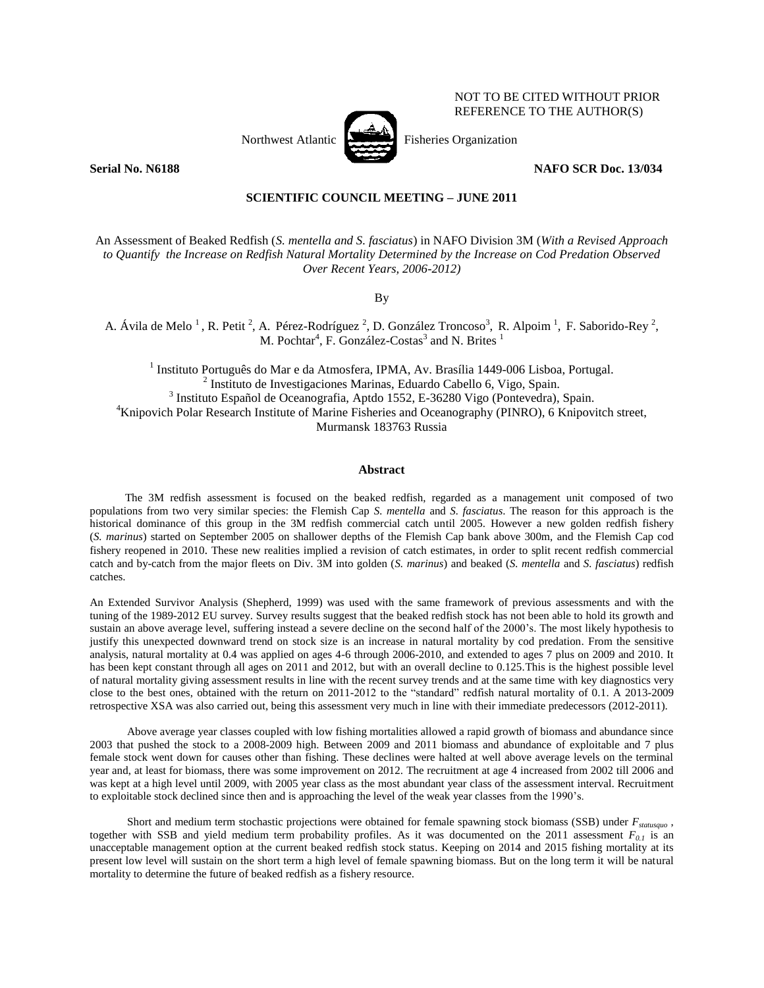

NOT TO BE CITED WITHOUT PRIOR REFERENCE TO THE AUTHOR(S)

**Serial No. N6188 NAFO SCR Doc. 13/034** 

# **SCIENTIFIC COUNCIL MEETING – JUNE 2011**

An Assessment of Beaked Redfish (*S. mentella and S. fasciatus*) in NAFO Division 3M (*With a Revised Approach to Quantify the Increase on Redfish Natural Mortality Determined by the Increase on Cod Predation Observed Over Recent Years, 2006-2012)* 

By

A. Ávila de Melo<sup>1</sup>, R. Petit<sup>2</sup>, A. Pérez-Rodríguez<sup>2</sup>, D. González Troncoso<sup>3</sup>, R. Alpoim<sup>1</sup>, F. Saborido-Rey<sup>2</sup>, M. Pochtar<sup>4</sup>, F. González-Costas<sup>3</sup> and N. Brites<sup>1</sup>

<sup>1</sup> Instituto Português do Mar e da Atmosfera, IPMA, Av. Brasília 1449-006 Lisboa, Portugal. <sup>2</sup> Instituto de Investigaciones Marinas, Eduardo Cabello 6, Vigo, Spain. <sup>3</sup> Instituto Español de Oceanografia, Aptdo 1552, E-36280 Vigo (Pontevedra), Spain. <sup>4</sup>Knipovich Polar Research Institute of Marine Fisheries and Oceanography (PINRO), 6 Knipovitch street, Murmansk 183763 Russia

# **Abstract**

The 3M redfish assessment is focused on the beaked redfish, regarded as a management unit composed of two populations from two very similar species: the Flemish Cap *S. mentella* and *S. fasciatus*. The reason for this approach is the historical dominance of this group in the 3M redfish commercial catch until 2005. However a new golden redfish fishery (*S. marinus*) started on September 2005 on shallower depths of the Flemish Cap bank above 300m, and the Flemish Cap cod fishery reopened in 2010. These new realities implied a revision of catch estimates, in order to split recent redfish commercial catch and by-catch from the major fleets on Div. 3M into golden (*S. marinus*) and beaked (*S. mentella* and *S. fasciatus*) redfish catches.

An Extended Survivor Analysis (Shepherd, 1999) was used with the same framework of previous assessments and with the tuning of the 1989-2012 EU survey. Survey results suggest that the beaked redfish stock has not been able to hold its growth and sustain an above average level, suffering instead a severe decline on the second half of the 2000's. The most likely hypothesis to justify this unexpected downward trend on stock size is an increase in natural mortality by cod predation. From the sensitive analysis, natural mortality at 0.4 was applied on ages 4-6 through 2006-2010, and extended to ages 7 plus on 2009 and 2010. It has been kept constant through all ages on 2011 and 2012, but with an overall decline to 0.125. This is the highest possible level of natural mortality giving assessment results in line with the recent survey trends and at the same time with key diagnostics very close to the best ones, obtained with the return on 2011-2012 to the "standard" redfish natural mortality of 0.1. A 2013-2009 retrospective XSA was also carried out, being this assessment very much in line with their immediate predecessors (2012-2011).

Above average year classes coupled with low fishing mortalities allowed a rapid growth of biomass and abundance since 2003 that pushed the stock to a 2008-2009 high. Between 2009 and 2011 biomass and abundance of exploitable and 7 plus female stock went down for causes other than fishing. These declines were halted at well above average levels on the terminal year and, at least for biomass, there was some improvement on 2012. The recruitment at age 4 increased from 2002 till 2006 and was kept at a high level until 2009, with 2005 year class as the most abundant year class of the assessment interval. Recruitment to exploitable stock declined since then and is approaching the level of the weak year classes from the 1990's.

Short and medium term stochastic projections were obtained for female spawning stock biomass (SSB) under *Fstatusquo* , together with SSB and yield medium term probability profiles. As it was documented on the 2011 assessment  $F_{0,i}$  is an unacceptable management option at the current beaked redfish stock status. Keeping on 2014 and 2015 fishing mortality at its present low level will sustain on the short term a high level of female spawning biomass. But on the long term it will be natural mortality to determine the future of beaked redfish as a fishery resource.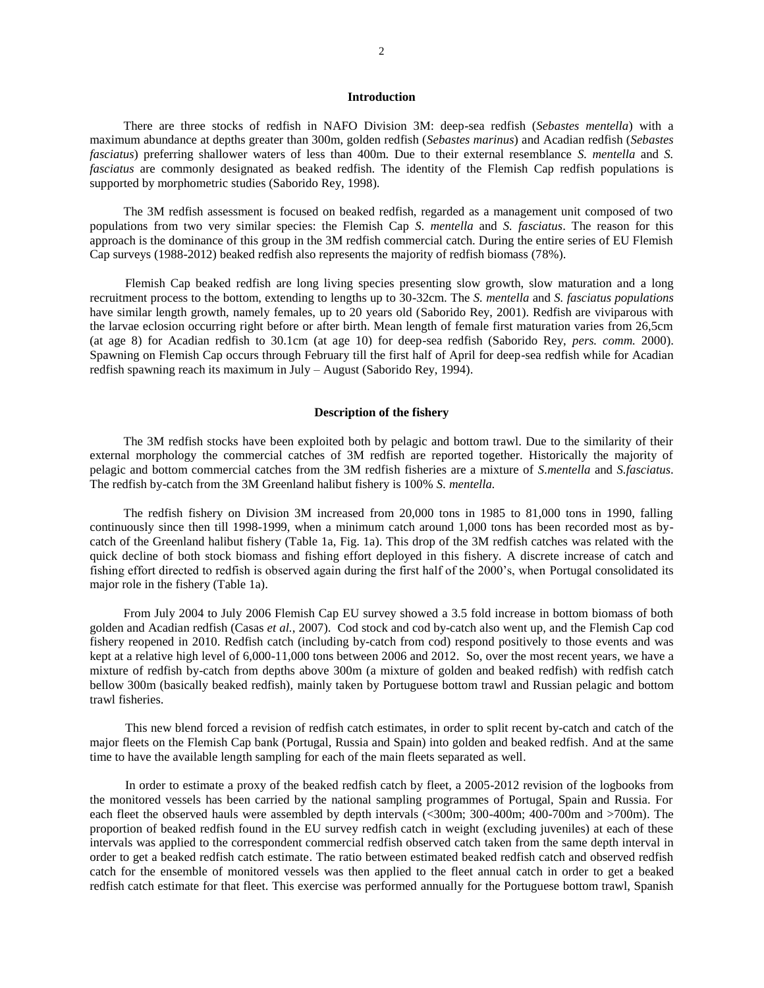## **Introduction**

There are three stocks of redfish in NAFO Division 3M: deep-sea redfish (*Sebastes mentella*) with a maximum abundance at depths greater than 300m, golden redfish (*Sebastes marinus*) and Acadian redfish (*Sebastes fasciatus*) preferring shallower waters of less than 400m. Due to their external resemblance *S. mentella* and *S. fasciatus* are commonly designated as beaked redfish. The identity of the Flemish Cap redfish populations is supported by morphometric studies (Saborido Rey, 1998).

The 3M redfish assessment is focused on beaked redfish, regarded as a management unit composed of two populations from two very similar species: the Flemish Cap *S. mentella* and *S. fasciatus*. The reason for this approach is the dominance of this group in the 3M redfish commercial catch. During the entire series of EU Flemish Cap surveys (1988-2012) beaked redfish also represents the majority of redfish biomass (78%).

Flemish Cap beaked redfish are long living species presenting slow growth, slow maturation and a long recruitment process to the bottom, extending to lengths up to 30-32cm. The *S. mentella* and *S. fasciatus populations* have similar length growth, namely females, up to 20 years old (Saborido Rey, 2001). Redfish are viviparous with the larvae eclosion occurring right before or after birth. Mean length of female first maturation varies from 26,5cm (at age 8) for Acadian redfish to 30.1cm (at age 10) for deep-sea redfish (Saborido Rey, *pers. comm.* 2000). Spawning on Flemish Cap occurs through February till the first half of April for deep-sea redfish while for Acadian redfish spawning reach its maximum in July – August (Saborido Rey, 1994).

## **Description of the fishery**

The 3M redfish stocks have been exploited both by pelagic and bottom trawl. Due to the similarity of their external morphology the commercial catches of 3M redfish are reported together. Historically the majority of pelagic and bottom commercial catches from the 3M redfish fisheries are a mixture of *S.mentella* and *S.fasciatus*. The redfish by-catch from the 3M Greenland halibut fishery is 100% *S. mentella.* 

The redfish fishery on Division 3M increased from 20,000 tons in 1985 to 81,000 tons in 1990, falling continuously since then till 1998-1999, when a minimum catch around 1,000 tons has been recorded most as bycatch of the Greenland halibut fishery (Table 1a, Fig. 1a). This drop of the 3M redfish catches was related with the quick decline of both stock biomass and fishing effort deployed in this fishery. A discrete increase of catch and fishing effort directed to redfish is observed again during the first half of the 2000's, when Portugal consolidated its major role in the fishery (Table 1a).

From July 2004 to July 2006 Flemish Cap EU survey showed a 3.5 fold increase in bottom biomass of both golden and Acadian redfish (Casas *et al.*, 2007). Cod stock and cod by-catch also went up, and the Flemish Cap cod fishery reopened in 2010. Redfish catch (including by-catch from cod) respond positively to those events and was kept at a relative high level of 6,000-11,000 tons between 2006 and 2012. So, over the most recent years, we have a mixture of redfish by-catch from depths above 300m (a mixture of golden and beaked redfish) with redfish catch bellow 300m (basically beaked redfish), mainly taken by Portuguese bottom trawl and Russian pelagic and bottom trawl fisheries.

This new blend forced a revision of redfish catch estimates, in order to split recent by-catch and catch of the major fleets on the Flemish Cap bank (Portugal, Russia and Spain) into golden and beaked redfish. And at the same time to have the available length sampling for each of the main fleets separated as well.

In order to estimate a proxy of the beaked redfish catch by fleet, a 2005-2012 revision of the logbooks from the monitored vessels has been carried by the national sampling programmes of Portugal, Spain and Russia. For each fleet the observed hauls were assembled by depth intervals (<300m; 300-400m; 400-700m and >700m). The proportion of beaked redfish found in the EU survey redfish catch in weight (excluding juveniles) at each of these intervals was applied to the correspondent commercial redfish observed catch taken from the same depth interval in order to get a beaked redfish catch estimate. The ratio between estimated beaked redfish catch and observed redfish catch for the ensemble of monitored vessels was then applied to the fleet annual catch in order to get a beaked redfish catch estimate for that fleet. This exercise was performed annually for the Portuguese bottom trawl, Spanish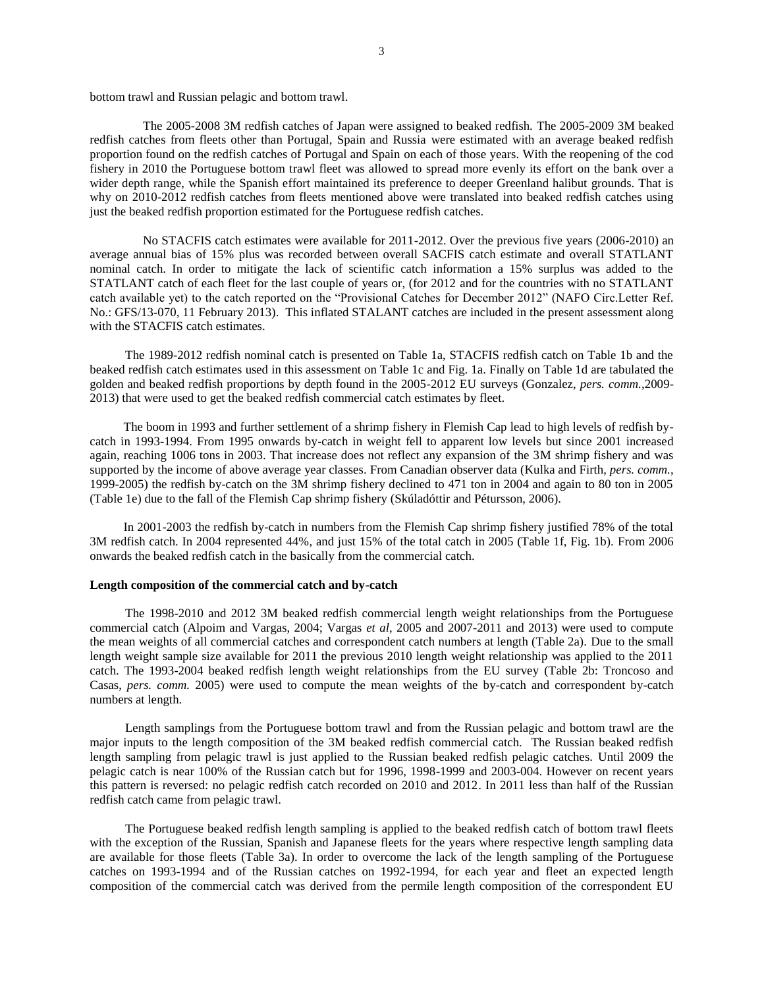bottom trawl and Russian pelagic and bottom trawl.

The 2005-2008 3M redfish catches of Japan were assigned to beaked redfish. The 2005-2009 3M beaked redfish catches from fleets other than Portugal, Spain and Russia were estimated with an average beaked redfish proportion found on the redfish catches of Portugal and Spain on each of those years. With the reopening of the cod fishery in 2010 the Portuguese bottom trawl fleet was allowed to spread more evenly its effort on the bank over a wider depth range, while the Spanish effort maintained its preference to deeper Greenland halibut grounds. That is why on 2010-2012 redfish catches from fleets mentioned above were translated into beaked redfish catches using just the beaked redfish proportion estimated for the Portuguese redfish catches.

No STACFIS catch estimates were available for 2011-2012. Over the previous five years (2006-2010) an average annual bias of 15% plus was recorded between overall SACFIS catch estimate and overall STATLANT nominal catch. In order to mitigate the lack of scientific catch information a 15% surplus was added to the STATLANT catch of each fleet for the last couple of years or, (for 2012 and for the countries with no STATLANT catch available yet) to the catch reported on the "Provisional Catches for December 2012" (NAFO Circ.Letter Ref. No.: GFS/13-070, 11 February 2013). This inflated STALANT catches are included in the present assessment along with the STACFIS catch estimates.

The 1989-2012 redfish nominal catch is presented on Table 1a, STACFIS redfish catch on Table 1b and the beaked redfish catch estimates used in this assessment on Table 1c and Fig. 1a. Finally on Table 1d are tabulated the golden and beaked redfish proportions by depth found in the 2005-2012 EU surveys (Gonzalez, *pers. comm.,*2009- 2013) that were used to get the beaked redfish commercial catch estimates by fleet.

The boom in 1993 and further settlement of a shrimp fishery in Flemish Cap lead to high levels of redfish bycatch in 1993-1994. From 1995 onwards by-catch in weight fell to apparent low levels but since 2001 increased again, reaching 1006 tons in 2003. That increase does not reflect any expansion of the 3M shrimp fishery and was supported by the income of above average year classes. From Canadian observer data (Kulka and Firth, *pers. comm.*, 1999-2005) the redfish by-catch on the 3M shrimp fishery declined to 471 ton in 2004 and again to 80 ton in 2005 (Table 1e) due to the fall of the Flemish Cap shrimp fishery (Skúladóttir and Pétursson, 2006).

In 2001-2003 the redfish by-catch in numbers from the Flemish Cap shrimp fishery justified 78% of the total 3M redfish catch. In 2004 represented 44%, and just 15% of the total catch in 2005 (Table 1f, Fig. 1b). From 2006 onwards the beaked redfish catch in the basically from the commercial catch.

## **Length composition of the commercial catch and by-catch**

The 1998-2010 and 2012 3M beaked redfish commercial length weight relationships from the Portuguese commercial catch (Alpoim and Vargas, 2004; Vargas *et al*, 2005 and 2007-2011 and 2013) were used to compute the mean weights of all commercial catches and correspondent catch numbers at length (Table 2a). Due to the small length weight sample size available for 2011 the previous 2010 length weight relationship was applied to the 2011 catch. The 1993-2004 beaked redfish length weight relationships from the EU survey (Table 2b: Troncoso and Casas, *pers. comm.* 2005) were used to compute the mean weights of the by-catch and correspondent by-catch numbers at length.

Length samplings from the Portuguese bottom trawl and from the Russian pelagic and bottom trawl are the major inputs to the length composition of the 3M beaked redfish commercial catch. The Russian beaked redfish length sampling from pelagic trawl is just applied to the Russian beaked redfish pelagic catches. Until 2009 the pelagic catch is near 100% of the Russian catch but for 1996, 1998-1999 and 2003-004. However on recent years this pattern is reversed: no pelagic redfish catch recorded on 2010 and 2012. In 2011 less than half of the Russian redfish catch came from pelagic trawl.

The Portuguese beaked redfish length sampling is applied to the beaked redfish catch of bottom trawl fleets with the exception of the Russian, Spanish and Japanese fleets for the years where respective length sampling data are available for those fleets (Table 3a). In order to overcome the lack of the length sampling of the Portuguese catches on 1993-1994 and of the Russian catches on 1992-1994, for each year and fleet an expected length composition of the commercial catch was derived from the permile length composition of the correspondent EU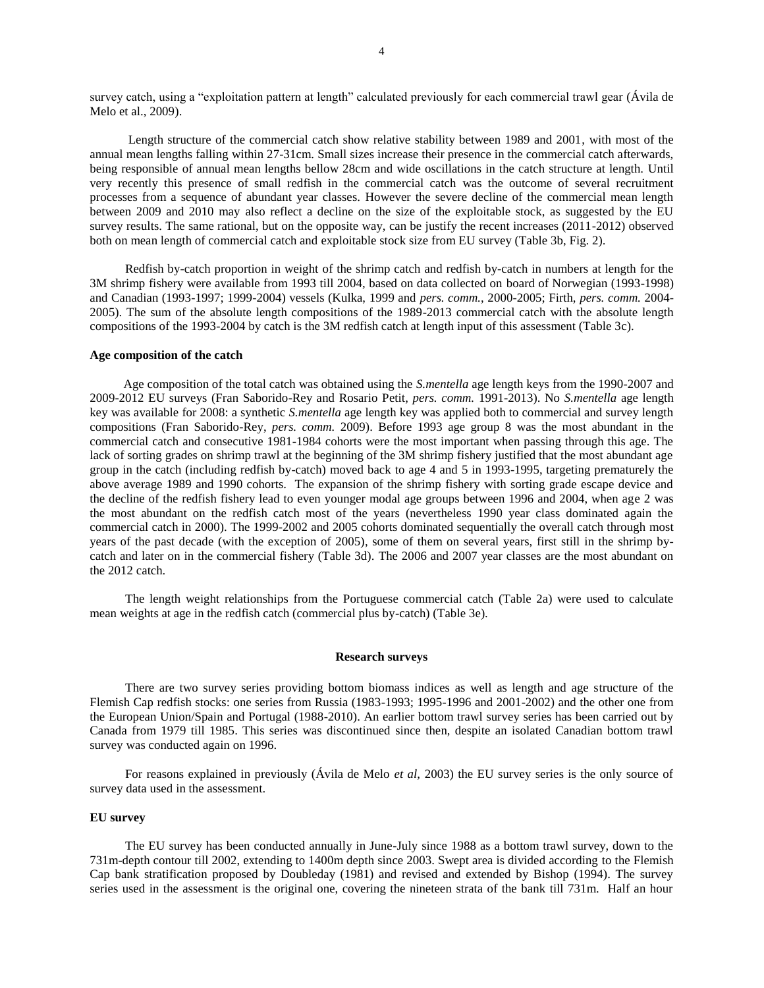survey catch, using a "exploitation pattern at length" calculated previously for each commercial trawl gear (Ávila de Melo et al., 2009).

Length structure of the commercial catch show relative stability between 1989 and 2001, with most of the annual mean lengths falling within 27-31cm. Small sizes increase their presence in the commercial catch afterwards, being responsible of annual mean lengths bellow 28cm and wide oscillations in the catch structure at length. Until very recently this presence of small redfish in the commercial catch was the outcome of several recruitment processes from a sequence of abundant year classes. However the severe decline of the commercial mean length between 2009 and 2010 may also reflect a decline on the size of the exploitable stock, as suggested by the EU survey results. The same rational, but on the opposite way, can be justify the recent increases (2011-2012) observed both on mean length of commercial catch and exploitable stock size from EU survey (Table 3b, Fig. 2).

Redfish by-catch proportion in weight of the shrimp catch and redfish by-catch in numbers at length for the 3M shrimp fishery were available from 1993 till 2004, based on data collected on board of Norwegian (1993-1998) and Canadian (1993-1997; 1999-2004) vessels (Kulka, 1999 and *pers. comm.*, 2000-2005; Firth, *pers. comm.* 2004- 2005). The sum of the absolute length compositions of the 1989-2013 commercial catch with the absolute length compositions of the 1993-2004 by catch is the 3M redfish catch at length input of this assessment (Table 3c).

## **Age composition of the catch**

Age composition of the total catch was obtained using the *S.mentella* age length keys from the 1990-2007 and 2009-2012 EU surveys (Fran Saborido-Rey and Rosario Petit, *pers. comm.* 1991-2013). No *S.mentella* age length key was available for 2008: a synthetic *S.mentella* age length key was applied both to commercial and survey length compositions (Fran Saborido-Rey, *pers. comm.* 2009). Before 1993 age group 8 was the most abundant in the commercial catch and consecutive 1981-1984 cohorts were the most important when passing through this age. The lack of sorting grades on shrimp trawl at the beginning of the 3M shrimp fishery justified that the most abundant age group in the catch (including redfish by-catch) moved back to age 4 and 5 in 1993-1995, targeting prematurely the above average 1989 and 1990 cohorts. The expansion of the shrimp fishery with sorting grade escape device and the decline of the redfish fishery lead to even younger modal age groups between 1996 and 2004, when age 2 was the most abundant on the redfish catch most of the years (nevertheless 1990 year class dominated again the commercial catch in 2000). The 1999-2002 and 2005 cohorts dominated sequentially the overall catch through most years of the past decade (with the exception of 2005), some of them on several years, first still in the shrimp bycatch and later on in the commercial fishery (Table 3d). The 2006 and 2007 year classes are the most abundant on the 2012 catch.

The length weight relationships from the Portuguese commercial catch (Table 2a) were used to calculate mean weights at age in the redfish catch (commercial plus by-catch) (Table 3e).

## **Research surveys**

There are two survey series providing bottom biomass indices as well as length and age structure of the Flemish Cap redfish stocks: one series from Russia (1983-1993; 1995-1996 and 2001-2002) and the other one from the European Union/Spain and Portugal (1988-2010). An earlier bottom trawl survey series has been carried out by Canada from 1979 till 1985. This series was discontinued since then, despite an isolated Canadian bottom trawl survey was conducted again on 1996.

For reasons explained in previously (Ávila de Melo *et al*, 2003) the EU survey series is the only source of survey data used in the assessment.

## **EU survey**

The EU survey has been conducted annually in June-July since 1988 as a bottom trawl survey, down to the 731m-depth contour till 2002, extending to 1400m depth since 2003. Swept area is divided according to the Flemish Cap bank stratification proposed by Doubleday (1981) and revised and extended by Bishop (1994). The survey series used in the assessment is the original one, covering the nineteen strata of the bank till 731m. Half an hour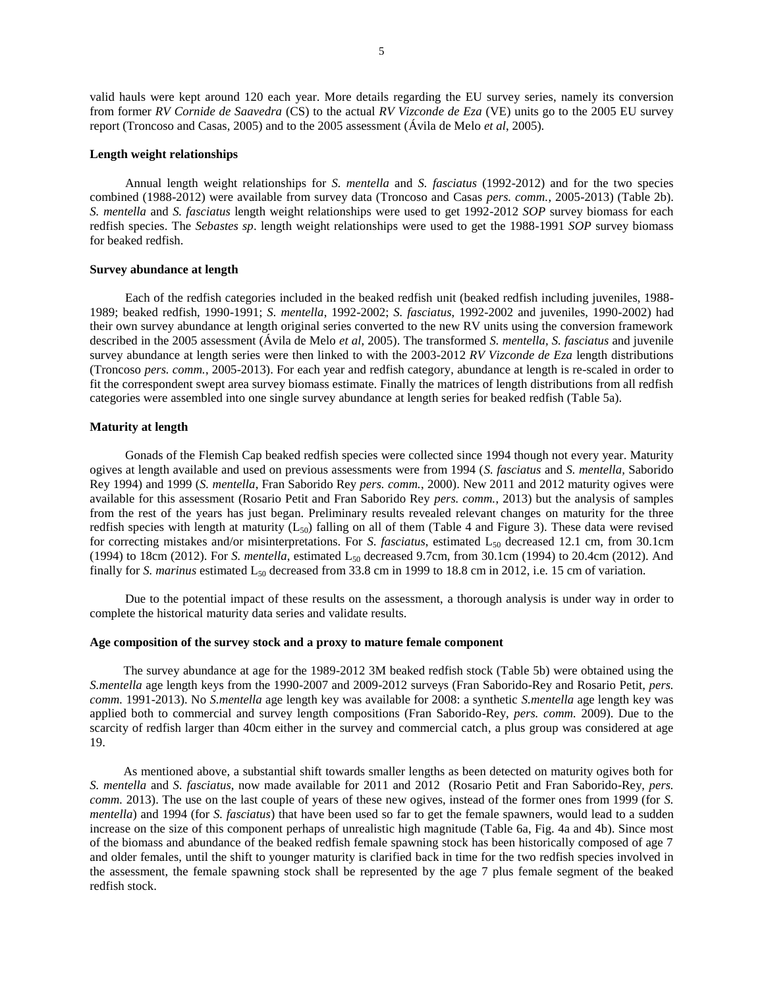valid hauls were kept around 120 each year. More details regarding the EU survey series, namely its conversion from former *RV Cornide de Saavedra* (CS) to the actual *RV Vizconde de Eza* (VE) units go to the 2005 EU survey report (Troncoso and Casas, 2005) and to the 2005 assessment (Ávila de Melo *et al*, 2005).

## **Length weight relationships**

Annual length weight relationships for *S. mentella* and *S. fasciatus* (1992-2012) and for the two species combined (1988-2012) were available from survey data (Troncoso and Casas *pers. comm.*, 2005-2013) (Table 2b). *S. mentella* and *S. fasciatus* length weight relationships were used to get 1992-2012 *SOP* survey biomass for each redfish species. The *Sebastes sp*. length weight relationships were used to get the 1988-1991 *SOP* survey biomass for beaked redfish.

## **Survey abundance at length**

Each of the redfish categories included in the beaked redfish unit (beaked redfish including juveniles, 1988- 1989; beaked redfish, 1990-1991; *S. mentella*, 1992-2002; *S. fasciatus*, 1992-2002 and juveniles, 1990-2002) had their own survey abundance at length original series converted to the new RV units using the conversion framework described in the 2005 assessment (Ávila de Melo *et al*, 2005). The transformed *S. mentella, S. fasciatus* and juvenile survey abundance at length series were then linked to with the 2003-2012 *RV Vizconde de Eza* length distributions (Troncoso *pers. comm.*, 2005-2013). For each year and redfish category, abundance at length is re-scaled in order to fit the correspondent swept area survey biomass estimate. Finally the matrices of length distributions from all redfish categories were assembled into one single survey abundance at length series for beaked redfish (Table 5a).

# **Maturity at length**

Gonads of the Flemish Cap beaked redfish species were collected since 1994 though not every year. Maturity ogives at length available and used on previous assessments were from 1994 (*S. fasciatus* and *S. mentella,* Saborido Rey 1994) and 1999 (*S. mentella*, Fran Saborido Rey *pers. comm.*, 2000). New 2011 and 2012 maturity ogives were available for this assessment (Rosario Petit and Fran Saborido Rey *pers. comm.*, 2013) but the analysis of samples from the rest of the years has just began. Preliminary results revealed relevant changes on maturity for the three redfish species with length at maturity  $(L_{50})$  falling on all of them (Table 4 and Figure 3). These data were revised for correcting mistakes and/or misinterpretations. For *S. fasciatus*, estimated L<sub>50</sub> decreased 12.1 cm, from 30.1cm (1994) to 18cm (2012). For *S. mentella*, estimated L<sub>50</sub> decreased 9.7cm, from 30.1cm (1994) to 20.4cm (2012). And finally for *S. marinus* estimated  $L_{50}$  decreased from 33.8 cm in 1999 to 18.8 cm in 2012, i.e. 15 cm of variation.

Due to the potential impact of these results on the assessment, a thorough analysis is under way in order to complete the historical maturity data series and validate results.

## **Age composition of the survey stock and a proxy to mature female component**

The survey abundance at age for the 1989-2012 3M beaked redfish stock (Table 5b) were obtained using the *S.mentella* age length keys from the 1990-2007 and 2009-2012 surveys (Fran Saborido-Rey and Rosario Petit, *pers. comm.* 1991-2013). No *S.mentella* age length key was available for 2008: a synthetic *S.mentella* age length key was applied both to commercial and survey length compositions (Fran Saborido-Rey, *pers. comm.* 2009). Due to the scarcity of redfish larger than 40cm either in the survey and commercial catch, a plus group was considered at age 19.

As mentioned above, a substantial shift towards smaller lengths as been detected on maturity ogives both for *S. mentella* and *S. fasciatus*, now made available for 2011 and 2012 (Rosario Petit and Fran Saborido-Rey, *pers. comm.* 2013). The use on the last couple of years of these new ogives, instead of the former ones from 1999 (for *S. mentella*) and 1994 (for *S. fasciatus*) that have been used so far to get the female spawners, would lead to a sudden increase on the size of this component perhaps of unrealistic high magnitude (Table 6a, Fig. 4a and 4b). Since most of the biomass and abundance of the beaked redfish female spawning stock has been historically composed of age 7 and older females, until the shift to younger maturity is clarified back in time for the two redfish species involved in the assessment, the female spawning stock shall be represented by the age 7 plus female segment of the beaked redfish stock.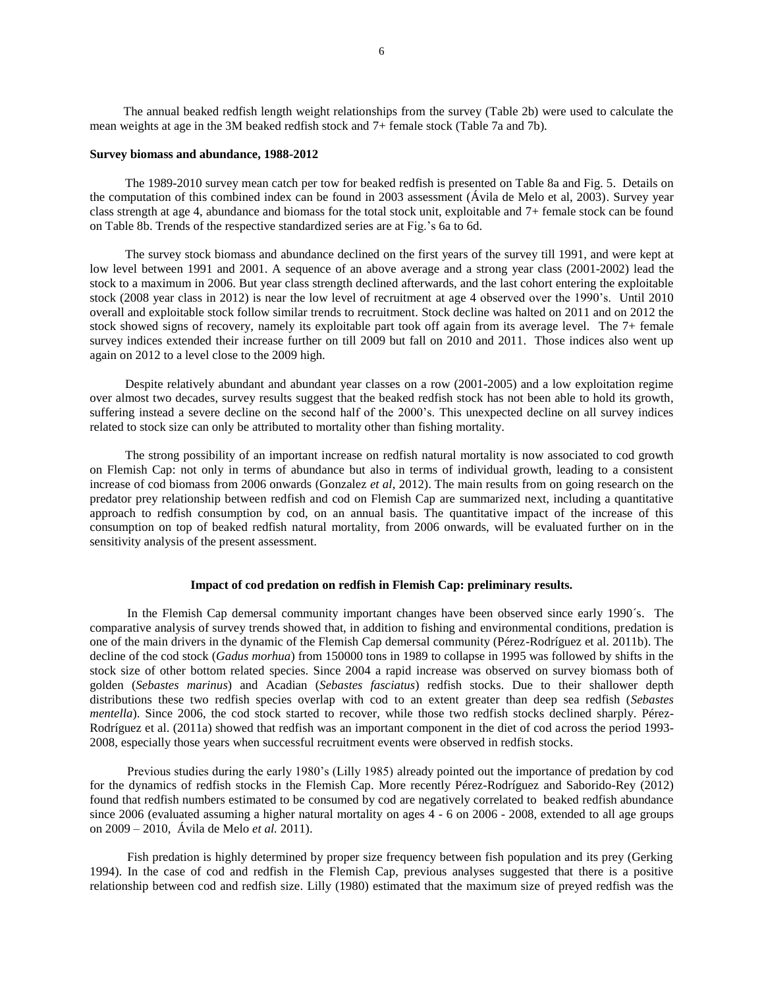### **Survey biomass and abundance, 1988-2012**

The 1989-2010 survey mean catch per tow for beaked redfish is presented on Table 8a and Fig. 5. Details on the computation of this combined index can be found in 2003 assessment (Ávila de Melo et al, 2003). Survey year class strength at age 4, abundance and biomass for the total stock unit, exploitable and 7+ female stock can be found on Table 8b. Trends of the respective standardized series are at Fig.'s 6a to 6d.

The survey stock biomass and abundance declined on the first years of the survey till 1991, and were kept at low level between 1991 and 2001. A sequence of an above average and a strong year class (2001-2002) lead the stock to a maximum in 2006. But year class strength declined afterwards, and the last cohort entering the exploitable stock (2008 year class in 2012) is near the low level of recruitment at age 4 observed over the 1990's. Until 2010 overall and exploitable stock follow similar trends to recruitment. Stock decline was halted on 2011 and on 2012 the stock showed signs of recovery, namely its exploitable part took off again from its average level. The 7+ female survey indices extended their increase further on till 2009 but fall on 2010 and 2011. Those indices also went up again on 2012 to a level close to the 2009 high.

Despite relatively abundant and abundant year classes on a row (2001-2005) and a low exploitation regime over almost two decades, survey results suggest that the beaked redfish stock has not been able to hold its growth, suffering instead a severe decline on the second half of the 2000's. This unexpected decline on all survey indices related to stock size can only be attributed to mortality other than fishing mortality.

The strong possibility of an important increase on redfish natural mortality is now associated to cod growth on Flemish Cap: not only in terms of abundance but also in terms of individual growth, leading to a consistent increase of cod biomass from 2006 onwards (Gonzalez *et al*, 2012). The main results from on going research on the predator prey relationship between redfish and cod on Flemish Cap are summarized next, including a quantitative approach to redfish consumption by cod, on an annual basis. The quantitative impact of the increase of this consumption on top of beaked redfish natural mortality, from 2006 onwards, will be evaluated further on in the sensitivity analysis of the present assessment.

## **Impact of cod predation on redfish in Flemish Cap: preliminary results.**

In the Flemish Cap demersal community important changes have been observed since early 1990´s. The comparative analysis of survey trends showed that, in addition to fishing and environmental conditions, predation is one of the main drivers in the dynamic of the Flemish Cap demersal community (Pérez-Rodríguez et al. 2011b). The decline of the cod stock (*Gadus morhua*) from 150000 tons in 1989 to collapse in 1995 was followed by shifts in the stock size of other bottom related species. Since 2004 a rapid increase was observed on survey biomass both of golden (*Sebastes marinus*) and Acadian (*Sebastes fasciatus*) redfish stocks. Due to their shallower depth distributions these two redfish species overlap with cod to an extent greater than deep sea redfish (*Sebastes mentella*). Since 2006, the cod stock started to recover, while those two redfish stocks declined sharply. Pérez-Rodríguez et al. (2011a) showed that redfish was an important component in the diet of cod across the period 1993- 2008, especially those years when successful recruitment events were observed in redfish stocks.

Previous studies during the early 1980's (Lilly 1985) already pointed out the importance of predation by cod for the dynamics of redfish stocks in the Flemish Cap. More recently Pérez-Rodríguez and Saborido-Rey (2012) found that redfish numbers estimated to be consumed by cod are negatively correlated to beaked redfish abundance since 2006 (evaluated assuming a higher natural mortality on ages 4 - 6 on 2006 - 2008, extended to all age groups on 2009 – 2010, Ávila de Melo *et al.* 2011).

Fish predation is highly determined by proper size frequency between fish population and its prey (Gerking 1994). In the case of cod and redfish in the Flemish Cap, previous analyses suggested that there is a positive relationship between cod and redfish size. Lilly (1980) estimated that the maximum size of preyed redfish was the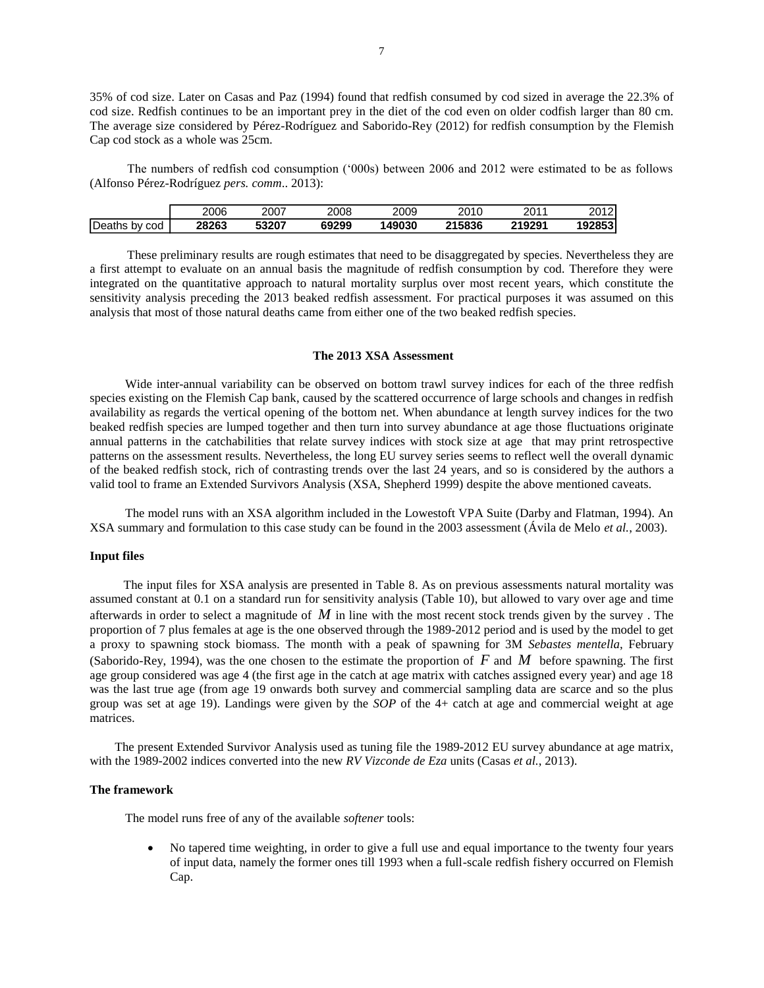35% of cod size. Later on Casas and Paz (1994) found that redfish consumed by cod sized in average the 22.3% of cod size. Redfish continues to be an important prey in the diet of the cod even on older codfish larger than 80 cm. The average size considered by Pérez-Rodríguez and Saborido-Rey (2012) for redfish consumption by the Flemish Cap cod stock as a whole was 25cm.

The numbers of redfish cod consumption ('000s) between 2006 and 2012 were estimated to be as follows (Alfonso Pérez-Rodríguez *pers. comm*.. 2013):

|                  | 2006  | 2007  | 2008  | 2009   | 2010   | 2011<br>ΖU | 00101<br>14 |
|------------------|-------|-------|-------|--------|--------|------------|-------------|
| Deaths by<br>cod | 28263 | 53207 | 69299 | 149030 | 215836 | 219291     | 1928531     |

These preliminary results are rough estimates that need to be disaggregated by species. Nevertheless they are a first attempt to evaluate on an annual basis the magnitude of redfish consumption by cod. Therefore they were integrated on the quantitative approach to natural mortality surplus over most recent years, which constitute the sensitivity analysis preceding the 2013 beaked redfish assessment. For practical purposes it was assumed on this analysis that most of those natural deaths came from either one of the two beaked redfish species.

## **The 2013 XSA Assessment**

Wide inter-annual variability can be observed on bottom trawl survey indices for each of the three redfish species existing on the Flemish Cap bank, caused by the scattered occurrence of large schools and changes in redfish availability as regards the vertical opening of the bottom net. When abundance at length survey indices for the two beaked redfish species are lumped together and then turn into survey abundance at age those fluctuations originate annual patterns in the catchabilities that relate survey indices with stock size at age that may print retrospective patterns on the assessment results. Nevertheless, the long EU survey series seems to reflect well the overall dynamic of the beaked redfish stock, rich of contrasting trends over the last 24 years, and so is considered by the authors a valid tool to frame an Extended Survivors Analysis (XSA, Shepherd 1999) despite the above mentioned caveats.

The model runs with an XSA algorithm included in the Lowestoft VPA Suite (Darby and Flatman, 1994). An XSA summary and formulation to this case study can be found in the 2003 assessment (Ávila de Melo *et al.*, 2003).

## **Input files**

The input files for XSA analysis are presented in Table 8. As on previous assessments natural mortality was assumed constant at 0.1 on a standard run for sensitivity analysis (Table 10), but allowed to vary over age and time afterwards in order to select a magnitude of *M* in line with the most recent stock trends given by the survey . The proportion of 7 plus females at age is the one observed through the 1989-2012 period and is used by the model to get a proxy to spawning stock biomass. The month with a peak of spawning for 3M *Sebastes mentella*, February (Saborido-Rey, 1994), was the one chosen to the estimate the proportion of  $F$  and  $M$  before spawning. The first age group considered was age 4 (the first age in the catch at age matrix with catches assigned every year) and age 18 was the last true age (from age 19 onwards both survey and commercial sampling data are scarce and so the plus group was set at age 19). Landings were given by the *SOP* of the 4+ catch at age and commercial weight at age matrices.

 The present Extended Survivor Analysis used as tuning file the 1989-2012 EU survey abundance at age matrix, with the 1989-2002 indices converted into the new *RV Vizconde de Eza* units (Casas *et al.*, 2013).

## **The framework**

The model runs free of any of the available *softener* tools:

 No tapered time weighting, in order to give a full use and equal importance to the twenty four years of input data, namely the former ones till 1993 when a full-scale redfish fishery occurred on Flemish Cap.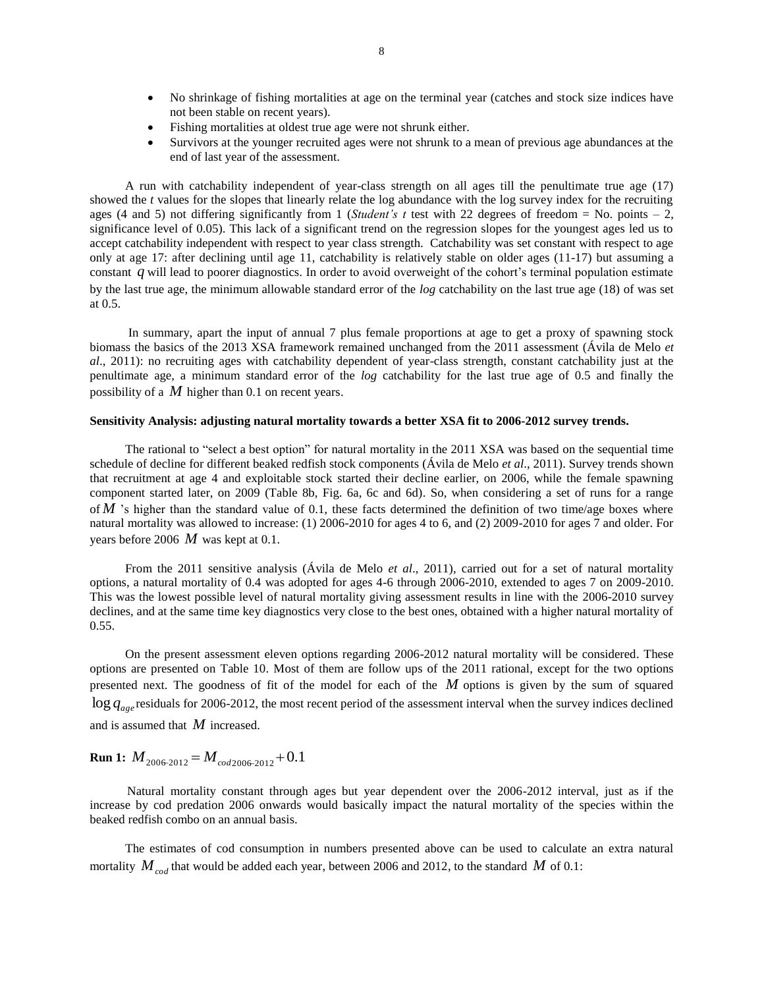- No shrinkage of fishing mortalities at age on the terminal year (catches and stock size indices have not been stable on recent years).
- Fishing mortalities at oldest true age were not shrunk either.
- Survivors at the younger recruited ages were not shrunk to a mean of previous age abundances at the end of last year of the assessment.

A run with catchability independent of year-class strength on all ages till the penultimate true age (17) showed the *t* values for the slopes that linearly relate the log abundance with the log survey index for the recruiting ages (4 and 5) not differing significantly from 1 (*Student's t* test with 22 degrees of freedom = No. points  $-2$ , significance level of 0.05). This lack of a significant trend on the regression slopes for the youngest ages led us to accept catchability independent with respect to year class strength. Catchability was set constant with respect to age only at age 17: after declining until age 11, catchability is relatively stable on older ages (11-17) but assuming a constant *q* will lead to poorer diagnostics. In order to avoid overweight of the cohort's terminal population estimate by the last true age, the minimum allowable standard error of the *log* catchability on the last true age (18) of was set at 0.5.

In summary, apart the input of annual 7 plus female proportions at age to get a proxy of spawning stock biomass the basics of the 2013 XSA framework remained unchanged from the 2011 assessment (Ávila de Melo *et al*., 2011): no recruiting ages with catchability dependent of year-class strength, constant catchability just at the penultimate age, a minimum standard error of the *log* catchability for the last true age of 0.5 and finally the possibility of a *M* higher than 0.1 on recent years.

# **Sensitivity Analysis: adjusting natural mortality towards a better XSA fit to 2006-2012 survey trends.**

The rational to "select a best option" for natural mortality in the 2011 XSA was based on the sequential time schedule of decline for different beaked redfish stock components (Ávila de Melo *et al*., 2011). Survey trends shown that recruitment at age 4 and exploitable stock started their decline earlier, on 2006, while the female spawning component started later, on 2009 (Table 8b, Fig. 6a, 6c and 6d). So, when considering a set of runs for a range of M 's higher than the standard value of 0.1, these facts determined the definition of two time/age boxes where natural mortality was allowed to increase: (1) 2006-2010 for ages 4 to 6, and (2) 2009-2010 for ages 7 and older. For years before 2006 *M* was kept at 0.1.

From the 2011 sensitive analysis (Ávila de Melo *et al*., 2011), carried out for a set of natural mortality options, a natural mortality of 0.4 was adopted for ages 4-6 through 2006-2010, extended to ages 7 on 2009-2010. This was the lowest possible level of natural mortality giving assessment results in line with the 2006-2010 survey declines, and at the same time key diagnostics very close to the best ones, obtained with a higher natural mortality of 0.55.

On the present assessment eleven options regarding 2006-2012 natural mortality will be considered. These options are presented on Table 10. Most of them are follow ups of the 2011 rational, except for the two options presented next. The goodness of fit of the model for each of the *M* options is given by the sum of squared  $\log q_{\rm age}$  residuals for 2006-2012, the most recent period of the assessment interval when the survey indices declined and is assumed that *M* increased.

# **Run 1:**  $M_{2006-2012} = M_{cod2006-2012} + 0.1$

Natural mortality constant through ages but year dependent over the 2006-2012 interval, just as if the increase by cod predation 2006 onwards would basically impact the natural mortality of the species within the beaked redfish combo on an annual basis.

The estimates of cod consumption in numbers presented above can be used to calculate an extra natural mortality  $M_{\it cod}$  that would be added each year, between 2006 and 2012, to the standard  $M$  of 0.1: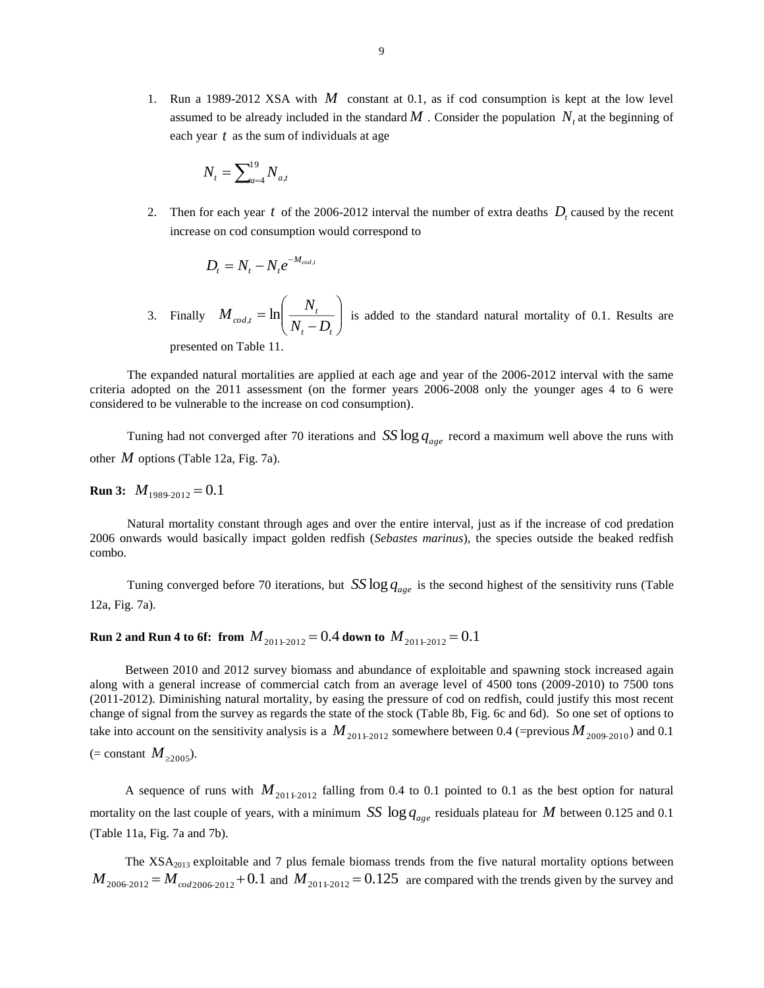1. Run a 1989-2012 XSA with *M* constant at 0.1, as if cod consumption is kept at the low level assumed to be already included in the standard  $M$ . Consider the population  $N_t$  at the beginning of each year *t* as the sum of individuals at age

$$
N_{_t}=\sum\nolimits_{a=4}^{19}N_{_{a,t}}
$$

2. Then for each year t of the 2006-2012 interval the number of extra deaths  $D<sub>t</sub>$  caused by the recent increase on cod consumption would correspond to

$$
D_t = N_t - N_t e^{-M_{cod,t}}
$$

3. Finally  $M_{cod,t} = \ln\left(\frac{N_t}{N - D}\right)$  $\bigg)$  $\setminus$  $\overline{\phantom{a}}$  $\setminus$ ſ  $\overline{a}$  $\equiv$  $\boldsymbol{t}$   $\boldsymbol{\nu}_t$  $M_{cod,t} = \ln\left(\frac{N_t}{N_t - D_t}\right)$  is added to the standard natural mortality of 0.1. Results are presented on Table 11.

The expanded natural mortalities are applied at each age and year of the 2006-2012 interval with the same criteria adopted on the 2011 assessment (on the former years 2006-2008 only the younger ages 4 to 6 were considered to be vulnerable to the increase on cod consumption).

Tuning had not converged after 70 iterations and  $SS \log q_{age}$  record a maximum well above the runs with other *M* options (Table 12a, Fig. 7a).

**Run 3:**  $M_{1989-2012} = 0.1$ 

Natural mortality constant through ages and over the entire interval, just as if the increase of cod predation 2006 onwards would basically impact golden redfish (*Sebastes marinus*), the species outside the beaked redfish combo.

Tuning converged before 70 iterations, but  $SS \log q_{\text{age}}$  is the second highest of the sensitivity runs (Table 12a, Fig. 7a).

# ${\bf Run\ 2}$  and  ${\bf Run\ 4}$  to 6f: from  ${M}_{20112012}\!=\!0.4$  down to  ${M}_{20112012}\!=\!0.1$

Between 2010 and 2012 survey biomass and abundance of exploitable and spawning stock increased again along with a general increase of commercial catch from an average level of 4500 tons (2009-2010) to 7500 tons (2011-2012). Diminishing natural mortality, by easing the pressure of cod on redfish, could justify this most recent change of signal from the survey as regards the state of the stock (Table 8b, Fig. 6c and 6d). So one set of options to take into account on the sensitivity analysis is a  $M_{201+2012}$  somewhere between 0.4 (=previous  $M_{2009-2010}$ ) and 0.1  $(= constant M_{\geq 2005}).$ 

A sequence of runs with  $M_{201+2012}$  falling from 0.4 to 0.1 pointed to 0.1 as the best option for natural mortality on the last couple of years, with a minimum  $SS \log q_{age}$  residuals plateau for M between 0.125 and 0.1 (Table 11a, Fig. 7a and 7b).

The XSA<sub>2013</sub> exploitable and 7 plus female biomass trends from the five natural mortality options between  $M_{2006-2012} = M_{cod2006-2012} + 0.1$  and  $M_{201+2012} = 0.125$  are compared with the trends given by the survey and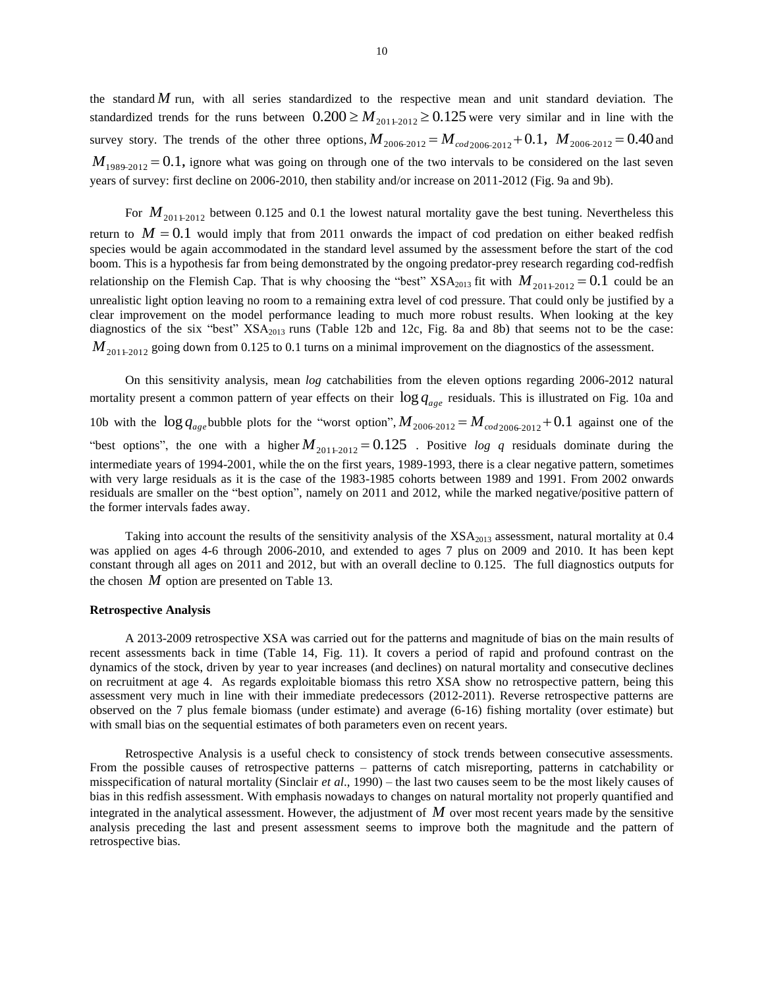the standard *M* run, with all series standardized to the respective mean and unit standard deviation. The standardized trends for the runs between  $0.200 \ge M_{201+2012} \ge 0.125$  were very similar and in line with the survey story. The trends of the other three options,  $M_{2006-2012} = M_{cod2006-2012} + 0.1$ ,  $M_{2006-2012} = 0.40$  and  $M_{1989-2012} = 0.1$ , ignore what was going on through one of the two intervals to be considered on the last seven years of survey: first decline on 2006-2010, then stability and/or increase on 2011-2012 (Fig. 9a and 9b).

For  $M_{201+2012}$  between 0.125 and 0.1 the lowest natural mortality gave the best tuning. Nevertheless this return to  $M = 0.1$  would imply that from 2011 onwards the impact of cod predation on either beaked redfish species would be again accommodated in the standard level assumed by the assessment before the start of the cod boom. This is a hypothesis far from being demonstrated by the ongoing predator-prey research regarding cod-redfish relationship on the Flemish Cap. That is why choosing the "best"  $XSA_{2013}$  fit with  $M_{20112012} = 0.1$  could be an unrealistic light option leaving no room to a remaining extra level of cod pressure. That could only be justified by a clear improvement on the model performance leading to much more robust results. When looking at the key diagnostics of the six "best" XSA<sub>2013</sub> runs (Table 12b and 12c, Fig. 8a and 8b) that seems not to be the case:  $M_{201+2012}$  going down from 0.125 to 0.1 turns on a minimal improvement on the diagnostics of the assessment.

On this sensitivity analysis, mean *log* catchabilities from the eleven options regarding 2006-2012 natural mortality present a common pattern of year effects on their  $\log q_{\scriptstyle age}$  residuals. This is illustrated on Fig. 10a and 10b with the  $\log q_{age}$  bubble plots for the "worst option",  $M_{2006-2012} = M_{cod2006-2012} + 0.1$  against one of the "best options", the one with a higher  $M_{201+2012} = 0.125$ . Positive *log q* residuals dominate during the intermediate years of 1994-2001, while the on the first years, 1989-1993, there is a clear negative pattern, sometimes with very large residuals as it is the case of the 1983-1985 cohorts between 1989 and 1991. From 2002 onwards residuals are smaller on the "best option", namely on 2011 and 2012, while the marked negative/positive pattern of the former intervals fades away.

Taking into account the results of the sensitivity analysis of the  $XSA<sub>2013</sub>$  assessment, natural mortality at 0.4 was applied on ages 4-6 through 2006-2010, and extended to ages 7 plus on 2009 and 2010. It has been kept constant through all ages on 2011 and 2012, but with an overall decline to 0.125. The full diagnostics outputs for the chosen  $M$  option are presented on Table 13.

## **Retrospective Analysis**

A 2013-2009 retrospective XSA was carried out for the patterns and magnitude of bias on the main results of recent assessments back in time (Table 14, Fig. 11). It covers a period of rapid and profound contrast on the dynamics of the stock, driven by year to year increases (and declines) on natural mortality and consecutive declines on recruitment at age 4. As regards exploitable biomass this retro XSA show no retrospective pattern, being this assessment very much in line with their immediate predecessors (2012-2011). Reverse retrospective patterns are observed on the 7 plus female biomass (under estimate) and average (6-16) fishing mortality (over estimate) but with small bias on the sequential estimates of both parameters even on recent years.

Retrospective Analysis is a useful check to consistency of stock trends between consecutive assessments. From the possible causes of retrospective patterns – patterns of catch misreporting, patterns in catchability or misspecification of natural mortality (Sinclair *et al*., 1990) – the last two causes seem to be the most likely causes of bias in this redfish assessment. With emphasis nowadays to changes on natural mortality not properly quantified and integrated in the analytical assessment. However, the adjustment of *M* over most recent years made by the sensitive analysis preceding the last and present assessment seems to improve both the magnitude and the pattern of retrospective bias.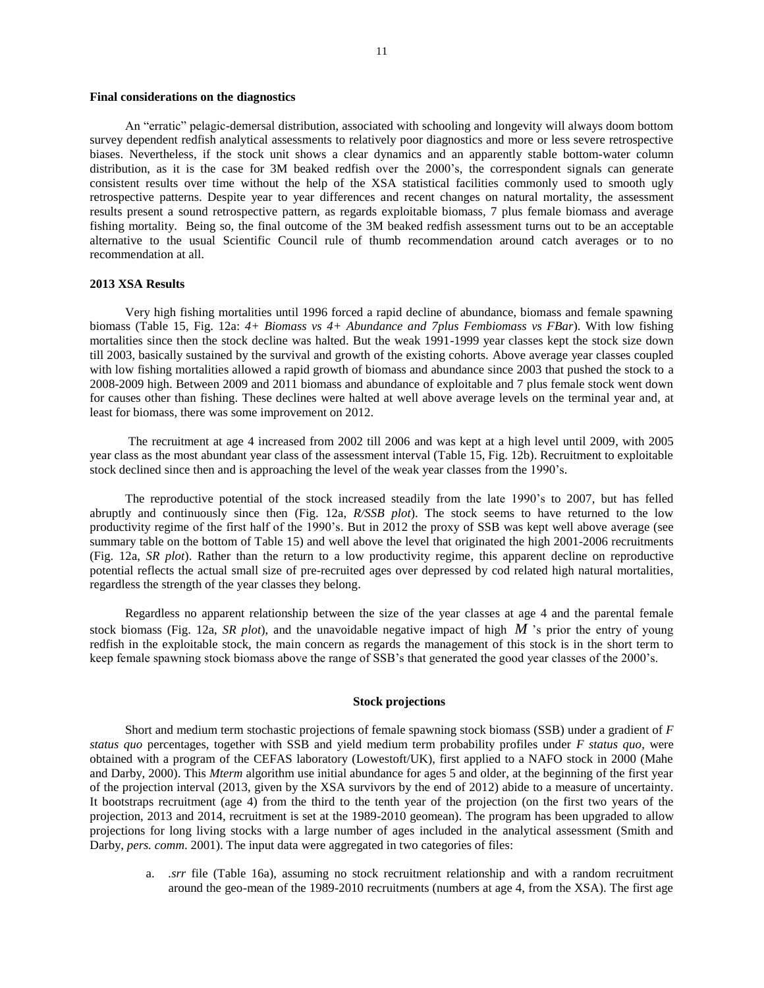## **Final considerations on the diagnostics**

An "erratic" pelagic-demersal distribution, associated with schooling and longevity will always doom bottom survey dependent redfish analytical assessments to relatively poor diagnostics and more or less severe retrospective biases. Nevertheless, if the stock unit shows a clear dynamics and an apparently stable bottom-water column distribution, as it is the case for 3M beaked redfish over the 2000's, the correspondent signals can generate consistent results over time without the help of the XSA statistical facilities commonly used to smooth ugly retrospective patterns. Despite year to year differences and recent changes on natural mortality, the assessment results present a sound retrospective pattern, as regards exploitable biomass, 7 plus female biomass and average fishing mortality. Being so, the final outcome of the 3M beaked redfish assessment turns out to be an acceptable alternative to the usual Scientific Council rule of thumb recommendation around catch averages or to no recommendation at all.

# **2013 XSA Results**

Very high fishing mortalities until 1996 forced a rapid decline of abundance, biomass and female spawning biomass (Table 15, Fig. 12a: *4+ Biomass vs 4+ Abundance and 7plus Fembiomass vs FBar*). With low fishing mortalities since then the stock decline was halted. But the weak 1991-1999 year classes kept the stock size down till 2003, basically sustained by the survival and growth of the existing cohorts. Above average year classes coupled with low fishing mortalities allowed a rapid growth of biomass and abundance since 2003 that pushed the stock to a 2008-2009 high. Between 2009 and 2011 biomass and abundance of exploitable and 7 plus female stock went down for causes other than fishing. These declines were halted at well above average levels on the terminal year and, at least for biomass, there was some improvement on 2012.

The recruitment at age 4 increased from 2002 till 2006 and was kept at a high level until 2009, with 2005 year class as the most abundant year class of the assessment interval (Table 15, Fig. 12b). Recruitment to exploitable stock declined since then and is approaching the level of the weak year classes from the 1990's.

The reproductive potential of the stock increased steadily from the late 1990's to 2007, but has felled abruptly and continuously since then (Fig. 12a, *R/SSB plot*). The stock seems to have returned to the low productivity regime of the first half of the 1990's. But in 2012 the proxy of SSB was kept well above average (see summary table on the bottom of Table 15) and well above the level that originated the high 2001-2006 recruitments (Fig. 12a, *SR plot*). Rather than the return to a low productivity regime, this apparent decline on reproductive potential reflects the actual small size of pre-recruited ages over depressed by cod related high natural mortalities, regardless the strength of the year classes they belong.

Regardless no apparent relationship between the size of the year classes at age 4 and the parental female stock biomass (Fig. 12a, *SR plot*), and the unavoidable negative impact of high M's prior the entry of young redfish in the exploitable stock, the main concern as regards the management of this stock is in the short term to keep female spawning stock biomass above the range of SSB's that generated the good year classes of the 2000's.

## **Stock projections**

Short and medium term stochastic projections of female spawning stock biomass (SSB) under a gradient of *F status quo* percentages, together with SSB and yield medium term probability profiles under *F status quo*, were obtained with a program of the CEFAS laboratory (Lowestoft/UK), first applied to a NAFO stock in 2000 (Mahe and Darby, 2000). This *Mterm* algorithm use initial abundance for ages 5 and older, at the beginning of the first year of the projection interval (2013, given by the XSA survivors by the end of 2012) abide to a measure of uncertainty. It bootstraps recruitment (age 4) from the third to the tenth year of the projection (on the first two years of the projection, 2013 and 2014, recruitment is set at the 1989-2010 geomean). The program has been upgraded to allow projections for long living stocks with a large number of ages included in the analytical assessment (Smith and Darby, *pers. comm.* 2001). The input data were aggregated in two categories of files:

a. *.srr* file (Table 16a), assuming no stock recruitment relationship and with a random recruitment around the geo-mean of the 1989-2010 recruitments (numbers at age 4, from the XSA). The first age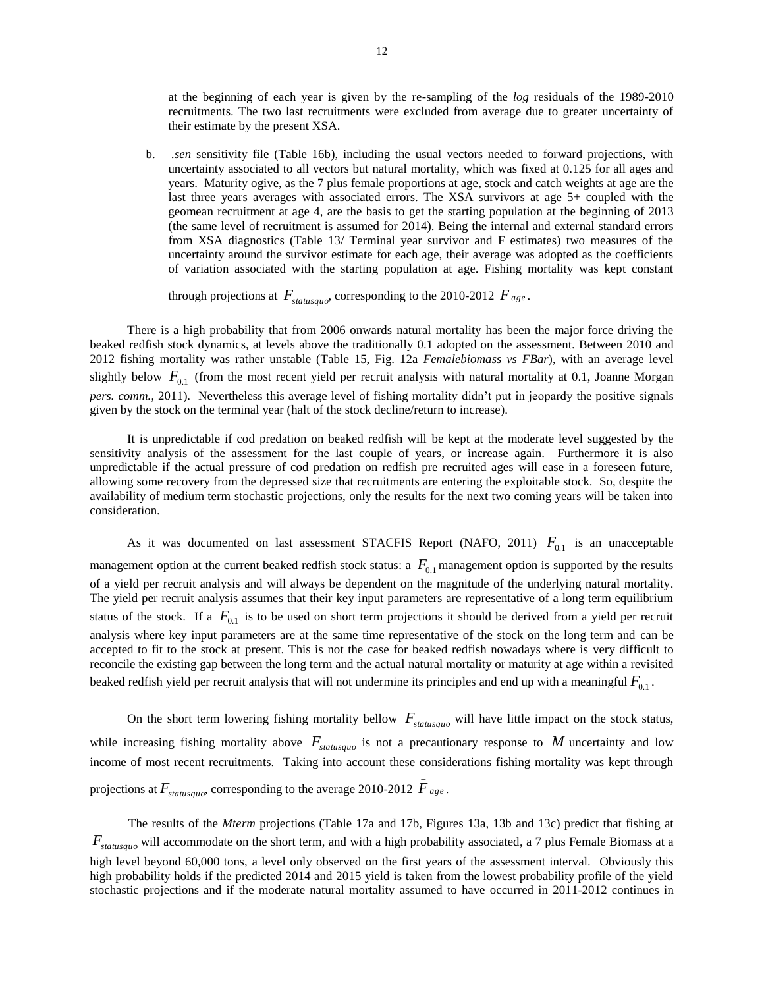at the beginning of each year is given by the re-sampling of the *log* residuals of the 1989-2010 recruitments. The two last recruitments were excluded from average due to greater uncertainty of their estimate by the present XSA.

b. *.sen* sensitivity file (Table 16b), including the usual vectors needed to forward projections, with uncertainty associated to all vectors but natural mortality, which was fixed at 0.125 for all ages and years. Maturity ogive, as the 7 plus female proportions at age, stock and catch weights at age are the last three years averages with associated errors. The XSA survivors at age 5+ coupled with the geomean recruitment at age 4, are the basis to get the starting population at the beginning of 2013 (the same level of recruitment is assumed for 2014). Being the internal and external standard errors from XSA diagnostics (Table 13/ Terminal year survivor and F estimates) two measures of the uncertainty around the survivor estimate for each age, their average was adopted as the coefficients of variation associated with the starting population at age. Fishing mortality was kept constant

through projections at  $F_{status quo}$ , corresponding to the 2010-2012  $\bar{F}_{age}$ .

There is a high probability that from 2006 onwards natural mortality has been the major force driving the beaked redfish stock dynamics, at levels above the traditionally 0.1 adopted on the assessment. Between 2010 and 2012 fishing mortality was rather unstable (Table 15, Fig. 12a *Femalebiomass vs FBar*), with an average level slightly below  $F_{0,1}$  (from the most recent yield per recruit analysis with natural mortality at 0.1, Joanne Morgan *pers. comm.*, 2011). Nevertheless this average level of fishing mortality didn't put in jeopardy the positive signals given by the stock on the terminal year (halt of the stock decline/return to increase).

It is unpredictable if cod predation on beaked redfish will be kept at the moderate level suggested by the sensitivity analysis of the assessment for the last couple of years, or increase again. Furthermore it is also unpredictable if the actual pressure of cod predation on redfish pre recruited ages will ease in a foreseen future, allowing some recovery from the depressed size that recruitments are entering the exploitable stock. So, despite the availability of medium term stochastic projections, only the results for the next two coming years will be taken into consideration.

As it was documented on last assessment STACFIS Report (NAFO, 2011)  $F_{0,1}$  is an unacceptable management option at the current beaked redfish stock status: a  $F_{0,1}$  management option is supported by the results of a yield per recruit analysis and will always be dependent on the magnitude of the underlying natural mortality. The yield per recruit analysis assumes that their key input parameters are representative of a long term equilibrium status of the stock. If a  $F_{0,1}$  is to be used on short term projections it should be derived from a yield per recruit analysis where key input parameters are at the same time representative of the stock on the long term and can be accepted to fit to the stock at present. This is not the case for beaked redfish nowadays where is very difficult to reconcile the existing gap between the long term and the actual natural mortality or maturity at age within a revisited beaked redfish yield per recruit analysis that will not undermine its principles and end up with a meaningful  $F_{0.1}$  .

On the short term lowering fishing mortality bellow  $F_{statusque}$  will have little impact on the stock status, while increasing fishing mortality above  $F_{statusque}$  is not a precautionary response to M uncertainty and low income of most recent recruitments. Taking into account these considerations fishing mortality was kept through projections at  $F_{statusqueo}$ , corresponding to the average 2010-2012  $\bar{F}_{age}$ .

The results of the *Mterm* projections (Table 17a and 17b, Figures 13a, 13b and 13c) predict that fishing at *<sup>F</sup>statusquo* will accommodate on the short term, and with a high probability associated, a 7 plus Female Biomass at a high level beyond 60,000 tons, a level only observed on the first years of the assessment interval. Obviously this high probability holds if the predicted 2014 and 2015 yield is taken from the lowest probability profile of the yield stochastic projections and if the moderate natural mortality assumed to have occurred in 2011-2012 continues in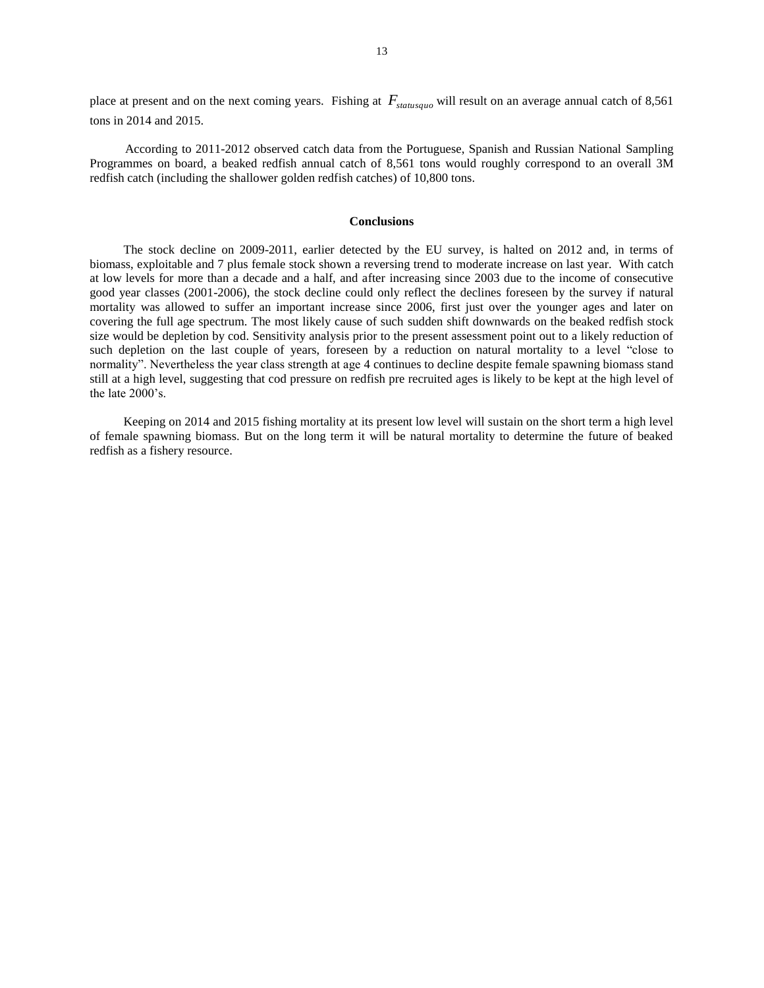place at present and on the next coming years. Fishing at *<sup>F</sup>statusquo* will result on an average annual catch of 8,561 tons in 2014 and 2015.

According to 2011-2012 observed catch data from the Portuguese, Spanish and Russian National Sampling Programmes on board, a beaked redfish annual catch of 8,561 tons would roughly correspond to an overall 3M redfish catch (including the shallower golden redfish catches) of 10,800 tons.

## **Conclusions**

The stock decline on 2009-2011, earlier detected by the EU survey, is halted on 2012 and, in terms of biomass, exploitable and 7 plus female stock shown a reversing trend to moderate increase on last year. With catch at low levels for more than a decade and a half, and after increasing since 2003 due to the income of consecutive good year classes (2001-2006), the stock decline could only reflect the declines foreseen by the survey if natural mortality was allowed to suffer an important increase since 2006, first just over the younger ages and later on covering the full age spectrum. The most likely cause of such sudden shift downwards on the beaked redfish stock size would be depletion by cod. Sensitivity analysis prior to the present assessment point out to a likely reduction of such depletion on the last couple of years, foreseen by a reduction on natural mortality to a level "close to normality". Nevertheless the year class strength at age 4 continues to decline despite female spawning biomass stand still at a high level, suggesting that cod pressure on redfish pre recruited ages is likely to be kept at the high level of the late 2000's.

Keeping on 2014 and 2015 fishing mortality at its present low level will sustain on the short term a high level of female spawning biomass. But on the long term it will be natural mortality to determine the future of beaked redfish as a fishery resource.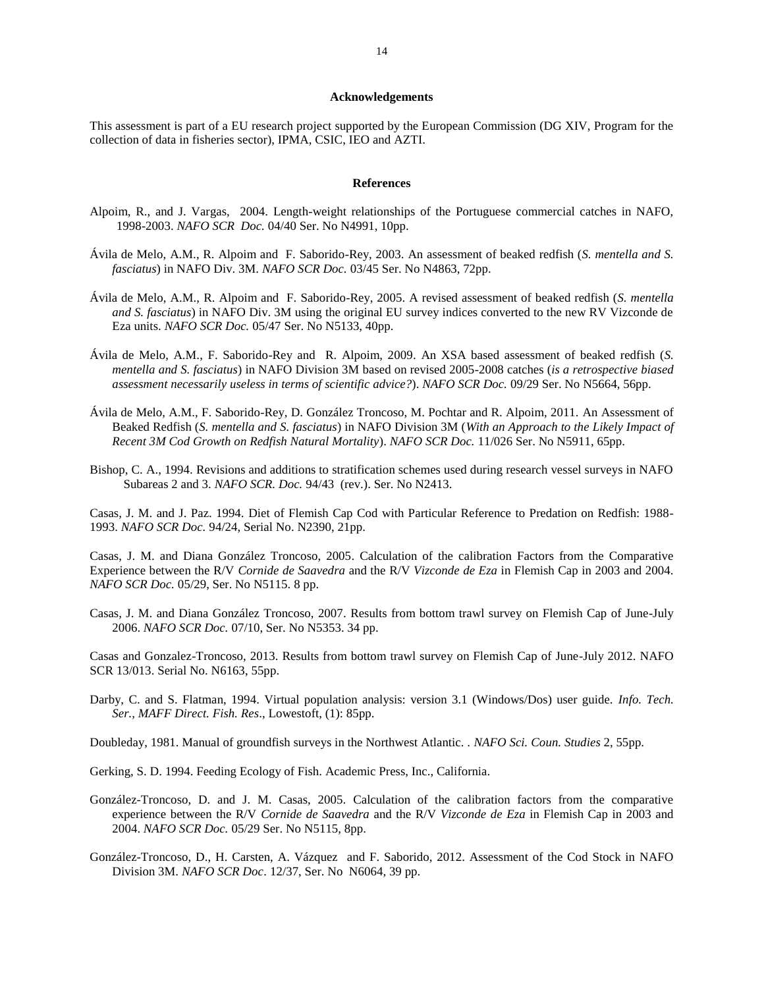## **Acknowledgements**

This assessment is part of a EU research project supported by the European Commission (DG XIV, Program for the collection of data in fisheries sector), IPMA, CSIC, IEO and AZTI.

### **References**

- Alpoim, R., and J. Vargas, 2004. Length-weight relationships of the Portuguese commercial catches in NAFO, 1998-2003. *NAFO SCR Doc.* 04/40 Ser. No N4991, 10pp.
- Ávila de Melo, A.M., R. Alpoim and F. Saborido-Rey, 2003. An assessment of beaked redfish (*S. mentella and S. fasciatus*) in NAFO Div. 3M. *NAFO SCR Doc.* 03/45 Ser. No N4863, 72pp.
- Ávila de Melo, A.M., R. Alpoim and F. Saborido-Rey, 2005. A revised assessment of beaked redfish (*S. mentella and S. fasciatus*) in NAFO Div. 3M using the original EU survey indices converted to the new RV Vizconde de Eza units. *NAFO SCR Doc.* 05/47 Ser. No N5133, 40pp.
- Ávila de Melo, A.M., F. Saborido-Rey and R. Alpoim, 2009. An XSA based assessment of beaked redfish (*S. mentella and S. fasciatus*) in NAFO Division 3M based on revised 2005-2008 catches (*is a retrospective biased assessment necessarily useless in terms of scientific advice?*). *NAFO SCR Doc.* 09/29 Ser. No N5664, 56pp.
- Ávila de Melo, A.M., F. Saborido-Rey, D. González Troncoso, M. Pochtar and R. Alpoim, 2011. An Assessment of Beaked Redfish (*S. mentella and S. fasciatus*) in NAFO Division 3M (*With an Approach to the Likely Impact of Recent 3M Cod Growth on Redfish Natural Mortality*). *NAFO SCR Doc.* 11/026 Ser. No N5911, 65pp.
- Bishop, C. A., 1994. Revisions and additions to stratification schemes used during research vessel surveys in NAFO Subareas 2 and 3. *NAFO SCR. Doc.* 94/43 (rev.). Ser. No N2413.

Casas, J. M. and J. Paz. 1994. Diet of Flemish Cap Cod with Particular Reference to Predation on Redfish: 1988- 1993. *NAFO SCR Doc.* 94/24, Serial No. N2390, 21pp.

Casas, J. M. and Diana González Troncoso, 2005. Calculation of the calibration Factors from the Comparative Experience between the R/V *Cornide de Saavedra* and the R/V *Vizconde de Eza* in Flemish Cap in 2003 and 2004. *NAFO SCR Doc.* 05/29, Ser. No N5115. 8 pp.

Casas, J. M. and Diana González Troncoso, 2007. Results from bottom trawl survey on Flemish Cap of June-July 2006. *NAFO SCR Doc.* 07/10, Ser. No N5353. 34 pp.

Casas and Gonzalez-Troncoso, 2013. Results from bottom trawl survey on Flemish Cap of June-July 2012. NAFO SCR 13/013. Serial No. N6163, 55pp.

Darby, C. and S. Flatman, 1994. Virtual population analysis: version 3.1 (Windows/Dos) user guide. *Info. Tech. Ser., MAFF Direct. Fish. Res*., Lowestoft, (1): 85pp.

Doubleday, 1981. Manual of groundfish surveys in the Northwest Atlantic. . *NAFO Sci. Coun. Studies* 2, 55pp.

- Gerking, S. D. 1994. Feeding Ecology of Fish. Academic Press, Inc., California.
- González-Troncoso, D. and J. M. Casas, 2005. Calculation of the calibration factors from the comparative experience between the R/V *Cornide de Saavedra* and the R/V *Vizconde de Eza* in Flemish Cap in 2003 and 2004. *NAFO SCR Doc.* 05/29 Ser. No N5115, 8pp.
- González-Troncoso, D., H. Carsten, A. Vázquez and F. Saborido, 2012. Assessment of the Cod Stock in NAFO Division 3M. *NAFO SCR Doc*. 12/37, Ser. No N6064, 39 pp.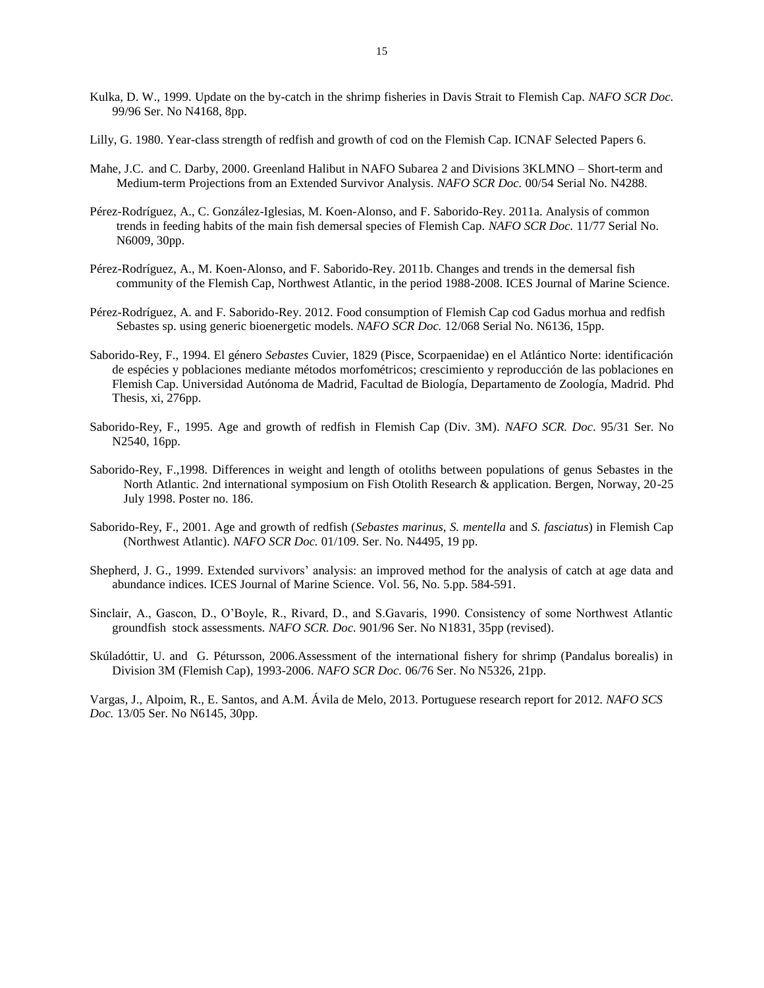- Kulka, D. W., 1999. Update on the by-catch in the shrimp fisheries in Davis Strait to Flemish Cap. *NAFO SCR Doc.*  99/96 Ser. No N4168, 8pp.
- Lilly, G. 1980. Year-class strength of redfish and growth of cod on the Flemish Cap. ICNAF Selected Papers 6.
- Mahe, J.C. and C. Darby, 2000. Greenland Halibut in NAFO Subarea 2 and Divisions 3KLMNO Short-term and Medium-term Projections from an Extended Survivor Analysis. *NAFO SCR Doc.* 00/54 Serial No. N4288.
- Pérez-Rodríguez, A., C. González-Iglesias, M. Koen-Alonso, and F. Saborido-Rey. 2011a. Analysis of common trends in feeding habits of the main fish demersal species of Flemish Cap. *NAFO SCR Doc.* 11/77 Serial No. N6009, 30pp.
- Pérez-Rodríguez, A., M. Koen-Alonso, and F. Saborido-Rey. 2011b. Changes and trends in the demersal fish community of the Flemish Cap, Northwest Atlantic, in the period 1988-2008. ICES Journal of Marine Science.
- Pérez-Rodríguez, A. and F. Saborido-Rey. 2012. Food consumption of Flemish Cap cod Gadus morhua and redfish Sebastes sp. using generic bioenergetic models. *NAFO SCR Doc.* 12/068 Serial No. N6136, 15pp.
- Saborido-Rey, F., 1994. El género *Sebastes* Cuvier, 1829 (Pisce, Scorpaenidae) en el Atlántico Norte: identificación de espécies y poblaciones mediante métodos morfométricos; crescimiento y reproducción de las poblaciones en Flemish Cap. Universidad Autónoma de Madrid, Facultad de Biología, Departamento de Zoología, Madrid. Phd Thesis, xi, 276pp.
- Saborido-Rey, F., 1995. Age and growth of redfish in Flemish Cap (Div. 3M). *NAFO SCR. Doc.* 95/31 Ser. No N2540, 16pp.
- Saborido-Rey, F.,1998. Differences in weight and length of otoliths between populations of genus Sebastes in the North Atlantic. 2nd international symposium on Fish Otolith Research & application. Bergen, Norway, 20-25 July 1998. Poster no. 186.
- Saborido-Rey, F., 2001. Age and growth of redfish (*Sebastes marinus*, *S. mentella* and *S. fasciatus*) in Flemish Cap (Northwest Atlantic). *NAFO SCR Doc.* 01/109. Ser. No. N4495, 19 pp.
- Shepherd, J. G., 1999. Extended survivors' analysis: an improved method for the analysis of catch at age data and abundance indices. ICES Journal of Marine Science. Vol. 56, No. 5.pp. 584-591.
- Sinclair, A., Gascon, D., O'Boyle, R., Rivard, D., and S.Gavaris, 1990. Consistency of some Northwest Atlantic groundfish stock assessments. *NAFO SCR. Doc.* 901/96 Ser. No N1831, 35pp (revised).
- Skúladóttir, U. and G. Pétursson, 2006.Assessment of the international fishery for shrimp (Pandalus borealis) in Division 3M (Flemish Cap), 1993-2006. *NAFO SCR Doc.* 06/76 Ser. No N5326, 21pp.

Vargas, J., Alpoim, R., E. Santos, and A.M. Ávila de Melo, 2013. Portuguese research report for 2012*. NAFO SCS Doc.* 13/05 Ser. No N6145, 30pp.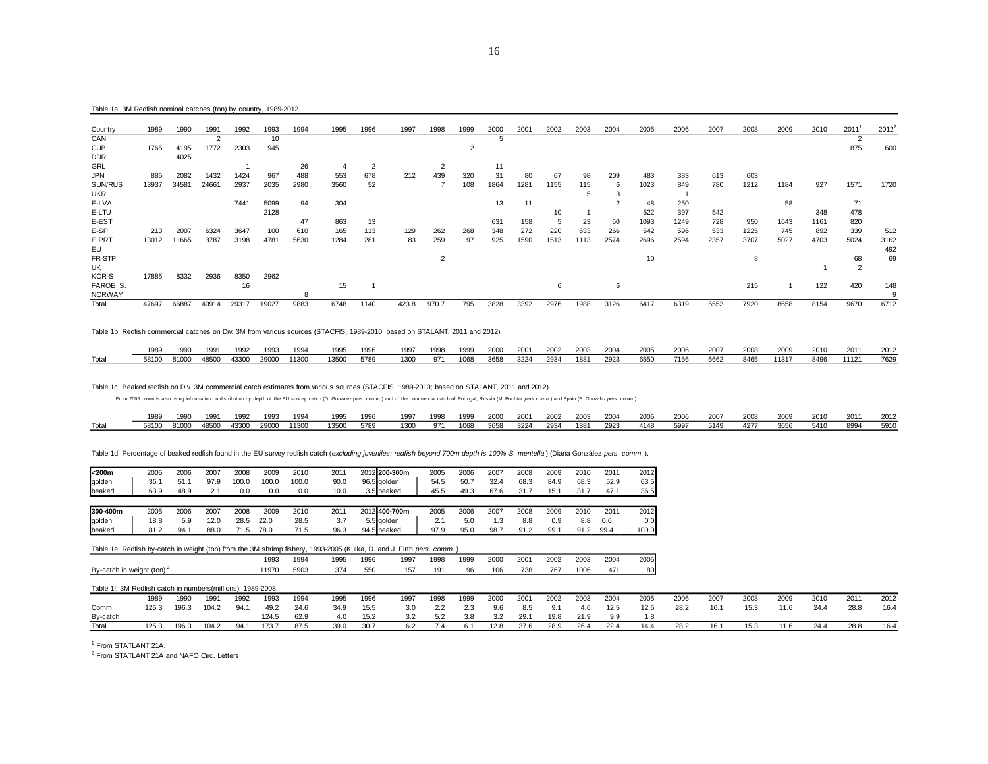#### Table 1a: 3M Redfish nominal catches (ton) by country, 1989-2012.

| Country          | 1989  | 1990  | 1991  | 1992  | 1993  | 1994 | 1995 | 1996 | 1997  | 1998           | 1999           | 2000         | 2001 | 2002 | 2003 | 2004 | 2005 | 2006 | 2007 | 2008 | 2009 | 2010 | 2011           | 2012 <sup>2</sup> |
|------------------|-------|-------|-------|-------|-------|------|------|------|-------|----------------|----------------|--------------|------|------|------|------|------|------|------|------|------|------|----------------|-------------------|
| CAN              |       |       |       |       | 10    |      |      |      |       |                |                | $\mathbf{b}$ |      |      |      |      |      |      |      |      |      |      |                |                   |
| <b>CUB</b>       | 1765  | 4195  | 1772  | 2303  | 945   |      |      |      |       |                | $\overline{2}$ |              |      |      |      |      |      |      |      |      |      |      | 875            | 600               |
| <b>DDR</b>       |       | 4025  |       |       |       |      |      |      |       |                |                |              |      |      |      |      |      |      |      |      |      |      |                |                   |
| GRL              |       |       |       |       |       | 26   |      | 2    |       |                |                | 11           |      |      |      |      |      |      |      |      |      |      |                |                   |
| JPN              | 885   | 2082  | 1432  | 1424  | 967   | 488  | 553  | 678  | 212   | 439            | 320            | 31           | 80   | 67   | 98   | 209  | 483  | 383  | 613  | 603  |      |      |                |                   |
| SUN/RUS          | 13937 | 34581 | 24661 | 2937  | 2035  | 2980 | 3560 | 52   |       |                | 108            | 1864         | 1281 | 1155 | 115  | 6    | 1023 | 849  | 780  | 1212 | 1184 | 927  | 1571           | 1720              |
| <b>UKR</b>       |       |       |       |       |       |      |      |      |       |                |                |              |      |      |      | -5   |      |      |      |      |      |      |                |                   |
| E-LVA            |       |       |       | 7441  | 5099  | 94   | 304  |      |       |                |                | 13           | 11   |      |      |      | 48   | 250  |      |      | 58   |      | 71             |                   |
| E-LTU            |       |       |       |       | 2128  |      |      |      |       |                |                |              |      | 10   |      |      | 522  | 397  | 542  |      |      | 348  | 478            |                   |
| E-EST            |       |       |       |       |       | 47   | 863  | 13   |       |                |                | 631          | 158  |      | 23   | 60   | 1093 | 1249 | 728  | 950  | 1643 | 1161 | 820            |                   |
| E-SP             | 213   | 2007  | 6324  | 3647  | 100   | 610  | 165  | 113  | 129   | 262            | 268            | 348          | 272  | 220  | 633  | 266  | 542  | 596  | 533  | 1225 | 745  | 892  | 339            | 512               |
| E PRT            | 13012 | 11665 | 3787  | 3198  | 4781  | 5630 | 1284 | 281  | 83    | 259            | 97             | 925          | 1590 | 1513 | 1113 | 2574 | 2696 | 2594 | 2357 | 3707 | 5027 | 4703 | 5024           | 3162              |
| EU               |       |       |       |       |       |      |      |      |       |                |                |              |      |      |      |      |      |      |      |      |      |      |                | 492               |
| FR-STP           |       |       |       |       |       |      |      |      |       | $\overline{2}$ |                |              |      |      |      |      | 10   |      |      | 8    |      |      | 68             | 69                |
| UK               |       |       |       |       |       |      |      |      |       |                |                |              |      |      |      |      |      |      |      |      |      |      | $\overline{2}$ |                   |
| KOR-S            | 17885 | 8332  | 2936  | 8350  | 2962  |      |      |      |       |                |                |              |      |      |      |      |      |      |      |      |      |      |                |                   |
| <b>FAROE IS.</b> |       |       |       | 16    |       |      | 15   |      |       |                |                |              |      | 6    |      | 6    |      |      |      | 215  |      | 122  | 420            | 148               |
| <b>NORWAY</b>    |       |       |       |       |       |      |      |      |       |                |                |              |      |      |      |      |      |      |      |      |      |      |                |                   |
| Total            | 47697 | 66887 | 40914 | 29317 | 19027 | 9883 | 6748 | 1140 | 423.8 | 970.7          | 795            | 3828         | 3392 | 2976 | 1988 | 3126 | 6417 | 6319 | 5553 | 7920 | 8658 | 8154 | 9670           | 6712              |

Table 1b: Redfish commercial catches on Div. 3M from various sources (STACFIS, 1989-2010; based on STALANT, 2011 and 2012).

|       | 1989  | 1990  | 199 <sup>°</sup> | 1992  | 1993  | 1994  | 1995  | 1996 | 1997 | 1998 | 1999 | 2000 | 2001 | 2002 | 2003 | 2004 | 2005 | 2006 | 2007 | 2008 | 2009  | 2010 | 201'  | 2012 |
|-------|-------|-------|------------------|-------|-------|-------|-------|------|------|------|------|------|------|------|------|------|------|------|------|------|-------|------|-------|------|
| Total | 58100 | 81000 | 48500            | 43300 | 29000 | 11300 | 13500 | 5789 | 1300 | 971  | 1068 | 3658 | 3224 | 2934 | 1881 | 2923 | 6550 | 7156 | 6662 | 8465 | 11317 | 8496 | 11121 | 7629 |

Table 1c: Beaked redfish on Div. 3M commercial catch estimates from various sources (STACFIS, 1989-2010; based on STALANT, 2011 and 2012).

From 2005 onwards also using information on distribution by depth of the EU survey catch (D. Gonzalez pers. comm.) and of the commercial catch of Portugal, Russia (M. Pochtar pers.comm) and Spain (F. Gonzalez pers. comm)

|       | 1989  | 1990  | 1991  | 1992  | 1993  | 1994  | 1995  | 1996 | 1997 | 1998 | 1999 | 2000 | 2001 | 2002 | 2003 | 2004 | 2005 | 2006 | 2007 | 2008 | 2009 | 2010 | 2011 | 2012 |
|-------|-------|-------|-------|-------|-------|-------|-------|------|------|------|------|------|------|------|------|------|------|------|------|------|------|------|------|------|
| Total | 58100 | 81000 | 48500 | 43300 | 29000 | 11300 | 13500 | 5789 | 1300 | 971  | 1068 | 3658 | 3224 | 2934 | 1881 | 2923 | 4148 | 5997 | 5149 | 4277 | 3656 | 5410 | 8994 | 5910 |

Table 1d: Percentage of beaked redfish found in the EU survey redfish catch (*excluding juveniles; redfish beyond 700m depth is 100% S. mentella* ) (Diana González *pers. comm.* ).

| $200m$   | 2005 | 2006 | 2007 | 2008  | 2009  | 2010  | 2011 | 2012 200-300m | 2005 | 2006 | 2007 | 2008 | 2009 | 2010 | 2011 | 2012  |
|----------|------|------|------|-------|-------|-------|------|---------------|------|------|------|------|------|------|------|-------|
| golden   | 36.  | 51.  | 97.9 | 100.0 | 100.0 | 100.0 | 90.0 | 96.5 aolden   | 54.5 | 50.  | 32.4 | 68.3 | 84.9 | 68.3 | 52.9 | 63.5  |
| beaked   | 63.9 | 48.9 | 2.1  | 0.0   | 0.0   | 0.0   | 10.0 | 3.5 beaked    | 45.5 | 49.3 | 67.6 | 31.  | 15.  | 31.  | 47.7 | 36.5  |
|          |      |      |      |       |       |       |      |               |      |      |      |      |      |      |      |       |
| 300-400m | 2005 | 2006 | 2007 | 2008  | 2009  | 2010  | 2011 | 2012 400-700m | 2005 | 2006 | 2007 | 2008 | 2009 | 2010 | 2011 | 2012  |
| golden   | 18.8 | 5.9  | 12.0 | 28.5  | 22.0  | 28.5  | 3.7  | 5.5 aolden    |      | 5.0  | 3. ا | 8.8  | 0.9  | 8.8  | 0.6  | 0.0   |
| beaked   | 81.2 | 94.  | 88.0 | 1.5   | 78.0  | 71.5  | 96.3 | 94.5 beaked   | 97.9 | 95.0 | 98.7 | 91.2 | 99.  | 91.2 | 99.4 | 100.0 |

#### Table 1e: Redfish by-catch in weight (ton) from the 3M shrimp fishery, 1993-2005 (Kulka, D. and J. Firth *pers. comm.* )

|                                          | 1993 | 1 <sub>q</sub><br>ຶ | 199'         | 1996 | 199      | 1998                      | 1999 | 2000<br>zuuu | 200           | 2002         | 2003             | 2004                         | 2005 |
|------------------------------------------|------|---------------------|--------------|------|----------|---------------------------|------|--------------|---------------|--------------|------------------|------------------------------|------|
| Bv-catch<br>, weiaht (ton)<br>$in$ uniah | 1970 | 5903                | $30^{\circ}$ | 550  | .<br>:57 | 10 <sup>4</sup><br>$\sim$ | 96   | 106          | 720<br>$. \,$ | $70-$<br>'n. | 100 <sub>f</sub> | $\sim$ $-$<br>$\cdot$<br>. . | 80   |

#### Table 1f: 3M Redfish catch in numbers(millions), 1989-2008.

|          | 1989  | 1990  | 1991  | 1992 | 1993  | 1994 | 1995 | 1996 | 1997 | 1998 | 1999 | 2000 | 2001 | 2002 | 2003 | 2004 | 2005 | 2006 | 2007 | 2008 | 2009 | 2010 | 2011 | 2012 |
|----------|-------|-------|-------|------|-------|------|------|------|------|------|------|------|------|------|------|------|------|------|------|------|------|------|------|------|
| Comm.    | 125.3 | د.196 | 104.2 | 94.1 | 49.2  | 24.6 | 34.9 | 15.5 | 3.0  | 2.2  | 2.3  | 9.6  | 8.5  | 9.1  | 4.6  | 12.5 | 12.5 | 28.2 | 16.1 | 15.3 | 11.6 | 24.4 | 28.8 | 16.4 |
| Bv-catch |       |       |       |      | 124.5 | 62.9 |      |      |      |      | 3.8  | 3.2  | 29.1 | 19.8 | 21.9 | 9.9  |      |      |      |      |      |      |      |      |
| Total    | 125.3 | 196   | 104.2 | 94.1 | 173.7 | 87.5 | 39.0 | 30.7 |      |      | 6.1  | 12.8 | 37.6 | 28.9 | 26.4 | 22.4 | 14.4 | 28.2 | 16.1 | 15.3 | 11.6 | 24.4 | 28.8 | 16.4 |

<sup>1</sup> From STATLANT 21A.

<sup>2</sup> From STATLANT 21A and NAFO Circ. Letters.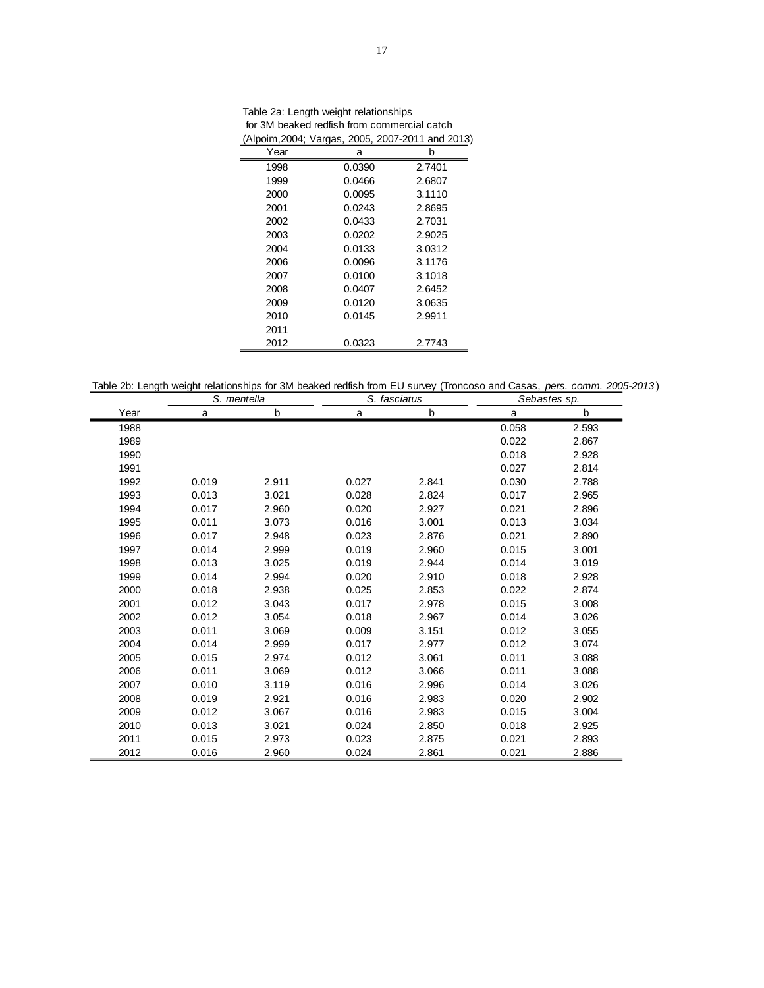Table 2a: Length weight relationships for 3M beaked redfish from commercial catch (Alpoim,2004; Vargas, 2005, 2007-2011 and 2013)

| Year | а      | b      |
|------|--------|--------|
| 1998 | 0.0390 | 2.7401 |
| 1999 | 0.0466 | 2.6807 |
| 2000 | 0.0095 | 3.1110 |
| 2001 | 0.0243 | 2.8695 |
| 2002 | 0.0433 | 2.7031 |
| 2003 | 0.0202 | 2.9025 |
| 2004 | 0.0133 | 3.0312 |
| 2006 | 0.0096 | 3.1176 |
| 2007 | 0.0100 | 3.1018 |
| 2008 | 0.0407 | 2.6452 |
| 2009 | 0.0120 | 3.0635 |
| 2010 | 0.0145 | 2.9911 |
| 2011 |        |        |
| 2012 | 0.0323 | 2.7743 |

Table 2b: Length weight relationships for 3M beaked redfish from EU survey (Troncoso and Casas, *pers. comm. 2005-2013* )

|      | S. mentella |       | S. fasciatus |       | Sebastes sp. |       |
|------|-------------|-------|--------------|-------|--------------|-------|
| Year | a           | b     | a            | b     | a            | b     |
| 1988 |             |       |              |       | 0.058        | 2.593 |
| 1989 |             |       |              |       | 0.022        | 2.867 |
| 1990 |             |       |              |       | 0.018        | 2.928 |
| 1991 |             |       |              |       | 0.027        | 2.814 |
| 1992 | 0.019       | 2.911 | 0.027        | 2.841 | 0.030        | 2.788 |
| 1993 | 0.013       | 3.021 | 0.028        | 2.824 | 0.017        | 2.965 |
| 1994 | 0.017       | 2.960 | 0.020        | 2.927 | 0.021        | 2.896 |
| 1995 | 0.011       | 3.073 | 0.016        | 3.001 | 0.013        | 3.034 |
| 1996 | 0.017       | 2.948 | 0.023        | 2.876 | 0.021        | 2.890 |
| 1997 | 0.014       | 2.999 | 0.019        | 2.960 | 0.015        | 3.001 |
| 1998 | 0.013       | 3.025 | 0.019        | 2.944 | 0.014        | 3.019 |
| 1999 | 0.014       | 2.994 | 0.020        | 2.910 | 0.018        | 2.928 |
| 2000 | 0.018       | 2.938 | 0.025        | 2.853 | 0.022        | 2.874 |
| 2001 | 0.012       | 3.043 | 0.017        | 2.978 | 0.015        | 3.008 |
| 2002 | 0.012       | 3.054 | 0.018        | 2.967 | 0.014        | 3.026 |
| 2003 | 0.011       | 3.069 | 0.009        | 3.151 | 0.012        | 3.055 |
| 2004 | 0.014       | 2.999 | 0.017        | 2.977 | 0.012        | 3.074 |
| 2005 | 0.015       | 2.974 | 0.012        | 3.061 | 0.011        | 3.088 |
| 2006 | 0.011       | 3.069 | 0.012        | 3.066 | 0.011        | 3.088 |
| 2007 | 0.010       | 3.119 | 0.016        | 2.996 | 0.014        | 3.026 |
| 2008 | 0.019       | 2.921 | 0.016        | 2.983 | 0.020        | 2.902 |
| 2009 | 0.012       | 3.067 | 0.016        | 2.983 | 0.015        | 3.004 |
| 2010 | 0.013       | 3.021 | 0.024        | 2.850 | 0.018        | 2.925 |
| 2011 | 0.015       | 2.973 | 0.023        | 2.875 | 0.021        | 2.893 |
| 2012 | 0.016       | 2.960 | 0.024        | 2.861 | 0.021        | 2.886 |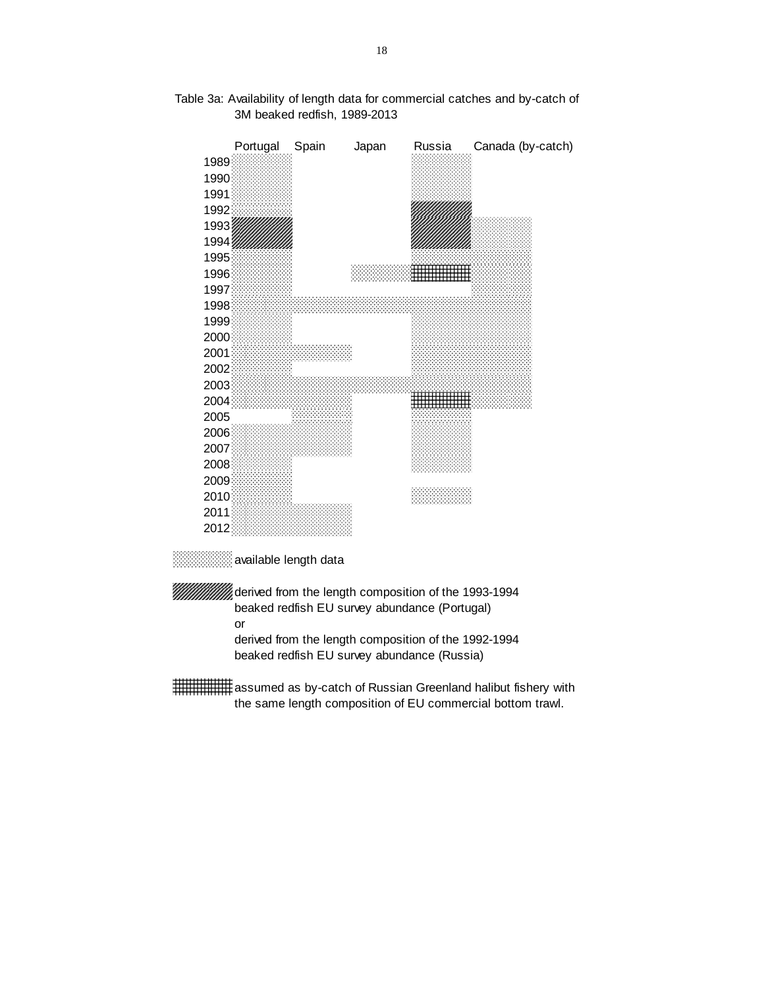

# Table 3a: Availability of length data for commercial catches and by-catch of 3M beaked redfish, 1989-2013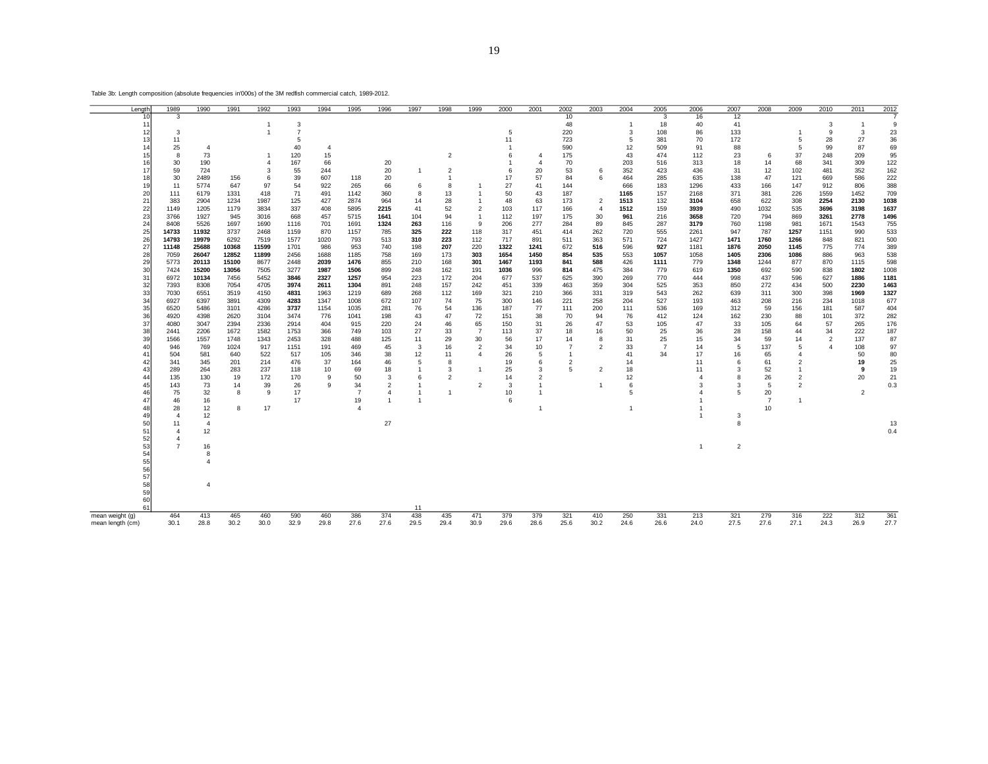| Length           | 1989           | 1990           | 1991          | 1992           | 1993           | 1994           | 1995                 | 1996           | 1997           | 1998           | 1999                             | 2000                 | 2001           | 2002           | 2003                 | 2004        | 2005           | 2006         | 2007           | 2008                 | 2009           | 2010                 | 2011           | 2012         |
|------------------|----------------|----------------|---------------|----------------|----------------|----------------|----------------------|----------------|----------------|----------------|----------------------------------|----------------------|----------------|----------------|----------------------|-------------|----------------|--------------|----------------|----------------------|----------------|----------------------|----------------|--------------|
| 1 <sup>c</sup>   | 3              |                |               |                |                |                |                      |                |                |                |                                  |                      |                | 10             |                      |             | 3              | 16           | 12             |                      |                |                      |                |              |
| 11               |                |                |               | 1              | 3              |                |                      |                |                |                |                                  |                      |                | 48             |                      | 1           | 18             | 40           | 41             |                      |                | 3                    | $\mathbf{1}$   | 9            |
| 12               | 3              |                |               | 1              | $\overline{7}$ |                |                      |                |                |                |                                  | 5                    |                | 220            |                      | 3           | 108            | 86           | 133            |                      | -1             | 9                    | 3              | 23           |
| 13<br>14         | 11<br>25       | $\overline{4}$ |               |                | 5<br>40        | $\overline{4}$ |                      |                |                |                |                                  | 11<br>$\overline{1}$ |                | 723<br>590     |                      | 5<br>12     | 381<br>509     | 70<br>91     | 172<br>88      |                      | 5<br>5         | 28<br>99             | 27<br>87       | 36<br>69     |
| 15               | 8              | 73             |               | 1              | 120            | 15             |                      |                |                | $\overline{2}$ |                                  | 6                    | 4              | 175            |                      | 43          | 474            | 112          | 23             | 6                    | 37             | 248                  | 209            | 95           |
| 16               | 30             | 190            |               | $\overline{4}$ | 167            | 66             |                      | 20             |                |                |                                  | $\overline{1}$       | $\overline{4}$ | 70             |                      | 203         | 516            | 313          | 18             | 14                   | 68             | 341                  | 309            | 122          |
| 17               | 59             | 724            |               | 3              | 55             | 244            |                      | 20             | $\overline{1}$ | $\overline{2}$ |                                  | 6                    | 20             | 53             | 6                    | 352         | 423            | 436          | 31             | 12                   | 102            | 481                  | 352            | 162          |
| 18               | 30             | 2489           | 156           | 6              | 39             | 607            | 118                  | 20             |                | $\overline{1}$ |                                  | 17                   | 57             | 84             | 6                    | 464         | 285            | 635          | 138            | 47                   | 121            | 669                  | 586            | 222          |
| 19               | 11             | 5774           | 647           | 97             | 54             | 922            | 265                  | 66             | 6              | 8              |                                  | 27                   | 41             | 144            |                      | 666         | 183            | 1296         | 433            | 166                  | 147            | 912                  | 806            | 388          |
| 20               | 111            | 6179           | 1331          | 418            | 71             | 491            | 1142                 | 360            | 8              | 13             |                                  | 50                   | 43             | 187            |                      | 1165        | 157            | 2168         | 371            | 381                  | 226            | 1559                 | 1452           | 709          |
| 21<br>22         | 383            | 2904           | 1234          | 1987           | 125            | 427            | 2874                 | 964            | 14             | 28             | $\overline{1}$<br>$\overline{2}$ | 48                   | 63             | 173            | $\overline{2}$       | 1513        | 132            | 3104         | 658            | 622                  | 308            | 2254                 | 2130           | 1038<br>1637 |
| 23               | 1149<br>3766   | 1205<br>1927   | 1179<br>945   | 3834<br>3016   | 337<br>668     | 408<br>457     | 5895<br>5715         | 2215<br>1641   | 41<br>104      | 52<br>94       | $\overline{1}$                   | 103<br>112           | 117<br>197     | 166<br>175     | $\overline{4}$<br>30 | 1512<br>961 | 159<br>216     | 3939<br>3658 | 490<br>720     | 1032<br>794          | 535<br>869     | 3696<br>3261         | 3198<br>2778   | 1496         |
| 24               | 8408           | 5526           | 1697          | 1690           | 1116           | 701            | 1691                 | 1324           | 263            | 116            | 9                                | 206                  | 277            | 284            | 89                   | 845         | 287            | 3179         | 760            | 1198                 | 981            | 1671                 | 1543           | 755          |
| 25               | 14733          | 11932          | 3737          | 2468           | 1159           | 870            | 1157                 | 785            | 325            | 222            | 118                              | 317                  | 451            | 414            | 262                  | 720         | 555            | 2261         | 947            | 787                  | 1257           | 1151                 | 990            | 533          |
| 26               | 14793          | 19979          | 6292          | 7519           | 1577           | 1020           | 793                  | 513            | 310            | 223            | 112                              | 717                  | 891            | 511            | 363                  | 571         | 724            | 1427         | 1471           | 1760                 | 1266           | 848                  | 821            | 500          |
| 27               | 11148          | 25688          | 10368         | 11599          | 1701           | 986            | 953                  | 740            | 198            | 207            | 220                              | 1322                 | 1241           | 672            | 516                  | 596         | 927            | 1181         | 1876           | 2050                 | 1145           | 775                  | 774            | 389          |
| 28               | 7059           | 26047          | 12852         | 11899          | 2456           | 1688           | 1185                 | 758            | 169            | 173            | 303                              | 1654                 | 1450           | 854            | 535                  | 553         | 1057           | 1058         | 1405           | 2306                 | 1086           | 886                  | 963            | 538          |
| 29               | 5773           | 20113          | 15100         | 8677           | 2448           | 2039           | 1476                 | 855            | 210            | 168            | 301                              | 1467                 | 1193           | 841            | 588                  | 426         | 1111           | 779          | 1348           | 1244                 | 877            | 870                  | 1115           | 598          |
| 30<br>31         | 7424<br>6972   | 15200<br>10134 | 13056<br>7456 | 7505<br>5452   | 3277<br>3846   | 1987<br>2327   | 1506<br>1257         | 899<br>954     | 248<br>223     | 162<br>172     | 191<br>204                       | 1036<br>677          | 996<br>537     | 814<br>625     | 475<br>390           | 384<br>269  | 779<br>770     | 619<br>444   | 1350<br>998    | 692<br>437           | 590<br>596     | 838<br>627           | 1802<br>1886   | 1008<br>1181 |
| 32               | 7393           | 8308           | 7054          | 4705           | 3974           | 2611           | 1304                 | 891            | 248            | 157            | 242                              | 451                  | 339            | 463            | 359                  | 304         | 525            | 353          | 850            | 272                  | 434            | 500                  | 2230           | 1463         |
| 33               | 7030           | 6551           | 3519          | 4150           | 4831           | 1963           | 1219                 | 689            | 268            | 112            | 169                              | 321                  | 210            | 366            | 331                  | 319         | 543            | 262          | 639            | 311                  | 300            | 398                  | 1969           | 1327         |
| 34               | 6927           | 6397           | 3891          | 4309           | 4283           | 1347           | 1008                 | 672            | 107            | 74             | 75                               | 300                  | 146            | 221            | 258                  | 204         | 527            | 193          | 463            | 208                  | 216            | 234                  | 1018           | 677          |
| 35               | 6520           | 5486           | 3101          | 4286           | 3737           | 1154           | 1035                 | 281            | 76             | 54             | 136                              | 187                  | 77             | 111            | 200                  | 111         | 536            | 169          | 312            | 59                   | 156            | 181                  | 587            | 404          |
| 36               | 4920           | 4398           | 2620          | 3104           | 3474           | 776            | 1041                 | 198            | 43             | 47             | 72                               | 151                  | 38             | 70             | 94                   | 76          | 412            | 124          | 162            | 230                  | 88             | 101                  | 372            | 282          |
| 37               | 4080           | 3047           | 2394          | 2336           | 2914           | 404            | 915                  | 220            | 24             | 46             | 65                               | 150                  | 31             | 26             | 47                   | 53          | 105            | 47           | 33             | 105                  | 64             | 57                   | 265            | 176          |
| 38<br>39         | 2441           | 2206<br>1557   | 1672<br>1748  | 1582           | 1753           | 366<br>328     | 749<br>488           | 103<br>125     | 27<br>11       | 33<br>29       | $\overline{7}$<br>30             | 113<br>56            | 37<br>17       | 18<br>14       | 16<br>8              | 50<br>31    | 25<br>25       | 36<br>15     | 28<br>34       | 158<br>59            | 44             | 34<br>$\overline{2}$ | 222<br>137     | 187<br>87    |
| 40               | 1566<br>946    | 769            | 1024          | 1343<br>917    | 2453<br>1151   | 191            | 469                  | 45             | 3              | 16             | $\overline{2}$                   | 34                   | 10             | $\overline{7}$ | $\overline{2}$       | 33          | $\overline{7}$ | 14           | 5              | 137                  | 14<br>5        | 4                    | 108            | 97           |
| 41               | 504            | 581            | 640           | 522            | 517            | 105            | 346                  | 38             | 12             | 11             | $\overline{4}$                   | 26                   | 5              | $\overline{1}$ |                      | 41          | 34             | 17           | 16             | 65                   | $\overline{4}$ |                      | 50             | 80           |
| 42               | 341            | 345            | 201           | 214            | 476            | 37             | 164                  | 46             | 5              | 8              |                                  | 19                   | 6              | 2              |                      | 14          |                | 11           | 6              | 61                   | $\overline{2}$ |                      | 19             | 25           |
| 43               | 289            | 264            | 283           | 237            | 118            | 10             | 69                   | 18             |                | 3              | $\overline{1}$                   | 25                   | 3              | 5              | $\overline{2}$       | 18          |                | 11           | 3              | 52                   | $\overline{1}$ |                      | 9              | 19           |
| 44               | 135            | 130            | 19            | 172            | 170            | 9              | 50                   | 3              | 6              | $\overline{2}$ |                                  | 14                   | $\overline{2}$ |                |                      | 12          |                |              | 8              | 26                   | $\overline{2}$ |                      | 20             | 21           |
| 45               | 143            | 73             | 14            | 39             | 26             | 9              | 34                   | $\overline{2}$ |                |                | $\overline{2}$                   | 3                    | $\overline{1}$ |                | $\overline{1}$       | 6           |                | 3            | 3              | 5                    | $\overline{2}$ |                      |                | 0.3          |
| 46<br>47         | 75<br>46       | 32             | 8             | 9              | 17<br>17       |                | $\overline{7}$<br>19 | $\overline{4}$ |                | $\overline{1}$ |                                  | 10<br>6              | $\overline{1}$ |                |                      | 5           |                |              | 5              | 20<br>$\overline{7}$ | $\overline{1}$ |                      | $\overline{2}$ |              |
| 48               | 28             | 16<br>12       | 8             | 17             |                |                |                      |                |                |                |                                  |                      | -1             |                |                      |             |                |              |                | 10                   |                |                      |                |              |
| 49               | $\overline{4}$ | 12             |               |                |                |                |                      |                |                |                |                                  |                      |                |                |                      |             |                |              | 3              |                      |                |                      |                |              |
| 50               | 11             | $\overline{4}$ |               |                |                |                |                      | 27             |                |                |                                  |                      |                |                |                      |             |                |              | 8              |                      |                |                      |                | 13           |
| 51               | $\overline{4}$ | 12             |               |                |                |                |                      |                |                |                |                                  |                      |                |                |                      |             |                |              |                |                      |                |                      |                | 0.4          |
| 52               | 4              |                |               |                |                |                |                      |                |                |                |                                  |                      |                |                |                      |             |                |              |                |                      |                |                      |                |              |
| 53               | $\overline{7}$ | 16             |               |                |                |                |                      |                |                |                |                                  |                      |                |                |                      |             |                | $\mathbf{1}$ | $\overline{c}$ |                      |                |                      |                |              |
| 54<br>55         |                | 8              |               |                |                |                |                      |                |                |                |                                  |                      |                |                |                      |             |                |              |                |                      |                |                      |                |              |
| 56               |                |                |               |                |                |                |                      |                |                |                |                                  |                      |                |                |                      |             |                |              |                |                      |                |                      |                |              |
| 57               |                |                |               |                |                |                |                      |                |                |                |                                  |                      |                |                |                      |             |                |              |                |                      |                |                      |                |              |
| 58               |                | $\mathbf{A}$   |               |                |                |                |                      |                |                |                |                                  |                      |                |                |                      |             |                |              |                |                      |                |                      |                |              |
| 59               |                |                |               |                |                |                |                      |                |                |                |                                  |                      |                |                |                      |             |                |              |                |                      |                |                      |                |              |
| 60               |                |                |               |                |                |                |                      |                |                |                |                                  |                      |                |                |                      |             |                |              |                |                      |                |                      |                |              |
| 61               |                |                |               |                |                |                |                      |                | 11             |                |                                  |                      |                |                |                      |             |                |              |                |                      |                |                      |                |              |
| mean weight (g)  | 464            | 413<br>28.8    | 465<br>30.2   | 460<br>30.0    | 590<br>32.9    | 460<br>29.8    | 386<br>27.6          | 374<br>27.6    | 438            | 435<br>29.4    | 471<br>30.9                      | 379<br>29.6          | 379<br>28.6    | 321<br>25.6    | 410<br>30.2          | 250<br>24.6 | 331<br>26.6    | 213<br>24.0  | 321            | 279<br>27.6          | 316<br>27.1    | 222<br>24.3          | 312            | 361<br>27.7  |
| mean length (cm) | 30.1           |                |               |                |                |                |                      |                | 29.5           |                |                                  |                      |                |                |                      |             |                |              | 27.5           |                      |                |                      | 26.9           |              |

Table 3b: Length composition (absolute frequencies in'000s) of the 3M redfish commercial catch, 1989-2012.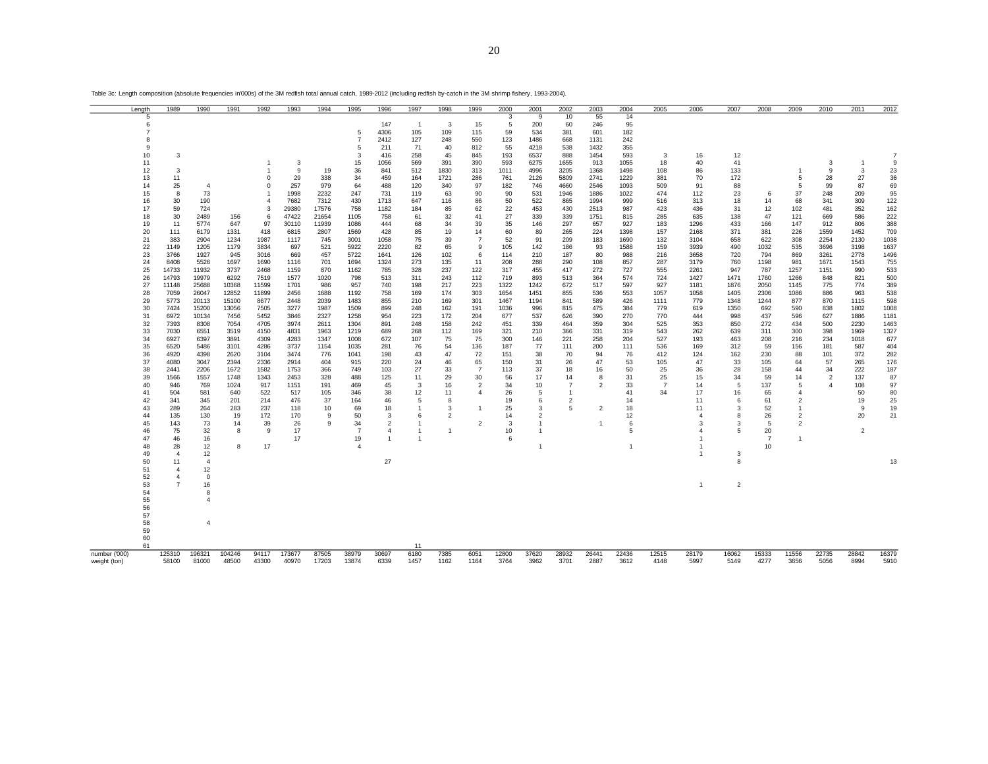|               | Length   | 1989                | 1990           | 1991           | 1992                | 1993         | 1994         | 1995                 | 1996                             | 1997                             | 1998           | 1999                 | 2000         | 2001                             | 2002           | 2003           | 2004         | 2005           | 2006           | 2007           | 2008           | 2009           | 2010           | 2011           | 2012         |
|---------------|----------|---------------------|----------------|----------------|---------------------|--------------|--------------|----------------------|----------------------------------|----------------------------------|----------------|----------------------|--------------|----------------------------------|----------------|----------------|--------------|----------------|----------------|----------------|----------------|----------------|----------------|----------------|--------------|
|               | 5<br>6   |                     |                |                |                     |              |              |                      | 147                              | $\overline{1}$                   | 3              | 15                   | 3<br>5       | 9<br>200                         | 10<br>60       | 55<br>246      | 14<br>95     |                |                |                |                |                |                |                |              |
|               |          |                     |                |                |                     |              |              | 5                    | 4306                             | 105                              | 109            | 115                  | 59           | 534                              | 381            | 601            | 182          |                |                |                |                |                |                |                |              |
|               | 8        |                     |                |                |                     |              |              | $\overline{7}$       | 2412                             | 127                              | 248            | 550                  | 123          | 1486                             | 668            | 1131           | 242          |                |                |                |                |                |                |                |              |
|               | 9        |                     |                |                |                     |              |              | 5                    | 211                              | 71                               | 40             | 812                  | 55           | 4218                             | 538            | 1432           | 355          |                |                |                |                |                |                |                |              |
|               | 10       | 3                   |                |                |                     |              |              | 3                    | 416                              | 258                              | 45             | 845                  | 193          | 6537                             | 888            | 1454           | 593          | 3              | 16             | 12             |                |                |                |                |              |
|               | 11       |                     |                |                |                     | 3            |              | 15                   | 1056                             | 569                              | 391            | 390                  | 593          | 6275                             | 1655           | 913            | 1055         | 18             | 40             | 41             |                |                | 3              | $\mathbf{1}$   | 9            |
|               | 12       | 3                   |                |                |                     | 9            | 19           | 36                   | 841                              | 512                              | 1830           | 313                  | 1011         | 4996                             | 3205           | 1368           | 1498         | 108            | 86             | 133            |                | $\overline{1}$ | 9              | 3              | 23           |
|               | 13<br>14 | 11<br>25            | $\overline{4}$ |                | $\Omega$<br>$\circ$ | 29<br>257    | 338<br>979   | 34<br>64             | 459<br>488                       | 164<br>120                       | 1721<br>340    | 286<br>97            | 761<br>182   | 2126<br>746                      | 5809<br>4660   | 2741<br>2546   | 1229<br>1093 | 381<br>509     | 70<br>91       | 172<br>88      |                | 5<br>5         | 28<br>99       | 27<br>87       | 36<br>69     |
|               | 15       | 8                   | 73             |                |                     | 1998         | 2232         | 247                  | 731                              | 119                              | 63             | 90                   | 90           | 531                              | 1946           | 1886           | 1022         | 474            | 112            | 23             | 6              | 37             | 248            | 209            | 95           |
|               | 16       | 30                  | 190            |                | $\overline{4}$      | 7682         | 7312         | 430                  | 1713                             | 647                              | 116            | 86                   | 50           | 522                              | 865            | 1994           | 999          | 516            | 313            | 18             | 14             | 68             | 341            | 309            | 122          |
|               | 17       | 59                  | 724            |                | 3                   | 29380        | 17576        | 758                  | 1182                             | 184                              | 85             | 62                   | 22           | 453                              | 430            | 2513           | 987          | 423            | 436            | 31             | 12             | 102            | 481            | 352            | 162          |
|               | 18       | 30                  | 2489           | 156            | 6                   | 47422        | 21654        | 1105                 | 758                              | 61                               | 32             | 41                   | 27           | 339                              | 339            | 1751           | 815          | 285            | 635            | 138            | 47             | 121            | 669            | 586            | 222          |
|               | 19       | 11                  | 5774           | 647            | 97                  | 30110        | 11939        | 1086                 | 444                              | 68                               | 34             | 39                   | 35           | 146                              | 297            | 657            | 927          | 183            | 1296           | 433            | 166            | 147            | 912            | 806            | 388          |
|               | 20       | 111                 | 6179           | 1331           | 418                 | 6815         | 2807         | 1569                 | 428                              | 85                               | 19             | 14                   | 60           | 89                               | 265            | 224            | 1398         | 157            | 2168           | 371            | 381            | 226            | 1559           | 1452           | 709          |
|               | 21<br>22 | 383<br>1149         | 2904<br>1205   | 1234<br>1179   | 1987<br>3834        | 1117<br>697  | 745<br>521   | 3001<br>5922         | 1058<br>2220                     | 75<br>82                         | 39<br>65       | $\overline{7}$<br>9  | 52<br>105    | 91<br>142                        | 209<br>186     | 183<br>93      | 1690<br>1588 | 132<br>159     | 3104<br>3939   | 658<br>490     | 622<br>1032    | 308<br>535     | 2254<br>3696   | 2130<br>3198   | 1038<br>1637 |
|               | 23       | 3766                | 1927           | 945            | 3016                | 669          | 457          | 5722                 | 1641                             | 126                              | 102            | 6                    | 114          | 210                              | 187            | 80             | 988          | 216            | 3658           | 720            | 794            | 869            | 3261           | 2778           | 1496         |
|               | 24       | 8408                | 5526           | 1697           | 1690                | 1116         | 701          | 1694                 | 1324                             | 273                              | 135            | 11                   | 208          | 288                              | 290            | 108            | 857          | 287            | 3179           | 760            | 1198           | 981            | 1671           | 1543           | 755          |
|               | 25       | 14733               | 11932          | 3737           | 2468                | 1159         | 870          | 1162                 | 785                              | 328                              | 237            | 122                  | 317          | 455                              | 417            | 272            | 727          | 555            | 2261           | 947            | 787            | 1257           | 1151           | 990            | 533          |
|               | 26       | 14793               | 19979          | 6292           | 7519                | 1577         | 1020         | 798                  | 513                              | 311                              | 243            | 112                  | 719          | 893                              | 513            | 364            | 574          | 724            | 1427           | 1471           | 1760           | 1266           | 848            | 821            | 500          |
|               | 27       | 11148               | 25688          | 10368          | 11599               | 1701         | 986          | 957                  | 740                              | 198                              | 217            | 223                  | 1322         | 1242                             | 672            | 517            | 597          | 927            | 1181           | 1876           | 2050           | 1145           | 775            | 774            | 389          |
|               | 28       | 7059                | 26047          | 12852          | 11899               | 2456         | 1688         | 1192                 | 758                              | 169                              | 174            | 303                  | 1654         | 1451                             | 855            | 536            | 553          | 1057           | 1058           | 1405           | 2306           | 1086           | 886            | 963            | 538          |
|               | 29<br>30 | 5773<br>7424        | 20113<br>15200 | 15100<br>13056 | 8677<br>7505        | 2448<br>3277 | 2039<br>1987 | 1483<br>1509         | 855<br>899                       | 210<br>248                       | 169<br>162     | 301<br>191           | 1467<br>1036 | 1194<br>996                      | 841<br>815     | 589<br>475     | 426<br>384   | 1111<br>779    | 779<br>619     | 1348<br>1350   | 1244<br>692    | 877<br>590     | 870<br>838     | 1115<br>1802   | 598<br>1008  |
|               | 31       | 6972                | 10134          | 7456           | 5452                | 3846         | 2327         | 1258                 | 954                              | 223                              | 172            | 204                  | 677          | 537                              | 626            | 390            | 270          | 770            | 444            | 998            | 437            | 596            | 627            | 1886           | 1181         |
|               | 32       | 7393                | 8308           | 7054           | 4705                | 3974         | 2611         | 1304                 | 891                              | 248                              | 158            | 242                  | 451          | 339                              | 464            | 359            | 304          | 525            | 353            | 850            | 272            | 434            | 500            | 2230           | 1463         |
|               | 33       | 7030                | 6551           | 3519           | 4150                | 4831         | 1963         | 1219                 | 689                              | 268                              | 112            | 169                  | 321          | 210                              | 366            | 331            | 319          | 543            | 262            | 639            | 311            | 300            | 398            | 1969           | 1327         |
|               | 34       | 6927                | 6397           | 3891           | 4309                | 4283         | 1347         | 1008                 | 672                              | 107                              | 75             | 75                   | 300          | 146                              | 221            | 258            | 204          | 527            | 193            | 463            | 208            | 216            | 234            | 1018           | 677          |
|               | 35       | 6520                | 5486           | 3101           | 4286                | 3737         | 1154         | 1035                 | 281                              | 76                               | 54             | 136                  | 187          | 77                               | 111            | 200            | 111          | 536            | 169            | 312            | 59             | 156            | 181            | 587            | 404          |
|               | 36       | 4920                | 4398           | 2620           | 3104                | 3474         | 776          | 1041                 | 198                              | 43                               | 47             | 72                   | 151          | 38                               | 70             | 94             | 76           | 412            | 124            | 162            | 230            | 88             | 101            | 372            | 282          |
|               | 37<br>38 | 4080<br>2441        | 3047<br>2206   | 2394<br>1672   | 2336<br>1582        | 2914<br>1753 | 404<br>366   | 915<br>749           | 220<br>103                       | 24<br>27                         | 46<br>33       | 65<br>$\overline{7}$ | 150<br>113   | 31<br>37                         | 26<br>18       | 47<br>16       | 53<br>50     | 105<br>25      | 47<br>36       | 33<br>28       | 105<br>158     | 64<br>44       | 57<br>34       | 265<br>222     | 176<br>187   |
|               | 39       | 1566                | 1557           | 1748           | 1343                | 2453         | 328          | 488                  | 125                              | 11                               | 29             | 30                   | 56           | 17                               | 14             | 8              | 31           | 25             | 15             | 34             | 59             | 14             | $\overline{2}$ | 137            | 87           |
|               | 40       | 946                 | 769            | 1024           | 917                 | 1151         | 191          | 469                  | 45                               | 3                                | 16             | $\overline{2}$       | 34           | 10                               | $\overline{7}$ | $\overline{2}$ | 33           | $\overline{7}$ | 14             | 5              | 137            | 5              | $\overline{4}$ | 108            | 97           |
|               | 41       | 504                 | 581            | 640            | 522                 | 517          | 105          | 346                  | 38                               | 12                               | 11             | $\overline{4}$       | 26           | 5                                | $\mathbf{1}$   |                | 41           | 34             | 17             | 16             | 65             | $\overline{4}$ |                | 50             | 80           |
|               | 42       | 341                 | 345            | 201            | 214                 | 476          | 37           | 164                  | 46                               | 5                                | 8              |                      | 19           | 6                                | $\overline{2}$ |                | 14           |                | 11             | 6              | 61             | $\overline{2}$ |                | 19             | 25           |
|               | 43       | 289                 | 264            | 283            | 237                 | 118          | 10           | 69                   | 18                               | $\overline{1}$                   | 3              | $\mathbf{1}$         | 25           | 3                                | 5              | $\overline{2}$ | 18           |                | 11             | 3              | 52             | $\mathbf{1}$   |                | 9              | 19           |
|               | 44       | 135                 | 130            | 19             | 172                 | 170          | 9<br>9       | 50                   | 3                                | 6                                | $\overline{2}$ |                      | 14           | $\overline{2}$                   |                |                | 12           |                | $\Delta$       | 8              | 26             | $\overline{2}$ |                | 20             | 21           |
|               | 45<br>46 | 143<br>75           | 73<br>32       | 14<br>8        | 39<br>9             | 26<br>17     |              | 34<br>$\overline{7}$ | $\overline{2}$<br>$\overline{4}$ | $\overline{1}$<br>$\overline{1}$ | $\mathbf{1}$   | $\overline{2}$       | 3<br>10      | $\overline{1}$<br>$\overline{1}$ |                | $\overline{1}$ | 6<br>5       |                | 3              | 3<br>5         | 5<br>20        | $\overline{2}$ |                | $\overline{2}$ |              |
|               | 47       | 46                  | 16             |                |                     | 17           |              | 19                   | $\overline{1}$                   |                                  |                |                      | 6            |                                  |                |                |              |                |                |                | $\overline{7}$ | $\mathbf{1}$   |                |                |              |
|               | 48       | 28                  | 12             | 8              | 17                  |              |              |                      |                                  |                                  |                |                      |              | $\overline{1}$                   |                |                |              |                |                |                | 10             |                |                |                |              |
|               | 49       | $\overline{4}$      | 12             |                |                     |              |              |                      |                                  |                                  |                |                      |              |                                  |                |                |              |                |                | 3              |                |                |                |                |              |
|               | 50       | 11                  | $\mathbf{A}$   |                |                     |              |              |                      | $27\,$                           |                                  |                |                      |              |                                  |                |                |              |                |                | 8              |                |                |                |                |              |
|               | 51       | $\overline{4}$      | 12             |                |                     |              |              |                      |                                  |                                  |                |                      |              |                                  |                |                |              |                |                |                |                |                |                |                |              |
|               | 52       | 4<br>$\overline{7}$ | $\Omega$       |                |                     |              |              |                      |                                  |                                  |                |                      |              |                                  |                |                |              |                |                |                |                |                |                |                |              |
|               | 53<br>54 |                     | 16             |                |                     |              |              |                      |                                  |                                  |                |                      |              |                                  |                |                |              |                | $\overline{1}$ | $\overline{2}$ |                |                |                |                |              |
|               | 55       |                     |                |                |                     |              |              |                      |                                  |                                  |                |                      |              |                                  |                |                |              |                |                |                |                |                |                |                |              |
|               | 56       |                     |                |                |                     |              |              |                      |                                  |                                  |                |                      |              |                                  |                |                |              |                |                |                |                |                |                |                |              |
|               | 57       |                     |                |                |                     |              |              |                      |                                  |                                  |                |                      |              |                                  |                |                |              |                |                |                |                |                |                |                |              |
|               | 58       |                     |                |                |                     |              |              |                      |                                  |                                  |                |                      |              |                                  |                |                |              |                |                |                |                |                |                |                |              |
|               | 59       |                     |                |                |                     |              |              |                      |                                  |                                  |                |                      |              |                                  |                |                |              |                |                |                |                |                |                |                |              |
|               | 60       |                     |                |                |                     |              |              |                      |                                  |                                  |                |                      |              |                                  |                |                |              |                |                |                |                |                |                |                |              |
| number ('000) | 61       | 125310              | 196321         | 104246         | 94117               | 173677       | 87505        | 38979                | 30697                            | 11<br>6180                       | 7385           | 6051                 | 12800        | 37620                            | 28932          | 26441          | 22436        | 12515          | 28179          | 16062          | 15333          | 11556          | 22735          | 28842          | 16379        |
| weight (ton)  |          | 58100               | 81000          | 48500          | 43300               | 40970        | 17203        | 13874                | 6339                             | 1457                             | 1162           | 1164                 | 3764         | 3962                             | 3701           | 2887           | 3612         | 4148           | 5997           | 5149           | 4277           | 3656           | 5056           | 8994           | 5910         |

Table 3c: Length composition (absolute frequencies in'000s) of the 3M redfish total annual catch, 1989-2012 (including redfish by-catch in the 3M shrimp fishery, 1993-2004).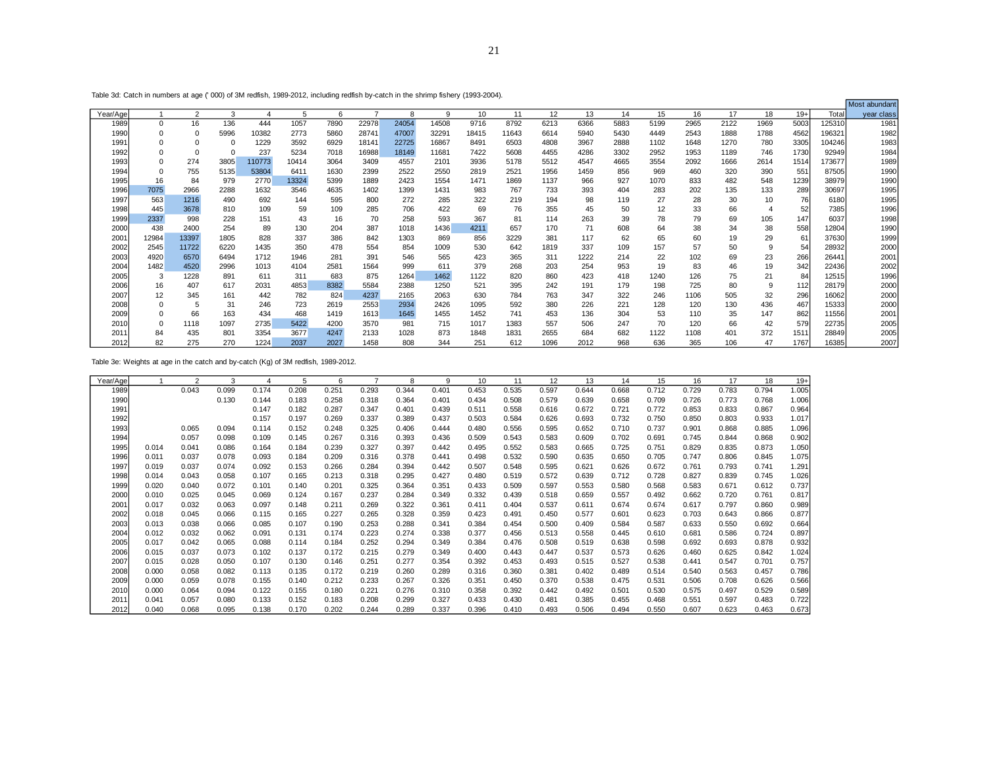Table 3d: Catch in numbers at age (' 000) of 3M redfish, 1989-2012, including redfish by-catch in the shrimp fishery (1993-2004).

|          | Catolini nambolo at ago (1000) of one realism, 1000 E012, including realism by catolini the simmly listicity (1000 E004). |                |          |        |       |      |       |       |       |       |       |      |      |      |      |      |      |      |       |        | Most abundant |
|----------|---------------------------------------------------------------------------------------------------------------------------|----------------|----------|--------|-------|------|-------|-------|-------|-------|-------|------|------|------|------|------|------|------|-------|--------|---------------|
| Year/Age |                                                                                                                           | $\overline{2}$ | 3        | 4      | 5     | 6    |       | 8     | 9     | 10    | 11    | 12   | 13   | 14   | 15   | 16   | 17   | 18   | $19+$ | Total  | year class    |
| 1989     | 0                                                                                                                         | 16             | 136      | 444    | 1057  | 7890 | 22978 | 24054 | 14508 | 9716  | 8792  | 6213 | 6366 | 5883 | 5199 | 2965 | 2122 | 1969 | 5003  | 125310 | 1981          |
| 1990     | 0                                                                                                                         | $\Omega$       | 5996     | 10382  | 2773  | 5860 | 28741 | 47007 | 32291 | 18415 | 11643 | 6614 | 5940 | 5430 | 4449 | 2543 | 1888 | 1788 | 4562  | 196321 | 1982          |
| 1991     | 0                                                                                                                         | 0              | $\Omega$ | 1229   | 3592  | 6929 | 18141 | 22725 | 16867 | 8491  | 6503  | 4808 | 3967 | 2888 | 1102 | 1648 | 1270 | 780  | 3305  | 104246 | 1983          |
| 1992     | 0                                                                                                                         | 0              | $\Omega$ | 237    | 5234  | 7018 | 16988 | 18149 | 11681 | 7422  | 5608  | 4455 | 4286 | 3302 | 2952 | 1953 | 1189 | 746  | 1730  | 92949  | 1984          |
| 1993     | 0                                                                                                                         | 274            | 3805     | 110773 | 10414 | 3064 | 3409  | 4557  | 2101  | 3936  | 5178  | 5512 | 4547 | 4665 | 3554 | 2092 | 1666 | 2614 | 1514  | 173677 | 1989          |
| 1994     | 0                                                                                                                         | 755            | 5135     | 53804  | 6411  | 1630 | 2399  | 2522  | 2550  | 2819  | 2521  | 1956 | 1459 | 856  | 969  | 460  | 320  | 390  | 551   | 87505  | 1990          |
| 1995     | 16                                                                                                                        | 84             | 979      | 2770   | 13324 | 5399 | 1889  | 2423  | 1554  | 1471  | 1869  | 1137 | 966  | 927  | 1070 | 833  | 482  | 548  | 1239  | 38979  | 1990          |
| 1996     | 7075                                                                                                                      | 2966           | 2288     | 1632   | 3546  | 4635 | 1402  | 1399  | 1431  | 983   | 767   | 733  | 393  | 404  | 283  | 202  | 135  | 133  | 289   | 30697  | 1995          |
| 1997     | 563                                                                                                                       | 1216           | 490      | 692    | 144   | 595  | 800   | 272   | 285   | 322   | 219   | 194  | 98   | 119  | 27   | 28   | 30   | 10   | 76    | 6180   | 1995          |
| 1998     | 445                                                                                                                       | 3678           | 810      | 109    | 59    | 109  | 285   | 706   | 422   | 69    | 76    | 355  | 45   | 50   | 12   | 33   | 66   |      | 52    | 7385   | 1996          |
| 1999     | 2337                                                                                                                      | 998            | 228      | 151    | 43    | 16   | 70    | 258   | 593   | 367   | 81    | 114  | 263  | 39   | 78   | 79   | 69   | 105  | 147   | 6037   | 1998          |
| 2000     | 438                                                                                                                       | 2400           | 254      | 89     | 130   | 204  | 387   | 1018  | 1436  | 4211  | 657   | 170  | 71   | 608  | 64   | 38   | 34   | 38   | 558   | 12804  | 1990          |
| 2001     | 12984                                                                                                                     | 13397          | 1805     | 828    | 337   | 386  | 842   | 1303  | 869   | 856   | 3229  | 381  | 117  | 62   | 65   | 60   | 19   | 29   | 61    | 37630  | 1999          |
| 2002     | 2545                                                                                                                      | 11722          | 6220     | 1435   | 350   | 478  | 554   | 854   | 1009  | 530   | 642   | 1819 | 337  | 109  | 157  | 57   | 50   | 9    | 54    | 28932  | 2000          |
| 2003     | 4920                                                                                                                      | 6570           | 6494     | 1712   | 1946  | 281  | 391   | 546   | 565   | 423   | 365   | 311  | 1222 | 214  | 22   | 102  | 69   | 23   | 266   | 26441  | 2001          |
| 2004     | 1482                                                                                                                      | 4520           | 2996     | 1013   | 4104  | 2581 | 1564  | 999   | 611   | 379   | 268   | 203  | 254  | 953  | 19   | 83   | 46   | 19   | 342   | 22436  | 2002          |
| 2005     | 3                                                                                                                         | 1228           | 891      | 611    | 311   | 683  | 875   | 1264  | 1462  | 1122  | 820   | 860  | 423  | 418  | 1240 | 126  | 75   | 21   | 84    | 12515  | 1996          |
| 2006     | 16                                                                                                                        | 407            | 617      | 2031   | 4853  | 8382 | 5584  | 2388  | 1250  | 521   | 395   | 242  | 191  | 179  | 198  | 725  | 80   | 9    | 112   | 28179  | 2000          |
| 2007     | 12                                                                                                                        | 345            | 161      | 442    | 782   | 824  | 4237  | 2165  | 2063  | 630   | 784   | 763  | 347  | 322  | 246  | 1106 | 505  | 32   | 296   | 16062  | 2000          |
| 2008     | 0                                                                                                                         |                | 31       | 246    | 723   | 2619 | 2553  | 2934  | 2426  | 1095  | 592   | 380  | 226  | 221  | 128  | 120  | 130  | 436  | 467   | 15333  | 2000          |
| 2009     | 0                                                                                                                         | 66             | 163      | 434    | 468   | 1419 | 1613  | 1645  | 1455  | 1452  | 741   | 453  | 136  | 304  | 53   | 110  | 35   | 147  | 862   | 11556  | 2001          |
| 2010     | 0                                                                                                                         | 1118           | 1097     | 2735   | 5422  | 4200 | 3570  | 981   | 715   | 1017  | 1383  | 557  | 506  | 247  | 70   | 120  | 66   | 42   | 579   | 22735  | 2005          |
| 201      | 84                                                                                                                        | 435            | 801      | 3354   | 3677  | 4247 | 2133  | 1028  | 873   | 1848  | 1831  | 2655 | 684  | 682  | 1122 | 1108 | 401  | 372  | 1511  | 28849  | 2005          |
| 2012     | 82                                                                                                                        | 275            | 270      | 1224   | 2037  | 2027 | 1458  | 808   | 344   | 251   | 612   | 1096 | 2012 | 968  | 636  | 365  | 106  | 47   | 1767  | 16385  | 2007          |

Table 3e: Weights at age in the catch and by-catch (Kg) of 3M redfish, 1989-2012.

| Year/Age |       | 2     | 3     | 4     | 5     | 6     |       | 8     | 9     | 10    | 11    | 12    | 13    | 14    | 15    | 16    | 17    | 18    | $19+$ |
|----------|-------|-------|-------|-------|-------|-------|-------|-------|-------|-------|-------|-------|-------|-------|-------|-------|-------|-------|-------|
| 1989     |       | 0.043 | 0.099 | 0.174 | 0.208 | 0.251 | 0.293 | 0.344 | 0.401 | 0.453 | 0.535 | 0.597 | 0.644 | 0.668 | 0.712 | 0.729 | 0.783 | 0.794 | 1.005 |
| 1990     |       |       | 0.130 | 0.144 | 0.183 | 0.258 | 0.318 | 0.364 | 0.401 | 0.434 | 0.508 | 0.579 | 0.639 | 0.658 | 0.709 | 0.726 | 0.773 | 0.768 | 1.006 |
| 1991     |       |       |       | 0.147 | 0.182 | 0.287 | 0.347 | 0.401 | 0.439 | 0.511 | 0.558 | 0.616 | 0.672 | 0.721 | 0.772 | 0.853 | 0.833 | 0.867 | 0.964 |
| 1992     |       |       |       | 0.157 | 0.197 | 0.269 | 0.337 | 0.389 | 0.437 | 0.503 | 0.584 | 0.626 | 0.693 | 0.732 | 0.750 | 0.850 | 0.803 | 0.933 | 1.017 |
| 1993     |       | 0.065 | 0.094 | 0.114 | 0.152 | 0.248 | 0.325 | 0.406 | 0.444 | 0.480 | 0.556 | 0.595 | 0.652 | 0.710 | 0.737 | 0.901 | 0.868 | 0.885 | 1.096 |
| 1994     |       | 0.057 | 0.098 | 0.109 | 0.145 | 0.267 | 0.316 | 0.393 | 0.436 | 0.509 | 0.543 | 0.583 | 0.609 | 0.702 | 0.691 | 0.745 | 0.844 | 0.868 | 0.902 |
| 1995     | 0.014 | 0.041 | 0.086 | 0.164 | 0.184 | 0.239 | 0.327 | 0.397 | 0.442 | 0.495 | 0.552 | 0.583 | 0.665 | 0.725 | 0.751 | 0.829 | 0.835 | 0.873 | 1.050 |
| 1996     | 0.011 | 0.037 | 0.078 | 0.093 | 0.184 | 0.209 | 0.316 | 0.378 | 0.441 | 0.498 | 0.532 | 0.590 | 0.635 | 0.650 | 0.705 | 0.747 | 0.806 | 0.845 | 1.075 |
| 1997     | 0.019 | 0.037 | 0.074 | 0.092 | 0.153 | 0.266 | 0.284 | 0.394 | 0.442 | 0.507 | 0.548 | 0.595 | 0.621 | 0.626 | 0.672 | 0.761 | 0.793 | 0.741 | 1.291 |
| 1998     | 0.014 | 0.043 | 0.058 | 0.107 | 0.165 | 0.213 | 0.318 | 0.295 | 0.427 | 0.480 | 0.519 | 0.572 | 0.639 | 0.712 | 0.728 | 0.827 | 0.839 | 0.745 | 1.026 |
| 1999     | 0.020 | 0.040 | 0.072 | 0.101 | 0.140 | 0.201 | 0.325 | 0.364 | 0.351 | 0.433 | 0.509 | 0.597 | 0.553 | 0.580 | 0.568 | 0.583 | 0.671 | 0.612 | 0.737 |
| 2000     | 0.010 | 0.025 | 0.045 | 0.069 | 0.124 | 0.167 | 0.237 | 0.284 | 0.349 | 0.332 | 0.439 | 0.518 | 0.659 | 0.557 | 0.492 | 0.662 | 0.720 | 0.761 | 0.817 |
| 2001     | 0.017 | 0.032 | 0.063 | 0.097 | 0.148 | 0.211 | 0.269 | 0.322 | 0.361 | 0.411 | 0.404 | 0.537 | 0.611 | 0.674 | 0.674 | 0.617 | 0.797 | 0.860 | 0.989 |
| 2002     | 0.018 | 0.045 | 0.066 | 0.115 | 0.165 | 0.227 | 0.265 | 0.328 | 0.359 | 0.423 | 0.491 | 0.450 | 0.577 | 0.601 | 0.623 | 0.703 | 0.643 | 0.866 | 0.877 |
| 2003     | 0.013 | 0.038 | 0.066 | 0.085 | 0.107 | 0.190 | 0.253 | 0.288 | 0.341 | 0.384 | 0.454 | 0.500 | 0.409 | 0.584 | 0.587 | 0.633 | 0.550 | 0.692 | 0.664 |
| 2004     | 0.012 | 0.032 | 0.062 | 0.091 | 0.131 | 0.174 | 0.223 | 0.274 | 0.338 | 0.377 | 0.456 | 0.513 | 0.558 | 0.445 | 0.610 | 0.681 | 0.586 | 0.724 | 0.897 |
| 2005     | 0.017 | 0.042 | 0.065 | 0.088 | 0.114 | 0.184 | 0.252 | 0.294 | 0.349 | 0.384 | 0.476 | 0.508 | 0.519 | 0.638 | 0.598 | 0.692 | 0.693 | 0.878 | 0.932 |
| 2006     | 0.015 | 0.037 | 0.073 | 0.102 | 0.137 | 0.172 | 0.215 | 0.279 | 0.349 | 0.400 | 0.443 | 0.447 | 0.537 | 0.573 | 0.626 | 0.460 | 0.625 | 0.842 | 1.024 |
| 2007     | 0.015 | 0.028 | 0.050 | 0.107 | 0.130 | 0.146 | 0.251 | 0.277 | 0.354 | 0.392 | 0.453 | 0.493 | 0.515 | 0.527 | 0.538 | 0.441 | 0.547 | 0.701 | 0.757 |
| 2008     | 0.000 | 0.058 | 0.082 | 0.113 | 0.135 | 0.172 | 0.219 | 0.260 | 0.289 | 0.316 | 0.360 | 0.381 | 0.402 | 0.489 | 0.514 | 0.540 | 0.563 | 0.457 | 0.786 |
| 2009     | 0.000 | 0.059 | 0.078 | 0.155 | 0.140 | 0.212 | 0.233 | 0.267 | 0.326 | 0.351 | 0.450 | 0.370 | 0.538 | 0.475 | 0.531 | 0.506 | 0.708 | 0.626 | 0.566 |
| 2010     | 0.000 | 0.064 | 0.094 | 0.122 | 0.155 | 0.180 | 0.221 | 0.276 | 0.310 | 0.358 | 0.392 | 0.442 | 0.492 | 0.501 | 0.530 | 0.575 | 0.497 | 0.529 | 0.589 |
| 2011     | 0.041 | 0.057 | 0.080 | 0.133 | 0.152 | 0.183 | 0.208 | 0.299 | 0.327 | 0.433 | 0.430 | 0.481 | 0.385 | 0.455 | 0.468 | 0.551 | 0.597 | 0.483 | 0.722 |
| 2012     | 0.040 | 0.068 | 0.095 | 0.138 | 0.170 | 0.202 | 0.244 | 0.289 | 0.337 | 0.396 | 0.410 | 0.493 | 0.506 | 0.494 | 0.550 | 0.607 | 0.623 | 0.463 | 0.673 |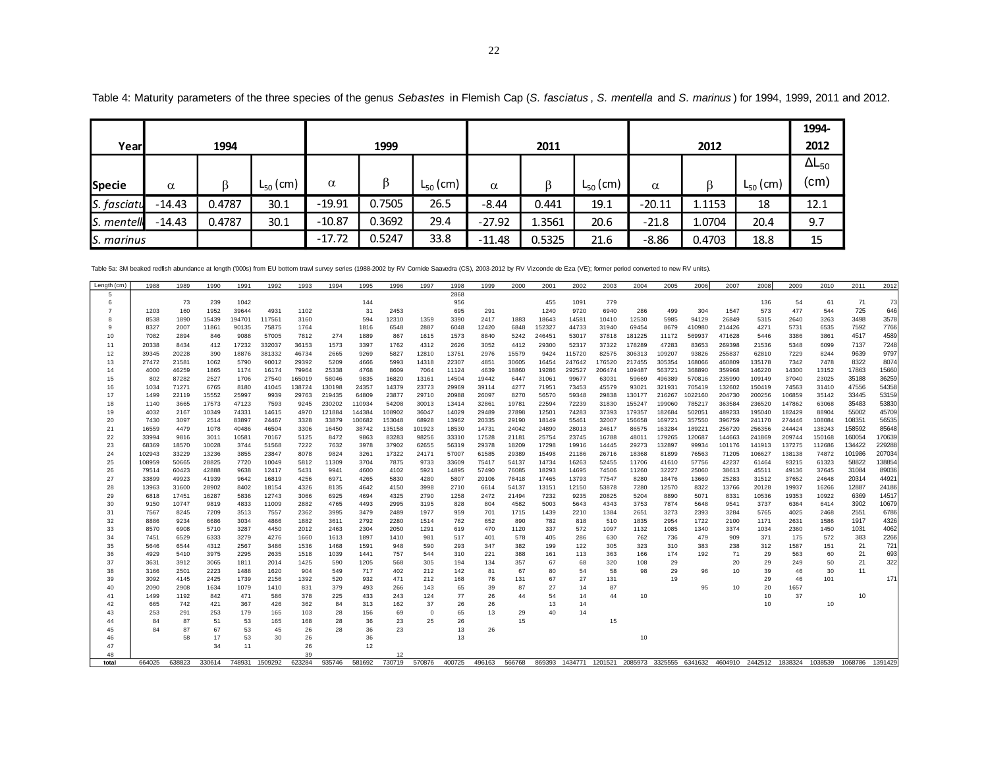|               |          |        |                        |          |        |               |          |        |               |          |        |               | 1994-           |
|---------------|----------|--------|------------------------|----------|--------|---------------|----------|--------|---------------|----------|--------|---------------|-----------------|
| Yearl         |          | 1994   |                        |          | 1999   |               |          | 2011   |               |          | 2012   |               | 2012            |
|               |          |        |                        |          |        |               |          |        |               |          |        |               | $\Delta L_{50}$ |
| <b>Specie</b> | $\alpha$ |        | $\mathsf{L}_{50}$ (cm) | $\alpha$ |        | $L_{50}$ (cm) | α        | ß      | $L_{50}$ (cm) | α        |        | $L_{50}$ (cm) | (cm)            |
| S. fasciatu   | $-14.43$ | 0.4787 | 30.1                   | $-19.91$ | 0.7505 | 26.5          | $-8.44$  | 0.441  | 19.1          | $-20.11$ | 1.1153 | 18            | 12.1            |
| S. mentell    | $-14.43$ | 0.4787 | 30.1                   | $-10.87$ | 0.3692 | 29.4          | $-27.92$ | 1.3561 | 20.6          | $-21.8$  | 1.0704 | 20.4          | 9.7             |
| S. marinus    |          |        |                        | $-17.72$ | 0.5247 | 33.8          | $-11.48$ | 0.5325 | 21.6          | $-8.86$  | 0.4703 | 18.8          | 15              |

Table 4: Maturity parameters of the three species of the genus *Sebastes* in Flemish Cap (*S. fasciatus* , *S. mentella* and *S. marinus* ) for 1994, 1999, 2011 and 2012.

Table 5a: 3M beaked redfish abundance at length ('000s) from EU bottom trawl survey series (1988-2002 by RV Cornide Saavedra (CS), 2003-2012 by RV Vizconde de Eza (VE); former period converted to new RV units).

| Length (cm) | 1988           | 1989         | 1990         | 1991           | 1992           | 1993         | 1994          | 1995          | 1996            | 1997            | 1998           | 1999           | 2000           | 2001           | 2002           | 2003           | 2004           | 2005             | 2006             | 2007             | 2008                                                                           | 2009             | 2010             | 2011             | 2012           |
|-------------|----------------|--------------|--------------|----------------|----------------|--------------|---------------|---------------|-----------------|-----------------|----------------|----------------|----------------|----------------|----------------|----------------|----------------|------------------|------------------|------------------|--------------------------------------------------------------------------------|------------------|------------------|------------------|----------------|
|             |                |              |              |                |                |              |               |               |                 |                 | 2868           |                |                |                |                |                |                |                  |                  |                  |                                                                                |                  |                  |                  |                |
| 6           |                | 73           | 239          | 1042           |                |              |               | 144           |                 |                 | 956            |                |                | 455            | 1091           | 779            |                |                  |                  |                  | 136                                                                            | 54               | 61               | 71               | 73             |
|             | 1203           | 160          | 1952         | 39644          | 4931           | 1102         |               | 31            | 2453            |                 | 695            | 291            |                | 1240           | 9720           | 6940           | 286            | 499              | 304              | 1547             | 573                                                                            | 477              | 544              | 725              | 646            |
|             | 8538           | 1890         | 15439        | 194701         | 117561         | 3160         |               | 594           | 12310           | 1359            | 3390           | 2417           | 1883           | 18643          | 14581          | 10410          | 12530          | 5985             | 94129            | 26849            | 5315                                                                           | 2640             | 3263             | 3498             | 3578           |
|             | 8327           | 2007         | 11861        | 90135          | 75875          | 1764         |               | 1816          | 6548            | 2887            | 6048           | 12420          | 6848           | 152327         | 44733          | 31940          | 69454          | 8679             | 410980           | 214426           | 4271                                                                           | 5731             | 6535             | 7592             | 7766           |
| 10          | 7082           | 2894         | 846          | 9088           | 57005          | 7812         | 274           | 1889          | 867             | 1615            | 1573           | 8840           | 5242           | 246451         | 53017          | 37818          | 181225         | 11172            | 569937           | 471628           | 5446                                                                           | 3386             | 3861             | 4517             | 4589           |
| 11          | 20338          | 8434         | 412          | 17232          | 332037         | 36153        | 1573          | 3397          | 1762            | 4312            | 2626           | 3052           | 4412           | 29300          | 52317          | 37322          | 178289         | 47283            | 83653            | 269398           | 21536                                                                          | 5348             | 6099             | 7137             | 7248           |
| 12          | 39345          | 20228        | 390          | 18876          | 381332         | 46734        | 2665          | 9269          | 5827            | 12810           | 13751          | 2976           | 15579          | 9424           | 115720         | 82575          | 306313         | 109207           | 93826            | 255837           | 62810                                                                          | 7229             | 8244             | 9639             | 9797           |
| 13          | 27472          | 21581        | 1062         | 5790           | 90012          | 29392        | 5209          | 4666          | 5993            | 14318           | 22307          | 4851           | 30605          | 16454          | 247642         | 176520         | 217455         | 305354           | 168066           | 460809           | 135178                                                                         | 7342             | 7478             | 8322             | 8074           |
| 14          | 4000           | 46259        | 1865         | 1174           | 16174          | 79964        | 25338         | 4768          | 8609            | 7064            | 11124          | 4639           | 18860          | 19286          | 292527         | 206474         | 109487         | 563721           | 368890           | 359968           | 146220                                                                         | 14300            | 13152            | 17863            | 15660          |
| 15          | 802            | 87282        | 2527         | 1706           | 27540          | 165019       | 58046         | 9835          | 16820           | 13161           | 14504          | 19442          | 6447           | 31061          | 99677          | 63031          | 59669          | 496389           | 570816           | 235990           | 109149                                                                         | 37040            | 23025            | 35188            | 36259          |
| 16          | 1034           | 71271        | 6765         | 8180           | 41045          | 138724       | 130198        | 24357         | 14379           | 23773           | 29969          | 39114          | 4277           | 71951          | 73453          | 45579          | 93021          | 321931           | 705419           | 132602           | 150419                                                                         | 74563            | 31410            | 47556            | 54358          |
| 17          | 1499           | 22119        | 15552        | 25997          | 9939           | 29763        | 219435        | 64809         | 23877           | 29710           | 20988          | 26097          | 8270           | 56570          | 59348          | 29838          | 130177         | 216267           | 1022160          | 204730           | 200256                                                                         | 106859           | 35142            | 33445            | 53159          |
| 18          | 1140           | 3665         | 17573        | 47123          | 7593           | 9245         | 230202        | 110934        | 54208           | 30013           | 13414          | 32861          | 19781          | 22594          | 72239          | 31830          | 155247         | 199060           | 785217           | 363584           | 236520                                                                         | 147862           | 63068            | 35483            | 53830          |
| 19          | 4032           | 2167         | 10349        | 74331          | 14615          | 4970         | 121884        | 144384        | 108902          | 36047           | 14029          | 29489          | 27898          | 12501          | 74283          | 37393          | 179357         | 182684           | 502051           | 489233           | 195040                                                                         | 182429           | 88904            | 55002            | 45709          |
| 20          | 7430           | 3097         | 2514         | 83897          | 24467          | 3328         | 33879         | 100682        | 153048          | 68928           | 13962          | 20335          | 29190          | 18149          | 55461          | 32007          | 156658         | 169721           | 357550           | 396759           | 241170                                                                         | 274446           | 108084<br>138243 | 108351<br>158592 | 56535<br>85648 |
| 21          | 16559<br>33994 | 4479<br>9816 | 1078<br>3011 | 40486<br>10581 | 46504<br>70167 | 3306<br>5125 | 16450<br>8472 | 38742<br>9863 | 135158<br>83283 | 101923<br>98256 | 18530<br>33310 | 14731<br>17528 | 24042<br>21181 | 24890<br>25754 | 28013<br>23745 | 24617<br>16788 | 86575<br>48011 | 163284<br>179265 | 189221<br>120687 | 256720<br>144663 | 256356<br>241869                                                               | 244424<br>209744 | 150168           | 160054           | 170639         |
| 22<br>23    | 68369          | 18570        | 10028        | 3744           | 51568          | 7222         | 7632          | 3978          | 37902           | 62655           | 56319          | 29378          | 18209          | 17298          | 19916          | 14445          | 29273          | 132897           | 99934            | 101176           | 141913                                                                         | 137275           | 112686           | 134422           | 229288         |
| 24          | 102943         | 33229        | 13236        | 3855           | 23847          | 8078         | 9824          | 3261          | 17322           | 24171           | 57007          | 61585          | 29389          | 15498          | 21186          | 26716          | 18368          | 81899            | 76563            | 71205            | 106627                                                                         | 138138           | 74872            | 101986           | 207034         |
| 25          | 108959         | 50665        | 28825        | 7720           | 10049          | 5812         | 11309         | 3704          | 7875            | 9733            | 33609          | 75417          | 54137          | 14734          | 16263          | 52455          | 11706          | 41610            | 57756            | 42237            | 61464                                                                          | 93215            | 61323            | 58822            | 138854         |
| 26          | 79514          | 60423        | 42888        | 9638           | 12417          | 5431         | 9941          | 4600          | 4102            | 5921            | 14895          | 57490          | 76085          | 18293          | 14695          | 74506          | 11260          | 32227            | 25060            | 38613            | 45511                                                                          | 49136            | 37645            | 31084            | 89036          |
| 27          | 33899          | 49923        | 41939        | 9642           | 16819          | 4256         | 6971          | 4265          | 5830            | 4280            | 5807           | 20106          | 78418          | 17465          | 13793          | 77547          | 8280           | 18476            | 13669            | 25283            | 31512                                                                          | 37652            | 24648            | 20314            | 44921          |
| 28          | 13963          | 31600        | 28902        | 8402           | 18154          | 4326         | 8135          | 4642          | 4150            | 3998            | 2710           | 6614           | 54137          | 13151          | 12150          | 53878          | 7280           | 12570            | 8322             | 13766            | 20128                                                                          | 19937            | 16266            | 12887            | 24186          |
| 29          | 6818           | 17451        | 16287        | 5836           | 12743          | 3066         | 6925          | 4694          | 4325            | 2790            | 1258           | 2472           | 21494          | 7232           | 9235           | 20825          | 5204           | 8890             | 5071             | 8331             | 10536                                                                          | 19353            | 10922            | 6369             | 14517          |
| 30          | 9150           | 10747        | 9819         | 4833           | 11009          | 2882         | 4765          | 4493          | 2995            | 3195            | 828            | 804            | 4582           | 5003           | 5643           | 4343           | 3753           | 7874             | 5648             | 9541             | 3737                                                                           | 6364             | 6414             | 3902             | 10679          |
| 31          | 7567           | 8245         | 7209         | 3513           | 7557           | 2362         | 3995          | 3479          | 2489            | 1977            | 959            | 701            | 1715           | 1439           | 2210           | 1384           | 2651           | 3273             | 2393             | 3284             | 5765                                                                           | 4025             | 2468             | 2551             | 6786           |
| 32          | 8886           | 9234         | 6686         | 3034           | 4866           | 1882         | 3611          | 2792          | 2280            | 1514            | 762            | 652            | 890            | 782            | 818            | 510            | 1835           | 2954             | 1722             | 2100             | 1171                                                                           | 2631             | 1586             | 1917             | 4326           |
| 33          | 8570           | 6908         | 5710         | 3287           | 4450           | 2012         | 2463          | 2304          | 2050            | 1291            | 619            | 470            | 1120           | 337            | 572            | 1097           | 1132           | 1085             | 1340             | 3374             | 1034                                                                           | 2360             | 1450             | 1031             | 4062           |
| 34          | 7451           | 6529         | 6333         | 3279           | 4276           | 1660         | 1613          | 1897          | 1410            | 981             | 517            | 401            | 578            | 405            | 286            | 630            | 762            | 736              | 479              | 909              | 371                                                                            | 175              | 572              | 383              | 2266           |
| 35          | 5646           | 6544         | 4312         | 2567           | 3486           | 1536         | 1468          | 1591          | 948             | 590             | 293            | 347            | 382            | 199            | 122            | 305            | 323            | 310              | 383              | 238              | 312                                                                            | 1587             | 151              | 21               | 721            |
| 36          | 4929           | 5410         | 3975         | 2295           | 2635           | 1518         | 1039          | 1441          | 757             | 544             | 310            | 221            | 388            | 161            | 113            | 363            | 166            | 174              | 192              | 71               | 29                                                                             | 563              | 60               | 21               | 693            |
| 37          | 3631           | 3912         | 3065         | 1811           | 2014           | 1425         | 590           | 1205          | 568             | 305             | 194            | 134            | 357            | 67             | 68             | 320            | 108            | 29               |                  | 20               | 29                                                                             | 249              | 50               | 21               | 322            |
| 38          | 3166           | 2501         | 2223         | 1488           | 1620           | 904          | 549           | 717           | 402             | 212             | 142            | 81             | 67             | 80             | 54             | 58             | 98             | 29               | 96               | 10               | 39                                                                             | 46               | 30               | 11               |                |
| 39          | 3092           | 4145         | 2425         | 1739           | 2156           | 1392         | 520           | 932           | 471             | 212             | 168            | 78             | 131            | 67             | 27             | 131            |                | 19               |                  |                  | 29                                                                             | 46               | 101              |                  | 171            |
| 40          | 2090           | 2908         | 1634         | 1079           | 1410           | 831          | 379           | 493           | 266             | 143             | 65             | 39             | 87             | 27             | 14             | 87             |                |                  | 95               | 10               | 20                                                                             | 1657             |                  |                  |                |
| 41          | 1499           | 1192         | 842          | 471            | 586            | 378          | 225           | 433           | 243             | 124             | 77             | 26             | 44             | 54             | 14             | 44             | 10             |                  |                  |                  | 10                                                                             | 37               |                  | 10               |                |
| 42          | 665            | 742          | 421          | 367            | 426            | 362          | 84            | 313           | 162             | 37              | 26             | 26             |                | 13             | 14             |                |                |                  |                  |                  | 10                                                                             |                  | 10               |                  |                |
| 43          | 253            | 291          | 253          | 179            | 165            | 103          | 28            | 156           | 69              | $^{\circ}$      | 65             | 13             | 29             | 40             | 14             |                |                |                  |                  |                  |                                                                                |                  |                  |                  |                |
| 44          | 84             | 87           | 51           | 53             | 165            | 168          | 28            | 36            | 23              | 25              | 26             |                | 15             |                |                | 15             |                |                  |                  |                  |                                                                                |                  |                  |                  |                |
| 45<br>46    | 84             | 87<br>58     | 67<br>17     | 53<br>53       | 45<br>30       | 26<br>26     | 28            | 36<br>36      | 23              |                 | 13<br>13       | 26             |                |                |                |                | 10             |                  |                  |                  |                                                                                |                  |                  |                  |                |
| 47          |                |              | 34           | 11             |                | 26           |               | 12            |                 |                 |                |                |                |                |                |                |                |                  |                  |                  |                                                                                |                  |                  |                  |                |
| 48          |                |              |              |                |                | 39           |               |               | 12              |                 |                |                |                |                |                |                |                |                  |                  |                  |                                                                                |                  |                  |                  |                |
| total       | 664025         | 638823       | 330614       | 748931         | 1509292        | 623284       | 935746        | 581692        | 730719          | 570876          | 400725         | 496163         | 566768         |                |                |                |                |                  |                  |                  | 869393 1434771 1201521 2085973 3325555 6341632 4604910 2442512 1838324 1038539 |                  |                  | 1068786          | 1391429        |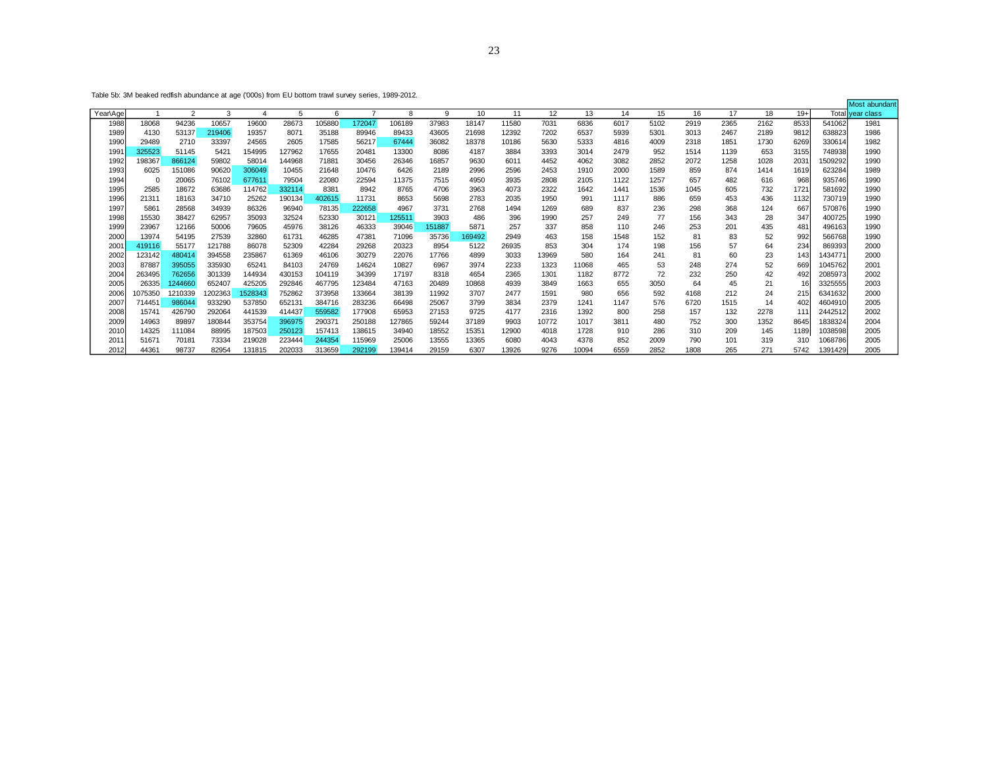|          |         |                |         |         |        |        |        |        |        |        |       |       |       |      |      |      |      |      |       |         | Most abundant    |
|----------|---------|----------------|---------|---------|--------|--------|--------|--------|--------|--------|-------|-------|-------|------|------|------|------|------|-------|---------|------------------|
| Year\Age |         | $\overline{2}$ | 3       |         | 5      | 6      |        | 8      | -9     | 10     | 11    | 12    | 13    | 14   | 15   | 16   | 17   | 18   | $19+$ |         | Total vear class |
| 1988     | 18068   | 94236          | 10657   | 19600   | 28673  | 105880 | 172047 | 106189 | 37983  | 18147  | 11580 | 7031  | 6836  | 6017 | 5102 | 2919 | 2365 | 2162 | 8533  | 541062  | 1981             |
| 1989     | 4130    | 53137          | 219406  | 19357   | 8071   | 35188  | 89946  | 89433  | 43605  | 21698  | 12392 | 7202  | 6537  | 5939 | 5301 | 3013 | 2467 | 2189 | 9812  | 638823  | 1986             |
| 1990     | 29489   | 2710           | 33397   | 24565   | 2605   | 17585  | 56217  | 67444  | 36082  | 18378  | 10186 | 5630  | 5333  | 4816 | 4009 | 2318 | 1851 | 1730 | 6269  | 330614  | 1982             |
| 1991     | 325523  | 51145          | 5421    | 154995  | 127962 | 17655  | 20481  | 13300  | 8086   | 4187   | 3884  | 3393  | 3014  | 2479 | 952  | 1514 | 1139 | 653  | 3155  | 748938  | 1990             |
| 1992     | 198367  | 866124         | 59802   | 58014   | 144968 | 71881  | 30456  | 26346  | 16857  | 9630   | 6011  | 4452  | 4062  | 3082 | 2852 | 2072 | 1258 | 1028 | 203'  | 1509292 | 1990             |
| 1993     | 6025    | 151086         | 90620   | 306049  | 10455  | 21648  | 10476  | 6426   | 2189   | 2996   | 2596  | 2453  | 1910  | 2000 | 1589 | 859  | 874  | 1414 | 1619  | 623284  | 1989             |
| 1994     |         | 20065          | 76102   | 677611  | 79504  | 22080  | 22594  | 11375  | 7515   | 4950   | 3935  | 2808  | 2105  | 1122 | 1257 | 657  | 482  | 616  | 968   | 935746  | 1990             |
| 1995     | 2585    | 18672          | 63686   | 114762  | 332114 | 8381   | 8942   | 8765   | 4706   | 3963   | 4073  | 2322  | 1642  | 1441 | 1536 | 1045 | 605  | 732  | 172'  | 581692  | 1990             |
| 1996     | 21311   | 18163          | 34710   | 25262   | 190134 | 402615 | 11731  | 8653   | 5698   | 2783   | 2035  | 1950  | 991   | 1117 | 886  | 659  | 453  | 436  | 1132  | 730719  | 1990             |
| 1997     | 5861    | 28568          | 34939   | 86326   | 96940  | 78135  | 222658 | 4967   | 3731   | 2768   | 1494  | 1269  | 689   | 837  | 236  | 298  | 368  | 124  | 667   | 570876  | 1990             |
| 1998     | 15530   | 38427          | 62957   | 35093   | 32524  | 52330  | 30121  | 125511 | 3903   | 486    | 396   | 1990  | 257   | 249  | 77   | 156  | 343  | 28   | 347   | 400725  | 1990             |
| 1999     | 23967   | 12166          | 50006   | 79605   | 45976  | 38126  | 46333  | 39046  | 151887 | 5871   | 257   | 337   | 858   | 110  | 246  | 253  | 201  | 435  | 48٬   | 496163  | 1990             |
| 2000     | 13974   | 54195          | 27539   | 32860   | 61731  | 46285  | 47381  | 71096  | 35736  | 169492 | 2949  | 463   | 158   | 1548 | 152  | 81   | 83   | 52   | 992   | 566768  | 1990             |
| 200'     | 419116  | 55177          | 121788  | 86078   | 52309  | 42284  | 29268  | 20323  | 8954   | 5122   | 26935 | 853   | 304   | 174  | 198  | 156  | 57   | 64   | 234   | 869393  | 2000             |
| 2002     | 123142  | 480414         | 394558  | 235867  | 61369  | 46106  | 30279  | 22076  | 17766  | 4899   | 3033  | 13969 | 580   | 164  | 241  | 81   | 60   | 23   | 143   | 1434771 | 2000             |
| 2003     | 87887   | 395055         | 335930  | 65241   | 84103  | 24769  | 14624  | 10827  | 6967   | 3974   | 2233  | 1323  | 11068 | 465  | 53   | 248  | 274  | 52   | 669   | 1045762 | 2001             |
| 2004     | 263495  | 762656         | 301339  | 144934  | 430153 | 104119 | 34399  | 17197  | 8318   | 4654   | 2365  | 1301  | 1182  | 8772 | 72   | 232  | 250  | 42   | 492   | 2085973 | 2002             |
| 2005     | 26335   | 1244660        | 652407  | 425205  | 292846 | 467795 | 123484 | 47163  | 20489  | 10868  | 4939  | 3849  | 1663  | 655  | 3050 | 64   | 45   | 21   |       | 3325555 | 2003             |
| 2006     | 1075350 | 1210339        | 1202363 | 1528343 | 752862 | 373958 | 133664 | 38139  | 11992  | 3707   | 2477  | 1591  | 980   | 656  | 592  | 4168 | 212  | 24   | 215   | 6341632 | 2000             |
| 2007     | 71445   | 986044         | 933290  | 537850  | 652131 | 384716 | 283236 | 66498  | 25067  | 3799   | 3834  | 2379  | 1241  | 1147 | 576  | 6720 | 1515 | 14   | 402   | 4604910 | 2005             |
| 2008     | 1574    | 426790         | 292064  | 441539  | 414437 | 559582 | 177908 | 65953  | 27153  | 9725   | 4177  | 2316  | 1392  | 800  | 258  | 157  | 132  | 2278 | 11:   | 2442512 | 2002             |
| 2009     | 14963   | 89897          | 180844  | 353754  | 396975 | 290371 | 250188 | 127865 | 59244  | 37189  | 9903  | 10772 | 1017  | 3811 | 480  | 752  | 300  | 1352 | 8645  | 1838324 | 2004             |
| 2010     | 14325   | 111084         | 88995   | 187503  | 250123 | 157413 | 138615 | 34940  | 18552  | 15351  | 12900 | 4018  | 1728  | 910  | 286  | 310  | 209  | 145  | 1189  | 1038598 | 2005             |
| 201'     | 5167'   | 70181          | 73334   | 219028  | 223444 | 244354 | 115969 | 25006  | 13555  | 13365  | 6080  | 4043  | 4378  | 852  | 2009 | 790  | 101  | 319  | 310   | 1068786 | 2005             |
| 2012     | 44361   | 98737          | 82954   | 131815  | 202033 | 313659 | 292199 | 139414 | 29159  | 6307   | 13926 | 9276  | 10094 | 6559 | 2852 | 1808 | 265  | 271  | 5742  | 1391429 | 2005             |

Table 5b: 3M beaked redfish abundance at age ('000s) from EU bottom trawl survey series, 1989-2012.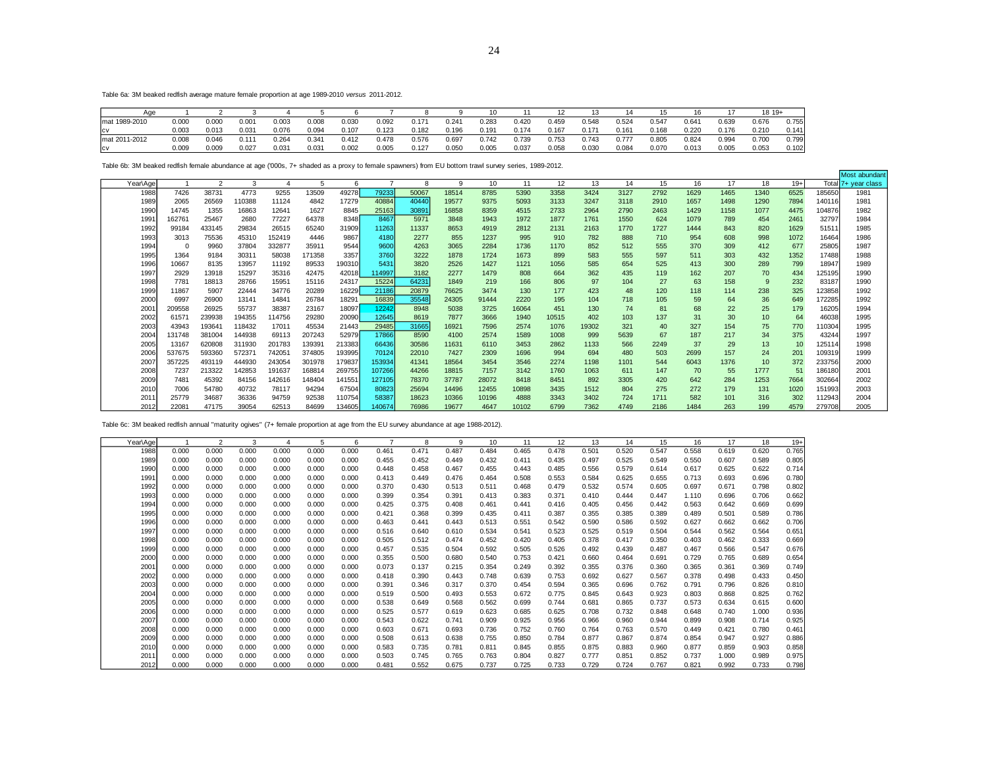Most abundant

Table 6a: 3M beaked redfish average mature female proportion at age 1989-2010 *versus* 2011-2012.

| Age           |       |       |            |       |       |       |       |       |       |                   |       |       |       |                     |       |       |       | $1819+$ |       |
|---------------|-------|-------|------------|-------|-------|-------|-------|-------|-------|-------------------|-------|-------|-------|---------------------|-------|-------|-------|---------|-------|
| mat 1989-2010 | 0.000 | 0.000 | 0.001      | 0.003 | 0.008 | 0.030 | 0.092 | 0.171 | 0.241 | 0.283             | 0.420 | 0.459 | 0.548 | 0.524               | J.547 | 0.64  | 0.639 | 0.676   | 0.755 |
| <b>CV</b>     | 0.003 | 0.013 | 0.031      | 0.076 | 0.094 | 0.107 | 0.123 | 0.182 | 0.196 | 0.19 <sup>°</sup> | 0.174 | 0.167 | 0.171 | 0.161               | 0.168 | 0.220 | 0.176 | 0.210   | 0.141 |
| mat 2011-2012 | 0.008 | 0.046 | $0.11^{*}$ | 0.264 | 0.341 | 0.412 | 0.478 | 0.576 | 0.697 | 0.742             | 0.739 | 0.753 | 0.743 | $0.77$ <sup>-</sup> | 0.805 | 0.824 | 0.994 | 0.700   | 0.799 |
| <b>CV</b>     | 0.009 | 0.009 | 0.027      | 0.031 | 0.031 | 0.002 | 0.005 | 0.127 | 0.050 | 0.005             | 0.037 | 0.058 | 0.030 | 0.084               | 0.070 | 0.013 | 0.005 | 0.053   | 0.102 |

Table 6b: 3M beaked redfish female abundance at age ('000s, 7+ shaded as a proxy to female spawners) from EU bottom trawl survey series, 1989-2012.

|          |        |        |        |        |        |        |        |       |       |       |       |       |       |      |      |      |      |      |       |        | <b>MOST SOUTIGATIL</b> |
|----------|--------|--------|--------|--------|--------|--------|--------|-------|-------|-------|-------|-------|-------|------|------|------|------|------|-------|--------|------------------------|
| iear∖Aαe |        | $\sim$ | 3      |        |        | 6      |        | 8     | 9     | 10    | 11    | 12    | 13    | 14   | 15   | 16   | 17   | 18   | $19+$ | Total  | 7+ year class          |
| 1988     | 7426   | 38731  | 4773   | 9255   | 13509  | 49278  | 79233  | 50067 | 18514 | 8785  | 5390  | 3358  | 3424  | 3127 | 2792 | 1629 | 1465 | 1340 | 6525  | 185650 | 1981                   |
| 1989     | 2065   | 26569  | 110388 | 11124  | 4842   | 17279  | 40884  | 40440 | 19577 | 9375  | 5093  | 3133  | 3247  | 3118 | 2910 | 1657 | 1498 | 1290 | 7894  | 140116 | 1981                   |
| 1990     | 14745  | 1355   | 16863  | 12641  | 1627   | 8845   | 25163  | 30891 | 16858 | 8359  | 4515  | 2733  | 2964  | 2790 | 2463 | 1429 | 1158 | 1077 | 4475  | 104876 | 1982                   |
| 1991     | 162761 | 25467  | 2680   | 77227  | 64378  | 8348   | 8467   | 5971  | 3848  | 1943  | 1972  | 1877  | 1761  | 1550 | 624  | 1079 | 789  | 454  | 2461  | 32797  | 1984                   |
| 1992     | 99184  | 433145 | 29834  | 26515  | 65240  | 31909  | 11263  | 11337 | 8653  | 4919  | 2812  | 2131  | 2163  | 1770 | 1727 | 1444 | 843  | 820  | 1629  | 51511  | 1985                   |
| 1993     | 3013   | 75536  | 45310  | 152419 | 4446   | 9867   | 4180   | 2277  | 855   | 1237  | 995   | 910   | 782   | 888  | 710  | 954  | 608  | 998  | 1072  | 16464  | 1986                   |
| 1994     | 0      | 9960   | 37804  | 332877 | 35911  | 9544   | 9600   | 4263  | 3065  | 2284  | 1736  | 1170  | 852   | 512  | 555  | 370  | 309  | 412  | 677   | 25805  | 1987                   |
| 1995     | 1364   | 9184   | 30311  | 58038  | 171358 | 3357   | 3760   | 3222  | 1878  | 1724  | 1673  | 899   | 583   | 555  | 597  | 511  | 303  | 432  | 1352  | 17488  | 1988                   |
| 1996     | 10667  | 8135   | 13957  | 11192  | 89533  | 190310 | 5431   | 3820  | 2526  | 1427  | 1121  | 1056  | 585   | 654  | 525  | 413  | 300  | 289  | 799   | 18947  | 1989                   |
| 1997     | 2929   | 13918  | 15297  | 35316  | 42475  | 42018  | 114997 | 3182  | 2277  | 1479  | 808   | 664   | 362   | 435  | 119  | 162  | 207  | 70   | 434   | 125195 | 1990                   |
| 1998     | 7781   | 18813  | 28766  | 15951  | 15116  | 24317  | 15224  | 64231 | 1849  | 219   | 166   | 806   | 97    | 104  | 27   | 63   | 158  |      | 232   | 83187  | 1990                   |
| 1999     | 11867  | 5907   | 22444  | 34776  | 20289  | 16229  | 21186  | 20879 | 76625 | 3474  | 130   | 177   | 423   | 48   | 120  | 118  | 114  | 238  | 325   | 123858 | 1992                   |
| 2000     | 6997   | 26900  | 13141  | 14841  | 26784  | 18291  | 16839  | 35548 | 24305 | 91444 | 2220  | 195   | 104   | 718  | 105  | 59   | 64   | 36   | 649   | 172285 | 1992                   |
| 200      | 209558 | 26925  | 55737  | 38387  | 23167  | 18097  | 12242  | 8948  | 5038  | 3725  | 16064 | 451   | 130   | 74   | 81   | 68   | 22   | 25   | 179   | 16205  | 1994                   |
| 2002     | 61571  | 239938 | 194355 | 114756 | 29280  | 20090  | 12645  | 8619  | 7877  | 3666  | 1940  | 10515 | 402   | 103  | 137  | 31   | 30   | 10   | 64    | 46038  | 1995                   |
| 2003     | 43943  | 193641 | 118432 | 17011  | 45534  | 21443  | 29485  | 31665 | 16921 | 7596  | 2574  | 1076  | 19302 | 321  | 40   | 327  | 154  | 75   | 770   | 110304 | 1995                   |
| 2004     | 131748 | 381004 | 144938 | 69113  | 207243 | 52979  | 17866  | 8590  | 4100  | 2574  | 1589  | 1008  | 999   | 5639 | 67   | 187  | 217  | 34   | 375   | 43244  | 1997                   |
| 2005     | 13167  | 620808 | 311930 | 201783 | 139391 | 213383 | 66436  | 30586 | 11631 | 6110  | 3453  | 2862  | 1133  | 566  | 2249 | 37   | 29   | 13   | 10    | 125114 | 1998                   |
| 2006     | 537675 | 593360 | 572371 | 74205  | 374805 | 193995 | 70124  | 22010 | 7427  | 2309  | 1696  | 994   | 694   | 480  | 503  | 2699 | 157  | 24   | 201   | 109319 | 1999                   |
| 2007     | 357225 | 493119 | 444930 | 243054 | 301978 | 179837 | 153934 | 41341 | 18564 | 3454  | 3546  | 2274  | 1198  | 1101 | 544  | 6043 | 1376 | 10   | 372   | 233756 | 2000                   |
| 2008     | 7237   | 213322 | 142853 | 191637 | 168814 | 269755 | 107266 | 44266 | 18815 | 7157  | 3142  | 1760  | 1063  | 611  | 147  | 70   | 55   | 1777 | 51    | 186180 | 2001                   |
| 2009     | 7481   | 45392  | 84156  | 142616 | 148404 | 141551 | 127105 | 78370 | 37787 | 28072 | 8418  | 8451  | 892   | 3305 | 420  | 642  | 284  | 1253 | 7664  | 302664 | 2002                   |
| 2010     | 7006   | 54780  | 40732  | 78117  | 94294  | 67504  | 80823  | 25694 | 14496 | 12455 | 10898 | 3435  | 1512  | 804  | 275  | 272  | 179  | 131  | 1020  | 151993 | 2003                   |
| 201      | 25779  | 34687  | 36336  | 94759  | 92538  | 110754 | 58387  | 18623 | 10366 | 10196 | 4888  | 3343  | 3402  | 724  | 1711 | 582  | 101  | 316  | 302   | 112943 | 2004                   |
| 2012     | 22081  | 47175  | 39054  | 62513  | 84699  | 134605 | 140674 | 76986 | 19677 | 4647  | 10102 | 6799  | 7362  | 4749 | 2186 | 1484 | 263  | 199  | 4579  | 279708 | 2005                   |

Table 6c: 3M beaked redfish annual "maturity ogives" (7+ female proportion at age from the EU survey abundance at age 1988-2012).

| Year\Age |       | $\overline{2}$ | 3     |       | 5     | 6     |       | 8     | 9     | 10    |       | 12    | 13    | 14    | 15    | 16    | 17    | 18    | $19+$ |
|----------|-------|----------------|-------|-------|-------|-------|-------|-------|-------|-------|-------|-------|-------|-------|-------|-------|-------|-------|-------|
| 1988     | 0.000 | 0.000          | 0.000 | 0.000 | 0.000 | 0.000 | 0.461 | 0.471 | 0.487 | 0.484 | 0.465 | 0.478 | 0.501 | 0.520 | 0.547 | 0.558 | 0.619 | 0.620 | 0.765 |
| 1989     | 0.000 | 0.000          | 0.000 | 0.000 | 0.000 | 0.000 | 0.455 | 0.452 | 0.449 | 0.432 | 0.411 | 0.435 | 0.497 | 0.525 | 0.549 | 0.550 | 0.607 | 0.589 | 0.805 |
| 1990     | 0.000 | 0.000          | 0.000 | 0.000 | 0.000 | 0.000 | 0.448 | 0.458 | 0.467 | 0.455 | 0.443 | 0.485 | 0.556 | 0.579 | 0.614 | 0.617 | 0.625 | 0.622 | 0.714 |
| 1991     | 0.000 | 0.000          | 0.000 | 0.000 | 0.000 | 0.000 | 0.413 | 0.449 | 0.476 | 0.464 | 0.508 | 0.553 | 0.584 | 0.625 | 0.655 | 0.713 | 0.693 | 0.696 | 0.780 |
| 1992     | 0.000 | 0.000          | 0.000 | 0.000 | 0.000 | 0.000 | 0.370 | 0.430 | 0.513 | 0.511 | 0.468 | 0.479 | 0.532 | 0.574 | 0.605 | 0.697 | 0.671 | 0.798 | 0.802 |
| 1993     | 0.000 | 0.000          | 0.000 | 0.000 | 0.000 | 0.000 | 0.399 | 0.354 | 0.391 | 0.413 | 0.383 | 0.371 | 0.410 | 0.444 | 0.447 | 1.110 | 0.696 | 0.706 | 0.662 |
| 1994     | 0.000 | 0.000          | 0.000 | 0.000 | 0.000 | 0.000 | 0.425 | 0.375 | 0.408 | 0.461 | 0.441 | 0.416 | 0.405 | 0.456 | 0.442 | 0.563 | 0.642 | 0.669 | 0.699 |
| 1995     | 0.000 | 0.000          | 0.000 | 0.000 | 0.000 | 0.000 | 0.421 | 0.368 | 0.399 | 0.435 | 0.411 | 0.387 | 0.355 | 0.385 | 0.389 | 0.489 | 0.501 | 0.589 | 0.786 |
| 1996     | 0.000 | 0.000          | 0.000 | 0.000 | 0.000 | 0.000 | 0.463 | 0.441 | 0.443 | 0.513 | 0.551 | 0.542 | 0.590 | 0.586 | 0.592 | 0.627 | 0.662 | 0.662 | 0.706 |
| 1997     | 0.000 | 0.000          | 0.000 | 0.000 | 0.000 | 0.000 | 0.516 | 0.640 | 0.610 | 0.534 | 0.541 | 0.523 | 0.525 | 0.519 | 0.504 | 0.544 | 0.562 | 0.564 | 0.651 |
| 1998     | 0.000 | 0.000          | 0.000 | 0.000 | 0.000 | 0.000 | 0.505 | 0.512 | 0.474 | 0.452 | 0.420 | 0.405 | 0.378 | 0.417 | 0.350 | 0.403 | 0.462 | 0.333 | 0.669 |
| 1999     | 0.000 | 0.000          | 0.000 | 0.000 | 0.000 | 0.000 | 0.457 | 0.535 | 0.504 | 0.592 | 0.505 | 0.526 | 0.492 | 0.439 | 0.487 | 0.467 | 0.566 | 0.547 | 0.676 |
| 2000     | 0.000 | 0.000          | 0.000 | 0.000 | 0.000 | 0.000 | 0.355 | 0.500 | 0.680 | 0.540 | 0.753 | 0.421 | 0.660 | 0.464 | 0.691 | 0.729 | 0.765 | 0.689 | 0.654 |
| 2001     | 0.000 | 0.000          | 0.000 | 0.000 | 0.000 | 0.000 | 0.073 | 0.137 | 0.215 | 0.354 | 0.249 | 0.392 | 0.355 | 0.376 | 0.360 | 0.365 | 0.361 | 0.369 | 0.749 |
| 2002     | 0.000 | 0.000          | 0.000 | 0.000 | 0.000 | 0.000 | 0.418 | 0.390 | 0.443 | 0.748 | 0.639 | 0.753 | 0.692 | 0.627 | 0.567 | 0.378 | 0.498 | 0.433 | 0.450 |
| 2003     | 0.000 | 0.000          | 0.000 | 0.000 | 0.000 | 0.000 | 0.391 | 0.346 | 0.317 | 0.370 | 0.454 | 0.594 | 0.365 | 0.696 | 0.762 | 0.791 | 0.796 | 0.826 | 0.810 |
| 2004     | 0.000 | 0.000          | 0.000 | 0.000 | 0.000 | 0.000 | 0.519 | 0.500 | 0.493 | 0.553 | 0.672 | 0.775 | 0.845 | 0.643 | 0.923 | 0.803 | 0.868 | 0.825 | 0.762 |
| 2005     | 0.000 | 0.000          | 0.000 | 0.000 | 0.000 | 0.000 | 0.538 | 0.649 | 0.568 | 0.562 | 0.699 | 0.744 | 0.681 | 0.865 | 0.737 | 0.573 | 0.634 | 0.615 | 0.600 |
| 2006     | 0.000 | 0.000          | 0.000 | 0.000 | 0.000 | 0.000 | 0.525 | 0.577 | 0.619 | 0.623 | 0.685 | 0.625 | 0.708 | 0.732 | 0.848 | 0.648 | 0.740 | 1.000 | 0.936 |
| 2007     | 0.000 | 0.000          | 0.000 | 0.000 | 0.000 | 0.000 | 0.543 | 0.622 | 0.741 | 0.909 | 0.925 | 0.956 | 0.966 | 0.960 | 0.944 | 0.899 | 0.908 | 0.714 | 0.925 |
| 2008     | 0.000 | 0.000          | 0.000 | 0.000 | 0.000 | 0.000 | 0.603 | 0.671 | 0.693 | 0.736 | 0.752 | 0.760 | 0.764 | 0.763 | 0.570 | 0.449 | 0.421 | 0.780 | 0.461 |
| 2009     | 0.000 | 0.000          | 0.000 | 0.000 | 0.000 | 0.000 | 0.508 | 0.613 | 0.638 | 0.755 | 0.850 | 0.784 | 0.877 | 0.867 | 0.874 | 0.854 | 0.947 | 0.927 | 0.886 |
| 2010     | 0.000 | 0.000          | 0.000 | 0.000 | 0.000 | 0.000 | 0.583 | 0.735 | 0.781 | 0.811 | 0.845 | 0.855 | 0.875 | 0.883 | 0.960 | 0.877 | 0.859 | 0.903 | 0.858 |
| 2011     | 0.000 | 0.000          | 0.000 | 0.000 | 0.000 | 0.000 | 0.503 | 0.745 | 0.765 | 0.763 | 0.804 | 0.827 | 0.777 | 0.851 | 0.852 | 0.737 | 1.000 | 0.989 | 0.975 |
| 2012     | 0.000 | 0.000          | 0.000 | 0.000 | 0.000 | 0.000 | 0.481 | 0.552 | 0.675 | 0.737 | 0.725 | 0.733 | 0.729 | 0.724 | 0.767 | 0.821 | 0.992 | 0.733 | 0.798 |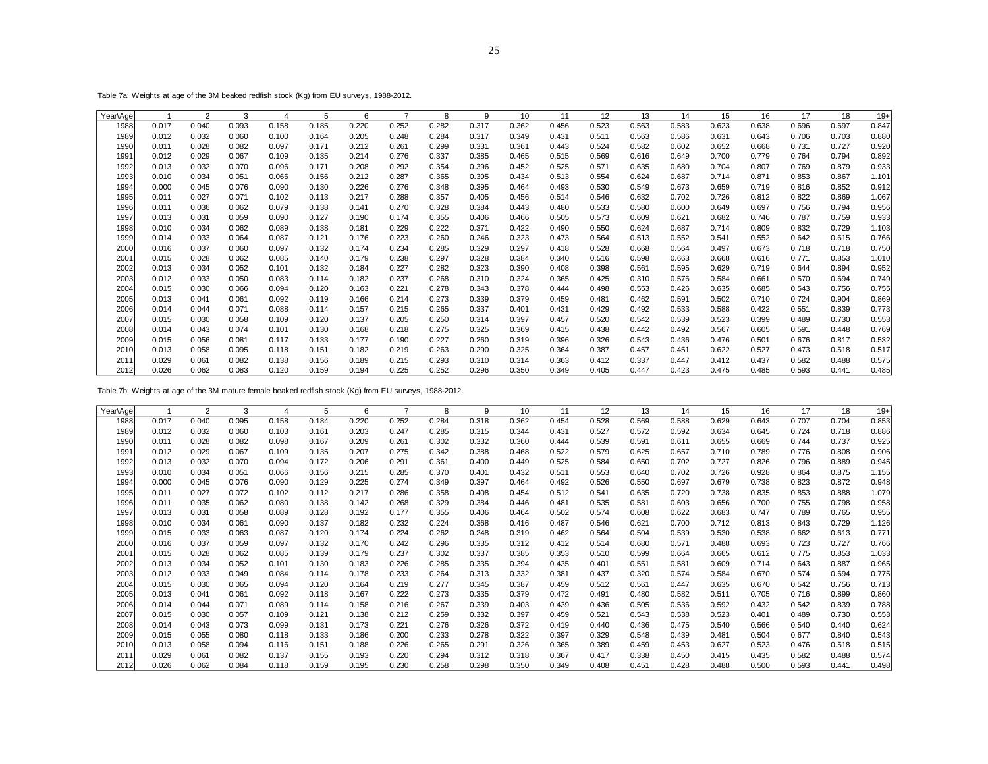Table 7a: Weights at age of the 3M beaked redfish stock (Kg) from EU surveys, 1988-2012.

| Year\Age |       | 2     | 3     |       | 5     | 6     | $\overline{7}$ | 8     | 9     | 10    | 11    | 12    | 13    | 14    | 15    | 16    | 17    | 18    | $19+$ |
|----------|-------|-------|-------|-------|-------|-------|----------------|-------|-------|-------|-------|-------|-------|-------|-------|-------|-------|-------|-------|
| 1988     | 0.017 | 0.040 | 0.093 | 0.158 | 0.185 | 0.220 | 0.252          | 0.282 | 0.317 | 0.362 | 0.456 | 0.523 | 0.563 | 0.583 | 0.623 | 0.638 | 0.696 | 0.697 | 0.847 |
| 1989     | 0.012 | 0.032 | 0.060 | 0.100 | 0.164 | 0.205 | 0.248          | 0.284 | 0.317 | 0.349 | 0.431 | 0.511 | 0.563 | 0.586 | 0.631 | 0.643 | 0.706 | 0.703 | 0.880 |
| 1990     | 0.011 | 0.028 | 0.082 | 0.097 | 0.171 | 0.212 | 0.261          | 0.299 | 0.331 | 0.361 | 0.443 | 0.524 | 0.582 | 0.602 | 0.652 | 0.668 | 0.731 | 0.727 | 0.920 |
| 1991     | 0.012 | 0.029 | 0.067 | 0.109 | 0.135 | 0.214 | 0.276          | 0.337 | 0.385 | 0.465 | 0.515 | 0.569 | 0.616 | 0.649 | 0.700 | 0.779 | 0.764 | 0.794 | 0.892 |
| 1992     | 0.013 | 0.032 | 0.070 | 0.096 | 0.171 | 0.208 | 0.292          | 0.354 | 0.396 | 0.452 | 0.525 | 0.571 | 0.635 | 0.680 | 0.704 | 0.807 | 0.769 | 0.879 | 0.933 |
| 1993     | 0.010 | 0.034 | 0.051 | 0.066 | 0.156 | 0.212 | 0.287          | 0.365 | 0.395 | 0.434 | 0.513 | 0.554 | 0.624 | 0.687 | 0.714 | 0.871 | 0.853 | 0.867 | 1.101 |
| 1994     | 0.000 | 0.045 | 0.076 | 0.090 | 0.130 | 0.226 | 0.276          | 0.348 | 0.395 | 0.464 | 0.493 | 0.530 | 0.549 | 0.673 | 0.659 | 0.719 | 0.816 | 0.852 | 0.912 |
| 1995     | 0.011 | 0.027 | 0.071 | 0.102 | 0.113 | 0.217 | 0.288          | 0.357 | 0.405 | 0.456 | 0.514 | 0.546 | 0.632 | 0.702 | 0.726 | 0.812 | 0.822 | 0.869 | 1.067 |
| 1996     | 0.011 | 0.036 | 0.062 | 0.079 | 0.138 | 0.141 | 0.270          | 0.328 | 0.384 | 0.443 | 0.480 | 0.533 | 0.580 | 0.600 | 0.649 | 0.697 | 0.756 | 0.794 | 0.956 |
| 1997     | 0.013 | 0.031 | 0.059 | 0.090 | 0.127 | 0.190 | 0.174          | 0.355 | 0.406 | 0.466 | 0.505 | 0.573 | 0.609 | 0.621 | 0.682 | 0.746 | 0.787 | 0.759 | 0.933 |
| 1998     | 0.010 | 0.034 | 0.062 | 0.089 | 0.138 | 0.181 | 0.229          | 0.222 | 0.371 | 0.422 | 0.490 | 0.550 | 0.624 | 0.687 | 0.714 | 0.809 | 0.832 | 0.729 | 1.103 |
| 1999     | 0.014 | 0.033 | 0.064 | 0.087 | 0.121 | 0.176 | 0.223          | 0.260 | 0.246 | 0.323 | 0.473 | 0.564 | 0.513 | 0.552 | 0.541 | 0.552 | 0.642 | 0.615 | 0.766 |
| 2000     | 0.016 | 0.037 | 0.060 | 0.097 | 0.132 | 0.174 | 0.234          | 0.285 | 0.329 | 0.297 | 0.418 | 0.528 | 0.668 | 0.564 | 0.497 | 0.673 | 0.718 | 0.718 | 0.750 |
| 2001     | 0.015 | 0.028 | 0.062 | 0.085 | 0.140 | 0.179 | 0.238          | 0.297 | 0.328 | 0.384 | 0.340 | 0.516 | 0.598 | 0.663 | 0.668 | 0.616 | 0.771 | 0.853 | 1.010 |
| 2002     | 0.013 | 0.034 | 0.052 | 0.101 | 0.132 | 0.184 | 0.227          | 0.282 | 0.323 | 0.390 | 0.408 | 0.398 | 0.561 | 0.595 | 0.629 | 0.719 | 0.644 | 0.894 | 0.952 |
| 2003     | 0.012 | 0.033 | 0.050 | 0.083 | 0.114 | 0.182 | 0.237          | 0.268 | 0.310 | 0.324 | 0.365 | 0.425 | 0.310 | 0.576 | 0.584 | 0.661 | 0.570 | 0.694 | 0.749 |
| 2004     | 0.015 | 0.030 | 0.066 | 0.094 | 0.120 | 0.163 | 0.221          | 0.278 | 0.343 | 0.378 | 0.444 | 0.498 | 0.553 | 0.426 | 0.635 | 0.685 | 0.543 | 0.756 | 0.755 |
| 2005     | 0.013 | 0.041 | 0.061 | 0.092 | 0.119 | 0.166 | 0.214          | 0.273 | 0.339 | 0.379 | 0.459 | 0.481 | 0.462 | 0.591 | 0.502 | 0.710 | 0.724 | 0.904 | 0.869 |
| 2006     | 0.014 | 0.044 | 0.071 | 0.088 | 0.114 | 0.157 | 0.215          | 0.265 | 0.337 | 0.401 | 0.431 | 0.429 | 0.492 | 0.533 | 0.588 | 0.422 | 0.551 | 0.839 | 0.773 |
| 2007     | 0.015 | 0.030 | 0.058 | 0.109 | 0.120 | 0.137 | 0.205          | 0.250 | 0.314 | 0.397 | 0.457 | 0.520 | 0.542 | 0.539 | 0.523 | 0.399 | 0.489 | 0.730 | 0.553 |
| 2008     | 0.014 | 0.043 | 0.074 | 0.101 | 0.130 | 0.168 | 0.218          | 0.275 | 0.325 | 0.369 | 0.415 | 0.438 | 0.442 | 0.492 | 0.567 | 0.605 | 0.591 | 0.448 | 0.769 |
| 2009     | 0.015 | 0.056 | 0.081 | 0.117 | 0.133 | 0.177 | 0.190          | 0.227 | 0.260 | 0.319 | 0.396 | 0.326 | 0.543 | 0.436 | 0.476 | 0.501 | 0.676 | 0.817 | 0.532 |
| 2010     | 0.013 | 0.058 | 0.095 | 0.118 | 0.151 | 0.182 | 0.219          | 0.263 | 0.290 | 0.325 | 0.364 | 0.387 | 0.457 | 0.451 | 0.622 | 0.527 | 0.473 | 0.518 | 0.517 |
| 2011     | 0.029 | 0.061 | 0.082 | 0.138 | 0.156 | 0.189 | 0.215          | 0.293 | 0.310 | 0.314 | 0.363 | 0.412 | 0.337 | 0.447 | 0.412 | 0.437 | 0.582 | 0.488 | 0.575 |
| 2012     | 0.026 | 0.062 | 0.083 | 0.120 | 0.159 | 0.194 | 0.225          | 0.252 | 0.296 | 0.350 | 0.349 | 0.405 | 0.447 | 0.423 | 0.475 | 0.485 | 0.593 | 0.441 | 0.485 |

Table 7b: Weights at age of the 3M mature female beaked redfish stock (Kg) from EU surveys, 1988-2012.

| Year\Age |       | $\overline{2}$ | 3     | 4     | 5     | 6     | $\overline{\phantom{a}}$ | 8     | -9    | 10    | 11    | 12    | 13    | 14    | 15    | 16    | 17    | 18    | $19+$ |
|----------|-------|----------------|-------|-------|-------|-------|--------------------------|-------|-------|-------|-------|-------|-------|-------|-------|-------|-------|-------|-------|
| 1988     | 0.017 | 0.040          | 0.095 | 0.158 | 0.184 | 0.220 | 0.252                    | 0.284 | 0.318 | 0.362 | 0.454 | 0.528 | 0.569 | 0.588 | 0.629 | 0.643 | 0.707 | 0.704 | 0.853 |
| 1989     | 0.012 | 0.032          | 0.060 | 0.103 | 0.161 | 0.203 | 0.247                    | 0.285 | 0.315 | 0.344 | 0.431 | 0.527 | 0.572 | 0.592 | 0.634 | 0.645 | 0.724 | 0.718 | 0.886 |
| 1990     | 0.011 | 0.028          | 0.082 | 0.098 | 0.167 | 0.209 | 0.261                    | 0.302 | 0.332 | 0.360 | 0.444 | 0.539 | 0.591 | 0.611 | 0.655 | 0.669 | 0.744 | 0.737 | 0.925 |
| 1991     | 0.012 | 0.029          | 0.067 | 0.109 | 0.135 | 0.207 | 0.275                    | 0.342 | 0.388 | 0.468 | 0.522 | 0.579 | 0.625 | 0.657 | 0.710 | 0.789 | 0.776 | 0.808 | 0.906 |
| 1992     | 0.013 | 0.032          | 0.070 | 0.094 | 0.172 | 0.206 | 0.291                    | 0.361 | 0.400 | 0.449 | 0.525 | 0.584 | 0.650 | 0.702 | 0.727 | 0.826 | 0.796 | 0.889 | 0.945 |
| 1993     | 0.010 | 0.034          | 0.051 | 0.066 | 0.156 | 0.215 | 0.285                    | 0.370 | 0.401 | 0.432 | 0.511 | 0.553 | 0.640 | 0.702 | 0.726 | 0.928 | 0.864 | 0.875 | 1.155 |
| 1994     | 0.000 | 0.045          | 0.076 | 0.090 | 0.129 | 0.225 | 0.274                    | 0.349 | 0.397 | 0.464 | 0.492 | 0.526 | 0.550 | 0.697 | 0.679 | 0.738 | 0.823 | 0.872 | 0.948 |
| 1995     | 0.011 | 0.027          | 0.072 | 0.102 | 0.112 | 0.217 | 0.286                    | 0.358 | 0.408 | 0.454 | 0.512 | 0.541 | 0.635 | 0.720 | 0.738 | 0.835 | 0.853 | 0.888 | 1.079 |
| 1996     | 0.011 | 0.035          | 0.062 | 0.080 | 0.138 | 0.142 | 0.268                    | 0.329 | 0.384 | 0.446 | 0.481 | 0.535 | 0.581 | 0.603 | 0.656 | 0.700 | 0.755 | 0.798 | 0.958 |
| 1997     | 0.013 | 0.031          | 0.058 | 0.089 | 0.128 | 0.192 | 0.177                    | 0.355 | 0.406 | 0.464 | 0.502 | 0.574 | 0.608 | 0.622 | 0.683 | 0.747 | 0.789 | 0.765 | 0.955 |
| 1998     | 0.010 | 0.034          | 0.061 | 0.090 | 0.137 | 0.182 | 0.232                    | 0.224 | 0.368 | 0.416 | 0.487 | 0.546 | 0.621 | 0.700 | 0.712 | 0.813 | 0.843 | 0.729 | 1.126 |
| 1999     | 0.015 | 0.033          | 0.063 | 0.087 | 0.120 | 0.174 | 0.224                    | 0.262 | 0.248 | 0.319 | 0.462 | 0.564 | 0.504 | 0.539 | 0.530 | 0.538 | 0.662 | 0.613 | 0.771 |
| 2000     | 0.016 | 0.037          | 0.059 | 0.097 | 0.132 | 0.170 | 0.242                    | 0.296 | 0.335 | 0.312 | 0.412 | 0.514 | 0.680 | 0.571 | 0.488 | 0.693 | 0.723 | 0.727 | 0.766 |
| 2001     | 0.015 | 0.028          | 0.062 | 0.085 | 0.139 | 0.179 | 0.237                    | 0.302 | 0.337 | 0.385 | 0.353 | 0.510 | 0.599 | 0.664 | 0.665 | 0.612 | 0.775 | 0.853 | 1.033 |
| 2002     | 0.013 | 0.034          | 0.052 | 0.101 | 0.130 | 0.183 | 0.226                    | 0.285 | 0.335 | 0.394 | 0.435 | 0.401 | 0.551 | 0.581 | 0.609 | 0.714 | 0.643 | 0.887 | 0.965 |
| 2003     | 0.012 | 0.033          | 0.049 | 0.084 | 0.114 | 0.178 | 0.233                    | 0.264 | 0.313 | 0.332 | 0.381 | 0.437 | 0.320 | 0.574 | 0.584 | 0.670 | 0.574 | 0.694 | 0.775 |
| 2004     | 0.015 | 0.030          | 0.065 | 0.094 | 0.120 | 0.164 | 0.219                    | 0.277 | 0.345 | 0.387 | 0.459 | 0.512 | 0.561 | 0.447 | 0.635 | 0.670 | 0.542 | 0.756 | 0.713 |
| 2005     | 0.013 | 0.041          | 0.061 | 0.092 | 0.118 | 0.167 | 0.222                    | 0.273 | 0.335 | 0.379 | 0.472 | 0.491 | 0.480 | 0.582 | 0.511 | 0.705 | 0.716 | 0.899 | 0.860 |
| 2006     | 0.014 | 0.044          | 0.071 | 0.089 | 0.114 | 0.158 | 0.216                    | 0.267 | 0.339 | 0.403 | 0.439 | 0.436 | 0.505 | 0.536 | 0.592 | 0.432 | 0.542 | 0.839 | 0.788 |
| 2007     | 0.015 | 0.030          | 0.057 | 0.109 | 0.121 | 0.138 | 0.212                    | 0.259 | 0.332 | 0.397 | 0.459 | 0.521 | 0.543 | 0.538 | 0.523 | 0.401 | 0.489 | 0.730 | 0.553 |
| 2008     | 0.014 | 0.043          | 0.073 | 0.099 | 0.131 | 0.173 | 0.221                    | 0.276 | 0.326 | 0.372 | 0.419 | 0.440 | 0.436 | 0.475 | 0.540 | 0.566 | 0.540 | 0.440 | 0.624 |
| 2009     | 0.015 | 0.055          | 0.080 | 0.118 | 0.133 | 0.186 | 0.200                    | 0.233 | 0.278 | 0.322 | 0.397 | 0.329 | 0.548 | 0.439 | 0.481 | 0.504 | 0.677 | 0.840 | 0.543 |
| 2010     | 0.013 | 0.058          | 0.094 | 0.116 | 0.151 | 0.188 | 0.226                    | 0.265 | 0.291 | 0.326 | 0.365 | 0.389 | 0.459 | 0.453 | 0.627 | 0.523 | 0.476 | 0.518 | 0.515 |
| 2011     | 0.029 | 0.061          | 0.082 | 0.137 | 0.155 | 0.193 | 0.220                    | 0.294 | 0.312 | 0.318 | 0.367 | 0.417 | 0.338 | 0.450 | 0.415 | 0.435 | 0.582 | 0.488 | 0.574 |
| 2012     | 0.026 | 0.062          | 0.084 | 0.118 | 0.159 | 0.195 | 0.230                    | 0.258 | 0.298 | 0.350 | 0.349 | 0.408 | 0.451 | 0.428 | 0.488 | 0.500 | 0.593 | 0.441 | 0.498 |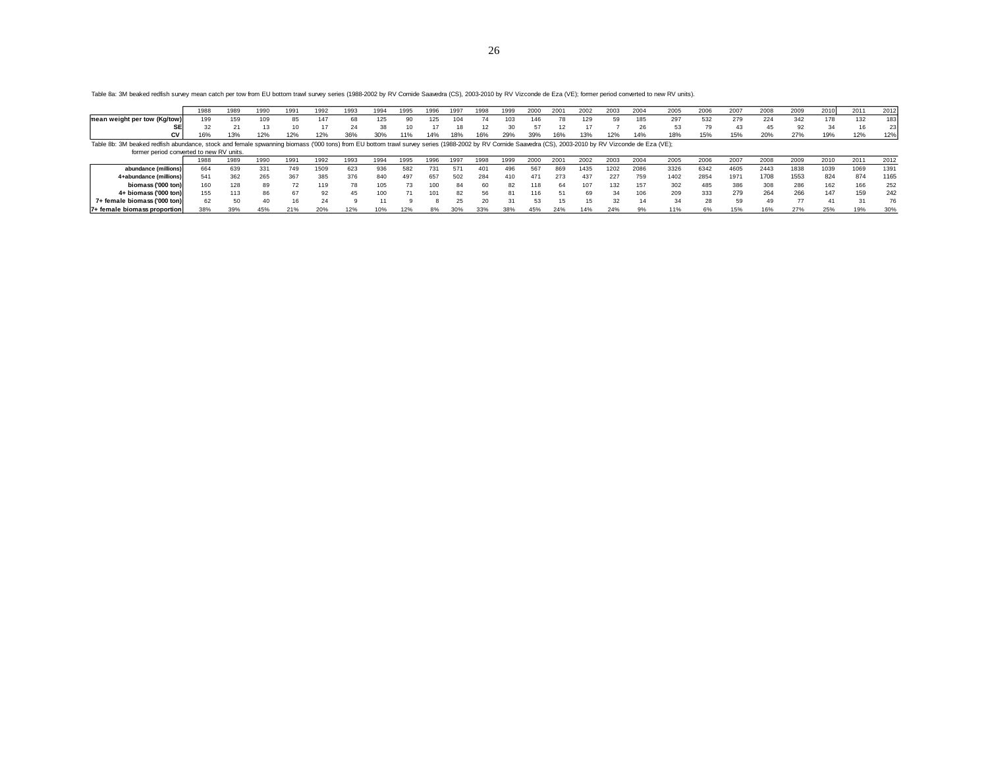26

**mean weight per tow (Kg/tow)** <sup>199</sup> <sup>159</sup> <sup>109</sup> 8 5 <sup>147</sup> 6 8 <sup>125</sup> 9 0 <sup>125</sup> <sup>104</sup> 7 4 <sup>103</sup> <sup>146</sup> 7 8 <sup>129</sup> 5 9 <sup>185</sup> <sup>297</sup> <sup>532</sup> <sup>279</sup> <sup>224</sup> <sup>342</sup> <sup>178</sup> <sup>132</sup> <sup>183</sup> **S E** 3 2 2 1 1 3 1 0 1 7 2 4 3 8 1 0 1 7 1 8 1 2 3 0 5 7 1 2 1 7 7 2 6 5 3 7 9 4 3 4 5 9 2 3 4 1 6 2 3

1988 1989 1990 1991 1992 1993 1994 1995 1996 1997 1998 1999 2000 2001 2002 2003 2004 2005 2006 2007 2008 2009 2010 2011 2012

**CV 20 20 21 13 10 17 24 38 10 17 18 12 30 57 12 17 7 26 53 79 43 45 92 34 16 23**<br>**CV 16**% 13% 12% 12% 12% 36% 30% 11% 14% 18% 16% 29% 39% 16% 13% 12% 14% 18% 15% 15% 20% 27% 19% 12% 12% 12%

Table 8a: 3M beaked redfish survey mean catch per tow from EU bottom trawl survey series (1988-2002 by RV Cornide Saavedra (CS), 2003-2010 by RV Vizconde de Eza (VE); former period converted to new RV units).

| Table 8b: 3M beaked redfish abundance, stock and female spwanning biomass ('000 tons) from EU bottom trawl survey series (1988-2002 by RV Comide Saavedra (CS), 2003-2010 by RV Vizconde de Eza (VE); |     |      |      |      |      |      |      |      |       |      |      |     |      |         |      |      |      |      |      |      |      |      |                |      |      |
|-------------------------------------------------------------------------------------------------------------------------------------------------------------------------------------------------------|-----|------|------|------|------|------|------|------|-------|------|------|-----|------|---------|------|------|------|------|------|------|------|------|----------------|------|------|
| former period converted to new RV units.                                                                                                                                                              |     |      |      |      |      |      |      |      |       |      |      |     |      |         |      |      |      |      |      |      |      |      |                |      |      |
|                                                                                                                                                                                                       | 988 | 1989 | 1990 | 1991 | 1992 | 1993 | 1994 | 1995 | 1996  | 1997 | 1998 | 999 | 2000 | $200 -$ | 2002 | 2003 | 2004 | 2005 | 2006 | 2007 | 2008 | 2009 | 2010           | 2011 | 2012 |
| abundance (millions)                                                                                                                                                                                  | 664 | 639  | 331  | 749  | 1509 | 623  | 936  | 582  | 731   | 571  | 401  | 496 | 56   | 869     | 435  | 1202 | 2086 | 3326 | 6342 | 4605 | 2443 | 1838 | 1039           | 1069 | 1391 |
| 4+abundance (millions)                                                                                                                                                                                | 541 | 362  | 265  | 367  | 385  | 376  | 840  | 497  | 657   | 502  | 284  | 410 | 471  |         | 437  | 227  | 759  | 1402 | 2854 | 1971 | 1708 | 1553 | 824            | 874  | 1165 |
| biomass ('000 ton)                                                                                                                                                                                    | 160 | 128  | 89   |      | 119  |      | 105  |      | 100   | 84   | 60   | 82  | 118  |         |      | 132  | 157  | 302  | 485  | 386  |      | 286  | 162            |      | 252  |
| 4+ biomass ('000 ton)                                                                                                                                                                                 | 155 | 113  | 86   |      |      | 45   | 100  |      |       | 82   |      |     | 116  |         | 69   | 34   | 106  | 209  | 333  | 279  | 264  | 266  | 147            | 159  | 242  |
| 7+ female biomass ('000 ton)                                                                                                                                                                          | 62  |      | 4(   |      |      |      |      |      |       |      |      | 31  |      |         | 15   |      |      | 34   |      | 59   |      |      | 4 <sup>1</sup> |      | 76   |
| 7+ female biomass proportion                                                                                                                                                                          | 38% | 39%  | 45%  | 21%  | 20%  | 12%  | 10%  | 12%  | $8\%$ | 30%  | 33%  | 38% | 45%  | 24%     | 14%  | 24%  |      | 11%  | 6%   | 15%  | 16%  | 27%  | 25%            | 19%  | 30%  |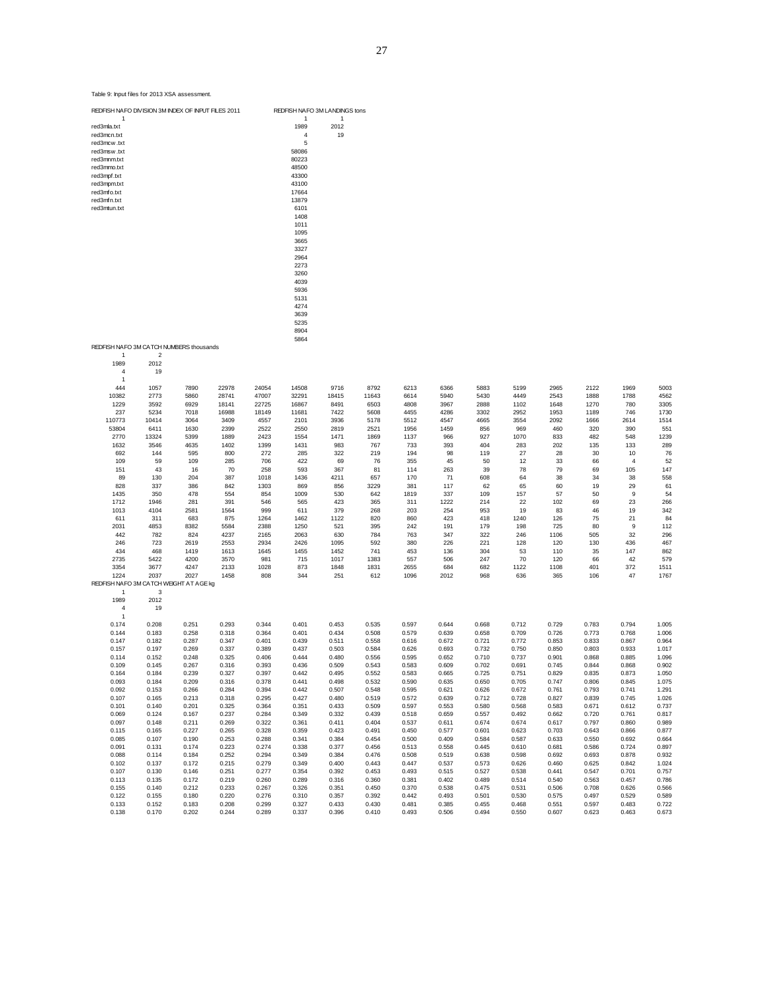|                                         |                |                |                |                | 1408<br>1011<br>1095<br>3665<br>3327<br>2964<br>2273<br>3260<br>4039<br>5936<br>5131<br>4274<br>3639<br>5235<br>8904 |                |                |                |                |                |                |                |                |                      |                |
|-----------------------------------------|----------------|----------------|----------------|----------------|----------------------------------------------------------------------------------------------------------------------|----------------|----------------|----------------|----------------|----------------|----------------|----------------|----------------|----------------------|----------------|
| REDFISH NAFO 3M CATCH NUMBERS thousands |                |                |                |                | 5864                                                                                                                 |                |                |                |                |                |                |                |                |                      |                |
| $\mathbf{1}$                            | $\mathcal{P}$  |                |                |                |                                                                                                                      |                |                |                |                |                |                |                |                |                      |                |
| 1989                                    | 2012<br>19     |                |                |                |                                                                                                                      |                |                |                |                |                |                |                |                |                      |                |
| 4<br>1                                  |                |                |                |                |                                                                                                                      |                |                |                |                |                |                |                |                |                      |                |
| 444                                     | 1057           | 7890           | 22978          | 24054          | 14508                                                                                                                | 9716           | 8792           | 6213           | 6366           | 5883           | 5199           | 2965           | 2122           | 1969                 | 5003           |
| 10382                                   | 2773           | 5860           | 28741          | 47007          | 32291                                                                                                                | 18415          | 11643          | 6614           | 5940           | 5430           | 4449           | 2543           | 1888           | 1788                 | 4562           |
| 1229<br>237                             | 3592<br>5234   | 6929<br>7018   | 18141<br>16988 | 22725<br>18149 | 16867<br>11681                                                                                                       | 8491<br>7422   | 6503<br>5608   | 4808<br>4455   | 3967<br>4286   | 2888<br>3302   | 1102<br>2952   | 1648<br>1953   | 1270<br>1189   | 780<br>746           | 3305<br>1730   |
| 110773                                  | 10414          | 3064           | 3409           | 4557           | 2101                                                                                                                 | 3936           | 5178           | 5512           | 4547           | 4665           | 3554           | 2092           | 1666           | 2614                 | 1514           |
| 53804                                   | 6411           | 1630           | 2399           | 2522           | 2550                                                                                                                 | 2819           | 2521           | 1956           | 1459           | 856            | 969            | 460            | 320            | 390                  | 551            |
| 2770                                    | 13324          | 5399           | 1889           | 2423           | 1554                                                                                                                 | 1471           | 1869           | 1137           | 966            | 927            | 1070           | 833            | 482            | 548                  | 1239           |
| 1632                                    | 3546           | 4635           | 1402           | 1399           | 1431                                                                                                                 | 983            | 767            | 733            | 393            | 404            | 283            | 202            | 135            | 133                  | 289            |
| 692<br>109                              | 144<br>59      | 595<br>109     | 800<br>285     | 272<br>706     | 285<br>422                                                                                                           | 322<br>69      | 219<br>76      | 194<br>355     | 98<br>45       | 119<br>50      | 27<br>12       | 28<br>33       | 30<br>66       | 10<br>$\overline{4}$ | 76<br>52       |
| 151                                     | 43             | 16             | 70             | 258            | 593                                                                                                                  | 367            | 81             | 114            | 263            | 39             | 78             | 79             | 69             | 105                  | 147            |
| 89                                      | 130            | 204            | 387            | 1018           | 1436                                                                                                                 | 4211           | 657            | 170            | 71             | 608            | 64             | 38             | 34             | 38                   | 558            |
| 828                                     | 337            | 386            | 842            | 1303           | 869                                                                                                                  | 856            | 3229           | 381            | 117            | 62             | 65             | 60             | 19             | 29                   | 61             |
| 1435                                    | 350            | 478            | 554            | 854            | 1009                                                                                                                 | 530            | 642            | 1819           | 337            | 109            | 157            | 57             | 50             | 9                    | 54             |
| 1712<br>1013                            | 1946<br>4104   | 281<br>2581    | 391<br>1564    | 546<br>999     | 565<br>611                                                                                                           | 423<br>379     | 365<br>268     | 311<br>203     | 1222<br>254    | 214<br>953     | 22<br>19       | 102<br>83      | 69<br>46       | 23                   | 266<br>342     |
| 611                                     | 311            | 683            | 875            | 1264           | 1462                                                                                                                 | 1122           | 820            | 860            | 423            | 418            | 1240           | 126            | 75             | 19<br>21             | 84             |
| 2031                                    | 4853           | 8382           | 5584           | 2388           | 1250                                                                                                                 | 521            | 395            | 242            | 191            | 179            | 198            | 725            | 80             | 9                    | 112            |
| 442                                     | 782            | 824            | 4237           | 2165           | 2063                                                                                                                 | 630            | 784            | 763            | 347            | 322            | 246            | 1106           | 505            | 32                   | 296            |
| 246                                     | 723            | 2619           | 2553           | 2934           | 2426                                                                                                                 | 1095           | 592            | 380            | 226            | 221            | 128            | 120            | 130            | 436                  | 467            |
| 434                                     | 468            | 1419           | 1613           | 1645           | 1455                                                                                                                 | 1452           | 741            | 453            | 136            | 304<br>247     | 53             | 110            | 35             | 147                  | 862            |
| 2735<br>3354                            | 5422<br>3677   | 4200<br>4247   | 3570<br>2133   | 981<br>1028    | 715<br>873                                                                                                           | 1017<br>1848   | 1383<br>1831   | 557<br>2655    | 506<br>684     | 682            | 70<br>1122     | 120<br>1108    | 66<br>401      | 42<br>372            | 579<br>1511    |
| 1224                                    | 2037           | 2027           | 1458           | 808            | 344                                                                                                                  | 251            | 612            | 1096           | 2012           | 968            | 636            | 365            | 106            | 47                   | 1767           |
| REDFISH NAFO 3M CATCH WEIGHT AT AGE kg  |                |                |                |                |                                                                                                                      |                |                |                |                |                |                |                |                |                      |                |
| 1                                       | 3              |                |                |                |                                                                                                                      |                |                |                |                |                |                |                |                |                      |                |
| 1989                                    | 2012           |                |                |                |                                                                                                                      |                |                |                |                |                |                |                |                |                      |                |
| $\overline{4}$<br>$\overline{1}$        | 19             |                |                |                |                                                                                                                      |                |                |                |                |                |                |                |                |                      |                |
| 0.174                                   | 0.208          | 0.251          | 0.293          | 0.344          | 0.401                                                                                                                | 0.453          | 0.535          | 0.597          | 0.644          | 0.668          | 0.712          | 0.729          | 0.783          | 0.794                | 1.005          |
| 0.144                                   | 0.183          | 0.258          | 0.318          | 0.364          | 0.401                                                                                                                | 0.434          | 0.508          | 0.579          | 0.639          | 0.658          | 0.709          | 0.726          | 0.773          | 0.768                | 1.006          |
| 0.147                                   | 0.182          | 0.287          | 0.347          | 0.401          | 0.439                                                                                                                | 0.511          | 0.558          | 0.616          | 0.672          | 0.721          | 0.772          | 0.853          | 0.833          | 0.867                | 0.964          |
| 0.157                                   | 0.197          | 0.269          | 0.337          | 0.389          | 0.437                                                                                                                | 0.503          | 0.584          | 0.626          | 0.693          | 0.732          | 0.750          | 0.850          | 0.803          | 0.933                | 1.017          |
| 0.114<br>0.109                          | 0.152<br>0.145 | 0.248<br>0.267 | 0.325<br>0.316 | 0.406<br>0.393 | 0.444<br>0.436                                                                                                       | 0.480<br>0.509 | 0.556<br>0.543 | 0.595<br>0.583 | 0.652<br>0.609 | 0.710<br>0.702 | 0.737<br>0.691 | 0.901<br>0.745 | 0.868<br>0.844 | 0.885<br>0.868       | 1.096<br>0.902 |
| 0.164                                   | 0.184          | 0.239          | 0.327          | 0.397          | 0.442                                                                                                                | 0.495          | 0.552          | 0.583          | 0.665          | 0.725          | 0.751          | 0.829          | 0.835          | 0.873                | 1.050          |
| 0.093                                   | 0.184          | 0.209          | 0.316          | 0.378          | 0.441                                                                                                                | 0.498          | 0.532          | 0.590          | 0.635          | 0.650          | 0.705          | 0.747          | 0.806          | 0.845                | 1.075          |
| 0.092                                   | 0.153          | 0.266          | 0.284          | 0.394          | 0.442                                                                                                                | 0.507          | 0.548          | 0.595          | 0.621          | 0.626          | 0.672          | 0.761          | 0.793          | 0.741                | 1.291          |
| 0.107                                   | 0.165          | 0.213          | 0.318          | 0.295          | 0.427                                                                                                                | 0.480          | 0.519          | 0.572          | 0.639          | 0.712          | 0.728          | 0.827          | 0.839          | 0.745                | 1.026          |
| 0.101<br>0.069                          | 0.140<br>0.124 | 0.201<br>0.167 | 0.325<br>0.237 | 0.364<br>0.284 | 0.351<br>0.349                                                                                                       | 0.433<br>0.332 | 0.509<br>0.439 | 0.597<br>0.518 | 0.553<br>0.659 | 0.580<br>0.557 | 0.568<br>0.492 | 0.583<br>0.662 | 0.671<br>0.720 | 0.612<br>0.761       | 0.737<br>0.817 |
| 0.097                                   | 0.148          | 0.211          | 0.269          | 0.322          | 0.361                                                                                                                | 0.411          | 0.404          | 0.537          | 0.611          | 0.674          | 0.674          | 0.617          | 0.797          | 0.860                | 0.989          |
| 0.115                                   | 0.165          | 0.227          | 0.265          | 0.328          | 0.359                                                                                                                | 0.423          | 0.491          | 0.450          | 0.577          | 0.601          | 0.623          | 0.703          | 0.643          | 0.866                | 0.877          |
| 0.085                                   | 0.107          | 0.190          | 0.253          | 0.288          | 0.341                                                                                                                | 0.384          | 0.454          | 0.500          | 0.409          | 0.584          | 0.587          | 0.633          | 0.550          | 0.692                | 0.664          |
| 0.091                                   | 0.131          | 0.174          | 0.223          | 0.274          | 0.338                                                                                                                | 0.377          | 0.456          | 0.513          | 0.558          | 0.445          | 0.610          | 0.681          | 0.586          | 0.724                | 0.897          |
| 0.088                                   | 0.114          | 0.184          | 0.252          | 0.294          | 0.349                                                                                                                | 0.384          | 0.476          | 0.508          | 0.519          | 0.638          | 0.598          | 0.692          | 0.693          | 0.878                | 0.932          |
| 0.102                                   | 0.137          | 0.172          | 0.215          | 0.279          | 0.349                                                                                                                | 0.400          | 0.443          | 0.447          | 0.537          | 0.573          | 0.626          | 0.460          | 0.625          | 0.842                | 1.024          |
| 0.107<br>0.113                          | 0.130<br>0.135 | 0.146<br>0.172 | 0.251<br>0.219 | 0.277<br>0.260 | 0.354<br>0.289                                                                                                       | 0.392<br>0.316 | 0.453<br>0.360 | 0.493<br>0.381 | 0.515<br>0.402 | 0.527<br>0.489 | 0.538<br>0.514 | 0.441<br>0.540 | 0.547<br>0.563 | 0.701<br>0.457       | 0.757<br>0.786 |
| 0.155                                   | 0.140          | 0.212          | 0.233          | 0.267          | 0.326                                                                                                                | 0.351          | 0.450          | 0.370          | 0.538          | 0.475          | 0.531          | 0.506          | 0.708          | 0.626                | 0.566          |
| 0.122                                   | 0.155          | 0.180          | 0.220          | 0.276          | 0.310                                                                                                                | 0.357          | 0.392          | 0.442          | 0.493          | 0.501          | 0.530          | 0.575          | 0.497          | 0.529                | 0.589          |
| 0.133                                   | 0.152          | 0.183          | 0.208          | 0.299          | 0.327                                                                                                                | 0.433          | 0.430          | 0.481          | 0.385          | 0.455          | 0.468          | 0.551          | 0.597          | 0.483                | 0.722          |
| 0.138                                   | 0.170          | 0.202          | 0.244          | 0.289          | 0.337                                                                                                                | 0.396          | 0.410          | 0.493          | 0.506          | 0.494          | 0.550          | 0.607          | 0.623          | 0.463                | 0.673          |

Table 9: Input files for 2013 XSA assessment.

REDFISH NAFO DIVISION 3M INDEX OF INPUT FILES 2011 REDFISH NAFO 3M LANDINGS tons 1 1 1 1

red3ma.txt 1989 2012<br>red3mcn.txt 1989 2012<br>red3mcw .txt 5<br>red3mm.txt 58086<br>red3mfn.txt 48500<br>red3mfn.txt 43300<br>red3mfn.txt 43300<br>red3mfn.txt 13879<br>red3mfn.txt 13879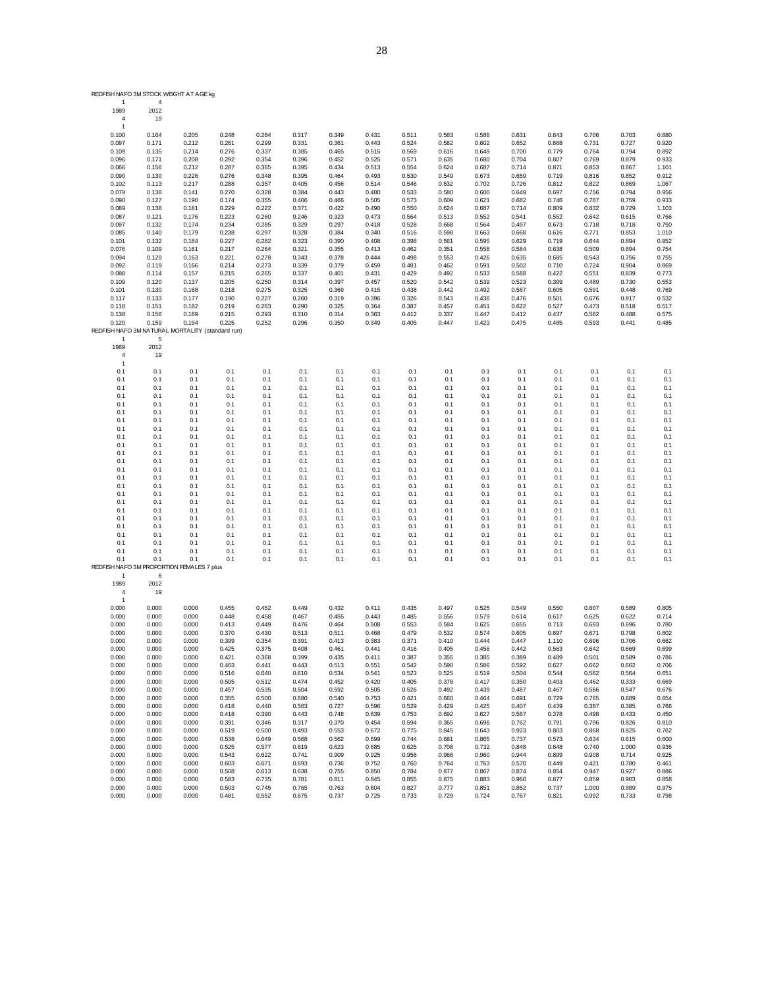| REDFISH NAFO 3M STOCK WEIGHT AT AGE kg           |                              |                |                |                |                |                |                |                |                |                |                |                |                |                |                |
|--------------------------------------------------|------------------------------|----------------|----------------|----------------|----------------|----------------|----------------|----------------|----------------|----------------|----------------|----------------|----------------|----------------|----------------|
| 1<br>1989<br>4                                   | $\overline{4}$<br>2012<br>19 |                |                |                |                |                |                |                |                |                |                |                |                |                |                |
| $\mathbf{1}$                                     |                              |                |                |                |                |                |                |                |                |                |                |                |                |                |                |
| 0.100                                            | 0.164                        | 0.205          | 0.248          | 0.284          | 0.317          | 0.349          | 0.431          | 0.511          | 0.563          | 0.586          | 0.631          | 0.643          | 0.706          | 0.703          | 0.880          |
| 0.097                                            | 0.171                        | 0.212          | 0.261          | 0.299          | 0.331          | 0.361          | 0.443          | 0.524          | 0.582          | 0.602          | 0.652          | 0.668          | 0.731          | 0.727          | 0.920          |
| 0.109                                            | 0.135                        | 0.214          | 0.276          | 0.337          | 0.385          | 0.465          | 0.515          | 0.569          | 0.616          | 0.649          | 0.700          | 0.779          | 0.764          | 0.794          | 0.892          |
| 0.096                                            | 0.171                        | 0.208          | 0.292          | 0.354          | 0.396          | 0.452          | 0.525          | 0.571          | 0.635          | 0.680          | 0.704          | 0.807          | 0.769          | 0.879          | 0.933          |
| 0.066                                            | 0.156                        | 0.212          | 0.287          | 0.365          | 0.395          | 0.434          | 0.513          | 0.554          | 0.624          | 0.687          | 0.714          | 0.871          | 0.853          | 0.867          | 1.101          |
| 0.090                                            | 0.130                        | 0.226          | 0.276          | 0.348          | 0.395          | 0.464          | 0.493          | 0.530          | 0.549          | 0.673          | 0.659          | 0.719          | 0.816          | 0.852          | 0.912          |
| 0.102                                            | 0.113                        | 0.217          | 0.288          | 0.357          | 0.405          | 0.456          | 0.514          | 0.546          | 0.632          | 0.702          | 0.726          | 0.812          | 0.822          | 0.869          | 1.067<br>0.956 |
| 0.079                                            | 0.138<br>0.127               | 0.141<br>0.190 | 0.270<br>0.174 | 0.328<br>0.355 | 0.384<br>0.406 | 0.443<br>0.466 | 0.480<br>0.505 | 0.533<br>0.573 | 0.580<br>0.609 | 0.600<br>0.621 | 0.649<br>0.682 | 0.697<br>0.746 | 0.756<br>0.787 | 0.794<br>0.759 | 0.933          |
| 0.090<br>0.089                                   | 0.138                        | 0.181          | 0.229          | 0.222          | 0.371          | 0.422          | 0.490          | 0.550          | 0.624          | 0.687          | 0.714          | 0.809          | 0.832          | 0.729          | 1.103          |
| 0.087                                            | 0.121                        | 0.176          | 0.223          | 0.260          | 0.246          | 0.323          | 0.473          | 0.564          | 0.513          | 0.552          | 0.541          | 0.552          | 0.642          | 0.615          | 0.766          |
| 0.097                                            | 0.132                        | 0.174          | 0.234          | 0.285          | 0.329          | 0.297          | 0.418          | 0.528          | 0.668          | 0.564          | 0.497          | 0.673          | 0.718          | 0.718          | 0.750          |
| 0.085                                            | 0.140                        | 0.179          | 0.238          | 0.297          | 0.328          | 0.384          | 0.340          | 0.516          | 0.598          | 0.663          | 0.668          | 0.616          | 0.771          | 0.853          | 1.010          |
| 0.101                                            | 0.132                        | 0.184          | 0.227          | 0.282          | 0.323          | 0.390          | 0.408          | 0.398          | 0.561          | 0.595          | 0.629          | 0.719          | 0.644          | 0.894          | 0.952          |
| 0.076                                            | 0.109                        | 0.161          | 0.217          | 0.264          | 0.321          | 0.355          | 0.413          | 0.462          | 0.351          | 0.558          | 0.584          | 0.638          | 0.509          | 0.694          | 0.754          |
| 0.094                                            | 0.120                        | 0.163          | 0.221          | 0.278          | 0.343          | 0.378          | 0.444          | 0.498          | 0.553          | 0.426          | 0.635          | 0.685          | 0.543          | 0.756          | 0.755          |
| 0.092                                            | 0.119                        | 0.166          | 0.214          | 0.273          | 0.339          | 0.379          | 0.459          | 0.481          | 0.462          | 0.591          | 0.502          | 0.710          | 0.724          | 0.904          | 0.869          |
| 0.088                                            | 0.114                        | 0.157          | 0.215          | 0.265          | 0.337          | 0.401          | 0.431          | 0.429          | 0.492          | 0.533          | 0.588          | 0.422          | 0.551          | 0.839          | 0.773          |
| 0.109                                            | 0.120                        | 0.137          | 0.205          | 0.250          | 0.314          | 0.397          | 0.457          | 0.520          | 0.542          | 0.539          | 0.523          | 0.399          | 0.489          | 0.730          | 0.553          |
| 0.101                                            | 0.130                        | 0.168          | 0.218          | 0.275          | 0.325          | 0.369          | 0.415          | 0.438          | 0.442          | 0.492          | 0.567          | 0.605          | 0.591          | 0.448          | 0.769          |
| 0.117                                            | 0.133                        | 0.177          | 0.190          | 0.227          | 0.260          | 0.319          | 0.396          | 0.326          | 0.543          | 0.436          | 0.476          | 0.501          | 0.676          | 0.817          | 0.532          |
| 0.118                                            | 0.151                        | 0.182          | 0.219          | 0.263          | 0.290          | 0.325          | 0.364          | 0.387          | 0.457          | 0.451          | 0.622          | 0.527          | 0.473          | 0.518          | 0.517          |
| 0.138                                            | 0.156                        | 0.189          | 0.215          | 0.293          | 0.310          | 0.314          | 0.363          | 0.412          | 0.337          | 0.447          | 0.412          | 0.437          | 0.582          | 0.488          | 0.575          |
| 0.120                                            | 0.159                        | 0.194          | 0.225          | 0.252          | 0.296          | 0.350          | 0.349          | 0.405          | 0.447          | 0.423          | 0.475          | 0.485          | 0.593          | 0.441          | 0.485          |
| REDFISH NAFO 3M NATURAL MORTALITY (standard run) |                              |                |                |                |                |                |                |                |                |                |                |                |                |                |                |
| $\mathbf{1}$<br>1989                             | 5<br>2012                    |                |                |                |                |                |                |                |                |                |                |                |                |                |                |
| 4                                                | 19                           |                |                |                |                |                |                |                |                |                |                |                |                |                |                |
| -1                                               |                              |                |                |                |                |                |                |                |                |                |                |                |                |                |                |
| 0.1                                              | 0.1                          | 0.1            | 0.1            | 0.1            | 0.1            | 0.1            | 0.1            | 0.1            | 0.1            | 0.1            | 0.1            | 0.1            | 0.1            | 0.1            | 0.1            |
| 0.1                                              | 0.1                          | 0.1            | 0.1            | 0.1            | 0.1            | 0.1            | 0.1            | 0.1            | 0.1            | 0.1            | 0.1            | 0.1            | 0.1            | 0.1            | 0.1            |
| 0.1                                              | 0.1                          | 0.1            | 0.1            | 0.1            | 0.1            | 0.1            | 0.1            | 0.1            | 0.1            | 0.1            | 0.1            | 0.1            | 0.1            | 0.1            | 0.1            |
| 0.1                                              | 0.1                          | 0.1            | 0.1            | 0.1            | 0.1            | 0.1            | 0.1            | 0.1            | 0.1            | 0.1            | 0.1            | 0.1            | 0.1            | 0.1            | 0.1            |
| 0.1                                              | 0.1                          | 0.1            | 0.1            | 0.1            | 0.1            | 0.1            | 0.1            | 0.1            | 0.1            | 0.1            | 0.1            | 0.1            | 0.1            | 0.1            | 0.1            |
| 0.1                                              | 0.1                          | 0.1            | 0.1            | 0.1            | 0.1            | 0.1            | 0.1            | 0.1            | 0.1            | 0.1            | 0.1            | 0.1            | 0.1            | 0.1            | 0.1            |
| 0.1                                              | 0.1                          | 0.1            | 0.1            | 0.1            | 0.1            | 0.1            | 0.1            | 0.1            | 0.1            | 0.1            | 0.1            | 0.1            | 0.1            | 0.1            | 0.1            |
| 0.1                                              | 0.1                          | 0.1            | 0.1            | 0.1            | 0.1            | 0.1            | 0.1            | 0.1            | 0.1            | 0.1            | 0.1            | 0.1            | 0.1            | 0.1            | 0.1            |
| 0.1                                              | 0.1                          | 0.1            | 0.1            | 0.1            | 0.1            | 0.1            | 0.1            | 0.1            | 0.1            | 0.1            | 0.1            | 0.1            | 0.1            | 0.1            | 0.1            |
| 0.1                                              | 0.1                          | 0.1            | 0.1            | 0.1            | 0.1            | 0.1            | 0.1            | 0.1            | 0.1            | 0.1            | 0.1            | 0.1            | 0.1            | 0.1            | 0.1            |
| 0.1                                              | 0.1                          | 0.1            | 0.1            | 0.1            | 0.1            | 0.1            | 0.1            | 0.1            | 0.1            | 0.1            | 0.1            | 0.1            | 0.1            | 0.1            | 0.1            |
| 0.1                                              | 0.1                          | 0.1            | 0.1            | 0.1            | 0.1            | 0.1            | 0.1            | 0.1            | 0.1            | 0.1            | 0.1            | 0.1            | 0.1            | 0.1            | 0.1            |
| 0.1                                              | 0.1                          | 0.1            | 0.1            | 0.1            | 0.1            | 0.1            | 0.1            | 0.1            | 0.1            | 0.1            | 0.1            | 0.1            | 0.1            | 0.1            | 0.1            |
| 0.1                                              | 0.1                          | 0.1            | 0.1            | 0.1            | 0.1            | 0.1            | 0.1            | 0.1            | 0.1            | 0.1            | 0.1            | 0.1            | 0.1            | 0.1            | 0.1            |
| 0.1                                              | 0.1                          | 0.1            | 0.1            | 0.1            | 0.1            | 0.1            | 0.1            | 0.1            | 0.1            | 0.1            | 0.1            | 0.1            | 0.1            | 0.1            | 0.1            |
| 0.1                                              | 0.1                          | 0.1            | 0.1            | 0.1            | 0.1            | 0.1            | 0.1            | 0.1            | 0.1            | 0.1            | 0.1            | 0.1            | 0.1            | 0.1            | 0.1            |
| 0.1                                              | 0.1                          | 0.1            | 0.1            | 0.1            | 0.1            | 0.1            | 0.1            | 0.1            | 0.1            | 0.1            | 0.1            | 0.1            | 0.1            | 0.1            | 0.1            |
| 0.1                                              | 0.1                          | 0.1            | 0.1            | 0.1            | 0.1            | 0.1            | 0.1            | 0.1            | 0.1            | 0.1            | 0.1            | 0.1            | 0.1            | 0.1            | 0.1            |
| 0.1                                              | 0.1                          | 0.1            | 0.1            | 0.1            | 0.1            | 0.1            | 0.1            | 0.1            | 0.1            | 0.1            | 0.1            | 0.1            | 0.1            | 0.1            | 0.1            |
| 0.1                                              | 0.1                          | 0.1            | 0.1            | 0.1            | 0.1            | 0.1            | 0.1            | 0.1            | 0.1            | 0.1            | 0.1            | 0.1            | 0.1            | 0.1            | 0.1            |
| 0.1                                              | 0.1                          | 0.1            | 0.1            | 0.1            | 0.1            | 0.1            | 0.1            | 0.1            | 0.1            | 0.1            | 0.1            | 0.1            | 0.1            | 0.1            | 0.1            |
| 0.1                                              | 0.1                          | 0.1            | 0.1            | 0.1            | 0.1            | 0.1            | 0.1            | 0.1            | 0.1            | 0.1            | 0.1            | 0.1            | 0.1            | 0.1            | 0.1            |
| 0.1                                              | 0.1                          | 0.1            | 0.1            | 0.1            | 0.1            | 0.1            | 0.1            | 0.1            | 0.1            | 0.1            | 0.1            | 0.1            | 0.1            | 0.1            | 0.1            |
| 0.1                                              | 0.1                          | 0.1            | 0.1            | 0.1            | 0.1            | 0.1            | 0.1            | 0.1            | 0.1            | 0.1            | 0.1            | 0.1            | 0.1            | 0.1            | 0.1            |
| REDFISH NAFO 3M PROPORTION FEMALES 7 plus        |                              |                |                |                |                |                |                |                |                |                |                |                |                |                |                |
| -1<br>1989<br>$\overline{4}$                     | 6<br>2012<br>19              |                |                |                |                |                |                |                |                |                |                |                |                |                |                |
| 1                                                |                              |                |                |                |                |                |                |                |                |                |                |                |                |                |                |
| 0.000                                            | 0.000                        | 0.000          | 0.455          | 0.452          | 0.449          | 0.432          | 0.411          | 0.435          | 0.497          | 0.525          | 0.549          | 0.550          | 0.607          | 0.589          | 0.805          |
| 0.000                                            | 0.000                        | 0.000          | 0.448          | 0.458          | 0.467          | 0.455          | 0.443          | 0.485          | 0.556          | 0.579          | 0.614          | 0.617          | 0.625          | 0.622          | 0.714          |
| 0.000                                            | 0.000                        | 0.000          | 0.413          | 0.449          | 0.476          | 0.464          | 0.508          | 0.553          | 0.584          | 0.625          | 0.655          | 0.713          | 0.693          | 0.696          | 0.780          |
| 0.000                                            | 0.000                        | 0.000          | 0.370          | 0.430          | 0.513          | 0.511          | 0.468          | 0.479          | 0.532          | 0.574          | 0.605          | 0.697          | 0.671          | 0.798          | 0.802          |
| 0.000                                            | 0.000                        | 0.000          | 0.399          | 0.354          | 0.391          | 0.413          | 0.383          | 0.371          | 0.410          | 0.444          | 0.447          | 1.110          | 0.696          | 0.706          | 0.662          |
| 0.000                                            | 0.000                        | 0.000          | 0.425          | 0.375          | 0.408          | 0.461          | 0.441          | 0.416          | 0.405          | 0.456          | 0.442          | 0.563          | 0.642          | 0.669          | 0.699          |
| 0.000                                            | 0.000                        | 0.000          | 0.421          | 0.368          | 0.399          | 0.435          | 0.411          | 0.387          | 0.355          | 0.385          | 0.389          | 0.489          | 0.501          | 0.589          | 0.786          |
| 0.000                                            | 0.000                        | 0.000          | 0.463          | 0.441          | 0.443          | 0.513          | 0.551          | 0.542          | 0.590          | 0.586          | 0.592          | 0.627          | 0.662          | 0.662          | 0.706          |
| 0.000                                            | 0.000                        | 0.000          | 0.516          | 0.640          | 0.610          | 0.534          | 0.541          | 0.523          | 0.525          | 0.519          | 0.504          | 0.544          | 0.562          | 0.564          | 0.651          |
| 0.000                                            | 0.000                        | 0.000          | 0.505          | 0.512          | 0.474          | 0.452          | 0.420          | 0.405          | 0.378          | 0.417          | 0.350          | 0.403          | 0.462          | 0.333          | 0.669          |
| 0.000                                            | 0.000                        | 0.000          | 0.457          | 0.535          | 0.504          | 0.592          | 0.505          | 0.526          | 0.492          | 0.439          | 0.487          | 0.467          | 0.566          | 0.547          | 0.676          |
| 0.000                                            | 0.000                        | 0.000          | 0.355          | 0.500          | 0.680          | 0.540          | 0.753          | 0.421          | 0.660          | 0.464          | 0.691          | 0.729          | 0.765          | 0.689          | 0.654          |
| 0.000                                            | 0.000                        | 0.000          | 0.418          | 0.440          | 0.563          | 0.727          | 0.596          | 0.529          | 0.429          | 0.425          | 0.407          | 0.439          | 0.387          | 0.385          | 0.766          |
| 0.000                                            | 0.000                        | 0.000          | 0.418          | 0.390          | 0.443          | 0.748          | 0.639          | 0.753          | 0.692          | 0.627          | 0.567          | 0.378          | 0.498          | 0.433          | 0.450          |
| 0.000                                            | 0.000                        | 0.000          | 0.391          | 0.346          | 0.317          | 0.370          | 0.454          | 0.594          | 0.365          | 0.696          | 0.762          | 0.791          | 0.796          | 0.826          | 0.810          |
| 0.000                                            | 0.000                        | 0.000          | 0.519          | 0.500          | 0.493          | 0.553          | 0.672          | 0.775          | 0.845          | 0.643          | 0.923          | 0.803          | 0.868          | 0.825          | 0.762          |
| 0.000                                            | 0.000                        | 0.000          | 0.538          | 0.649          | 0.568          | 0.562          | 0.699          | 0.744          | 0.681          | 0.865          | 0.737          | 0.573          | 0.634          | 0.615          | 0.600          |
| 0.000                                            | 0.000                        | 0.000          | 0.525          | 0.577          | 0.619          | 0.623          | 0.685          | 0.625          | 0.708          | 0.732          | 0.848          | 0.648          | 0.740          | 1.000          | 0.936          |
| 0.000                                            | 0.000                        | 0.000          | 0.543          | 0.622          | 0.741          | 0.909          | 0.925          | 0.956          | 0.966          | 0.960          | 0.944          | 0.899          | 0.908          | 0.714          | 0.925          |
| 0.000                                            | 0.000                        | 0.000          | 0.603          | 0.671          | 0.693          | 0.736          | 0.752          | 0.760          | 0.764          | 0.763          | 0.570          | 0.449          | 0.421          | 0.780          | 0.461          |
| 0.000                                            | 0.000                        | 0.000          | 0.508          | 0.613          | 0.638          | 0.755          | 0.850          | 0.784          | 0.877          | 0.867          | 0.874          | 0.854          | 0.947          | 0.927          | 0.886          |
| 0.000                                            | 0.000                        | 0.000          | 0.583          | 0.735          | 0.781          | 0.811          | 0.845          | 0.855          | 0.875          | 0.883          | 0.960          | 0.877          | 0.859          | 0.903          | 0.858          |
| 0.000                                            | 0.000                        | 0.000          | 0.503          | 0.745          | 0.765          | 0.763          | 0.804          | 0.827          | 0.777          | 0.851          | 0.852          | 0.737          | 1.000          | 0.989          | 0.975          |
| 0.000                                            | 0.000                        | 0.000          | 0.481          | 0.552          | 0.675          | 0.737          | 0.725          | 0.733          | 0.729          | 0.724          | 0.767          | 0.821          | 0.992          | 0.733          | 0.798          |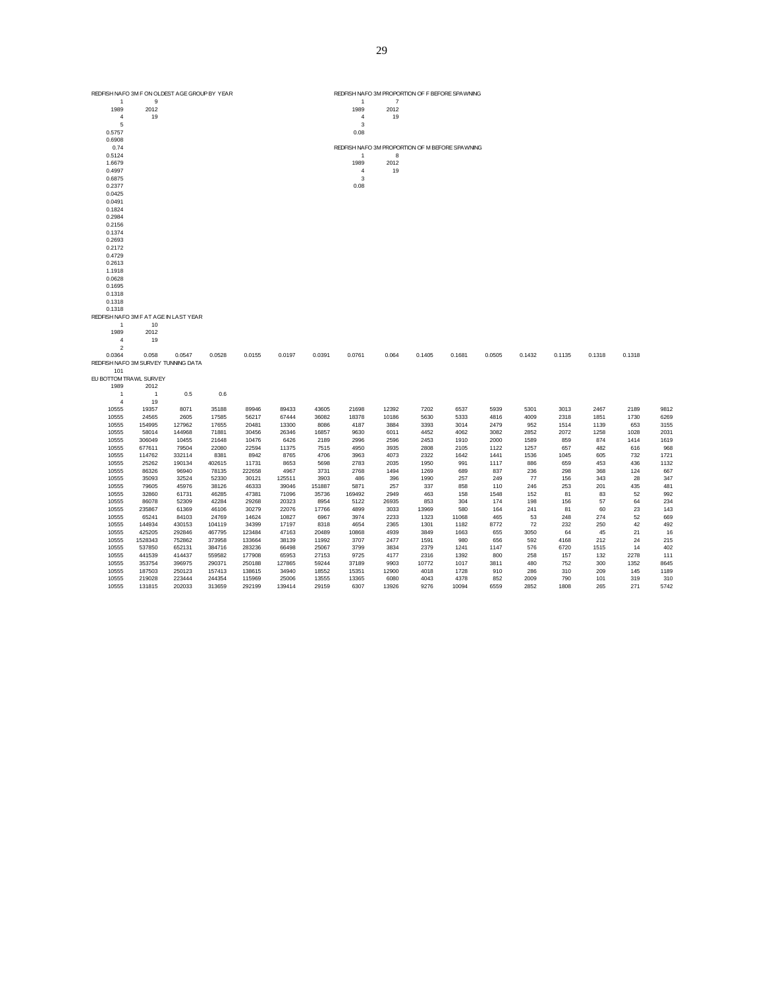|                        | REDFISH NAFO 3M F ON OLDEST AGE GROUP BY YEAR |        |        |        |        |        | REDFISH NA FO 3M PROPORTION OF F BEFORE SPA WNING |                |        |        |        |        |            |        |        |      |
|------------------------|-----------------------------------------------|--------|--------|--------|--------|--------|---------------------------------------------------|----------------|--------|--------|--------|--------|------------|--------|--------|------|
| $\mathbf{1}$           | 9                                             |        |        |        |        |        | 1                                                 | $\overline{7}$ |        |        |        |        |            |        |        |      |
| 1989                   | 2012                                          |        |        |        |        |        | 1989                                              | 2012           |        |        |        |        |            |        |        |      |
| $\overline{4}$         | 19                                            |        |        |        |        |        | $\sqrt{4}$                                        | 19             |        |        |        |        |            |        |        |      |
| 5                      |                                               |        |        |        |        |        | 3                                                 |                |        |        |        |        |            |        |        |      |
| 0.5757                 |                                               |        |        |        |        |        | 0.08                                              |                |        |        |        |        |            |        |        |      |
| 0.6908                 |                                               |        |        |        |        |        |                                                   |                |        |        |        |        |            |        |        |      |
| 0.74                   |                                               |        |        |        |        |        | REDFISH NA FO 3M PROPORTION OF M BEFORE SPAWNING  |                |        |        |        |        |            |        |        |      |
| 0.5124                 |                                               |        |        |        |        |        | 1                                                 | 8              |        |        |        |        |            |        |        |      |
| 1.6679                 |                                               |        |        |        |        |        | 1989                                              | 2012           |        |        |        |        |            |        |        |      |
| 0.4997                 |                                               |        |        |        |        |        | $\overline{4}$                                    | 19             |        |        |        |        |            |        |        |      |
|                        |                                               |        |        |        |        |        | $\mathsf 3$                                       |                |        |        |        |        |            |        |        |      |
| 0.6875                 |                                               |        |        |        |        |        |                                                   |                |        |        |        |        |            |        |        |      |
| 0.2377                 |                                               |        |        |        |        |        | 0.08                                              |                |        |        |        |        |            |        |        |      |
| 0.0425                 |                                               |        |        |        |        |        |                                                   |                |        |        |        |        |            |        |        |      |
| 0.0491                 |                                               |        |        |        |        |        |                                                   |                |        |        |        |        |            |        |        |      |
| 0.1824                 |                                               |        |        |        |        |        |                                                   |                |        |        |        |        |            |        |        |      |
| 0.2984                 |                                               |        |        |        |        |        |                                                   |                |        |        |        |        |            |        |        |      |
| 0.2156                 |                                               |        |        |        |        |        |                                                   |                |        |        |        |        |            |        |        |      |
| 0.1374                 |                                               |        |        |        |        |        |                                                   |                |        |        |        |        |            |        |        |      |
| 0.2693                 |                                               |        |        |        |        |        |                                                   |                |        |        |        |        |            |        |        |      |
| 0.2172                 |                                               |        |        |        |        |        |                                                   |                |        |        |        |        |            |        |        |      |
| 0.4729                 |                                               |        |        |        |        |        |                                                   |                |        |        |        |        |            |        |        |      |
| 0.2613                 |                                               |        |        |        |        |        |                                                   |                |        |        |        |        |            |        |        |      |
| 1.1918                 |                                               |        |        |        |        |        |                                                   |                |        |        |        |        |            |        |        |      |
| 0.0628                 |                                               |        |        |        |        |        |                                                   |                |        |        |        |        |            |        |        |      |
| 0.1695                 |                                               |        |        |        |        |        |                                                   |                |        |        |        |        |            |        |        |      |
| 0.1318                 |                                               |        |        |        |        |        |                                                   |                |        |        |        |        |            |        |        |      |
| 0.1318                 |                                               |        |        |        |        |        |                                                   |                |        |        |        |        |            |        |        |      |
| 0.1318                 |                                               |        |        |        |        |        |                                                   |                |        |        |        |        |            |        |        |      |
|                        | REDFISH NAFO 3M F AT AGE IN LAST YEAR         |        |        |        |        |        |                                                   |                |        |        |        |        |            |        |        |      |
| $\mathbf{1}$           | 10                                            |        |        |        |        |        |                                                   |                |        |        |        |        |            |        |        |      |
| 1989                   | 2012                                          |        |        |        |        |        |                                                   |                |        |        |        |        |            |        |        |      |
| $\sqrt{4}$             | 19                                            |        |        |        |        |        |                                                   |                |        |        |        |        |            |        |        |      |
| $\overline{2}$         |                                               |        |        |        |        |        |                                                   |                |        |        |        |        |            |        |        |      |
| 0.0364                 | 0.058                                         | 0.0547 | 0.0528 | 0.0155 | 0.0197 | 0.0391 | 0.0761                                            | 0.064          | 0.1405 | 0.1681 | 0.0505 | 0.1432 | 0.1135     | 0.1318 | 0.1318 |      |
|                        | REDFISH NAFO 3M SURVEY TUNNING DATA           |        |        |        |        |        |                                                   |                |        |        |        |        |            |        |        |      |
| 101                    |                                               |        |        |        |        |        |                                                   |                |        |        |        |        |            |        |        |      |
| EU BOTTOM TRAWL SURVEY |                                               |        |        |        |        |        |                                                   |                |        |        |        |        |            |        |        |      |
| 1989                   | 2012                                          |        |        |        |        |        |                                                   |                |        |        |        |        |            |        |        |      |
|                        |                                               |        |        |        |        |        |                                                   |                |        |        |        |        |            |        |        |      |
| $\mathbf{1}$           | $\overline{1}$                                | 0.5    | 0.6    |        |        |        |                                                   |                |        |        |        |        |            |        |        |      |
| $\overline{4}$         | 19                                            |        |        |        |        |        |                                                   |                |        |        |        |        |            |        |        |      |
| 10555                  | 19357                                         | 8071   | 35188  | 89946  | 89433  | 43605  | 21698                                             | 12392          | 7202   | 6537   | 5939   | 5301   | 3013       | 2467   | 2189   | 9812 |
| 10555                  | 24565                                         | 2605   | 17585  | 56217  | 67444  | 36082  | 18378                                             | 10186          | 5630   | 5333   | 4816   | 4009   | 2318       | 1851   | 1730   | 6269 |
| 10555                  | 154995                                        | 127962 | 17655  | 20481  | 13300  | 8086   | 4187                                              | 3884           | 3393   | 3014   | 2479   | 952    | 1514       | 1139   | 653    | 3155 |
| 10555                  | 58014                                         | 144968 | 71881  | 30456  | 26346  | 16857  | 9630                                              | 6011           | 4452   | 4062   | 3082   | 2852   | 2072       | 1258   | 1028   | 2031 |
| 10555                  | 306049                                        | 10455  | 21648  | 10476  | 6426   | 2189   | 2996                                              | 2596           | 2453   | 1910   | 2000   | 1589   | 859        | 874    | 1414   | 1619 |
| 10555                  | 677611                                        | 79504  | 22080  | 22594  | 11375  | 7515   | 4950                                              | 3935           | 2808   | 2105   | 1122   | 1257   | 657        | 482    | 616    | 968  |
| 10555                  | 114762                                        | 332114 | 8381   | 8942   | 8765   | 4706   | 3963                                              | 4073           | 2322   | 1642   | 1441   | 1536   | 1045       | 605    | 732    | 1721 |
| 10555                  | 25262                                         | 190134 | 402615 | 11731  | 8653   | 5698   | 2783                                              | 2035           | 1950   | 991    | 1117   | 886    | 659        | 453    | 436    | 1132 |
| 10555                  | 86326                                         | 96940  | 78135  | 222658 | 4967   | 3731   | 2768                                              | 1494           | 1269   | 689    | 837    | 236    | 298        | 368    | 124    | 667  |
| 10555                  | 35093                                         | 32524  | 52330  | 30121  | 125511 | 3903   | 486                                               | 396            | 1990   | 257    | 249    | 77     | 156        | 343    | 28     | 347  |
| 10555                  | 79605                                         | 45976  | 38126  | 46333  | 39046  | 151887 | 5871                                              | 257            | 337    | 858    | 110    | 246    | 253        | 201    | 435    | 481  |
| 10555                  | 32860                                         | 61731  | 46285  | 47381  | 71096  | 35736  | 169492                                            | 2949           | 463    | 158    | 1548   | 152    | 81         | 83     | 52     | 992  |
| 10555                  | 86078                                         | 52309  | 42284  | 29268  | 20323  | 8954   | 5122                                              | 26935          | 853    | 304    | 174    | 198    | 156        | 57     | 64     | 234  |
| 10555                  | 235867                                        | 61369  | 46106  | 30279  | 22076  | 17766  | 4899                                              | 3033           | 13969  | 580    | 164    | 241    | 81         | 60     | 23     | 143  |
| 10555                  | 65241                                         | 84103  | 24769  | 14624  | 10827  | 6967   | 3974                                              | 2233           | 1323   | 11068  | 465    | 53     | 248        | 274    | 52     | 669  |
| 10555                  | 144934                                        | 430153 | 104119 | 34399  | 17197  | 8318   | 4654                                              | 2365           | 1301   | 1182   | 8772   | 72     | 232        | 250    | 42     | 492  |
| 10555                  | 425205                                        | 292846 | 467795 | 123484 | 47163  | 20489  | 10868                                             | 4939           | 3849   | 1663   | 655    | 3050   | 64         | 45     | 21     | 16   |
| 10555                  | 1528343                                       | 752862 | 373958 | 133664 | 38139  | 11992  | 3707                                              | 2477           | 1591   | 980    | 656    | 592    | 4168       | 212    | 24     | 215  |
| 10555                  | 537850                                        | 652131 | 384716 | 283236 | 66498  | 25067  | 3799                                              | 3834           | 2379   | 1241   | 1147   | 576    | 6720       | 1515   | 14     | 402  |
| 10555                  | 441539                                        | 414437 | 559582 | 177908 | 65953  | 27153  | 9725                                              | 4177           | 2316   | 1392   | 800    | 258    | 157        | 132    | 2278   | 111  |
|                        |                                               |        |        |        |        |        |                                                   |                |        |        |        |        |            |        |        |      |
| 10555                  | 353754                                        | 396975 | 290371 | 250188 | 127865 | 59244  | 37189                                             | 9903           | 10772  | 1017   | 3811   | 480    | 752<br>310 | 300    | 1352   | 8645 |
| 10555                  | 187503                                        | 250123 | 157413 | 138615 | 34940  | 18552  | 15351                                             | 12900          | 4018   | 1728   | 910    | 286    |            | 209    | 145    | 1189 |
| 10555                  | 219028                                        | 223444 | 244354 | 115969 | 25006  | 13555  | 13365                                             | 6080           | 4043   | 4378   | 852    | 2009   | 790        | 101    | 319    | 310  |
| 10555                  | 131815                                        | 202033 | 313659 | 292199 | 139414 | 29159  | 6307                                              | 13926          | 9276   | 10094  | 6559   | 2852   | 1808       | 265    | 271    | 5742 |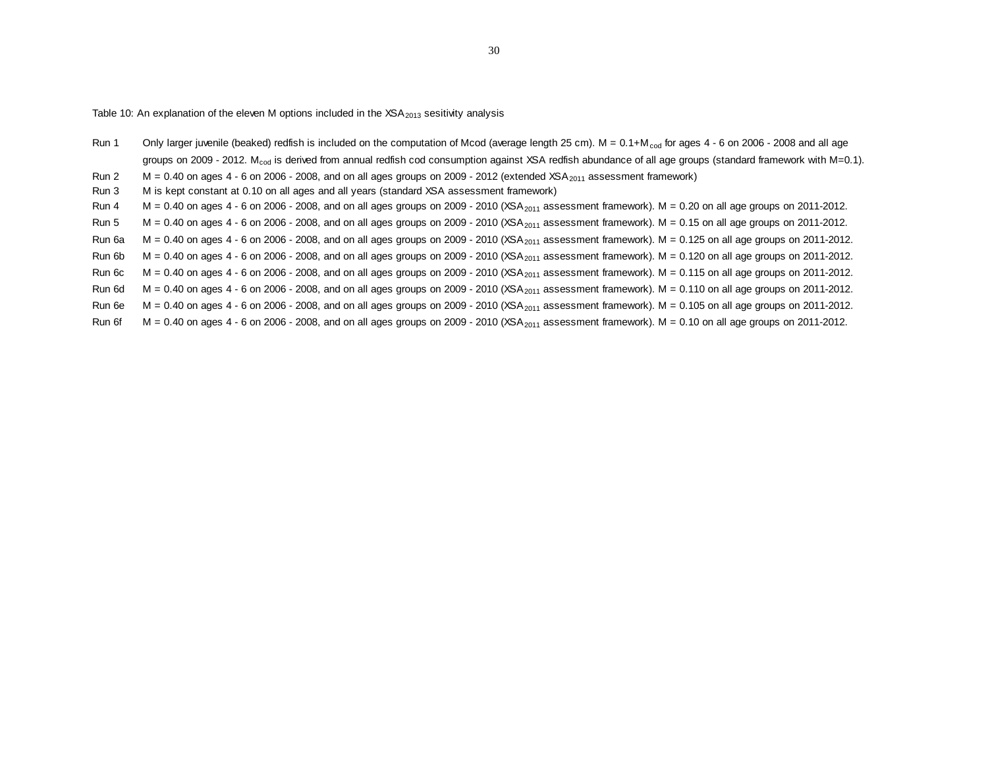Table 10: An explanation of the eleven M options included in the  $XSA<sub>2013</sub>$  sesitivity analysis

Run 1 Only larger juvenile (beaked) redfish is included on the computation of Mcod (average length 25 cm).  $M = 0.1 + M_{\text{cod}}$  for ages 4 - 6 on 2006 - 2008 and all age groups on 2009 - 2012. M<sub>cod</sub> is derived from annual redfish cod consumption against XSA redfish abundance of all age groups (standard framework with M=0.1).

Run 2  $M = 0.40$  on ages 4 - 6 on 2006 - 2008, and on all ages groups on 2009 - 2012 (extended XSA<sub>2011</sub> assessment framework)

Run 3 M is kept constant at 0.10 on all ages and all years (standard XSA assessment framework)

- Run  $4 \text{ M} = 0.40$  on ages  $4 6$  on 2006 2008, and on all ages groups on 2009 2010 (XSA<sub>2011</sub> assessment framework). M = 0.20 on all age groups on 2011-2012.
- Run 5  $M = 0.40$  on ages 4 6 on 2006 2008, and on all ages groups on 2009 2010 (XSA<sub>2011</sub> assessment framework). M = 0.15 on all age groups on 2011-2012.

Run 6a  $M = 0.40$  on ages 4 - 6 on 2006 - 2008, and on all ages groups on 2009 - 2010 (XSA<sub>2011</sub> assessment framework). M = 0.125 on all age groups on 2011-2012.

Run 6b  $M = 0.40$  on ages 4 - 6 on 2006 - 2008, and on all ages groups on 2009 - 2010 (XSA<sub>2011</sub> assessment framework). M = 0.120 on all age groups on 2011-2012.

Run 6c  $M = 0.40$  on ages 4 - 6 on 2006 - 2008, and on all ages groups on 2009 - 2010 (XSA<sub>2011</sub> assessment framework). M = 0.115 on all age groups on 2011-2012.

Run 6d  $M = 0.40$  on ages 4 - 6 on 2006 - 2008, and on all ages groups on 2009 - 2010 (XSA<sub>2011</sub> assessment framework). M = 0.110 on all age groups on 2011-2012.

Run 6e  $M = 0.40$  on ages 4 - 6 on 2006 - 2008, and on all ages groups on 2009 - 2010 (XSA<sub>2011</sub> assessment framework). M = 0.105 on all age groups on 2011-2012.

Run 6f  $M = 0.40$  on ages 4 - 6 on 2006 - 2008, and on all ages groups on 2009 - 2010 (XSA<sub>2011</sub> assessment framework). M = 0.10 on all age groups on 2011-2012.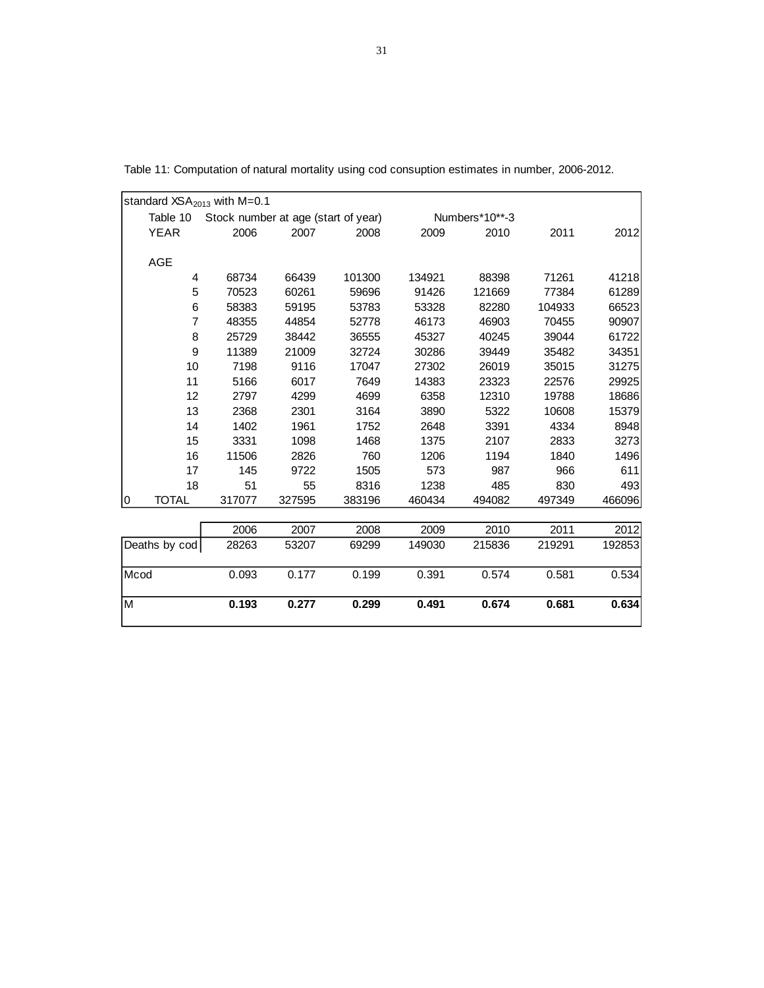|                         |                  | standard $XSA2013$ with M=0.1       |        |        |        |                |        |        |
|-------------------------|------------------|-------------------------------------|--------|--------|--------|----------------|--------|--------|
|                         | Table 10         | Stock number at age (start of year) |        |        |        | Numbers*10**-3 |        |        |
|                         | <b>YEAR</b>      | 2006                                | 2007   | 2008   | 2009   | 2010           | 2011   | 2012   |
|                         |                  |                                     |        |        |        |                |        |        |
|                         | <b>AGE</b>       |                                     |        |        |        |                |        |        |
|                         | 4                | 68734                               | 66439  | 101300 | 134921 | 88398          | 71261  | 41218  |
|                         | 5                | 70523                               | 60261  | 59696  | 91426  | 121669         | 77384  | 61289  |
|                         | 6                | 58383                               | 59195  | 53783  | 53328  | 82280          | 104933 | 66523  |
|                         | $\overline{7}$   | 48355                               | 44854  | 52778  | 46173  | 46903          | 70455  | 90907  |
|                         | 8                | 25729                               | 38442  | 36555  | 45327  | 40245          | 39044  | 61722  |
|                         | $\boldsymbol{9}$ | 11389                               | 21009  | 32724  | 30286  | 39449          | 35482  | 34351  |
|                         | 10               | 7198                                | 9116   | 17047  | 27302  | 26019          | 35015  | 31275  |
|                         | 11               | 5166                                | 6017   | 7649   | 14383  | 23323          | 22576  | 29925  |
|                         | 12               | 2797                                | 4299   | 4699   | 6358   | 12310          | 19788  | 18686  |
|                         | 13               | 2368                                | 2301   | 3164   | 3890   | 5322           | 10608  | 15379  |
|                         | 14               | 1402                                | 1961   | 1752   | 2648   | 3391           | 4334   | 8948   |
|                         | 15               | 3331                                | 1098   | 1468   | 1375   | 2107           | 2833   | 3273   |
|                         | 16               | 11506                               | 2826   | 760    | 1206   | 1194           | 1840   | 1496   |
|                         | 17               | 145                                 | 9722   | 1505   | 573    | 987            | 966    | 611    |
|                         | 18               | 51                                  | 55     | 8316   | 1238   | 485            | 830    | 493    |
| 0                       | <b>TOTAL</b>     | 317077                              | 327595 | 383196 | 460434 | 494082         | 497349 | 466096 |
|                         |                  |                                     |        |        |        |                |        |        |
|                         |                  | 2006                                | 2007   | 2008   | 2009   | 2010           | 2011   | 2012   |
|                         | Deaths by cod    | 28263                               | 53207  | 69299  | 149030 | 215836         | 219291 | 192853 |
| Mcod                    |                  | 0.093                               | 0.177  | 0.199  | 0.391  | 0.574          | 0.581  | 0.534  |
| $\overline{\mathsf{M}}$ |                  | 0.193                               | 0.277  | 0.299  | 0.491  | 0.674          | 0.681  | 0.634  |

Table 11: Computation of natural mortality using cod consuption estimates in number, 2006-2012.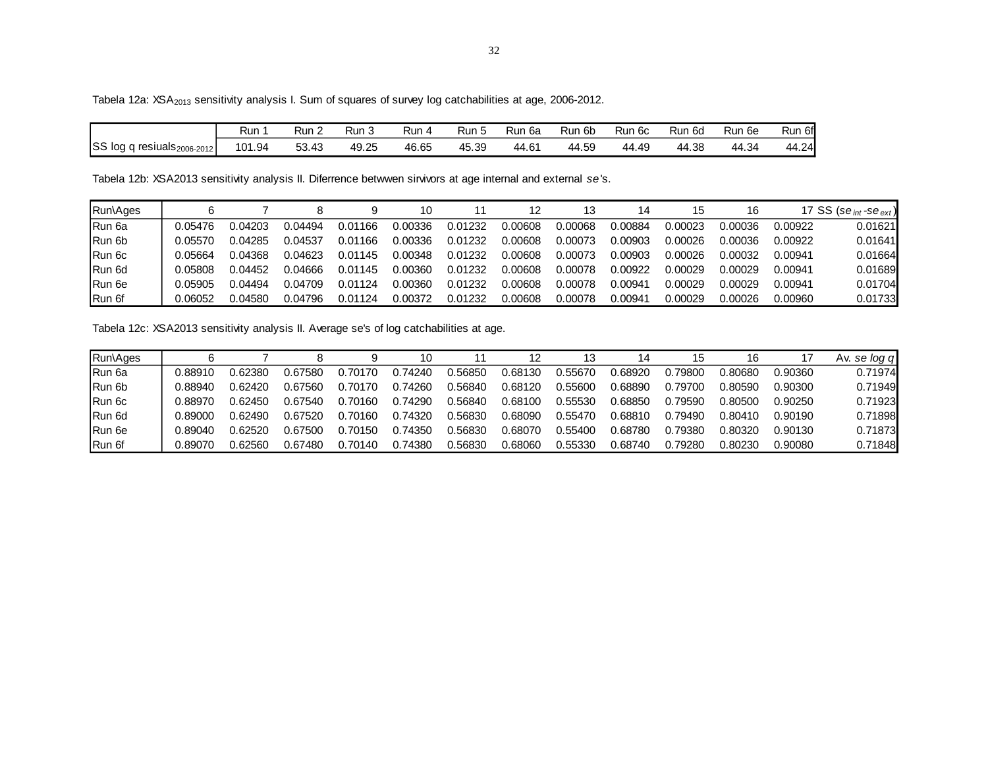Tabela 12a: XSA<sub>2013</sub> sensitivity analysis I. Sum of squares of survey log catchabilities at age, 2006-2012.

|                                  | Run    | Run ∠ | Run J | Run 4 | Run 5 | Run 6a | Run 6b | Run 6c | Run 6d | Run 6e | Run 6f |
|----------------------------------|--------|-------|-------|-------|-------|--------|--------|--------|--------|--------|--------|
| SS log q resiuals $_{2006-2012}$ | 101.94 | 53.43 | 49.25 | 46.65 | 45.39 | 44.61  | 44.59  | 44.49  | 44.38  | 44.34  | 44.24  |

Tabela 12b: XSA2013 sensitivity analysis II. Diferrence betwwen sirvivors at age internal and external se's.

| Run\Ages      |         |         |         |         | 10      |         |         | 13      | 14      | 15      | 16      |         | 17 SS (se <sub>int</sub> -se <sub>ext</sub> ) |
|---------------|---------|---------|---------|---------|---------|---------|---------|---------|---------|---------|---------|---------|-----------------------------------------------|
| <b>Run 6a</b> | 0.05476 | 0.04203 | 0.04494 | 0.01166 | 0.00336 | 0.01232 | 0.00608 | 0.00068 | 0.00884 | 0.00023 | 0.00036 | 0.00922 | 0.01621                                       |
| Run 6b        | 0.05570 | 0.04285 | 0.04537 | 0.01166 | 0.00336 | 0.01232 | 0.00608 | 0.00073 | 0.00903 | Ი.ᲘᲘᲘ26 | 0.00036 | 0.00922 | 0.01641                                       |
| Run 6c        | 0.05664 | 0.04368 | 0.04623 | 0.01145 | 0.00348 | 0.01232 | 0.00608 | 0.00073 | 0.00903 | Ი.ᲘᲘᲘ26 | 0.00032 | 0.00941 | 0.01664                                       |
| Run 6d        | 0.05808 | 0.04452 | 0.04666 | 0.01145 | 0.00360 | 0.01232 | 0.00608 | 0.00078 | 0.00922 | 0.00029 | 0.00029 | 0.00941 | 0.01689                                       |
| Run 6e        | 0.05905 | 0.04494 | 0.04709 | 0.01124 | 0.00360 | 0.01232 | 0.00608 | 0.00078 | 0.00941 | 0.00029 | 0.00029 | 0.00941 | 0.01704                                       |
| Run 6f        | 0.06052 | 0.04580 | 0.04796 | 0.01124 | 0.00372 | 0.01232 | 0.00608 | 0.00078 | 0.00941 | 0.00029 | 0.00026 | 0.00960 | 0.01733                                       |

Tabela 12c: XSA2013 sensitivity analysis II. Average se's of log catchabilities at age.

 $\overline{a}$ 

| Run\Ages      |         |         |         |         | 10      |         | 12      | 13      | 14             | 15              | 16      |         | se log q<br>Av. |
|---------------|---------|---------|---------|---------|---------|---------|---------|---------|----------------|-----------------|---------|---------|-----------------|
| <b>Run 6a</b> | 0.88910 | 0.62380 | 0.67580 | 0.70170 | .74240  | 0.56850 | 0.68130 | 0.55670 | ) 68920        | .79800          | 0.80680 | 0.90360 | 0.71974         |
| Run 6b        | 0.88940 | 0.62420 | 0.67560 | 0.70170 | 0.74260 | 0.56840 | 0.68120 | 0.55600 | 0.68890        | 0.79700         | 0.80590 | 0.90300 | 0.71949         |
| Run 6c        | 0.88970 | 0.62450 | 0.67540 | 0.70160 | 0.74290 | 0.56840 | 0.68100 | 0.55530 | ).68850        | 0.79590         | 0.80500 | 0.90250 | 0.71923         |
| Run 6d        | 0.89000 | 0.62490 | 0.67520 | 0.70160 | 0.74320 | 0.56830 | 0.68090 | 0.55470 | 0.68810        | 0.79490         | 0.80410 | 0.90190 | 0.71898         |
| Run 6e        | 0.89040 | 0.62520 | 0.67500 | 0.70150 | 0.74350 | 0.56830 | 0.68070 | 0.55400 | <u>ን 68780</u> | <u> 2.79380</u> | 0.80320 | 0.90130 | 0.71873         |
| Run 6f        | 0.89070 | 0.62560 | 0.67480 | 0.70140 | 0.74380 | 0.56830 | 0.68060 | 0.55330 | 0.68740        | .79280          | 0.80230 | 0.90080 | 0.71848         |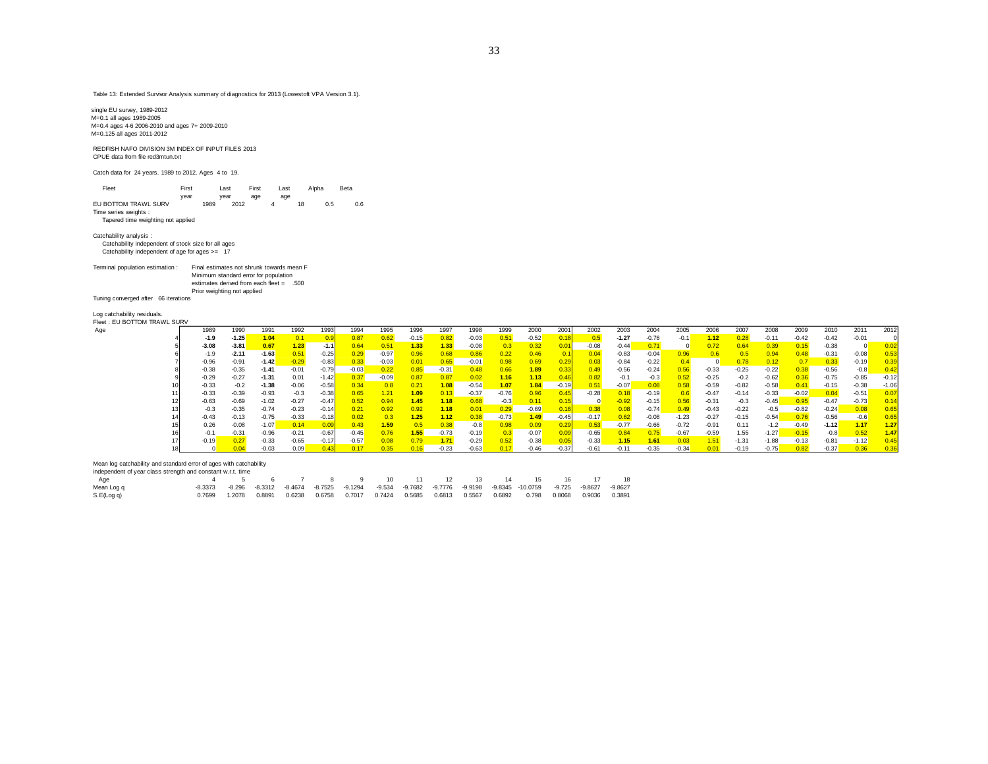Table 13: Extended Survivor Analysis summary of diagnostics for 2013 (Lowestoft VPA Version 3.1).

single EU survey, 1989-2012 M=0.1 all ages 1989-2005 M=0.4 ages 4-6 2006-2010 and ages 7+ 2009-2010 M=0.125 all ages 2011-2012 REDFISH NAFO DIVISION 3M INDEX OF INPUT FILES 2013 CPUE data from file red3mtun.txt Catch data for 24 years. 1989 to 2012. Ages 4 to 19. Fleet First Last First Last Alpha Beta year year age age<br>EU BOTTOM TRAWL SURV 1989 2012 4 18 0.5 0.6 Time series weights : Tapered time weighting not applied Catchability analysis : Catchability independent of stock size for all ages Catchability independent of age for ages >= 17 Terminal population estimation : Final estimates not shrunk towards mean F Minimum standard error for population estimates derived from each fleet = .500 Prior weighting not applied Tuning converged after 66 iterations Log catchability residuals. Fleet : EU BOTTOM TRAWL SURV Age 1989 1990 1991 1992 1993 1994 1995 1996 1997 1998 1999 2000 2001 2002 2003 2004 2005 2006 2007 2008 2009 2010 2011 2012

|         | .       |         |         | ט טי    | .       |         | .    | ,,,,,   | .                    | .       |         | ້       | <u>LUUL</u> |         |         |         | zuu     |         |         |         |         |         |         |
|---------|---------|---------|---------|---------|---------|---------|------|---------|----------------------|---------|---------|---------|-------------|---------|---------|---------|---------|---------|---------|---------|---------|---------|---------|
| $-1.9$  | $-1.25$ | 1.04    |         |         | 0.87    |         |      | 0.82    | -0.03                | .51     | $-0.52$ |         |             | $-1.27$ | $-0.76$ | $-0.1$  | 1.12    |         | -0.11   | -0.42   | $-0.42$ | $-0.01$ |         |
| $-3.08$ | $-3.81$ | 0.67    | 1.23    | $-1.1$  | 0.64    | 0.51    | 1.33 | 1.33    | $-0.08$              | 0.3     | 0.32    | 0.01    | $-0.08$     | $-0.44$ | 0.71    |         | 0.72    |         | 0.39    | 0.15    | $-0.38$ |         |         |
| $-1.9$  | $-2.11$ | $-1.63$ | 0.51    | $-0.25$ | 0.29    | $-0.97$ | 0.96 | 0.68    | 0.86                 | 0.22    | 0.46    | 0.11    | 0.04        | $-0.83$ | $-0.04$ | 0.96    | 0.6     | 0.5     | 0.94    |         | $-0.31$ | $-0.08$ | 0.53    |
| $-0.96$ | $-0.91$ | $-1.42$ | $-0.29$ | $-0.83$ | 0.33    | $-0.03$ | 0.01 | 0.65    | $-0.01$              | 0.98    | 0.69    | 0.29    | 0.03        | $-0.84$ | $-0.22$ |         |         | 0.78    | 0.12    | 0.7     | 0.33    | $-0.19$ | 0.39    |
| $-0.38$ | $-0.35$ | $-1.41$ | $-0.01$ | $-0.79$ | $-0.03$ | 0.22    | 0.85 | $-0.31$ | 0.48                 | 0.66    | .89     | 0.33    | 0.49        | $-0.56$ | $-0.24$ | 0.56    | $-0.33$ | $-0.25$ | $-0.22$ | 0.38    | $-0.56$ | $-0.8$  | 0.42    |
| $-0.29$ | $-0.27$ | $-1.31$ | 0.01    | $-1.42$ | 0.37    | $-0.09$ | 0.87 | 0.87    | 0.02                 | 1.16    | 1.13    | 0.46    | 0.82        | $-0.1$  | $-0.3$  | 0.52    | $-0.25$ | $-0.2$  | $-0.62$ | 0.36    | $-0.75$ | $-0.85$ | $-0.12$ |
| $-0.33$ | $-0.2$  | $-1.38$ | $-0.06$ | $-0.58$ | 0.34    | 0.8     | 0.21 | 1.08    | $-0.54$              | 1.07    | 1.84    | $-0.19$ | 0.51        | $-0.07$ | 0.08    | 0.58    | $-0.59$ | $-0.82$ | $-0.58$ | 0.41    | $-0.15$ | $-0.38$ | $-1.06$ |
| $-0.33$ | $-0.39$ | $-0.93$ | $-0.3$  | $-0.38$ | 0.65    | 1.21    | 1.09 | 0.13    | $-0.37$              | $-0.76$ | 0.96    | 0.45    | $-0.28$     | 0.18    | $-0.19$ | 0.6     | $-0.47$ | $-0.14$ | $-0.33$ | $-0.02$ | 0.04    | $-0.51$ | 0.07    |
| $-0.63$ | $-0.69$ | $-1.02$ | $-0.27$ | $-0.47$ | 0.52    | 0.94    | 1.45 | 1.18    | 0.68                 | $-0.3$  | 0.11    | 0.15    |             | $-0.92$ | $-0.15$ | 0.56    | $-0.31$ | $-0.3$  | $-0.45$ | 0.95    | $-0.47$ | $-0.73$ |         |
| $-0.3$  | $-0.35$ | $-0.74$ | $-0.23$ | $-0.14$ | 0.21    | 0.92    | 0.92 | 1.18    | 0.01                 | 0.29    | $-0.69$ | 0.16    | 0.38        | 0.08    | $-0.74$ | 0.49    | $-0.43$ | $-0.22$ | $-0.5$  | $-0.82$ | $-0.24$ | 0.08    | 0.65    |
| $-0.43$ | $-0.13$ | $-0.75$ | $-0.33$ | $-0.18$ | 0.02    | 0.3     | 1.25 | 1.12    | 0.38                 | $-0.73$ | 1.49    | $-0.45$ | $-0.17$     | 0.62    | $-0.08$ | $-1.23$ | $-0.27$ | $-0.15$ | $-0.54$ | 0.76    | $-0.56$ | $-0.6$  | 0.65    |
| 0.26    | $-0.08$ | $-1.07$ | 0.14    | 0.09    | 0.43    | 1.59    | 0.5  | 0.38    | $-0.8$               | 0.98    | 0.09    | 0.29    | 0.53        | $-0.77$ | $-0.66$ | $-0.72$ | $-0.91$ | 0.11    | $-1.2$  | $-0.49$ | $-1.12$ | 1.17    | 1.27    |
| $-0.1$  | $-0.31$ | $-0.96$ | $-0.21$ | $-0.67$ | $-0.45$ | 0.76    | 1.55 | $-0.73$ | -0.19 <mark> </mark> | 0.3     | $-0.07$ | 0.09    | $-0.65$     | 0.84    | 0.75    | $-0.67$ | $-0.59$ | 1.55    | $-1.27$ | $-0.15$ | $-0.8$  | 0.52    |         |
| $-0.19$ | 0.27    | $-0.33$ | $-0.65$ | $-0.17$ | $-0.57$ | 0.08    | 0.79 | 1.71    | $-0.29$              | 0.52    | $-0.38$ | 0.05    | $-0.33$     | 1.15    | 1.61    | 0.03    | 1.51    | $-1.31$ | $-1.88$ | $-0.13$ | $-0.81$ | $-1.12$ | 0.45    |
|         |         |         | 0.09    |         |         |         |      | $-0.23$ | $-0.63$              |         | $-0.46$ | $-0.37$ | $-0.61$     |         | -0.35   | $-0.34$ |         | 0.19    | $-0.75$ | 0.82    | $-0.37$ |         |         |

| Mean log catchability and standard error of ages with catchability |           |          |          |           |         |          |                 |         |         |           |           |          |          |           |           |
|--------------------------------------------------------------------|-----------|----------|----------|-----------|---------|----------|-----------------|---------|---------|-----------|-----------|----------|----------|-----------|-----------|
| independent of year class strength and constant w.r.t. time        |           |          |          |           |         |          |                 |         |         |           |           |          |          |           |           |
| Age                                                                |           | -5       | $\kappa$ |           | 8       | $\alpha$ | 10 <sup>1</sup> | 11      | 12      | 13        | 14        | 15       | 16       |           | 18        |
| Mean Log q                                                         | $-8.3373$ | $-8.296$ | -8.3312  | $-8.4674$ | -8.7525 | -9.1294  | $-9.534$        | -9.7682 | -9.7776 | $-9.9198$ | $-9.8345$ | -10.0759 | $-9.725$ | $-9.8627$ | $-9.8627$ |
| S.E(Log q)                                                         | 0.7699    | .2078    | 0.8891   | 0.6238    | 0.6758  | 0.7017   | 0.7424          | 0.5685  | 0.6813  | 0.5567    | 0.6892    | 0.798    | 0.8068   | 0.9036    | 0.3891    |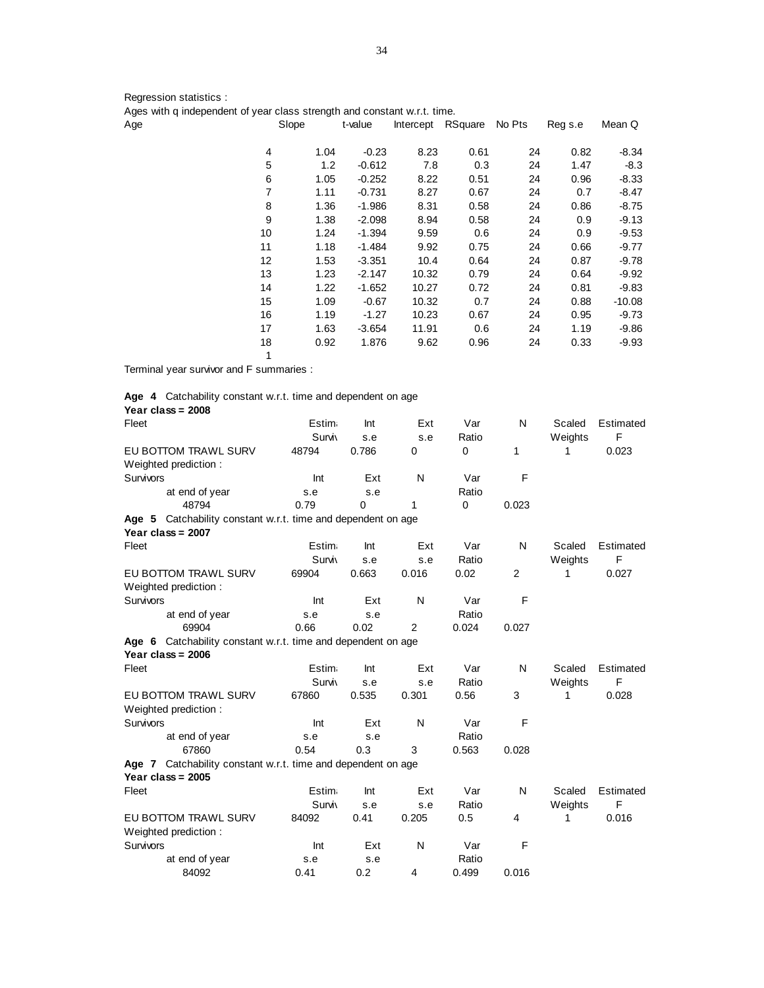Regression statistics :

| Ages with q independent of year class strength and constant w.r.t. time. |                |      |          |                   |      |        |         |          |
|--------------------------------------------------------------------------|----------------|------|----------|-------------------|------|--------|---------|----------|
| Age                                                                      | Slope          |      | t-value  | Intercept RSquare |      | No Pts | Reg s.e | Mean Q   |
|                                                                          | $\overline{4}$ | 1.04 | $-0.23$  | 8.23              | 0.61 | 24     | 0.82    | $-8.34$  |
|                                                                          | 5              | 1.2  | $-0.612$ | 7.8               | 0.3  | 24     | 1.47    | $-8.3$   |
|                                                                          | 6              | 1.05 | $-0.252$ | 8.22              | 0.51 | 24     | 0.96    | $-8.33$  |
|                                                                          | 7              | 1.11 | $-0.731$ | 8.27              | 0.67 | 24     | 0.7     | $-8.47$  |
|                                                                          | 8              | 1.36 | $-1.986$ | 8.31              | 0.58 | 24     | 0.86    | $-8.75$  |
|                                                                          | 9              | 1.38 | $-2.098$ | 8.94              | 0.58 | 24     | 0.9     | $-9.13$  |
|                                                                          | 10             | 1.24 | $-1.394$ | 9.59              | 0.6  | 24     | 0.9     | $-9.53$  |
|                                                                          | 11             | 1.18 | $-1.484$ | 9.92              | 0.75 | 24     | 0.66    | $-9.77$  |
|                                                                          | 12             | 1.53 | $-3.351$ | 10.4              | 0.64 | 24     | 0.87    | $-9.78$  |
|                                                                          | 13             | 1.23 | $-2.147$ | 10.32             | 0.79 | 24     | 0.64    | $-9.92$  |
|                                                                          | 14             | 1.22 | $-1.652$ | 10.27             | 0.72 | 24     | 0.81    | $-9.83$  |
|                                                                          | 15             | 1.09 | $-0.67$  | 10.32             | 0.7  | 24     | 0.88    | $-10.08$ |
|                                                                          | 16             | 1.19 | $-1.27$  | 10.23             | 0.67 | 24     | 0.95    | $-9.73$  |
|                                                                          | 17             | 1.63 | $-3.654$ | 11.91             | 0.6  | 24     | 1.19    | $-9.86$  |

18 0.92 1.876 9.62 0.96 24 0.33 -9.93

Terminal year survivor and F summaries :

|  | Age 4 Catchability constant w.r.t. time and dependent on age |
|--|--------------------------------------------------------------|
|  | Year class = $2008$                                          |

1

| Fleet                                                        | <b>Estim</b>  | Int   | Ext            | Var         | N     | Scaled  | Estimated |
|--------------------------------------------------------------|---------------|-------|----------------|-------------|-------|---------|-----------|
|                                                              | <b>Surviv</b> | s.e   | s.e            | Ratio       |       | Weights | F         |
| EU BOTTOM TRAWL SURV                                         | 48794         | 0.786 | $\mathbf 0$    | $\mathbf 0$ | 1     | 1       | 0.023     |
| Weighted prediction:                                         |               |       |                |             |       |         |           |
| <b>Survivors</b>                                             | Int           | Ext   | N              | Var         | F     |         |           |
| at end of year                                               | s.e           | s.e   |                | Ratio       |       |         |           |
| 48794                                                        | 0.79          | 0     | 1              | $\mathbf 0$ | 0.023 |         |           |
| Age 5 Catchability constant w.r.t. time and dependent on age |               |       |                |             |       |         |           |
| Year class = $2007$                                          |               |       |                |             |       |         |           |
| Fleet                                                        | <b>Estim</b>  | Int   | Ext            | Var         | N     | Scaled  | Estimated |
|                                                              | <b>Surviv</b> | s.e   | s.e            | Ratio       |       | Weights | F         |
| EU BOTTOM TRAWL SURV                                         | 69904         | 0.663 | 0.016          | 0.02        | 2     | 1       | 0.027     |
| Weighted prediction:                                         |               |       |                |             |       |         |           |
| <b>Survivors</b>                                             | Int           | Ext   | N              | Var         | F     |         |           |
| at end of year                                               | s.e           | s.e   |                | Ratio       |       |         |           |
| 69904                                                        | 0.66          | 0.02  | 2              | 0.024       | 0.027 |         |           |
| Age 6 Catchability constant w.r.t. time and dependent on age |               |       |                |             |       |         |           |
| Year class = $2006$                                          |               |       |                |             |       |         |           |
| Fleet                                                        | <b>Estim</b>  | Int   | Ext            | Var         | N     | Scaled  | Estimated |
|                                                              | <b>Surviv</b> | s.e   | s.e            | Ratio       |       | Weights | F         |
| EU BOTTOM TRAWL SURV                                         | 67860         | 0.535 | 0.301          | 0.56        | 3     | 1       | 0.028     |
|                                                              |               |       |                |             |       |         |           |
| Weighted prediction:<br>Survivors                            | Int           | Ext   | N              | Var         | F     |         |           |
|                                                              |               |       |                |             |       |         |           |
| at end of year                                               | s.e           | s.e   |                | Ratio       |       |         |           |
| 67860                                                        | 0.54          | 0.3   | 3              | 0.563       | 0.028 |         |           |
| Age 7 Catchability constant w.r.t. time and dependent on age |               |       |                |             |       |         |           |
| Year class = $2005$                                          |               |       |                |             |       |         |           |
| Fleet                                                        | <b>Estim</b>  | Int   | Ext            | Var         | N     | Scaled  | Estimated |
|                                                              | <b>Surviv</b> | s.e   | s.e            | Ratio       |       | Weights | F         |
| EU BOTTOM TRAWL SURV                                         | 84092         | 0.41  | 0.205          | 0.5         | 4     | 1       | 0.016     |
| Weighted prediction:                                         |               |       |                |             |       |         |           |
| <b>Survivors</b>                                             | Int           | Ext   | N              | Var         | F     |         |           |
| at end of year                                               | s.e           | s.e   |                | Ratio       |       |         |           |
| 84092                                                        | 0.41          | 0.2   | $\overline{4}$ | 0.499       | 0.016 |         |           |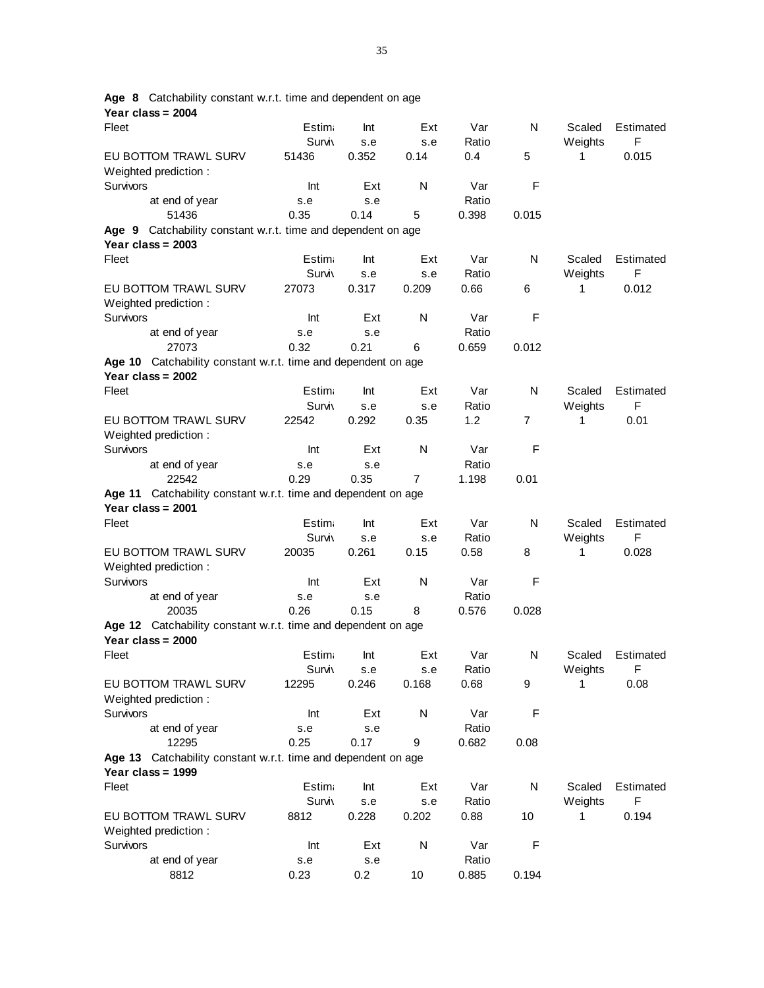| Year class = 2004                                                                    |               |       |                 |               |                |              |           |
|--------------------------------------------------------------------------------------|---------------|-------|-----------------|---------------|----------------|--------------|-----------|
| Fleet                                                                                | <b>Estim</b>  | Int   | Ext             | Var           | N              | Scaled       | Estimated |
|                                                                                      | <b>Surviv</b> | s.e   | s.e             | Ratio         |                | Weights      | F         |
| EU BOTTOM TRAWL SURV                                                                 | 51436         | 0.352 | 0.14            | 0.4           | 5              | 1            | 0.015     |
| Weighted prediction:                                                                 |               |       |                 |               |                |              |           |
| Survivors                                                                            | Int           | Ext   | N               | Var           | F              |              |           |
| at end of year                                                                       | s.e           | s.e   |                 | Ratio         |                |              |           |
| 51436                                                                                | 0.35          | 0.14  | 5               | 0.398         | 0.015          |              |           |
| Catchability constant w.r.t. time and dependent on age<br>Age 9                      |               |       |                 |               |                |              |           |
| Year class = $2003$                                                                  |               |       |                 |               |                |              |           |
| Fleet                                                                                | Estim:        | Int   | Ext             | Var           | N              | Scaled       | Estimated |
|                                                                                      | Surviy        | s.e   | s.e             | Ratio         |                | Weights      | F         |
| EU BOTTOM TRAWL SURV                                                                 | 27073         | 0.317 | 0.209           | 0.66          | 6              | 1            | 0.012     |
| Weighted prediction:                                                                 |               |       |                 |               |                |              |           |
| Survivors                                                                            | Int           | Ext   | N               | Var           | F              |              |           |
| at end of year                                                                       | s.e           | s.e   |                 | Ratio         |                |              |           |
| 27073                                                                                | 0.32          | 0.21  | 6               | 0.659         | 0.012          |              |           |
| Age 10 Catchability constant w.r.t. time and dependent on age                        |               |       |                 |               |                |              |           |
| Year class = $2002$                                                                  |               |       |                 |               |                |              |           |
| Fleet                                                                                | Estim:        | Int   | Ext             | Var           | N              | Scaled       | Estimated |
|                                                                                      | <b>Surviv</b> | s.e   | s.e             | Ratio         |                | Weights      | F         |
| EU BOTTOM TRAWL SURV                                                                 | 22542         | 0.292 | 0.35            | 1.2           | $\overline{7}$ | 1            | 0.01      |
| Weighted prediction:                                                                 |               |       |                 |               |                |              |           |
| Survivors                                                                            | Int           | Ext   | N               | Var           | F              |              |           |
| at end of year                                                                       | s.e           | s.e   |                 | Ratio         |                |              |           |
| 22542                                                                                | 0.29          | 0.35  | $\overline{7}$  | 1.198         | 0.01           |              |           |
| Age 11 Catchability constant w.r.t. time and dependent on age                        |               |       |                 |               |                |              |           |
| Year class = $2001$                                                                  |               |       |                 |               |                |              |           |
| Fleet                                                                                | Estim:        | Int   | Ext             | Var           | N              | Scaled       | Estimated |
|                                                                                      | <b>Surviv</b> | s.e   | s.e             | Ratio         |                | Weights      | F         |
| EU BOTTOM TRAWL SURV                                                                 | 20035         | 0.261 | 0.15            | 0.58          | 8              | 1            | 0.028     |
| Weighted prediction:                                                                 |               |       |                 |               |                |              |           |
| Survivors                                                                            | Int           | Ext   | N               | Var           | F              |              |           |
| at end of year                                                                       | s.e           | s.e   |                 | Ratio         |                |              |           |
| 20035                                                                                | 0.26          | 0.15  | 8               | 0.576         | 0.028          |              |           |
|                                                                                      |               |       |                 |               |                |              |           |
| Age 12 Catchability constant w.r.t. time and dependent on age<br>Year class = $2000$ |               |       |                 |               |                |              |           |
|                                                                                      | <b>Estim</b>  | Int   | Ext             | Var           | N              |              | Estimated |
| Fleet                                                                                |               |       |                 |               |                | Scaled       |           |
|                                                                                      | Surviy        | s.e   | s.e<br>0.168    | Ratio<br>0.68 | 9              | Weights<br>1 | F         |
| EU BOTTOM TRAWL SURV                                                                 | 12295         | 0.246 |                 |               |                |              | 0.08      |
| Weighted prediction:                                                                 |               |       |                 |               |                |              |           |
| Survivors                                                                            | Int           | Ext   | N               | Var           | F              |              |           |
| at end of year                                                                       | s.e           | s.e   |                 | Ratio         |                |              |           |
| 12295                                                                                | 0.25          | 0.17  | 9               | 0.682         | 0.08           |              |           |
| Age 13 Catchability constant w.r.t. time and dependent on age<br>Year class = $1999$ |               |       |                 |               |                |              |           |
| Fleet                                                                                | Estim         | Int   | Ext             | Var           | N              | Scaled       | Estimated |
|                                                                                      | <b>Surviv</b> | s.e   | s.e             | Ratio         |                | Weights      | F         |
| EU BOTTOM TRAWL SURV                                                                 | 8812          | 0.228 | 0.202           | 0.88          | 10             | 1            | 0.194     |
| Weighted prediction:                                                                 |               |       |                 |               |                |              |           |
| Survivors                                                                            | Int           | Ext   | ${\sf N}$       | Var           | F              |              |           |
| at end of year                                                                       | s.e           | s.e   |                 | Ratio         |                |              |           |
| 8812                                                                                 | 0.23          | 0.2   | 10 <sup>°</sup> | 0.885         | 0.194          |              |           |

**Age 8** Catchability constant w.r.t. time and dependent on age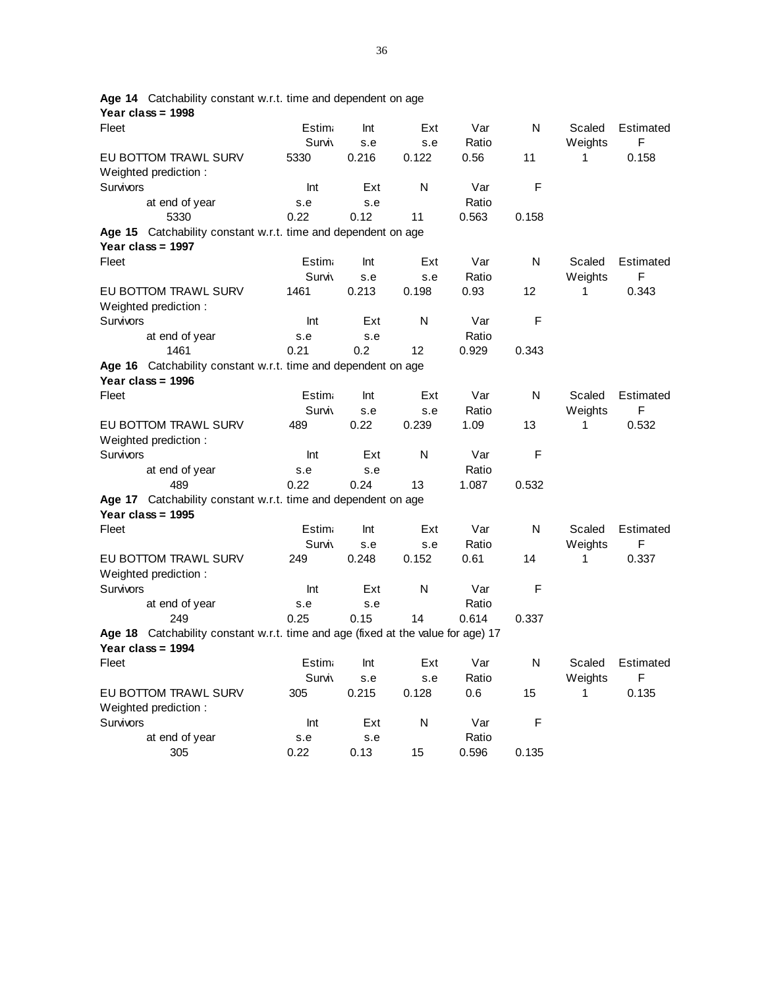| Year class = 1998                                                                |               |       |       |       |       |         |           |
|----------------------------------------------------------------------------------|---------------|-------|-------|-------|-------|---------|-----------|
| Fleet                                                                            | Estim.        | Int   | Ext   | Var   | N     | Scaled  | Estimated |
|                                                                                  | <b>Surviy</b> | s.e   | s.e   | Ratio |       | Weights | F         |
| EU BOTTOM TRAWL SURV                                                             | 5330          | 0.216 | 0.122 | 0.56  | 11    | 1       | 0.158     |
| Weighted prediction:                                                             |               |       |       |       |       |         |           |
| Survivors                                                                        | Int           | Ext   | N     | Var   | F     |         |           |
| at end of year                                                                   | s.e           | s.e   |       | Ratio |       |         |           |
| 5330                                                                             | 0.22          | 0.12  | 11    | 0.563 | 0.158 |         |           |
| Age 15 Catchability constant w.r.t. time and dependent on age                    |               |       |       |       |       |         |           |
| Year class = $1997$                                                              |               |       |       |       |       |         |           |
| Fleet                                                                            | Estim.        | Int   | Ext   | Var   | N     | Scaled  | Estimated |
|                                                                                  | <b>Surviv</b> | s.e   | s.e   | Ratio |       | Weights | F         |
| EU BOTTOM TRAWL SURV                                                             | 1461          | 0.213 | 0.198 | 0.93  | 12    | 1       | 0.343     |
| Weighted prediction:                                                             |               |       |       |       |       |         |           |
| Survivors                                                                        | Int           | Ext   | N     | Var   | F     |         |           |
| at end of year                                                                   | s.e           | s.e   |       | Ratio |       |         |           |
| 1461                                                                             | 0.21          | 0.2   | 12    | 0.929 | 0.343 |         |           |
| Age 16 Catchability constant w.r.t. time and dependent on age                    |               |       |       |       |       |         |           |
| Year class = $1996$                                                              |               |       |       |       |       |         |           |
| Fleet                                                                            | Estim.        | Int   | Ext   | Var   | N     | Scaled  | Estimated |
|                                                                                  | <b>Surviv</b> | s.e   | s.e   | Ratio |       | Weights | F         |
| EU BOTTOM TRAWL SURV                                                             | 489           | 0.22  | 0.239 | 1.09  | 13    | 1       | 0.532     |
| Weighted prediction:                                                             |               |       |       |       |       |         |           |
| Survivors                                                                        | Int           | Ext   | N     | Var   | F     |         |           |
| at end of year                                                                   | s.e           | s.e   |       | Ratio |       |         |           |
| 489                                                                              | 0.22          | 0.24  | 13    | 1.087 | 0.532 |         |           |
| Age 17 Catchability constant w.r.t. time and dependent on age                    |               |       |       |       |       |         |           |
| Year class = 1995                                                                |               |       |       |       |       |         |           |
| Fleet                                                                            | Estim.        | Int   | Ext   | Var   | N     | Scaled  | Estimated |
|                                                                                  | Surviy        | s.e   | s.e   | Ratio |       | Weights | F         |
| EU BOTTOM TRAWL SURV                                                             | 249           | 0.248 | 0.152 | 0.61  | 14    | 1       | 0.337     |
| Weighted prediction:                                                             |               |       |       |       |       |         |           |
| Survivors                                                                        | Int           | Ext   | N     | Var   | F     |         |           |
| at end of year                                                                   | s.e           | s.e   |       | Ratio |       |         |           |
| 249                                                                              | 0.25          | 0.15  | 14    | 0.614 | 0.337 |         |           |
| Age 18 Catchability constant w.r.t. time and age (fixed at the value for age) 17 |               |       |       |       |       |         |           |
| Year class = 1994                                                                |               |       |       |       |       |         |           |
| Fleet                                                                            | Estim.        | Int   | Ext   | Var   | N     | Scaled  | Estimated |
|                                                                                  | <b>Surviy</b> | s.e   | s.e   | Ratio |       | Weights | F         |
| EU BOTTOM TRAWL SURV                                                             | 305           | 0.215 | 0.128 | 0.6   | 15    | 1       | 0.135     |
| Weighted prediction:                                                             |               |       |       |       |       |         |           |
| Survivors                                                                        | Int           | Ext   | N     | Var   | F     |         |           |
| at end of year                                                                   | s.e           | s.e   |       | Ratio |       |         |           |
| 305                                                                              | 0.22          | 0.13  | 15    | 0.596 | 0.135 |         |           |

**Age 14** Catchability constant w.r.t. time and dependent on age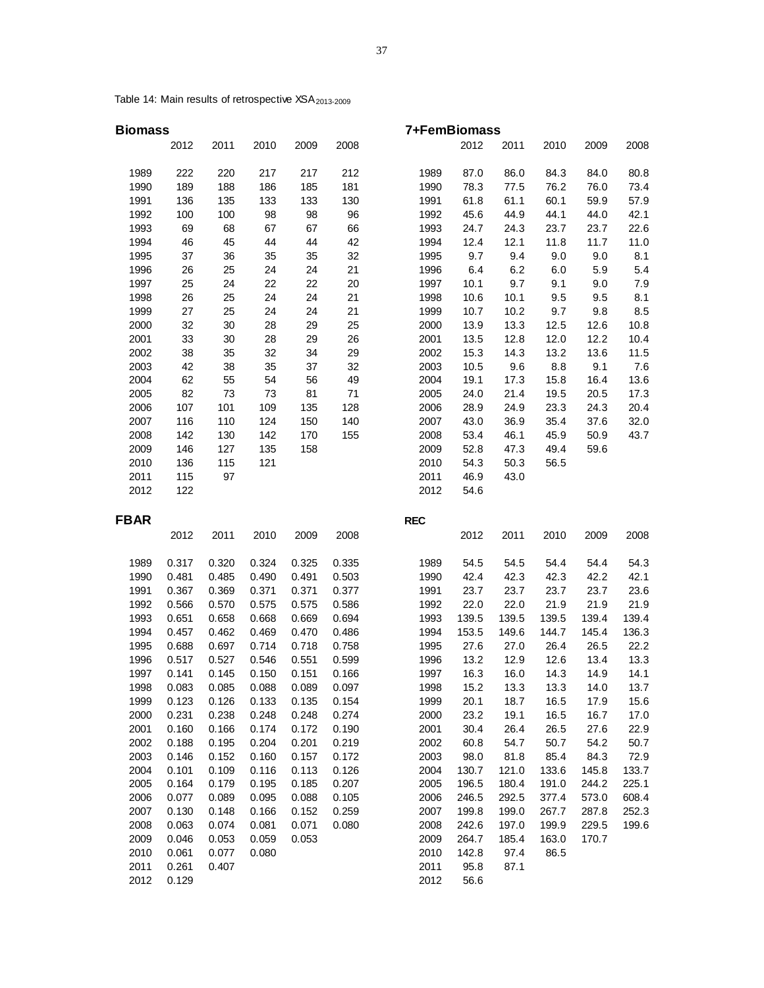Table 14: Main results of retrospective XSA<sub>2013-2009</sub>

2012 0.129

| <b>Biomass</b> |       |       |       |       |       | 7+FemBiomass |       |       |       |       |       |
|----------------|-------|-------|-------|-------|-------|--------------|-------|-------|-------|-------|-------|
|                | 2012  | 2011  | 2010  | 2009  | 2008  |              | 2012  | 2011  | 2010  | 2009  | 2008  |
| 1989           | 222   | 220   | 217   | 217   | 212   | 1989         | 87.0  | 86.0  | 84.3  | 84.0  | 80.8  |
| 1990           | 189   | 188   | 186   | 185   | 181   | 1990         | 78.3  | 77.5  | 76.2  | 76.0  | 73.4  |
| 1991           | 136   | 135   | 133   | 133   | 130   | 1991         | 61.8  | 61.1  | 60.1  | 59.9  | 57.9  |
| 1992           | 100   | 100   | 98    | 98    | 96    | 1992         | 45.6  | 44.9  | 44.1  | 44.0  | 42.1  |
| 1993           | 69    | 68    | 67    | 67    | 66    | 1993         | 24.7  | 24.3  | 23.7  | 23.7  | 22.6  |
| 1994           | 46    | 45    | 44    | 44    | 42    | 1994         | 12.4  | 12.1  | 11.8  | 11.7  | 11.0  |
| 1995           | 37    | 36    | 35    | 35    | 32    | 1995         | 9.7   | 9.4   | 9.0   | 9.0   | 8.1   |
| 1996           | 26    | 25    | 24    | 24    | 21    | 1996         | 6.4   | 6.2   | 6.0   | 5.9   | 5.4   |
| 1997           | 25    | 24    | 22    | 22    | 20    | 1997         | 10.1  | 9.7   | 9.1   | 9.0   | 7.9   |
| 1998           | 26    | 25    | 24    | 24    | 21    | 1998         | 10.6  | 10.1  | 9.5   | 9.5   | 8.1   |
| 1999           | 27    | 25    | 24    | 24    | 21    | 1999         | 10.7  | 10.2  | 9.7   | 9.8   | 8.5   |
| 2000           | 32    | 30    | 28    | 29    | 25    | 2000         | 13.9  | 13.3  | 12.5  | 12.6  | 10.8  |
| 2001           | 33    | 30    | 28    | 29    | 26    | 2001         | 13.5  | 12.8  | 12.0  | 12.2  | 10.4  |
| 2002           | 38    | 35    | 32    | 34    | 29    | 2002         | 15.3  | 14.3  | 13.2  | 13.6  | 11.5  |
| 2003           | 42    | 38    | 35    | 37    | 32    | 2003         | 10.5  | 9.6   | 8.8   | 9.1   | 7.6   |
| 2004           | 62    | 55    | 54    | 56    | 49    | 2004         | 19.1  | 17.3  | 15.8  | 16.4  | 13.6  |
| 2005           | 82    | 73    | 73    | 81    | 71    | 2005         | 24.0  | 21.4  | 19.5  | 20.5  | 17.3  |
| 2006           | 107   | 101   | 109   | 135   | 128   | 2006         | 28.9  | 24.9  | 23.3  | 24.3  | 20.4  |
| 2007           | 116   | 110   | 124   | 150   | 140   | 2007         | 43.0  | 36.9  | 35.4  | 37.6  | 32.0  |
| 2008           | 142   | 130   | 142   | 170   | 155   | 2008         | 53.4  | 46.1  | 45.9  | 50.9  | 43.7  |
| 2009           | 146   | 127   | 135   | 158   |       | 2009         | 52.8  | 47.3  | 49.4  | 59.6  |       |
| 2010           | 136   | 115   | 121   |       |       | 2010         | 54.3  | 50.3  | 56.5  |       |       |
| 2011           | 115   | 97    |       |       |       | 2011         | 46.9  | 43.0  |       |       |       |
| 2012           | 122   |       |       |       |       | 2012         | 54.6  |       |       |       |       |
| <b>FBAR</b>    |       |       |       |       |       | <b>REC</b>   |       |       |       |       |       |
|                | 2012  | 2011  | 2010  | 2009  | 2008  |              | 2012  | 2011  | 2010  | 2009  | 2008  |
| 1989           | 0.317 | 0.320 | 0.324 | 0.325 | 0.335 | 1989         | 54.5  | 54.5  | 54.4  | 54.4  | 54.3  |
| 1990           | 0.481 | 0.485 | 0.490 | 0.491 | 0.503 | 1990         | 42.4  | 42.3  | 42.3  | 42.2  | 42.1  |
| 1991           | 0.367 | 0.369 | 0.371 | 0.371 | 0.377 | 1991         | 23.7  | 23.7  | 23.7  | 23.7  | 23.6  |
| 1992           | 0.566 | 0.570 | 0.575 | 0.575 | 0.586 | 1992         | 22.0  | 22.0  | 21.9  | 21.9  | 21.9  |
| 1993           | 0.651 | 0.658 | 0.668 | 0.669 | 0.694 | 1993         | 139.5 | 139.5 | 139.5 | 139.4 | 139.4 |
| 1994           | 0.457 | 0.462 | 0.469 | 0.470 | 0.486 | 1994         | 153.5 | 149.6 | 144.7 | 145.4 | 136.3 |
| 1995           | 0.688 | 0.697 | 0.714 | 0.718 | 0.758 | 1995         | 27.6  | 27.0  | 26.4  | 26.5  | 22.2  |
| 1996           | 0.517 | 0.527 | 0.546 | 0.551 | 0.599 | 1996         | 13.2  | 12.9  | 12.6  | 13.4  | 13.3  |
| 1997           | 0.141 | 0.145 | 0.150 | 0.151 | 0.166 | 1997         | 16.3  | 16.0  | 14.3  | 14.9  | 14.1  |
| 1998           | 0.083 | 0.085 | 0.088 | 0.089 | 0.097 | 1998         | 15.2  | 13.3  | 13.3  | 14.0  | 13.7  |
| 1999           | 0.123 | 0.126 | 0.133 | 0.135 | 0.154 | 1999         | 20.1  | 18.7  | 16.5  | 17.9  | 15.6  |
| 2000           | 0.231 | 0.238 | 0.248 | 0.248 | 0.274 | 2000         | 23.2  | 19.1  | 16.5  | 16.7  | 17.0  |
| 2001           | 0.160 | 0.166 | 0.174 | 0.172 | 0.190 | 2001         | 30.4  | 26.4  | 26.5  | 27.6  | 22.9  |
| 2002           | 0.188 | 0.195 | 0.204 | 0.201 | 0.219 | 2002         | 60.8  | 54.7  | 50.7  | 54.2  | 50.7  |
| 2003           | 0.146 | 0.152 | 0.160 | 0.157 | 0.172 | 2003         | 98.0  | 81.8  | 85.4  | 84.3  | 72.9  |
| 2004           | 0.101 | 0.109 | 0.116 | 0.113 | 0.126 | 2004         | 130.7 | 121.0 | 133.6 | 145.8 | 133.7 |
| 2005           | 0.164 | 0.179 | 0.195 | 0.185 | 0.207 | 2005         | 196.5 | 180.4 | 191.0 | 244.2 | 225.1 |
| 2006           | 0.077 | 0.089 | 0.095 | 0.088 | 0.105 | 2006         | 246.5 | 292.5 | 377.4 | 573.0 | 608.4 |
| 2007           | 0.130 | 0.148 | 0.166 | 0.152 | 0.259 | 2007         | 199.8 | 199.0 | 267.7 | 287.8 | 252.3 |
| 2008           | 0.063 | 0.074 | 0.081 | 0.071 | 0.080 | 2008         | 242.6 | 197.0 | 199.9 | 229.5 | 199.6 |
| 2009           | 0.046 | 0.053 | 0.059 | 0.053 |       | 2009         | 264.7 | 185.4 | 163.0 | 170.7 |       |
| 2010           | 0.061 | 0.077 | 0.080 |       |       | 2010         | 142.8 | 97.4  | 86.5  |       |       |
| 2011           | 0.261 | 0.407 |       |       |       | 2011         | 95.8  | 87.1  |       |       |       |
| 2012           | 0.129 |       |       |       |       | 2012         | 56.6  |       |       |       |       |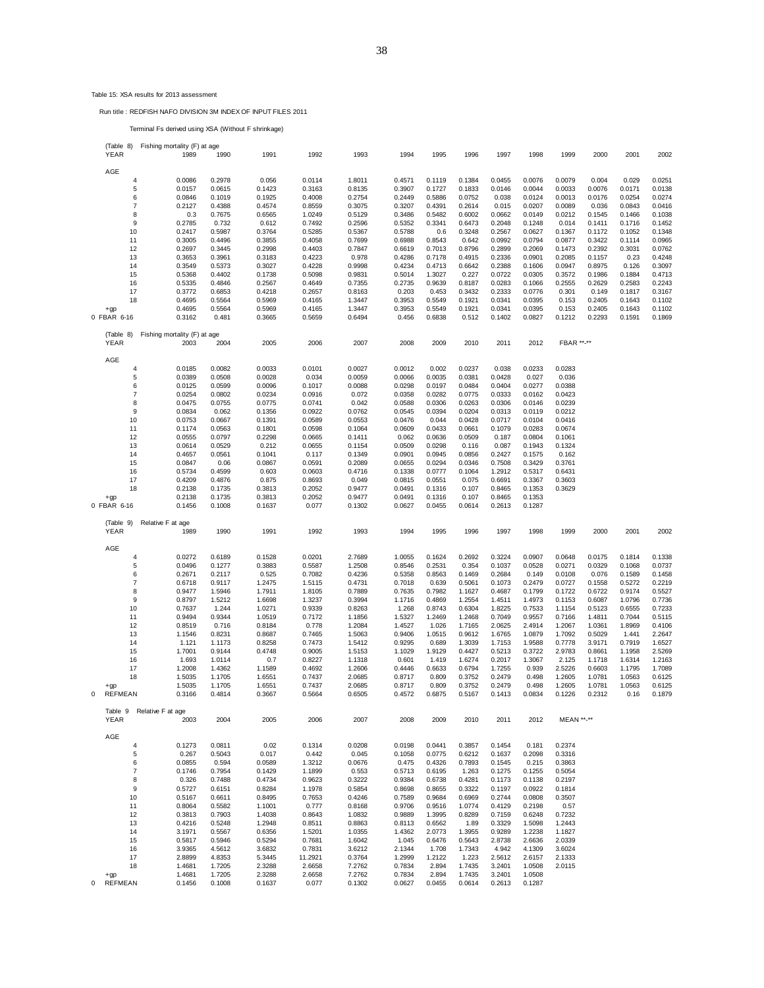## Table 15: XSA results for 2013 assessment

### Run title : REDFISH NAFO DIVISION 3M INDEX OF INPUT FILES 2011

Terminal Fs derived using XSA (Without F shrinkage)

| (Table 8)             |                     | Fishing mortality (F) at age |                  |                  |                  |                  |                  |                  |                  |                  |                  |                  |                  |                  |                  |
|-----------------------|---------------------|------------------------------|------------------|------------------|------------------|------------------|------------------|------------------|------------------|------------------|------------------|------------------|------------------|------------------|------------------|
| YEAR                  |                     | 1989                         | 1990             | 1991             | 1992             | 1993             | 1994             | 1995             | 1996             | 1997             | 1998             | 1999             | 2000             | 2001             | 2002             |
|                       |                     |                              |                  |                  |                  |                  |                  |                  |                  |                  |                  |                  |                  |                  |                  |
| AGE                   |                     |                              |                  |                  |                  |                  |                  |                  |                  |                  |                  |                  |                  |                  |                  |
|                       | 4                   | 0.0086                       | 0.2978           | 0.056            | 0.0114           | 1.8011           | 0.4571           | 0.1119           | 0.1384           | 0.0455           | 0.0076           | 0.0079           | 0.004            | 0.029            | 0.0251           |
|                       | 5<br>6              | 0.0157<br>0.0846             | 0.0615<br>0.1019 | 0.1423<br>0.1925 | 0.3163<br>0.4008 | 0.8135<br>0.2754 | 0.3907<br>0.2449 | 0.1727<br>0.5886 | 0.1833<br>0.0752 | 0.0146<br>0.038  | 0.0044<br>0.0124 | 0.0033<br>0.0013 | 0.0076<br>0.0176 | 0.0171<br>0.0254 | 0.0138<br>0.0274 |
|                       | $\overline{7}$      | 0.2127                       | 0.4388           | 0.4574           | 0.8559           | 0.3075           | 0.3207           | 0.4391           | 0.2614           | 0.015            | 0.0207           | 0.0089           | 0.036            | 0.0843           | 0.0416           |
|                       | 8                   | 0.3                          | 0.7675           | 0.6565           | 1.0249           | 0.5129           | 0.3486           | 0.5482           | 0.6002           | 0.0662           | 0.0149           | 0.0212           | 0.1545           | 0.1466           | 0.1038           |
|                       | 9                   | 0.2785                       | 0.732            | 0.612            | 0.7492           | 0.2596           | 0.5352           | 0.3341           | 0.6473           | 0.2048           | 0.1248           | 0.014            | 0.1411           | 0.1716           | 0.1452           |
|                       | 10                  | 0.2417                       | 0.5987           | 0.3764           | 0.5285           | 0.5367           | 0.5788           | 0.6              | 0.3248           | 0.2567           | 0.0627           | 0.1367           | 0.1172           | 0.1052           | 0.1348           |
|                       | 11                  | 0.3005                       | 0.4496           | 0.3855           | 0.4058           | 0.7699           | 0.6988           | 0.8543           | 0.642            | 0.0992           | 0.0794           | 0.0877           | 0.3422           | 0.1114           | 0.0965           |
|                       | 12                  | 0.2697                       | 0.3445           | 0.2998           | 0.4403           | 0.7847           | 0.6619           | 0.7013           | 0.8796           | 0.2899           | 0.2069           | 0.1473           | 0.2392           | 0.3031           | 0.0762           |
|                       | 13                  | 0.3653                       | 0.3961           | 0.3183           | 0.4223           | 0.978            | 0.4286           | 0.7178           | 0.4915           | 0.2336           | 0.0901           | 0.2085           | 0.1157           | 0.23             | 0.4248           |
|                       | 14                  | 0.3549                       | 0.5373           | 0.3027           | 0.4228           | 0.9998           | 0.4234           | 0.4713           | 0.6642           | 0.2388           | 0.1606           | 0.0947           | 0.8975           | 0.126            | 0.3097           |
|                       | 15<br>16            | 0.5368<br>0.5335             | 0.4402<br>0.4846 | 0.1738<br>0.2567 | 0.5098<br>0.4649 | 0.9831<br>0.7355 | 0.5014<br>0.2735 | 1.3027<br>0.9639 | 0.227<br>0.8187  | 0.0722<br>0.0283 | 0.0305<br>0.1066 | 0.3572<br>0.2555 | 0.1986<br>0.2629 | 0.1884<br>0.2583 | 0.4713<br>0.2243 |
|                       | 17                  | 0.3772                       | 0.6853           | 0.4218           | 0.2657           | 0.8163           | 0.203            | 0.453            | 0.3432           | 0.2333           | 0.0776           | 0.301            | 0.149            | 0.1817           | 0.3167           |
|                       | 18                  | 0.4695                       | 0.5564           | 0.5969           | 0.4165           | 1.3447           | 0.3953           | 0.5549           | 0.1921           | 0.0341           | 0.0395           | 0.153            | 0.2405           | 0.1643           | 0.1102           |
| $+qp$                 |                     | 0.4695                       | 0.5564           | 0.5969           | 0.4165           | 1.3447           | 0.3953           | 0.5549           | 0.1921           | 0.0341           | 0.0395           | 0.153            | 0.2405           | 0.1643           | 0.1102           |
| 0 FBAR 6-16           |                     | 0.3162                       | 0.481            | 0.3665           | 0.5659           | 0.6494           | 0.456            | 0.6838           | 0.512            | 0.1402           | 0.0827           | 0.1212           | 0.2293           | 0.1591           | 0.1869           |
|                       |                     |                              |                  |                  |                  |                  |                  |                  |                  |                  |                  |                  |                  |                  |                  |
| (Table 8)             |                     | Fishing mortality (F) at age |                  |                  |                  |                  |                  |                  |                  |                  |                  |                  |                  |                  |                  |
| YEAR                  |                     | 2003                         | 2004             | 2005             | 2006             | 2007             | 2008             | 2009             | 2010             | 2011             | 2012             | FBAR **-**       |                  |                  |                  |
| AGE                   |                     |                              |                  |                  |                  |                  |                  |                  |                  |                  |                  |                  |                  |                  |                  |
|                       | 4                   | 0.0185                       | 0.0082           | 0.0033           | 0.0101           | 0.0027           | 0.0012           | 0.002            | 0.0237           | 0.038            | 0.0233           | 0.0283           |                  |                  |                  |
|                       | 5                   | 0.0389                       | 0.0508           | 0.0028           | 0.034            | 0.0059           | 0.0066           | 0.0035           | 0.0381           | 0.0428           | 0.027            | 0.036            |                  |                  |                  |
|                       | 6                   | 0.0125                       | 0.0599           | 0.0096           | 0.1017           | 0.0088           | 0.0298           | 0.0197           | 0.0484           | 0.0404           | 0.0277           | 0.0388           |                  |                  |                  |
|                       | $\overline{7}$      | 0.0254                       | 0.0802           | 0.0234           | 0.0916           | 0.072            | 0.0358           | 0.0282           | 0.0775           | 0.0333           | 0.0162           | 0.0423           |                  |                  |                  |
|                       | 8                   | 0.0475                       | 0.0755           | 0.0775           | 0.0741           | 0.042            | 0.0588           | 0.0306           | 0.0263           | 0.0306           | 0.0146           | 0.0239           |                  |                  |                  |
|                       | 9                   | 0.0834                       | 0.062            | 0.1356           | 0.0922           | 0.0762           | 0.0545           | 0.0394           | 0.0204           | 0.0313           | 0.0119           | 0.0212           |                  |                  |                  |
|                       | 10                  | 0.0753                       | 0.0667           | 0.1391           | 0.0589           | 0.0553           | 0.0476           | 0.044            | 0.0428           | 0.0717           | 0.0104           | 0.0416           |                  |                  |                  |
|                       | 11                  | 0.1174                       | 0.0563           | 0.1801           | 0.0598           | 0.1064           | 0.0609           | 0.0433           | 0.0661           | 0.1079           | 0.0283           | 0.0674           |                  |                  |                  |
|                       | 12                  | 0.0555                       | 0.0797           | 0.2298           | 0.0665           | 0.1411           | 0.062            | 0.0636           | 0.0509           | 0.187            | 0.0804           | 0.1061           |                  |                  |                  |
|                       | 13                  | 0.0614                       | 0.0529           | 0.212            | 0.0655           | 0.1154           | 0.0509           | 0.0298           | 0.116            | 0.087            | 0.1943           | 0.1324           |                  |                  |                  |
|                       | 14                  | 0.4657                       | 0.0561           | 0.1041           | 0.117            | 0.1349           | 0.0901           | 0.0945           | 0.0856           | 0.2427           | 0.1575           | 0.162            |                  |                  |                  |
|                       | 15                  | 0.0847<br>0.5734             | 0.06             | 0.0867           | 0.0591           | 0.2089           | 0.0655<br>0.1338 | 0.0294<br>0.0777 | 0.0346<br>0.1064 | 0.7508<br>1.2912 | 0.3429           | 0.3761           |                  |                  |                  |
|                       | 16<br>17            | 0.4209                       | 0.4599<br>0.4876 | 0.603<br>0.875   | 0.0603<br>0.8693 | 0.4716<br>0.049  | 0.0815           | 0.0551           | 0.075            | 0.6691           | 0.5317<br>0.3367 | 0.6431<br>0.3603 |                  |                  |                  |
|                       | 18                  | 0.2138                       | 0.1735           | 0.3813           | 0.2052           | 0.9477           | 0.0491           | 0.1316           | 0.107            | 0.8465           | 0.1353           | 0.3629           |                  |                  |                  |
| $+gp$                 |                     | 0.2138                       | 0.1735           | 0.3813           | 0.2052           | 0.9477           | 0.0491           | 0.1316           | 0.107            | 0.8465           | 0.1353           |                  |                  |                  |                  |
| 0 FBAR 6-16           |                     | 0.1456                       | 0.1008           | 0.1637           | 0.077            | 0.1302           | 0.0627           | 0.0455           | 0.0614           | 0.2613           | 0.1287           |                  |                  |                  |                  |
|                       |                     |                              |                  |                  |                  |                  |                  |                  |                  |                  |                  |                  |                  |                  |                  |
|                       |                     | Relative F at age            |                  |                  |                  |                  |                  |                  |                  |                  |                  |                  |                  |                  |                  |
| (Table 9)             |                     |                              |                  |                  |                  |                  |                  |                  |                  |                  |                  |                  |                  |                  |                  |
| YEAR                  |                     | 1989                         | 1990             | 1991             | 1992             | 1993             | 1994             | 1995             | 1996             | 1997             | 1998             | 1999             | 2000             | 2001             | 2002             |
|                       |                     |                              |                  |                  |                  |                  |                  |                  |                  |                  |                  |                  |                  |                  |                  |
| AGE                   |                     |                              |                  |                  |                  |                  |                  |                  |                  |                  |                  |                  |                  |                  |                  |
|                       | 4                   | 0.0272                       | 0.6189           | 0.1528           | 0.0201           | 2.7689           | 1.0055           | 0.1624           | 0.2692           | 0.3224           | 0.0907           | 0.0648           | 0.0175           | 0.1814           | 0.1338           |
|                       | 5                   | 0.0496                       | 0.1277           | 0.3883           | 0.5587           | 1.2508           | 0.8546           | 0.2531           | 0.354            | 0.1037           | 0.0528           | 0.0271           | 0.0329           | 0.1068           | 0.0737           |
|                       | 6<br>$\overline{7}$ | 0.2671<br>0.6718             | 0.2117<br>0.9117 | 0.525<br>1.2475  | 0.7082<br>1.5115 | 0.4236<br>0.4731 | 0.5358<br>0.7018 | 0.8563<br>0.639  | 0.1469<br>0.5061 | 0.2684<br>0.1073 | 0.149<br>0.2479  | 0.0108<br>0.0727 | 0.076<br>0.1558  | 0.1589<br>0.5272 | 0.1458<br>0.2219 |
|                       | 8                   | 0.9477                       | 1.5946           | 1.7911           | 1.8105           | 0.7889           | 0.7635           | 0.7982           | 1.1627           | 0.4687           | 0.1799           | 0.1722           | 0.6722           | 0.9174           | 0.5527           |
|                       | 9                   | 0.8797                       | 1.5212           | 1.6698           | 1.3237           | 0.3994           | 1.1716           | 0.4869           | 1.2554           | 1.4511           | 1.4973           | 0.1153           | 0.6087           | 1.0796           | 0.7736           |
|                       | 10                  | 0.7637                       | 1.244            | 1.0271           | 0.9339           | 0.8263           | 1.268            | 0.8743           | 0.6304           | 1.8225           | 0.7533           | 1.1154           | 0.5123           | 0.6555           | 0.7233           |
|                       | 11                  | 0.9494                       | 0.9344           | 1.0519           | 0.7172           | 1.1856           | 1.5327           | 1.2469           | 1.2468           | 0.7049           | 0.9557           | 0.7166           | 1.4811           | 0.7044           | 0.5115           |
|                       | 12                  | 0.8519                       | 0.716            | 0.8184           | 0.778            | 1.2084           | 1.4527           | 1.026            | 1.7165           | 2.0625           | 2.4914           | 1.2067           | 1.0361           | 1.8969           | 0.4106           |
|                       | 13                  | 1.1546                       | 0.8231           | 0.8687           | 0.7465           | 1.5063           | 0.9406           | 1.0515           | 0.9612           | 1.6765           | 1.0879           | 1.7092           | 0.5029           | 1.441            | 2.2647           |
|                       | 14                  | 1.121                        | 1.1173           | 0.8258           | 0.7473           | 1.5412           | 0.9295           | 0.689            | 1.3039           | 1.7153           | 1.9588           | 0.7778           | 3.9171           | 0.7919           | 1.6527           |
|                       | 15                  | 1.7001                       | 0.9144           | 0.4748           | 0.9005           | 1.5153           | 1.1029           | 1.9129           | 0.4427           | 0.5213           | 0.3722           | 2.9783           | 0.8661<br>1.1718 | 1.1958<br>1.6314 | 2.5269<br>1.2163 |
|                       | 16<br>17            | 1.693<br>1.2008              | 1.0114<br>1.4362 | 0.7<br>1.1589    | 0.8227<br>0.4692 | 1.1318<br>1.2606 | 0.601<br>0.4446  | 1.419<br>0.6633  | 1.6274<br>0.6794 | 0.2017<br>1.7255 | 1.3067<br>0.939  | 2.125<br>2.5226  | 0.6603           | 1.1795           | 1.7089           |
|                       | 18                  | 1.5035                       | 1.1705           | 1.6551           | 0.7437           | 2.0685           | 0.8717           | 0.809            | 0.3752           | 0.2479           | 0.498            | 1.2605           | 1.0781           | 1.0563           | 0.6125           |
| $+gp$                 |                     | 1.5035                       | 1.1705           | 1.6551           | 0.7437           | 2.0685           | 0.8717           | 0.809            | 0.3752           | 0.2479           | 0.498            | 1.2605           | 1.0781           | 1.0563           | 0.6125           |
| 0<br><b>REFMEAN</b>   |                     | 0.3166                       | 0.4814           | 0.3667           | 0.5664           | 0.6505           | 0.4572           | 0.6875           | 0.5167           | 0.1413           | 0.0834           | 0.1226           | 0.2312           | 0.16             | 0.1879           |
|                       |                     |                              |                  |                  |                  |                  |                  |                  |                  |                  |                  |                  |                  |                  |                  |
| Table 9               |                     | Relative F at age            |                  |                  |                  |                  |                  |                  |                  |                  |                  |                  |                  |                  |                  |
| YEAR                  |                     | 2003                         | 2004             | 2005             | 2006             | 2007             | 2008             | 2009             | 2010             | 2011             | 2012             | MEAN **-**       |                  |                  |                  |
| AGE                   |                     |                              |                  |                  |                  |                  |                  |                  |                  |                  |                  |                  |                  |                  |                  |
|                       | 4                   | 0.1273                       | 0.0811           | 0.02             | 0.1314           | 0.0208           | 0.0198           | 0.0441           | 0.3857           | 0.1454           | 0.181            | 0.2374           |                  |                  |                  |
|                       | 5                   | 0.267                        | 0.5043           | 0.017            | 0.442            | 0.045            | 0.1058           | 0.0775           | 0.6212           | 0.1637           | 0.2098           | 0.3316           |                  |                  |                  |
|                       | 6                   | 0.0855                       | 0.594            | 0.0589           | 1.3212           | 0.0676           | 0.475            | 0.4326           | 0.7893           | 0.1545           | 0.215            | 0.3863           |                  |                  |                  |
|                       | $\overline{7}$      | 0.1746                       | 0.7954           | 0.1429           | 1.1899           | 0.553            | 0.5713           | 0.6195           | 1.263            | 0.1275           | 0.1255           | 0.5054           |                  |                  |                  |
|                       | 8                   | 0.326                        | 0.7488           | 0.4734           | 0.9623           | 0.3222           | 0.9384           | 0.6738           | 0.4281           | 0.1173           | 0.1138           | 0.2197           |                  |                  |                  |
|                       | 9                   | 0.5727                       | 0.6151           | 0.8284           | 1.1978           | 0.5854           | 0.8698           | 0.8655           | 0.3322           | 0.1197           | 0.0922           | 0.1814           |                  |                  |                  |
|                       | 10                  | 0.5167                       | 0.6611           | 0.8495           | 0.7653           | 0.4246           | 0.7589           | 0.9684           | 0.6969           | 0.2744           | 0.0808           | 0.3507           |                  |                  |                  |
|                       | 11                  | 0.8064                       | 0.5582           | 1.1001           | 0.777            | 0.8168           | 0.9706           | 0.9516           | 1.0774           | 0.4129           | 0.2198           | 0.57             |                  |                  |                  |
|                       | 12                  | 0.3813                       | 0.7903           | 1.4038           | 0.8643           | 1.0832           | 0.9889           | 1.3995           | 0.8289           | 0.7159           | 0.6248           | 0.7232           |                  |                  |                  |
|                       | 13                  | 0.4216                       | 0.5248           | 1.2948           | 0.8511           | 0.8863           | 0.8113           | 0.6562           | 1.89             | 0.3329           | 1.5098           | 1.2443           |                  |                  |                  |
|                       | 14<br>15            | 3.1971<br>0.5817             | 0.5567<br>0.5946 | 0.6356<br>0.5294 | 1.5201<br>0.7681 | 1.0355           | 1.4362           | 2.0773<br>0.6476 | 1.3955<br>0.5643 | 0.9289<br>2.8738 | 1.2238<br>2.6636 | 1.1827<br>2.0339 |                  |                  |                  |
|                       | 16                  | 3.9365                       | 4.5612           | 3.6832           | 0.7831           | 1.6042<br>3.6212 | 1.045<br>2.1344  | 1.708            | 1.7343           | 4.942            | 4.1309           | 3.6024           |                  |                  |                  |
|                       | 17                  | 2.8899                       | 4.8353           | 5.3445           | 11.2921          | 0.3764           | 1.2999           | 1.2122           | 1.223            | 2.5612           | 2.6157           | 2.1333           |                  |                  |                  |
|                       | 18                  | 1.4681                       | 1.7205           | 2.3288           | 2.6658           | 7.2762           | 0.7834           | 2.894            | 1.7435           | 3.2401           | 1.0508           | 2.0115           |                  |                  |                  |
| $+qp$<br>REFMEAN<br>0 |                     | 1.4681<br>0.1456             | 1.7205<br>0.1008 | 2.3288<br>0.1637 | 2.6658<br>0.077  | 7.2762<br>0.1302 | 0.7834<br>0.0627 | 2.894<br>0.0455  | 1.7435<br>0.0614 | 3.2401<br>0.2613 | 1.0508<br>0.1287 |                  |                  |                  |                  |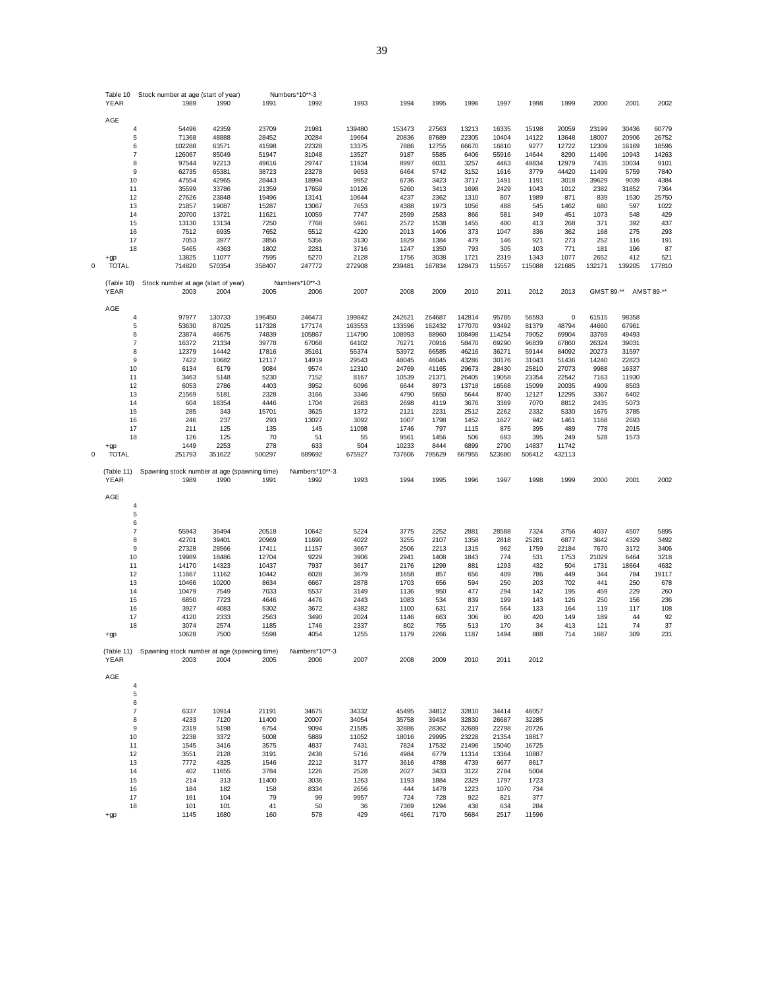|   | Table 10       |                | Stock number at age (start of year) |                                                                 | Numbers*10**-3 |               |              |              |               |               |                |                |              |              |               |
|---|----------------|----------------|-------------------------------------|-----------------------------------------------------------------|----------------|---------------|--------------|--------------|---------------|---------------|----------------|----------------|--------------|--------------|---------------|
|   | YEAR           | 1989           | 1990                                | 1991                                                            | 1992           | 1993          | 1994         | 1995         | 1996          | 1997          | 1998           | 1999           | 2000         | 2001         | 2002          |
|   |                |                |                                     |                                                                 |                |               |              |              |               |               |                |                |              |              |               |
|   | AGE            |                |                                     |                                                                 |                |               |              |              |               |               |                |                |              |              |               |
|   | 4              | 54496          | 42359                               | 23709                                                           | 21981          | 139480        | 153473       | 27563        | 13213         | 16335         | 15198          | 20059          | 23199        | 30436        | 60779         |
|   | 5              | 71368          | 48888                               | 28452                                                           | 20284          | 19664         | 20836        | 87689        | 22305         | 10404         | 14122          | 13648          | 18007        | 20906        | 26752         |
|   | 6              | 102288         | 63571                               | 41598                                                           | 22328          | 13375         | 7886         | 12755        | 66670         | 16810         | 9277           | 12722          | 12309        | 16169        | 18596         |
|   | $\overline{7}$ | 126067         | 85049                               | 51947                                                           | 31048          | 13527         | 9187         | 5585         | 6406          | 55916         | 14644          | 8290           | 11496        | 10943        | 14263         |
|   | 8              | 97544          | 92213                               | 49616                                                           | 29747          | 11934         | 8997         | 6031         | 3257          | 4463          | 49834          | 12979          | 7435         | 10034        | 9101          |
|   | 9              | 62735          | 65381                               | 38723                                                           | 23278          | 9653          | 6464         | 5742         | 3152          | 1616          | 3779           | 44420          | 11499        | 5759         | 7840          |
|   | 10             | 47554          | 42965                               | 28443                                                           | 18994          | 9952          | 6736         | 3423         | 3717          | 1491          | 1191           | 3018           | 39629        | 9039         | 4384          |
|   | 11             | 35599          | 33786                               | 21359                                                           | 17659          | 10126         | 5260         | 3413         | 1698          | 2429          | 1043           | 1012           | 2382         | 31852        | 7364          |
|   | 12<br>13       | 27626<br>21857 | 23848<br>19087                      | 19496<br>15287                                                  | 13141<br>13067 | 10644<br>7653 | 4237<br>4388 | 2362<br>1973 | 1310<br>1056  | 807<br>488    | 1989<br>545    | 871<br>1462    | 839<br>680   | 1530<br>597  | 25750<br>1022 |
|   | 14             | 20700          | 13721                               | 11621                                                           | 10059          | 7747          | 2599         | 2583         | 866           | 581           | 349            | 451            | 1073         | 548          | 429           |
|   | 15             | 13130          | 13134                               | 7250                                                            | 7768           | 5961          | 2572         | 1538         | 1455          | 400           | 413            | 268            | 371          | 392          | 437           |
|   | 16             | 7512           | 6935                                | 7652                                                            | 5512           | 4220          | 2013         | 1406         | 373           | 1047          | 336            | 362            | 168          | 275          | 293           |
|   | 17             | 7053           | 3977                                | 3856                                                            | 5356           | 3130          | 1829         | 1384         | 479           | 146           | 921            | 273            | 252          | 116          | 191           |
|   | 18             | 5465           | 4363                                | 1802                                                            | 2281           | 3716          | 1247         | 1350         | 793           | 305           | 103            | 771            | 181          | 196          | 87            |
|   | $+qp$          | 13825          | 11077                               | 7595                                                            | 5270           | 2128          | 1756         | 3038         | 1721          | 2319          | 1343           | 1077           | 2652         | 412          | 521           |
| 0 | <b>TOTAL</b>   | 714820         | 570354                              | 358407                                                          | 247772         | 272908        | 239481       | 167834       | 128473        | 115557        | 115088         | 121685         | 132171       | 139205       | 177810        |
|   |                |                |                                     |                                                                 |                |               |              |              |               |               |                |                |              |              |               |
|   | (Table 10)     |                | Stock number at age (start of year) |                                                                 | Numbers*10**-3 |               |              |              |               |               |                |                |              |              |               |
|   | YEAR           | 2003           | 2004                                | 2005                                                            | 2006           | 2007          | 2008         | 2009         | 2010          | 2011          | 2012           | 2013           | GMST 89-**   |              | AMST 89-**    |
|   |                |                |                                     |                                                                 |                |               |              |              |               |               |                |                |              |              |               |
|   | AGE            |                |                                     |                                                                 |                |               |              |              |               |               |                |                |              |              |               |
|   | 4              | 97977          | 130733                              | 196450                                                          | 246473         | 199842        | 242621       | 264687       | 142814        | 95785         | 56593          | $\mathbf 0$    | 61515        | 98358        |               |
|   | 5              | 53630          | 87025                               | 117328                                                          | 177174         | 163553        | 133596       | 162432       | 177070        | 93492         | 81379          | 48794          | 44660        | 67961        |               |
|   | 6              | 23874          | 46675                               | 74839                                                           | 105867         | 114790        | 108993       | 88960        | 108498        | 114254        | 79052          | 69904          | 33769        | 49493        |               |
|   | $\overline{7}$ | 16372          | 21334                               | 39778                                                           | 67068          | 64102         | 76271        | 70916        | 58470         | 69290         | 96839          | 67860          | 26324        | 39031        |               |
|   | 8              | 12379          | 14442                               | 17816                                                           | 35161          | 55374         | 53972        | 66585        | 46216         | 36271         | 59144          | 84092          | 20273        | 31597        |               |
|   | 9              | 7422           | 10682                               | 12117                                                           | 14919          | 29543         | 48045        | 46045        | 43286         | 30176         | 31043          | 51436          | 14240        | 22823        |               |
|   | 10             | 6134           | 6179                                | 9084                                                            | 9574           | 12310         | 24769        | 41165        | 29673         | 28430         | 25810          | 27073          | 9988         | 16337        |               |
|   | 11             | 3463           | 5148                                | 5230                                                            | 7152           | 8167          | 10539        | 21371        | 26405         | 19058         | 23354          | 22542          | 7163         | 11930        |               |
|   | 12             | 6053<br>21569  | 2786                                | 4403<br>2328                                                    | 3952<br>3166   | 6096<br>3346  | 6644<br>4790 | 8973<br>5650 | 13718<br>5644 | 16568<br>8740 | 15099<br>12127 | 20035<br>12295 | 4909<br>3367 | 8503<br>6402 |               |
|   | 13<br>14       | 604            | 5181<br>18354                       | 4446                                                            | 1704           | 2683          | 2698         | 4119         | 3676          | 3369          | 7070           | 8812           | 2435         | 5073         |               |
|   | 15             | 285            | 343                                 | 15701                                                           | 3625           | 1372          | 2121         | 2231         | 2512          | 2262          | 2332           | 5330           | 1675         | 3785         |               |
|   | 16             | 246            | 237                                 | 293                                                             | 13027          | 3092          | 1007         | 1798         | 1452          | 1627          | 942            | 1461           | 1168         | 2693         |               |
|   | 17             | 211            | 125                                 | 135                                                             | 145            | 11098         | 1746         | 797          | 1115          | 875           | 395            | 489            | 778          | 2015         |               |
|   | 18             | 126            | 125                                 | 70                                                              | 51             | 55            | 9561         | 1456         | 506           | 693           | 395            | 249            | 528          | 1573         |               |
|   | +gp            | 1449           | 2253                                | 278                                                             | 633            | 504           | 10233        | 8444         | 6899          | 2790          | 14837          | 11742          |              |              |               |
| 0 | <b>TOTAL</b>   | 251793         | 351622                              | 500297                                                          | 689692         | 675927        | 737606       | 795629       | 667955        | 523680        | 506412         | 432113         |              |              |               |
|   |                |                |                                     |                                                                 |                |               |              |              |               |               |                |                |              |              |               |
|   | (Table 11)     |                |                                     | Spawning stock number at age (spawning time)                    | Numbers*10**-3 |               |              |              |               |               |                |                |              |              |               |
|   | YEAR           | 1989           | 1990                                | 1991                                                            | 1992           | 1993          | 1994         | 1995         | 1996          | 1997          | 1998           | 1999           | 2000         | 2001         | 2002          |
|   | AGE            |                |                                     |                                                                 |                |               |              |              |               |               |                |                |              |              |               |
|   | 4              |                |                                     |                                                                 |                |               |              |              |               |               |                |                |              |              |               |
|   | 5              |                |                                     |                                                                 |                |               |              |              |               |               |                |                |              |              |               |
|   | 6              |                |                                     |                                                                 |                |               |              |              |               |               |                |                |              |              |               |
|   | 7              | 55943          | 36494                               | 20518                                                           | 10642          | 5224          | 3775         | 2252         | 2881          | 28588         | 7324           | 3756           | 4037         | 4507         | 5895          |
|   | 8              | 42701          | 39401                               | 20969                                                           | 11690          | 4022          | 3255         | 2107         | 1358          | 2818          | 25281          | 6877           | 3642         | 4329         | 3492          |
|   | 9              | 27328          | 28566                               | 17411                                                           | 11157          | 3667          | 2506         | 2213         | 1315          | 962           | 1759           | 22184          | 7670         | 3172         | 3406          |
|   | 10             | 19989          | 18486                               | 12704                                                           | 9229           | 3906          | 2941         | 1408         | 1843          | 774           | 531            | 1753           | 21029        | 6464         | 3218          |
|   | 11             | 14170          | 14323                               | 10437                                                           | 7937           | 3617          | 2176         | 1299         | 881           | 1293          | 432            | 504            | 1731         | 18664        | 4632          |
|   | 12             | 11667          | 11162                               | 10442                                                           | 6028           | 3679          | 1658         | 857          | 656           | 409           | 786            | 449            | 344          | 784          | 19117         |
|   | 13             | 10466          | 10200                               | 8634                                                            | 6667           | 2878          | 1703         | 656          | 594           | 250           | 203            | 702            | 441          | 250          | 678           |
|   | 14             | 10479          | 7549                                | 7033                                                            | 5537           | 3149          | 1136         | 950          | 477           | 294           | 142            | 195            | 459          | 229          | 260           |
|   | 15             | 6850           | 7723                                | 4646                                                            | 4476           | 2443          | 1083         | 534          | 839           | 199           | 143            | 126            | 250          | 156          | 236           |
|   | 16             | 3927           | 4083                                | 5302                                                            | 3672           | 4382          | 1100         | 631          | 217           | 564           | 133            | 164            | 119          | 117          | 108           |
|   | 17             | 4120           | 2333                                | 2563                                                            | 3490           | 2024          | 1146         | 663          | 306           | 80            | 420            | 149            | 189          | 44           | 92            |
|   | 18             | 3074           | 2574                                | 1185                                                            | 1746           | 2337          | 802          | 755          | 513           | 170           | 34             | 413            | 121          | 74           | 37            |
|   | $+gp$          | 10628          | 7500                                | 5598                                                            | 4054           | 1255          | 1179         | 2266         | 1187          | 1494          | 888            | 714            | 1687         | 309          | 231           |
|   |                |                |                                     |                                                                 | Numbers*10**-3 |               |              |              |               |               |                |                |              |              |               |
|   | YEAR           | 2003           | 2004                                | (Table 11) Spawning stock number at age (spawning time)<br>2005 | 2006           | 2007          | 2008         | 2009         | 2010          | 2011          | 2012           |                |              |              |               |
|   |                |                |                                     |                                                                 |                |               |              |              |               |               |                |                |              |              |               |
|   | AGE            |                |                                     |                                                                 |                |               |              |              |               |               |                |                |              |              |               |
|   | 4              |                |                                     |                                                                 |                |               |              |              |               |               |                |                |              |              |               |
|   | $\mathbf 5$    |                |                                     |                                                                 |                |               |              |              |               |               |                |                |              |              |               |
|   | 6              |                |                                     |                                                                 |                |               |              |              |               |               |                |                |              |              |               |
|   | $\overline{7}$ | 6337           | 10914                               | 21191                                                           | 34675          | 34332         | 45495        | 34812        | 32810         | 34414         | 46057          |                |              |              |               |
|   | 8              | 4233           | 7120                                | 11400                                                           | 20007          | 34054         | 35758        | 39434        | 32830         | 26687         | 32285          |                |              |              |               |
|   | 9              | 2319           | 5198                                | 6754                                                            | 9094           | 21585         | 32886        | 28362        | 32689         | 22798         | 20726          |                |              |              |               |
|   | 10             | 2238           | 3372                                | 5008                                                            | 5889           | 11052         | 18016        | 29995        | 23228         | 21354         | 18817          |                |              |              |               |
|   | 11             | 1545           | 3416                                | 3575                                                            | 4837           | 7431          | 7824         | 17532        | 21496         | 15040         | 16725          |                |              |              |               |
|   | 12             | 3551           | 2128                                | 3191                                                            | 2438           | 5716          | 4984         | 6779         | 11314         | 13364         | 10887          |                |              |              |               |
|   | 13             | 7772           | 4325                                | 1546                                                            | 2212           | 3177          | 3616         | 4788         | 4739          | 6677          | 8617           |                |              |              |               |
|   |                | 402            | 11655                               | 3784                                                            | 1226           | 2528          | 2027         | 3433         | 3122          | 2784          | 5004           |                |              |              |               |
|   | 14             |                |                                     |                                                                 |                |               |              |              |               |               |                |                |              |              |               |
|   | 15             | 214            | 313                                 | 11400                                                           | 3036           | 1263          | 1193         | 1884         | 2329          | 1797          | 1723           |                |              |              |               |
|   | 16             | 184            | 182                                 | 158                                                             | 8334           | 2656          | 444          | 1478         | 1223          | 1070          | 734            |                |              |              |               |
|   | 17             | 161            | 104                                 | 79                                                              | 99             | 9957          | 724          | 728          | 922           | 821           | 377            |                |              |              |               |
|   | 18<br>$+qp$    | 101<br>1145    | 101<br>1680                         | 41<br>160                                                       | 50<br>578      | 36<br>429     | 7369<br>4661 | 1294<br>7170 | 438<br>5684   | 634<br>2517   | 284<br>11596   |                |              |              |               |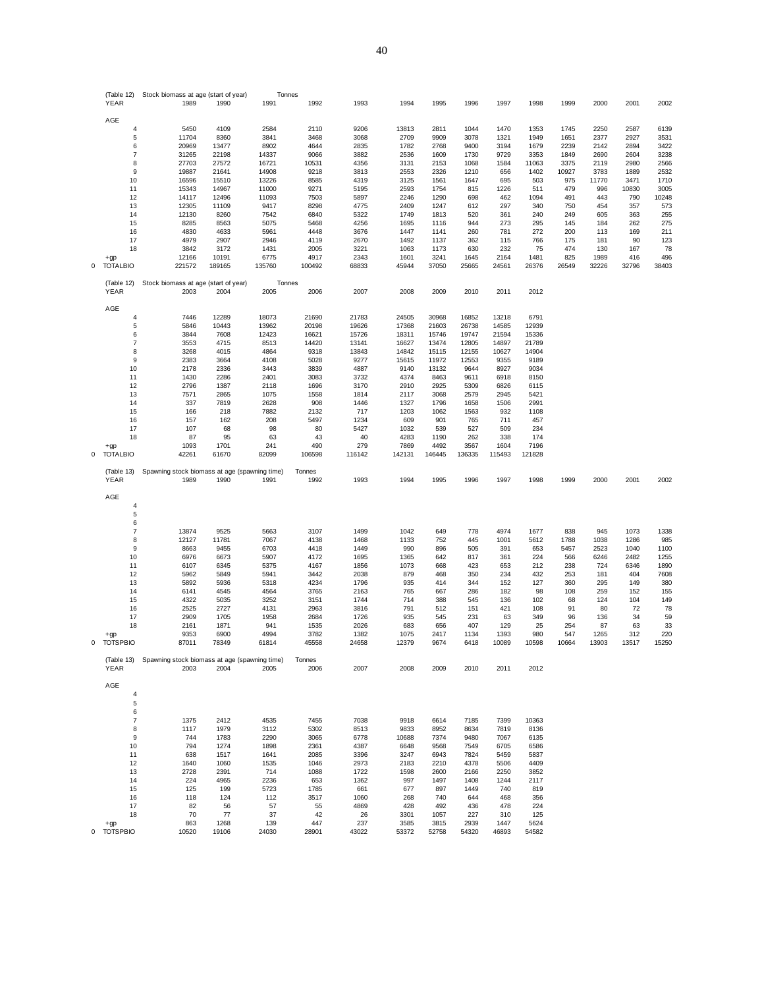|   | (Table 12)                | Stock biomass at age (start of year)          |               | Tonnes       |              |              |               |               |               |               |               |             |             |              |             |
|---|---------------------------|-----------------------------------------------|---------------|--------------|--------------|--------------|---------------|---------------|---------------|---------------|---------------|-------------|-------------|--------------|-------------|
|   | <b>YEAR</b>               | 1989                                          | 1990          | 1991         | 1992         | 1993         | 1994          | 1995          | 1996          | 1997          | 1998          | 1999        | 2000        | 2001         | 2002        |
|   |                           |                                               |               |              |              |              |               |               |               |               |               |             |             |              |             |
|   | AGE                       |                                               |               |              |              |              |               |               |               |               |               |             |             |              |             |
|   | 4                         | 5450                                          | 4109          | 2584         | 2110         | 9206         | 13813         | 2811          | 1044          | 1470          | 1353          | 1745        | 2250        | 2587         | 6139        |
|   | 5                         | 11704                                         | 8360          | 3841         | 3468         | 3068         | 2709          | 9909          | 3078          | 1321          | 1949          | 1651        | 2377        | 2927         | 3531        |
|   | 6                         | 20969                                         | 13477         | 8902         | 4644         | 2835         | 1782          | 2768          | 9400          | 3194          | 1679          | 2239        | 2142        | 2894         | 3422        |
|   | $\overline{7}$            | 31265                                         | 22198         | 14337        | 9066         | 3882         | 2536          | 1609          | 1730          | 9729          | 3353          | 1849        | 2690        | 2604         | 3238        |
|   | 8                         | 27703                                         | 27572         | 16721        | 10531        | 4356         | 3131          | 2153          | 1068          | 1584          | 11063         | 3375        | 2119        | 2980         | 2566        |
|   | 9                         | 19887                                         | 21641         | 14908        | 9218         | 3813         | 2553          | 2326          | 1210          | 656           | 1402          | 10927       | 3783        | 1889         | 2532        |
|   | 10                        | 16596                                         | 15510         | 13226        | 8585         | 4319         | 3125          | 1561          | 1647          | 695           | 503           | 975         | 11770       | 3471         | 1710        |
|   | 11                        | 15343                                         | 14967         | 11000        | 9271         | 5195         | 2593          | 1754          | 815           | 1226          | 511           | 479         | 996         | 10830        | 3005        |
|   | 12                        | 14117                                         | 12496         | 11093        | 7503         | 5897         | 2246          | 1290          | 698           | 462           | 1094          | 491         | 443         | 790          | 10248       |
|   | 13                        | 12305                                         | 11109         | 9417         | 8298         | 4775         | 2409          | 1247          | 612           | 297           | 340           | 750         | 454         | 357          | 573         |
|   | 14                        | 12130                                         | 8260          | 7542         | 6840         | 5322         | 1749          | 1813          | 520           | 361           | 240           | 249         | 605         | 363          | 255         |
|   | 15                        | 8285                                          | 8563          | 5075         | 5468         | 4256         | 1695          | 1116          | 944           | 273           | 295           | 145         | 184         | 262          | 275         |
|   | 16                        | 4830                                          | 4633          | 5961         | 4448         | 3676         | 1447          | 1141          | 260           | 781           | 272           | 200         | 113         | 169<br>90    | 211         |
|   | 17<br>18                  | 4979                                          | 2907          | 2946         | 4119         | 2670         | 1492          | 1137          | 362<br>630    | 115<br>232    | 766           | 175<br>474  | 181<br>130  | 167          | 123         |
|   |                           | 3842<br>12166                                 | 3172<br>10191 | 1431<br>6775 | 2005<br>4917 | 3221<br>2343 | 1063<br>1601  | 1173<br>3241  | 1645          | 2164          | 75<br>1481    | 825         | 1989        | 416          | 78<br>496   |
|   | $+qp$<br><b>TOTALBIO</b>  | 221572                                        | 189165        | 135760       | 100492       | 68833        |               |               |               |               |               |             |             |              | 38403       |
| 0 |                           |                                               |               |              |              |              | 45944         | 37050         | 25665         | 24561         | 26376         | 26549       | 32226       | 32796        |             |
|   | (Table 12)                | Stock biomass at age (start of year)          |               | Tonnes       |              |              |               |               |               |               |               |             |             |              |             |
|   | YEAR                      | 2003                                          | 2004          | 2005         | 2006         | 2007         | 2008          | 2009          | 2010          | 2011          | 2012          |             |             |              |             |
|   |                           |                                               |               |              |              |              |               |               |               |               |               |             |             |              |             |
|   | AGE                       |                                               |               |              |              |              |               |               |               |               |               |             |             |              |             |
|   | 4                         | 7446                                          | 12289         | 18073        | 21690        | 21783        | 24505         | 30968         | 16852         | 13218         | 6791          |             |             |              |             |
|   | 5                         | 5846                                          | 10443         | 13962        | 20198        | 19626        | 17368         | 21603         | 26738         | 14585         | 12939         |             |             |              |             |
|   | 6                         | 3844                                          | 7608          | 12423        | 16621        | 15726        | 18311         | 15746         | 19747         | 21594         | 15336         |             |             |              |             |
|   | $\overline{\mathfrak{c}}$ | 3553                                          | 4715          | 8513         | 14420        | 13141        | 16627         | 13474         | 12805         | 14897         | 21789         |             |             |              |             |
|   | 8                         | 3268                                          | 4015          | 4864         | 9318         | 13843        | 14842         | 15115         | 12155         | 10627         | 14904         |             |             |              |             |
|   | 9                         | 2383                                          | 3664          | 4108         | 5028         | 9277         | 15615         | 11972         | 12553         | 9355          | 9189          |             |             |              |             |
|   | 10                        | 2178                                          | 2336          | 3443         | 3839         | 4887         | 9140          | 13132         | 9644          | 8927          | 9034          |             |             |              |             |
|   | 11                        | 1430                                          | 2286          | 2401         | 3083         | 3732         | 4374          | 8463          | 9611          | 6918          | 8150          |             |             |              |             |
|   | 12                        | 2796                                          | 1387          | 2118         | 1696         | 3170         | 2910          | 2925          | 5309          | 6826          | 6115          |             |             |              |             |
|   | 13                        | 7571                                          | 2865          | 1075         | 1558         | 1814         | 2117          | 3068          | 2579          | 2945          | 5421          |             |             |              |             |
|   | 14                        | 337                                           | 7819          | 2628         | 908          | 1446         | 1327          | 1796          | 1658          | 1506          | 2991          |             |             |              |             |
|   | 15                        | 166                                           | 218           | 7882         | 2132         | 717          | 1203          | 1062          | 1563          | 932           | 1108          |             |             |              |             |
|   | 16                        | 157                                           | 162           | 208          | 5497         | 1234         | 609           | 901           | 765           | 711           | 457           |             |             |              |             |
|   | 17                        | 107                                           | 68            | 98           | 80           | 5427         | 1032          | 539           | 527           | 509           | 234           |             |             |              |             |
|   | 18                        | 87                                            | 95            | 63           | 43           | 40           | 4283          | 1190          | 262           | 338           | 174           |             |             |              |             |
|   | $+qp$                     | 1093                                          | 1701          | 241          | 490          | 279          | 7869          | 4492          | 3567          | 1604          | 7196          |             |             |              |             |
| 0 | <b>TOTALBIO</b>           | 42261                                         | 61670         | 82099        | 106598       | 116142       | 142131        | 146445        | 136335        | 115493        | 121828        |             |             |              |             |
|   |                           |                                               |               |              |              |              |               |               |               |               |               |             |             |              |             |
|   | (Table 13)                | Spawning stock biomass at age (spawning time) |               |              | Tonnes       |              |               |               |               |               |               |             |             |              |             |
|   | YEAR                      | 1989                                          | 1990          | 1991         | 1992         | 1993         | 1994          | 1995          | 1996          | 1997          | 1998          | 1999        | 2000        | 2001         | 2002        |
|   |                           |                                               |               |              |              |              |               |               |               |               |               |             |             |              |             |
|   | AGE                       |                                               |               |              |              |              |               |               |               |               |               |             |             |              |             |
|   | 4                         |                                               |               |              |              |              |               |               |               |               |               |             |             |              |             |
|   | 5<br>6                    |                                               |               |              |              |              |               |               |               |               |               |             |             |              |             |
|   |                           |                                               |               |              |              |              |               |               |               |               |               |             |             |              |             |
|   | 7<br>8                    | 13874<br>12127                                | 9525<br>11781 | 5663<br>7067 | 3107<br>4138 | 1499<br>1468 | 1042<br>1133  | 649<br>752    | 778<br>445    | 4974<br>1001  | 1677<br>5612  | 838<br>1788 | 945<br>1038 | 1073<br>1286 | 1338<br>985 |
|   | 9                         | 8663                                          | 9455          | 6703         | 4418         | 1449         | 990           | 896           | 505           | 391           | 653           | 5457        | 2523        | 1040         | 1100        |
|   | 10                        | 6976                                          | 6673          | 5907         | 4172         | 1695         | 1365          | 642           | 817           | 361           | 224           | 566         | 6246        | 2482         | 1255        |
|   | 11                        | 6107                                          | 6345          | 5375         | 4167         | 1856         | 1073          | 668           | 423           | 653           | 212           | 238         | 724         | 6346         | 1890        |
|   | 12                        | 5962                                          | 5849          | 5941         | 3442         | 2038         | 879           | 468           | 350           | 234           | 432           | 253         | 181         | 404          | 7608        |
|   | 13                        | 5892                                          | 5936          | 5318         | 4234         | 1796         | 935           | 414           | 344           | 152           | 127           | 360         | 295         | 149          | 380         |
|   | 14                        | 6141                                          | 4545          | 4564         | 3765         | 2163         | 765           | 667           | 286           | 182           | 98            | 108         | 259         | 152          | 155         |
|   | 15                        | 4322                                          | 5035          | 3252         | 3151         | 1744         | 714           | 388           | 545           | 136           | 102           | 68          | 124         | 104          | 149         |
|   | 16                        | 2525                                          | 2727          | 4131         | 2963         | 3816         | 791           | 512           | 151           | 421           | 108           | 91          | 80          | 72           | 78          |
|   | 17                        | 2909                                          | 1705          | 1958         | 2684         | 1726         | 935           | 545           | 231           | 63            | 349           | 96          | 136         | 34           | 59          |
|   | 18                        | 2161                                          | 1871          | 941          | 1535         | 2026         | 683           | 656           | 407           | 129           | 25            | 254         | 87          | 63           | 33          |
|   | $+gp$                     | 9353                                          | 6900          | 4994         | 3782         | 1382         | 1075          | 2417          | 1134          | 1393          | 980           | 547         | 1265        | 312          | 220         |
| 0 | <b>TOTSPBIO</b>           | 87011                                         | 78349         | 61814        | 45558        | 24658        | 12379         | 9674          | 6418          | 0089          | 10598         | 10664       | 13903       | 3517         | 15250       |
|   |                           |                                               |               |              |              |              |               |               |               |               |               |             |             |              |             |
|   | (Table 13)                | Spawning stock biomass at age (spawning time) |               |              | Tonnes       |              |               |               |               |               |               |             |             |              |             |
|   | YEAR                      | 2003                                          | 2004          | 2005         | 2006         | 2007         | 2008          | 2009          | 2010          | 2011          | 2012          |             |             |              |             |
|   |                           |                                               |               |              |              |              |               |               |               |               |               |             |             |              |             |
|   | AGE                       |                                               |               |              |              |              |               |               |               |               |               |             |             |              |             |
|   | $\overline{4}$            |                                               |               |              |              |              |               |               |               |               |               |             |             |              |             |
|   | 5                         |                                               |               |              |              |              |               |               |               |               |               |             |             |              |             |
|   | 6                         |                                               |               |              |              |              |               |               |               |               |               |             |             |              |             |
|   | $\overline{7}$            | 1375                                          | 2412          | 4535         | 7455         | 7038         | 9918          | 6614          | 7185          | 7399          | 10363         |             |             |              |             |
|   | 8                         | 1117                                          | 1979          | 3112         | 5302         | 8513         | 9833          | 8952          | 8634          | 7819          | 8136          |             |             |              |             |
|   | 9                         | 744                                           | 1783          | 2290         | 3065         | 6778         | 10688         | 7374          | 9480          | 7067          | 6135          |             |             |              |             |
|   | 10                        | 794                                           | 1274          | 1898         | 2361         | 4387         | 6648          | 9568          | 7549          | 6705          | 6586          |             |             |              |             |
|   | 11                        | 638                                           | 1517          | 1641         | 2085         | 3396         | 3247          | 6943          | 7824          | 5459          | 5837          |             |             |              |             |
|   | 12                        | 1640                                          | 1060          | 1535         | 1046         | 2973         | 2183          | 2210          | 4378          | 5506          | 4409          |             |             |              |             |
|   | 13                        | 2728                                          | 2391          | 714          | 1088         | 1722         | 1598          | 2600          | 2166          | 2250          | 3852          |             |             |              |             |
|   | 14                        | 224                                           | 4965          | 2236         | 653          | 1362         | 997           | 1497          | 1408          | 1244          | 2117          |             |             |              |             |
|   |                           | 125                                           | 199           | 5723         | 1785         | 661          | 677           | 897           | 1449          | 740           | 819           |             |             |              |             |
|   | 15                        |                                               |               |              |              |              |               |               |               |               |               |             |             |              |             |
|   | 16                        | 118                                           | 124           | 112          | 3517         | 1060         | 268           | 740           | 644           | 468           | 356           |             |             |              |             |
|   | 17                        | 82                                            | 56            | 57           | 55           | 4869         | 428           | 492           | 436           | 478           | 224           |             |             |              |             |
|   | 18                        | 70                                            | 77            | 37           | 42           | 26           | 3301          | 1057          | 227           | 310           | 125           |             |             |              |             |
|   | $+qp$<br>0 TOTSPBIO       | 863<br>10520                                  | 1268<br>19106 | 139<br>24030 | 447<br>28901 | 237<br>43022 | 3585<br>53372 | 3815<br>52758 | 2939<br>54320 | 1447<br>46893 | 5624<br>54582 |             |             |              |             |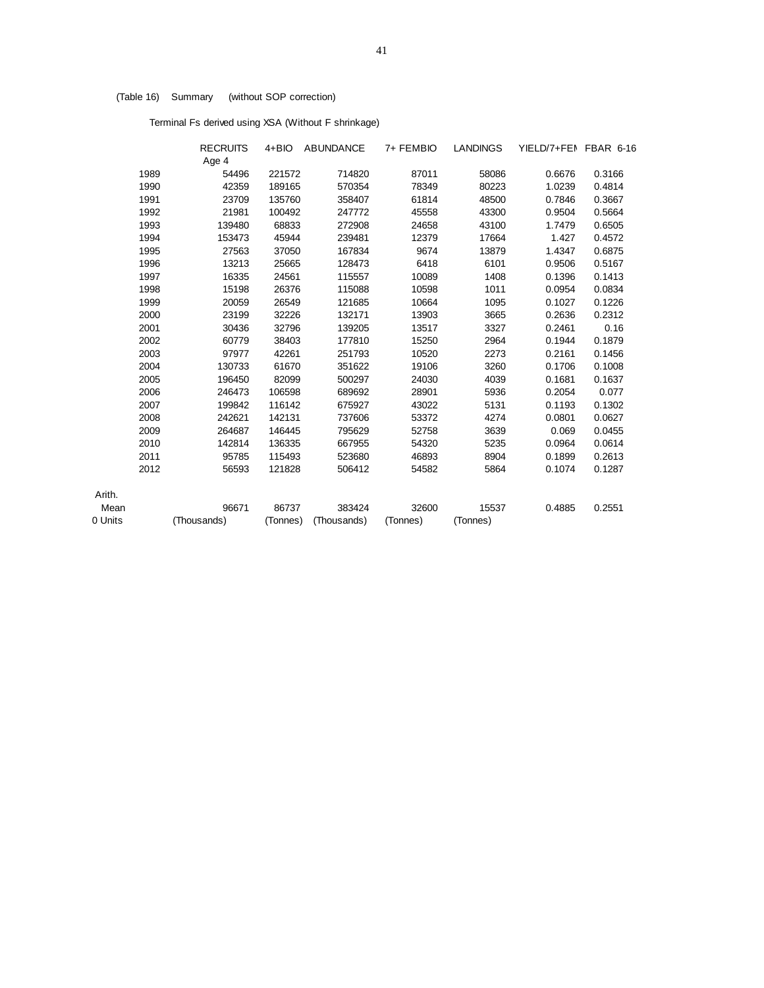# (Table 16) Summary (without SOP correction)

Terminal Fs derived using XSA (Without F shrinkage)

|         |      | <b>RECRUITS</b> |          | 4+BIO ABUNDANCE | 7+ FEMBIO | LANDINGS | YIELD/7+FEN FBAR 6-16 |        |
|---------|------|-----------------|----------|-----------------|-----------|----------|-----------------------|--------|
|         |      | Age 4           |          |                 |           |          |                       |        |
|         | 1989 | 54496           | 221572   | 714820          | 87011     | 58086    | 0.6676                | 0.3166 |
|         | 1990 | 42359           | 189165   | 570354          | 78349     | 80223    | 1.0239                | 0.4814 |
|         | 1991 | 23709           | 135760   | 358407          | 61814     | 48500    | 0.7846                | 0.3667 |
|         | 1992 | 21981           | 100492   | 247772          | 45558     | 43300    | 0.9504                | 0.5664 |
|         | 1993 | 139480          | 68833    | 272908          | 24658     | 43100    | 1.7479                | 0.6505 |
|         | 1994 | 153473          | 45944    | 239481          | 12379     | 17664    | 1.427                 | 0.4572 |
|         | 1995 | 27563           | 37050    | 167834          | 9674      | 13879    | 1.4347                | 0.6875 |
|         | 1996 | 13213           | 25665    | 128473          | 6418      | 6101     | 0.9506                | 0.5167 |
|         | 1997 | 16335           | 24561    | 115557          | 10089     | 1408     | 0.1396                | 0.1413 |
|         | 1998 | 15198           | 26376    | 115088          | 10598     | 1011     | 0.0954                | 0.0834 |
|         | 1999 | 20059           | 26549    | 121685          | 10664     | 1095     | 0.1027                | 0.1226 |
|         | 2000 | 23199           | 32226    | 132171          | 13903     | 3665     | 0.2636                | 0.2312 |
|         | 2001 | 30436           | 32796    | 139205          | 13517     | 3327     | 0.2461                | 0.16   |
|         | 2002 | 60779           | 38403    | 177810          | 15250     | 2964     | 0.1944                | 0.1879 |
|         | 2003 | 97977           | 42261    | 251793          | 10520     | 2273     | 0.2161                | 0.1456 |
|         | 2004 | 130733          | 61670    | 351622          | 19106     | 3260     | 0.1706                | 0.1008 |
|         | 2005 | 196450          | 82099    | 500297          | 24030     | 4039     | 0.1681                | 0.1637 |
|         | 2006 | 246473          | 106598   | 689692          | 28901     | 5936     | 0.2054                | 0.077  |
|         | 2007 | 199842          | 116142   | 675927          | 43022     | 5131     | 0.1193                | 0.1302 |
|         | 2008 | 242621          | 142131   | 737606          | 53372     | 4274     | 0.0801                | 0.0627 |
|         | 2009 | 264687          | 146445   | 795629          | 52758     | 3639     | 0.069                 | 0.0455 |
|         | 2010 | 142814          | 136335   | 667955          | 54320     | 5235     | 0.0964                | 0.0614 |
|         | 2011 | 95785           | 115493   | 523680          | 46893     | 8904     | 0.1899                | 0.2613 |
|         | 2012 | 56593           | 121828   | 506412          | 54582     | 5864     | 0.1074                | 0.1287 |
| Arith.  |      |                 |          |                 |           |          |                       |        |
| Mean    |      | 96671           | 86737    | 383424          | 32600     | 15537    | 0.4885                | 0.2551 |
| 0 Units |      | (Thousands)     | (Tonnes) | (Thousands)     | (Tonnes)  | (Tonnes) |                       |        |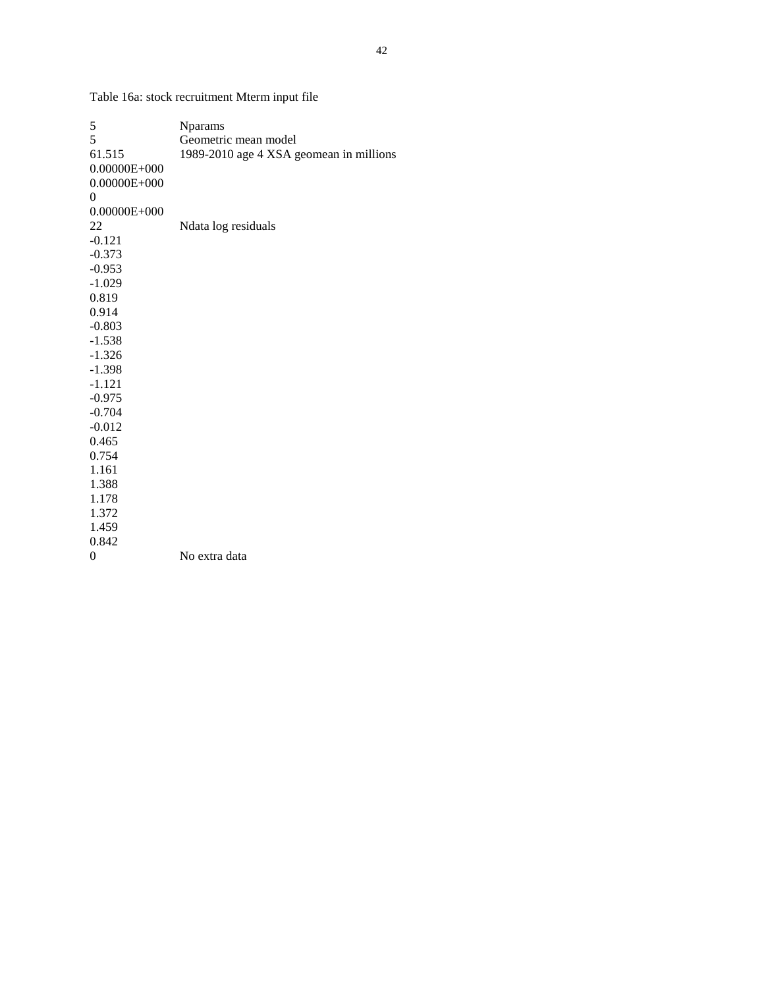Table 16a: stock recruitment Mterm input file

| 5                | <b>N</b> params                         |
|------------------|-----------------------------------------|
| 5                | Geometric mean model                    |
| 61.515           | 1989-2010 age 4 XSA geomean in millions |
| $0.00000E + 000$ |                                         |
| $0.00000E + 000$ |                                         |
| $\theta$         |                                         |
| $0.00000E + 000$ |                                         |
| 22               | Ndata log residuals                     |
| $-0.121$         |                                         |
| $-0.373$         |                                         |
| $-0.953$         |                                         |
| $-1.029$         |                                         |
| 0.819            |                                         |
| 0.914            |                                         |
| $-0.803$         |                                         |
| $-1.538$         |                                         |
| $-1.326$         |                                         |
| $-1.398$         |                                         |
| $-1.121$         |                                         |
| $-0.975$         |                                         |
| $-0.704$         |                                         |
| $-0.012$         |                                         |
| 0.465            |                                         |
| 0.754            |                                         |
| 1.161            |                                         |
| 1.388            |                                         |
| 1.178            |                                         |
| 1.372            |                                         |
| 1.459            |                                         |
| 0.842            |                                         |
| $\overline{0}$   | No extra data                           |
|                  |                                         |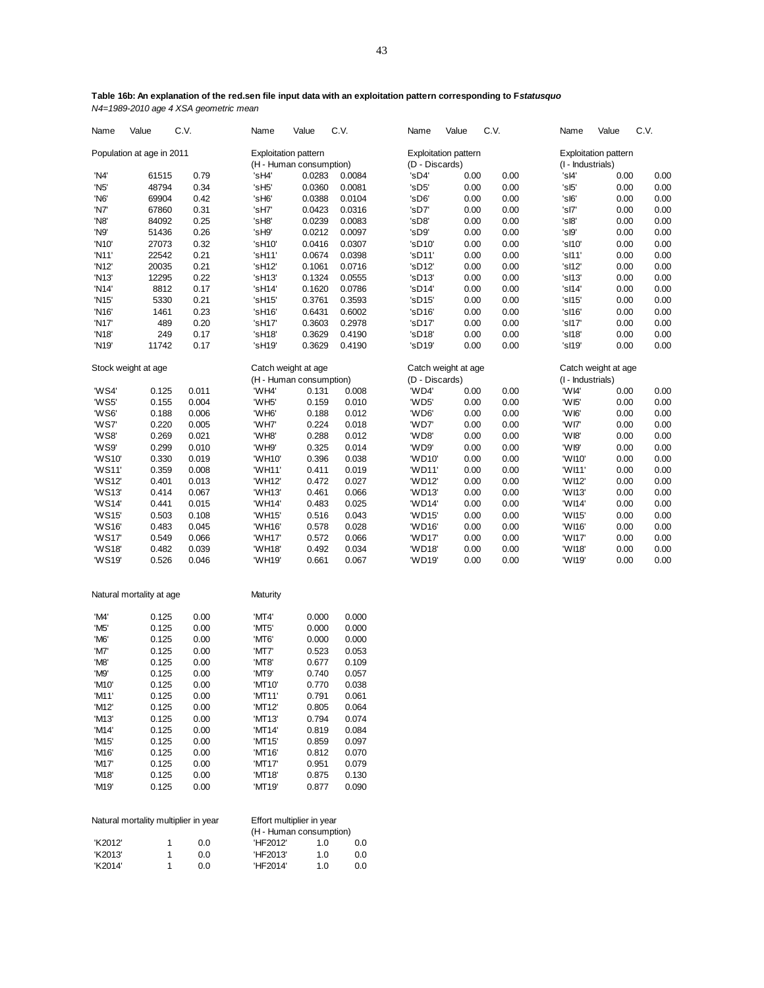Name Value C.V. Name Value C.V. Name Value C.V. Name Value C.V. Population at age in 2011 Exploitation pattern Exploitation pattern Exploitation pattern Exploitation pattern<br>H - Human consumption (D - Discards) (D - Exploitation (I - Industrials) (H - Human consumption) (D - Discards) (I - Industrials) 'N4' 61515 0.79 'sH4' 0.0283 0.0084 'sD4' 0.00 0.00 'sI4' 0.00 0.00 'N5' 48794 0.34 'sH5' 0.0360 0.0081 'sD5' 0.00 0.00 'sI5' 0.00 0.00 'N6' 69904 0.42 'sH6' 0.0388 0.0104 'sD6' 0.00 0.00 'sI6' 0.00 0.00 'N7' 67860 0.31 'sH7' 0.0423 0.0316 'sD7' 0.00 0.00 'sI7' 0.00 0.00 'N8' 84092 0.25 'sH8' 0.0239 0.0083 'sD8' 0.00 0.00 'sI8' 0.00 0.00 'N9' 51436 0.26 'sH9' 0.0212 0.0097 'sD9' 0.00 0.00 'sI9' 0.00 0.00 'N10' 27073 0.32 'sH10' 0.0416 0.0307 'sD10' 0.00 0.00 'sI10' 0.00 0.00 'N11' 22542 0.21 'sH11' 0.0674 0.0398 'sD11' 0.00 0.00 'sI11' 0.00 0.00 'N12' 20035 0.21 'sH12' 0.1061 0.0716 'sD12' 0.00 0.00 'sI12' 0.00 0.00 'N13' 12295 0.22 'sH13' 0.1324 0.0555 'sD13' 0.00 0.00 'sI13' 0.00 0.00 'N14' 8812 0.17 'sH14' 0.1620 0.0786 'sD14' 0.00 0.00 'sI14' 0.00 0.00 'N15' 5330 0.21 'sH15' 0.3761 0.3593 'sD15' 0.00 0.00 'sI15' 0.00 0.00 'N16' 1461 0.23 'sH16' 0.6431 0.6002 'sD16' 0.00 0.00 'sI16' 0.00 0.00 'N17' 489 0.20 'sH17' 0.3603 0.2978 'sD17' 0.00 0.00 'sI17' 0.00 0.00 'N18' 249 0.17 'sH18' 0.3629 0.4190 'sD18' 0.00 0.00 'sI18' 0.00 0.00 'N19' 11742 0.17 'sH19' 0.3629 0.4190 'sD19' 0.00 0.00 'sI19' 0.00 0.00 Stock weight at age Catch weight at age Catch weight at age Catch weight at age Catch weight at age Catch weight at age<br>
(H - Human consumption) (D - Discards) (I - Industrials) (H - Human consumption) (D - Discards) (I - Industrials) (I - Industrials)<br>  $\begin{array}{cccc}\n\text{W} & \text{W} & \text{W} \\
\text{W} & \text{W} & \text{W} & \text{W} \\
\text{W} & \text{W} & \text{W} & \text{W} \\
\text{W} & \text{W} & \text{W} & \text{W} \\
\text{W} & \text{W} & \text{W} & \text{W} \\
\text{W} & \text{W} & \text{W} & \text{W}$  'WS4' 0.125 0.011 'WH4' 0.131 0.008 'WD4' 0.00 0.00 'WI4' 0.00 0.00 'WS5' 0.155 0.004 'WH5' 0.159 0.010 'WD5' 0.00 0.00 'WI5' 0.00 0.00 'WS6' 0.188 0.006 'WH6' 0.188 0.012 'WD6' 0.00 0.00 'WI6' 0.00 0.00 'WS7' 0.220 0.005 'WH7' 0.224 0.018 'WD7' 0.00 0.00 'WI7' 0.00 0.00 'WS8' 0.269 0.021 'WH8' 0.288 0.012 'WD8' 0.00 0.00 'WI8' 0.00 0.00 'WS9' 0.299 0.010 'WH9' 0.325 0.014 'WD9' 0.00 0.00 'WI9' 0.00 0.00 'WS10' 0.330 0.019 'WH10' 0.396 0.038 'WD10' 0.00 0.00 'WI10' 0.00 0.00 'WS11' 0.359 0.008 'WH11' 0.411 0.019 'WD11' 0.00 0.00 'WI11' 0.00 0.00 'WS12' 0.401 0.013 'WH12' 0.472 0.027 'WD12' 0.00 0.00 'WI12' 0.00 0.00 'WS13' 0.414 0.067 'WH13' 0.461 0.066 'WD13' 0.00 0.00 'WI13' 0.00 0.00 'WS14' 0.441 0.015 'WH14' 0.483 0.025 'WD14' 0.00 0.00 'WI14' 0.00 0.00 'WS15' 0.503 0.108 'WH15' 0.516 0.043 'WD15' 0.00 0.00 'WI15' 0.00 0.00 'WS16' 0.483 0.045 'WH16' 0.578 0.028 'WD16' 0.00 0.00 'WI16' 0.00 0.00 'WS17' 0.549 0.066 'WH17' 0.572 0.066 'WD17' 0.00 0.00 'WI17' 0.00 0.00 'WS18' 0.482 0.039 'WH18' 0.492 0.034 'WD18' 0.00 0.00 'WI18' 0.00 0.00 'WS19' 0.526 0.046 'WH19' 0.661 0.067 'WD19' 0.00 0.00 'WI19' 0.00 0.00 Natural mortality at age Maturity 'M4' 0.125 0.00 'MT4' 0.000 0.000 'M5' 0.125 0.00 'MT5' 0.000 0.000 'M6' 0.125 0.00 'MT6' 0.000 0.000 'M7' 0.125 0.00 'MT7' 0.523 0.053 'M8' 0.125 0.00 'MT8' 0.677 0.109 'M9' 0.125 0.00 'MT9' 0.740 0.057 'M10' 0.125 0.00 'MT10' 0.770 0.038 'M11' 0.125 0.00 'MT11' 0.791 0.061 'M12' 0.125 0.00 'MT12' 0.805 0.064 'M13' 0.125 0.00 'MT13' 0.794 0.074 'M14' 0.125 0.00 'MT14' 0.819 0.084 'M15' 0.125 0.00 'MT15' 0.859 0.097 'M16' 0.125 0.00 'MT16' 0.812 0.070 'M17' 0.125 0.00 'MT17' 0.951 0.079 'M18' 0.125 0.00 'MT18' 0.875 0.130 'M19' 0.125 0.00 'MT19' 0.877 0.090 Natural mortality multiplier in year Effort multiplier in year (H - Human consumption) 'K2012' 1 0.0 'HF2012' 1.0 0.0 'K2013' 1 0.0 'HF2013' 1.0 0.0 'K2014' 1 0.0 'HF2014' 1.0 0.0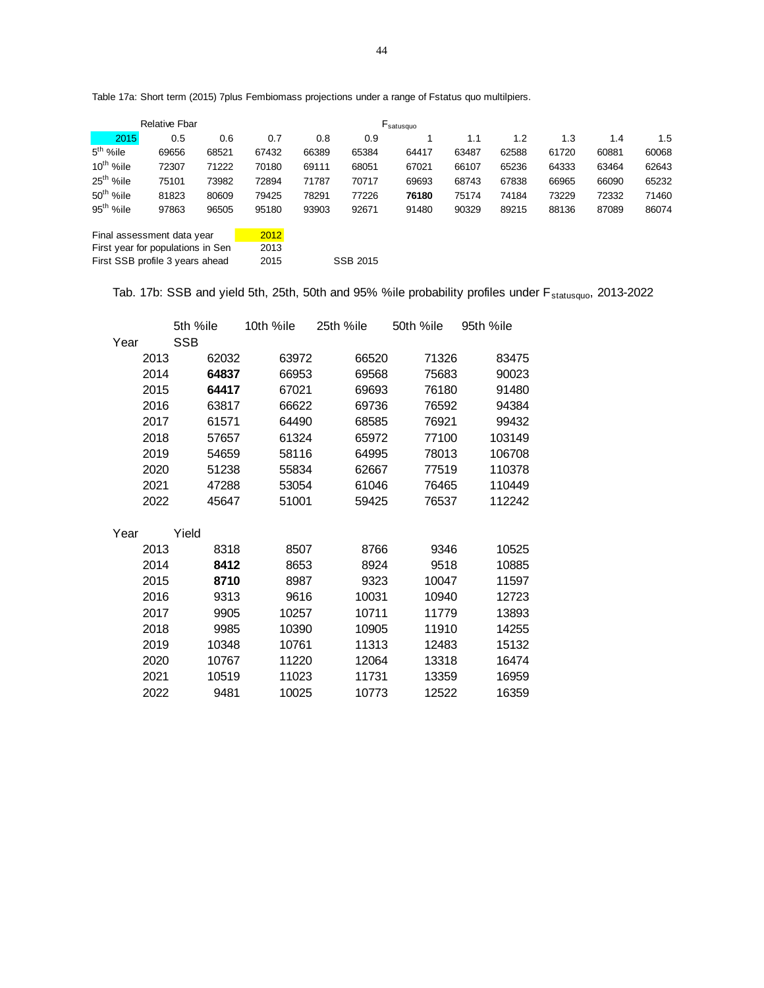Table 17a: Short term (2015) 7plus Fembiomass projections under a range of Fstatus quo multilpiers.

|                       | <b>Relative Fbar</b>                                            |       |              |       |          | $F_{\text{satusque}}$ |       |       |       |       |       |
|-----------------------|-----------------------------------------------------------------|-------|--------------|-------|----------|-----------------------|-------|-------|-------|-------|-------|
| 2015                  | 0.5                                                             | 0.6   | 0.7          | 0.8   | 0.9      |                       | 1.1   | 1.2   | 1.3   | 1.4   | 1.5   |
| $5th$ %ile            | 69656                                                           | 68521 | 67432        | 66389 | 65384    | 64417                 | 63487 | 62588 | 61720 | 60881 | 60068 |
| $10^{th}$ %ile        | 72307                                                           | 71222 | 70180        | 69111 | 68051    | 67021                 | 66107 | 65236 | 64333 | 63464 | 62643 |
| 25 <sup>th</sup> %ile | 75101                                                           | 73982 | 72894        | 71787 | 70717    | 69693                 | 68743 | 67838 | 66965 | 66090 | 65232 |
| 50 <sup>th</sup> %ile | 81823                                                           | 80609 | 79425        | 78291 | 77226    | 76180                 | 75174 | 74184 | 73229 | 72332 | 71460 |
| 95 <sup>th</sup> %ile | 97863                                                           | 96505 | 95180        | 93903 | 92671    | 91480                 | 90329 | 89215 | 88136 | 87089 | 86074 |
|                       | Final assessment data year<br>First year for populations in Sen |       | 2012<br>2013 |       |          |                       |       |       |       |       |       |
|                       | First SSB profile 3 years ahead                                 |       | 2015         |       | SSB 2015 |                       |       |       |       |       |       |

Tab. 17b: SSB and yield 5th, 25th, 50th and 95% %ile probability profiles under F<sub>statusquo</sub>, 2013-2022

|      |      | 5th %ile   |       | 10th %ile | 25th %ile | 50th %ile | 95th %ile |
|------|------|------------|-------|-----------|-----------|-----------|-----------|
| Year |      | <b>SSB</b> |       |           |           |           |           |
|      | 2013 |            | 62032 | 63972     | 66520     | 71326     | 83475     |
|      | 2014 |            | 64837 | 66953     | 69568     | 75683     | 90023     |
|      | 2015 |            | 64417 | 67021     | 69693     | 76180     | 91480     |
|      | 2016 |            | 63817 | 66622     | 69736     | 76592     | 94384     |
|      | 2017 |            | 61571 | 64490     | 68585     | 76921     | 99432     |
|      | 2018 |            | 57657 | 61324     | 65972     | 77100     | 103149    |
|      | 2019 |            | 54659 | 58116     | 64995     | 78013     | 106708    |
|      | 2020 |            | 51238 | 55834     | 62667     | 77519     | 110378    |
|      | 2021 |            | 47288 | 53054     | 61046     | 76465     | 110449    |
|      | 2022 |            | 45647 | 51001     | 59425     | 76537     | 112242    |
|      |      |            |       |           |           |           |           |
| Year |      | Yield      |       |           |           |           |           |
|      | 2013 |            | 8318  | 8507      | 8766      | 9346      | 10525     |
|      | 2014 |            | 8412  | 8653      | 8924      | 9518      | 10885     |
|      | 2015 |            | 8710  | 8987      | 9323      | 10047     | 11597     |
|      | 2016 |            | 9313  | 9616      | 10031     | 10940     | 12723     |
|      | 2017 |            | 9905  | 10257     | 10711     | 11779     | 13893     |
|      | 2018 |            | 9985  | 10390     | 10905     | 11910     | 14255     |
|      | 2019 |            | 10348 | 10761     | 11313     | 12483     | 15132     |
|      | 2020 |            | 10767 | 11220     | 12064     | 13318     | 16474     |
|      | 2021 |            | 10519 | 11023     | 11731     | 13359     | 16959     |
|      | 2022 |            | 9481  | 10025     | 10773     | 12522     | 16359     |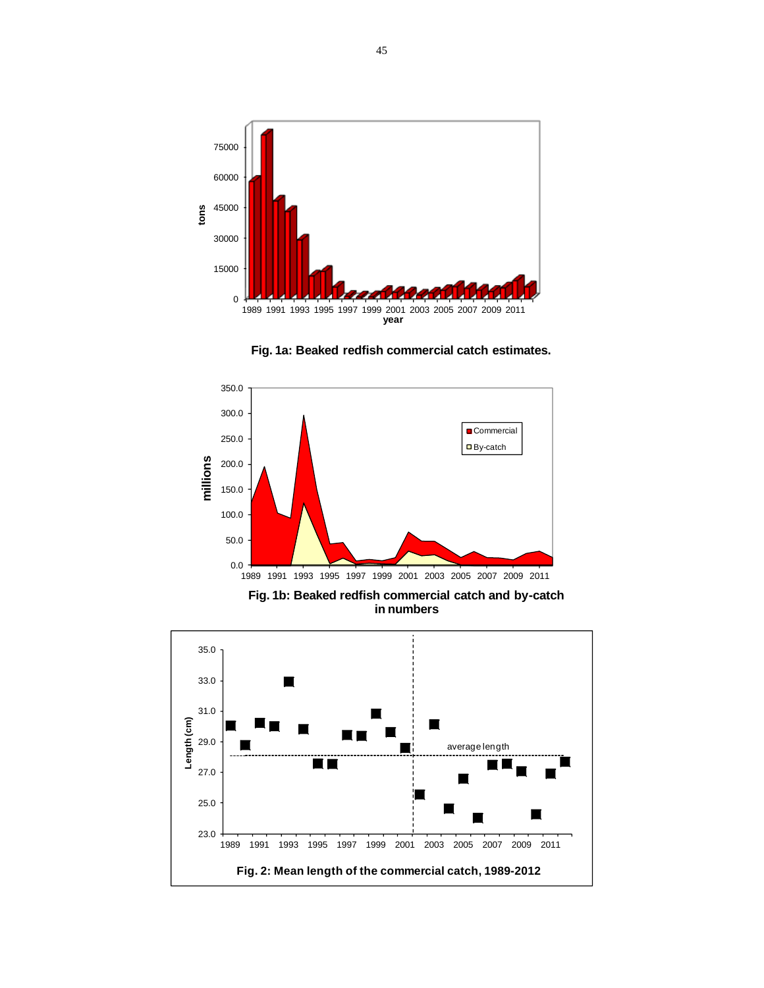





**in numbers** 

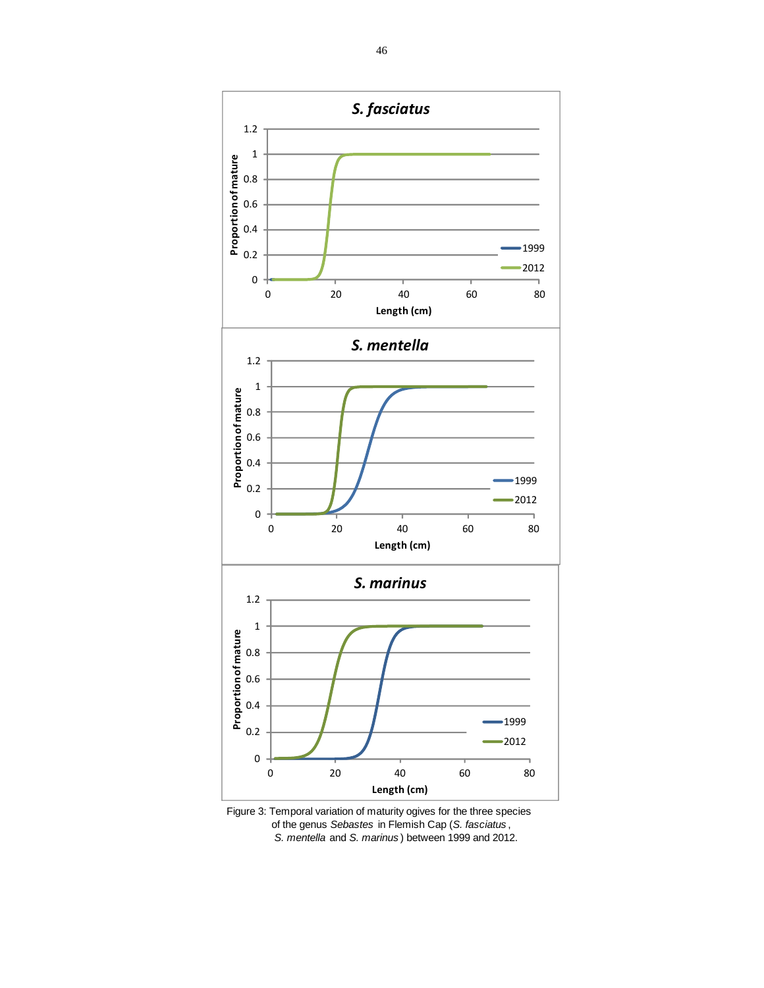

Figure 3: Temporal variation of maturity ogives for the three species of the genus *Sebastes* in Flemish Cap (*S. fasciatus* , *S. mentella* and *S. marinus* ) between 1999 and 2012.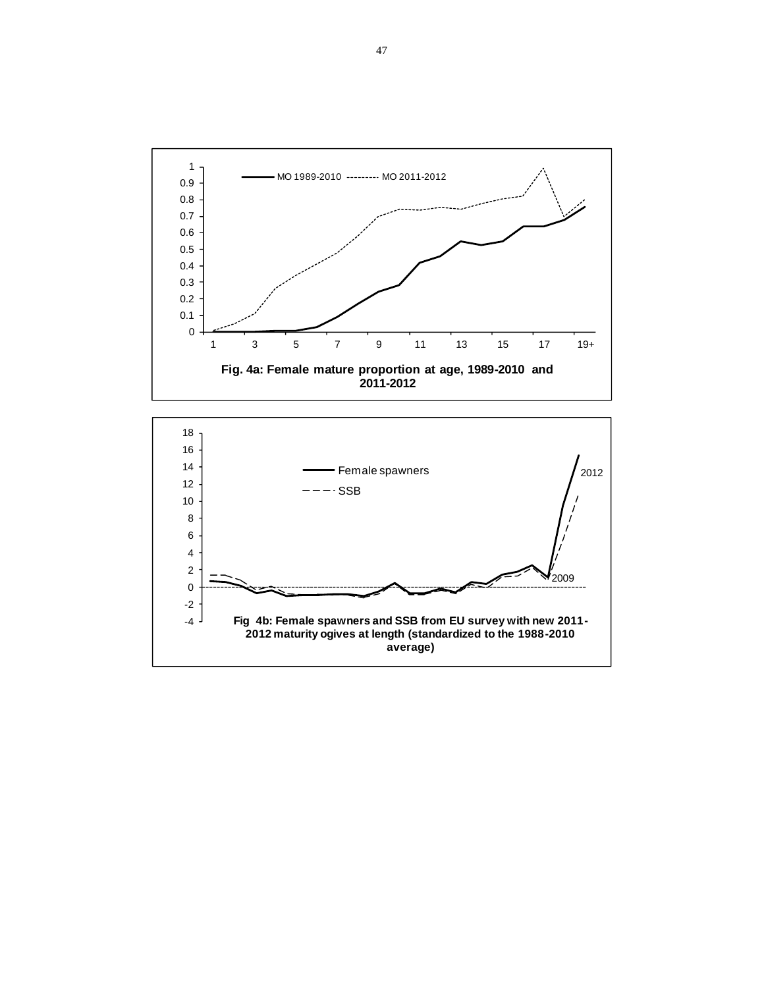

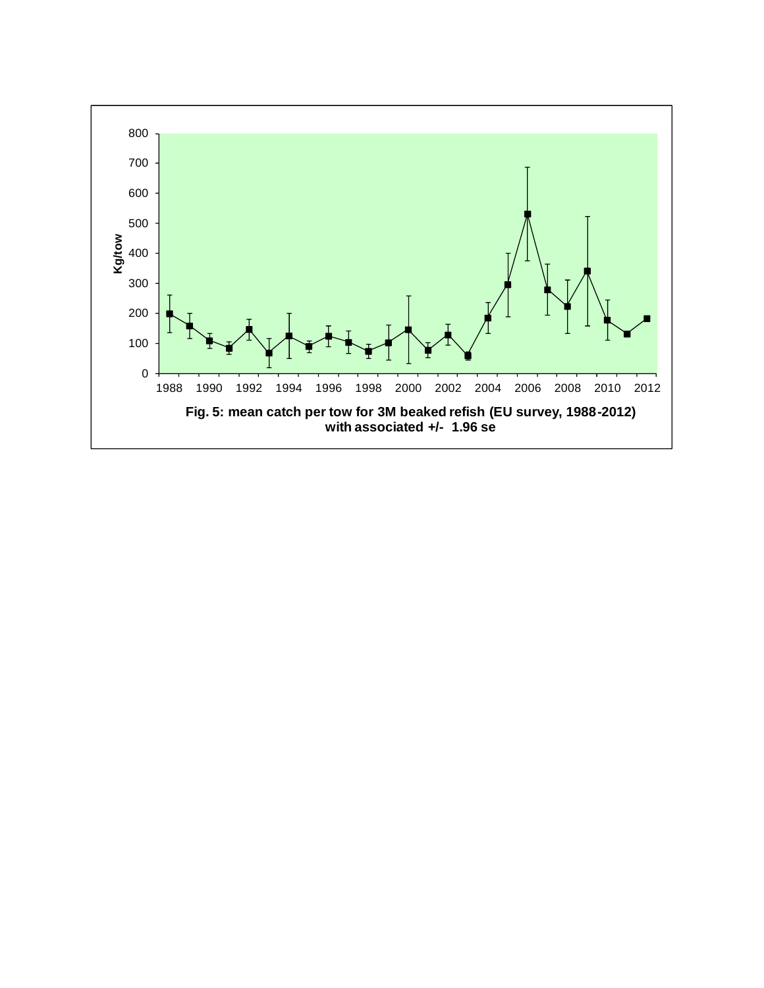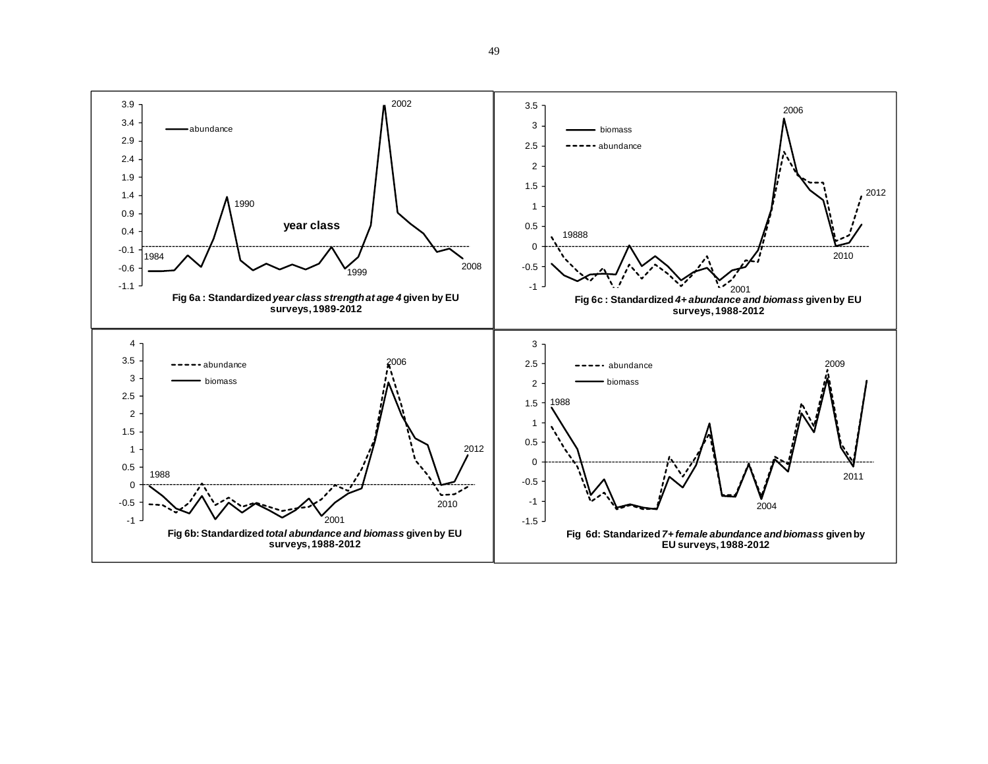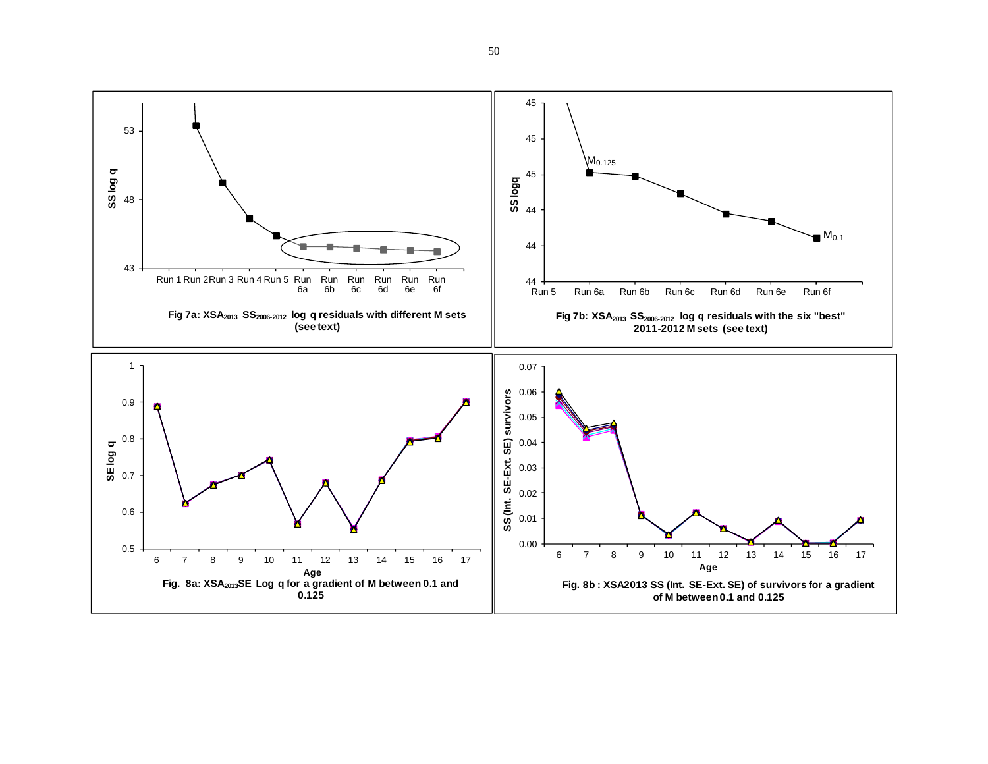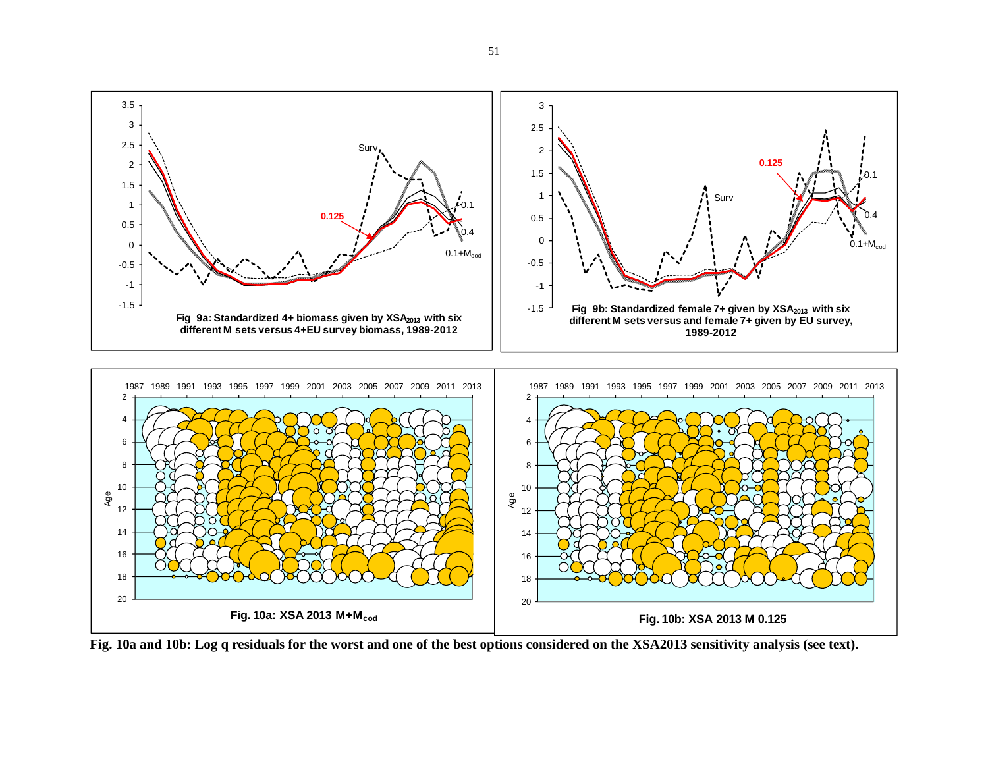

**Fig. 10a and 10b: Log q residuals for the worst and one of the best options considered on the XSA2013 sensitivity analysis (see text).**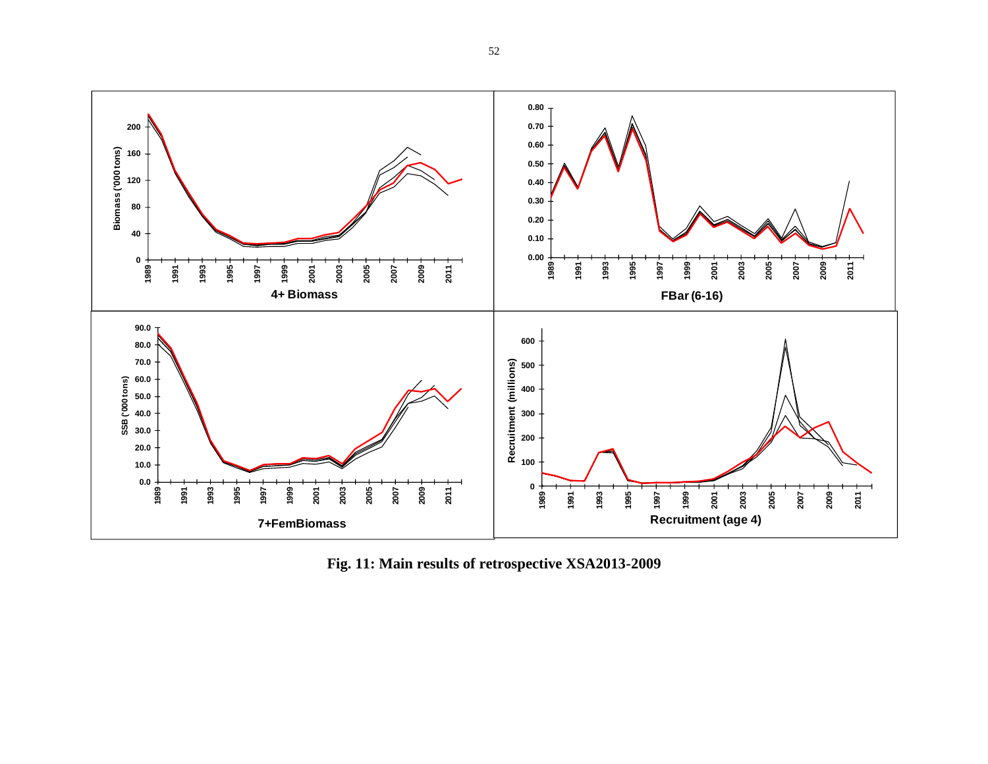

**Fig. 11: Main results of retrospective XSA2013-2009**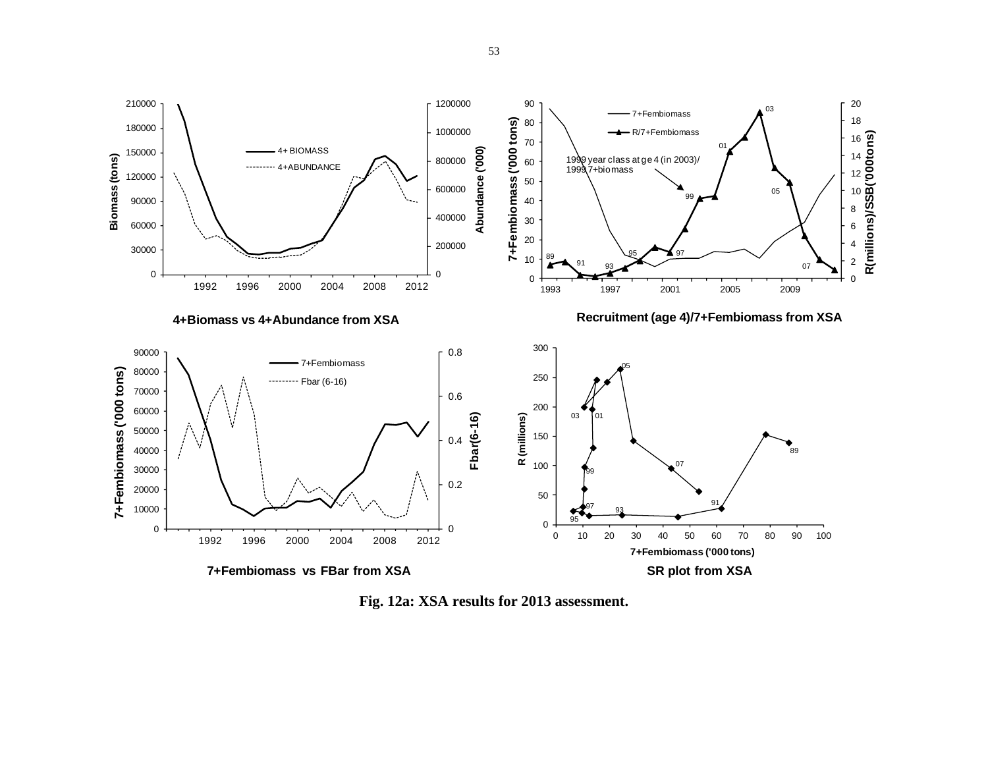

**Fig. 12a: XSA results for 2013 assessment.**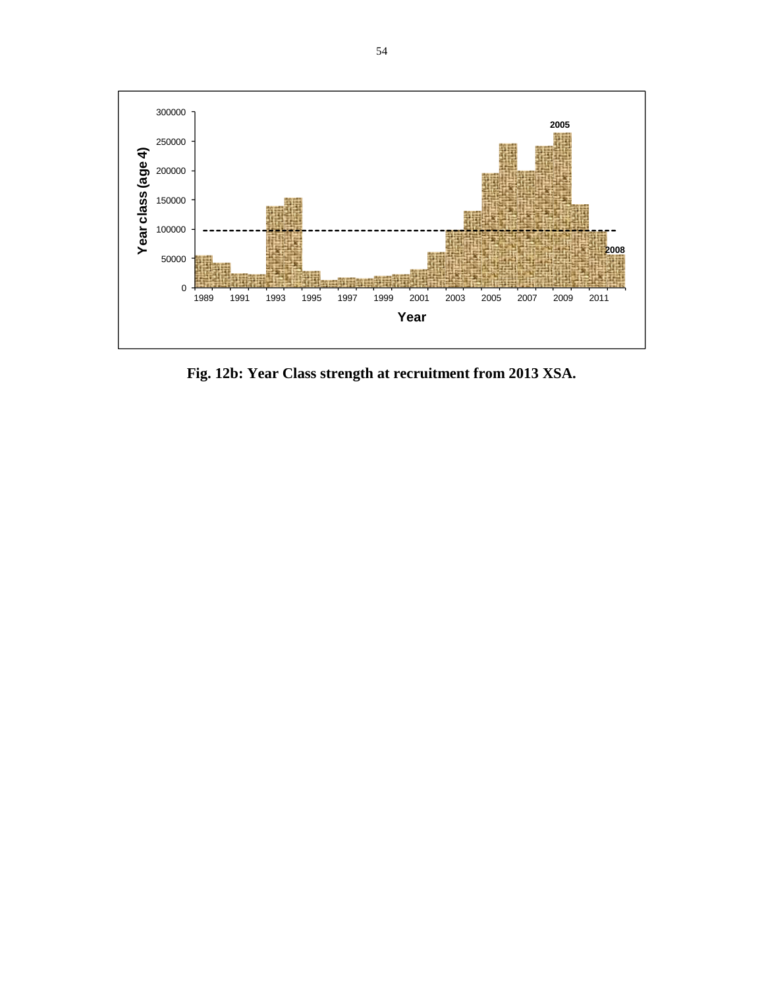

**Fig. 12b: Year Class strength at recruitment from 2013 XSA.**